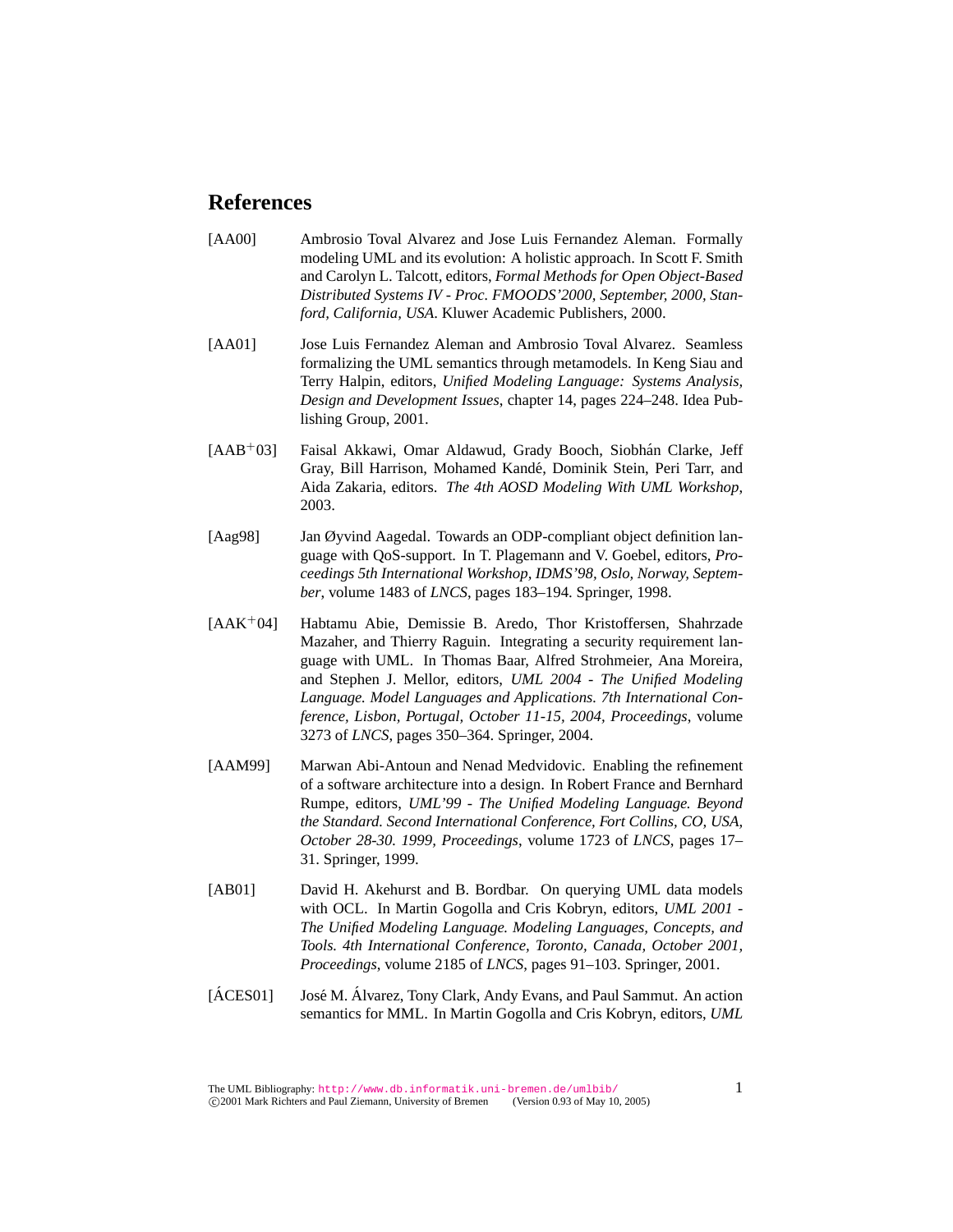## **References**

- [AA00] Ambrosio Toval Alvarez and Jose Luis Fernandez Aleman. Formally modeling UML and its evolution: A holistic approach. In Scott F. Smith and Carolyn L. Talcott, editors, *Formal Methods for Open Object-Based Distributed Systems IV - Proc. FMOODS'2000, September, 2000, Stanford, California, USA*. Kluwer Academic Publishers, 2000.
- [AA01] Jose Luis Fernandez Aleman and Ambrosio Toval Alvarez. Seamless formalizing the UML semantics through metamodels. In Keng Siau and Terry Halpin, editors, *Unified Modeling Language: Systems Analysis, Design and Development Issues*, chapter 14, pages 224–248. Idea Publishing Group, 2001.
- [AAB<sup>+</sup>03] Faisal Akkawi, Omar Aldawud, Grady Booch, Siobhán Clarke, Jeff Gray, Bill Harrison, Mohamed Kande, Dominik Stein, Peri Tarr, and ´ Aida Zakaria, editors. *The 4th AOSD Modeling With UML Workshop*, 2003.
- [Aag98] Jan Øyvind Aagedal. Towards an ODP-compliant object definition language with QoS-support. In T. Plagemann and V. Goebel, editors, *Proceedings 5th International Workshop, IDMS'98, Oslo, Norway, September*, volume 1483 of *LNCS*, pages 183–194. Springer, 1998.
- [AAK<sup>+</sup>04] Habtamu Abie, Demissie B. Aredo, Thor Kristoffersen, Shahrzade Mazaher, and Thierry Raguin. Integrating a security requirement language with UML. In Thomas Baar, Alfred Strohmeier, Ana Moreira, and Stephen J. Mellor, editors, *UML 2004 - The Unified Modeling Language. Model Languages and Applications. 7th International Conference, Lisbon, Portugal, October 11-15, 2004, Proceedings*, volume 3273 of *LNCS*, pages 350–364. Springer, 2004.
- [AAM99] Marwan Abi-Antoun and Nenad Medvidovic. Enabling the refinement of a software architecture into a design. In Robert France and Bernhard Rumpe, editors, *UML'99 - The Unified Modeling Language. Beyond the Standard. Second International Conference, Fort Collins, CO, USA, October 28-30. 1999, Proceedings*, volume 1723 of *LNCS*, pages 17– 31. Springer, 1999.
- [AB01] David H. Akehurst and B. Bordbar. On querying UML data models with OCL. In Martin Gogolla and Cris Kobryn, editors, *UML 2001 - The Unified Modeling Language. Modeling Languages, Concepts, and Tools. 4th International Conference, Toronto, Canada, October 2001, Proceedings*, volume 2185 of *LNCS*, pages 91–103. Springer, 2001.
- [ÁCES01] José M. Álvarez, Tony Clark, Andy Evans, and Paul Sammut. An action semantics for MML. In Martin Gogolla and Cris Kobryn, editors, *UML*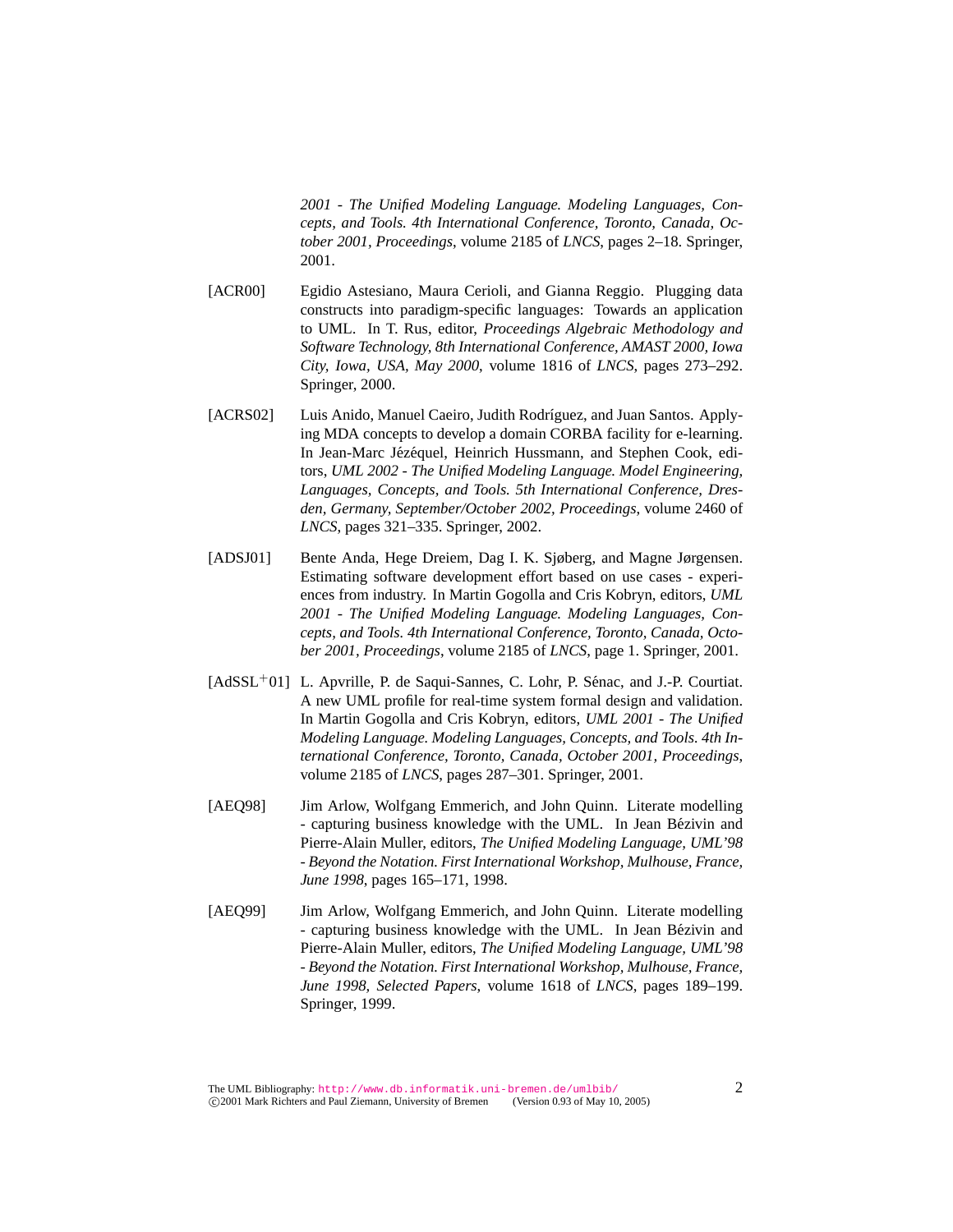*2001 - The Unified Modeling Language. Modeling Languages, Concepts, and Tools. 4th International Conference, Toronto, Canada, October 2001, Proceedings*, volume 2185 of *LNCS*, pages 2–18. Springer, 2001.

- [ACR00] Egidio Astesiano, Maura Cerioli, and Gianna Reggio. Plugging data constructs into paradigm-specific languages: Towards an application to UML. In T. Rus, editor, *Proceedings Algebraic Methodology and Software Technology, 8th International Conference, AMAST 2000, Iowa City, Iowa, USA, May 2000*, volume 1816 of *LNCS*, pages 273–292. Springer, 2000.
- [ACRS02] Luis Anido, Manuel Caeiro, Judith Rodríguez, and Juan Santos. Applying MDA concepts to develop a domain CORBA facility for e-learning. In Jean-Marc Jézéquel, Heinrich Hussmann, and Stephen Cook, editors, *UML 2002 - The Unified Modeling Language. Model Engineering, Languages, Concepts, and Tools. 5th International Conference, Dresden, Germany, September/October 2002, Proceedings*, volume 2460 of *LNCS*, pages 321–335. Springer, 2002.
- [ADSJ01] Bente Anda, Hege Dreiem, Dag I. K. Sjøberg, and Magne Jørgensen. Estimating software development effort based on use cases - experiences from industry. In Martin Gogolla and Cris Kobryn, editors, *UML 2001 - The Unified Modeling Language. Modeling Languages, Concepts, and Tools. 4th International Conference, Toronto, Canada, October 2001, Proceedings*, volume 2185 of *LNCS*, page 1. Springer, 2001.
- $[AdSSL<sup>+</sup>01]$  L. Apvrille, P. de Saqui-Sannes, C. Lohr, P. Sénac, and J.-P. Courtiat. A new UML profile for real-time system formal design and validation. In Martin Gogolla and Cris Kobryn, editors, *UML 2001 - The Unified Modeling Language. Modeling Languages, Concepts, and Tools. 4th International Conference, Toronto, Canada, October 2001, Proceedings*, volume 2185 of *LNCS*, pages 287–301. Springer, 2001.
- [AEQ98] Jim Arlow, Wolfgang Emmerich, and John Quinn. Literate modelling - capturing business knowledge with the UML. In Jean Bézivin and Pierre-Alain Muller, editors, *The Unified Modeling Language, UML'98 - Beyond the Notation. First International Workshop, Mulhouse, France, June 1998*, pages 165–171, 1998.
- [AEQ99] Jim Arlow, Wolfgang Emmerich, and John Quinn. Literate modelling - capturing business knowledge with the UML. In Jean Bézivin and Pierre-Alain Muller, editors, *The Unified Modeling Language, UML'98 - Beyond the Notation. First International Workshop, Mulhouse, France, June 1998, Selected Papers*, volume 1618 of *LNCS*, pages 189–199. Springer, 1999.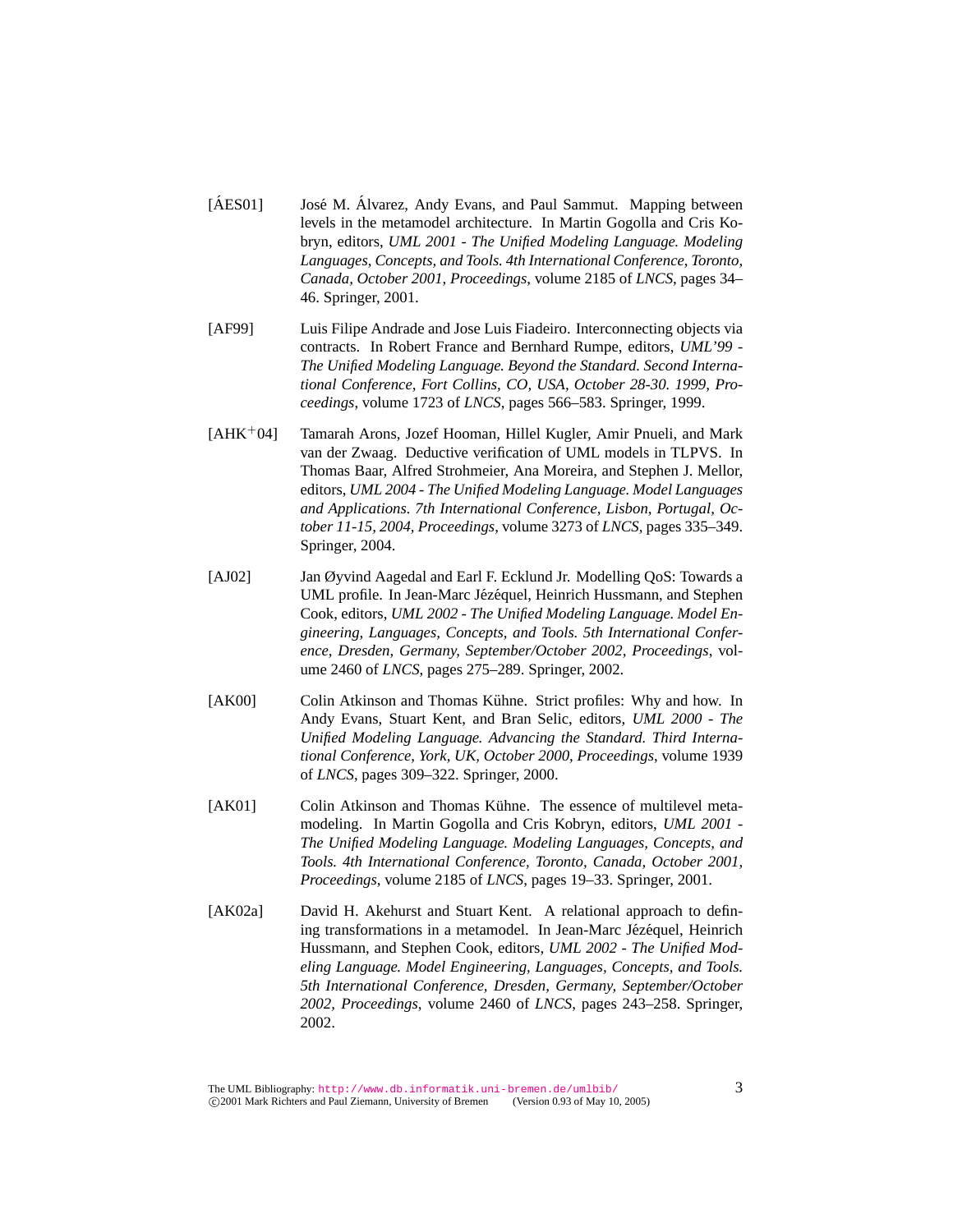- [ÁES01] José M. Álvarez, Andy Evans, and Paul Sammut. Mapping between levels in the metamodel architecture. In Martin Gogolla and Cris Kobryn, editors, *UML 2001 - The Unified Modeling Language. Modeling Languages, Concepts, and Tools. 4th International Conference, Toronto, Canada, October 2001, Proceedings*, volume 2185 of *LNCS*, pages 34– 46. Springer, 2001.
- [AF99] Luis Filipe Andrade and Jose Luis Fiadeiro. Interconnecting objects via contracts. In Robert France and Bernhard Rumpe, editors, *UML'99 - The Unified Modeling Language. Beyond the Standard. Second International Conference, Fort Collins, CO, USA, October 28-30. 1999, Proceedings*, volume 1723 of *LNCS*, pages 566–583. Springer, 1999.
- [AHK<sup>+</sup>04] Tamarah Arons, Jozef Hooman, Hillel Kugler, Amir Pnueli, and Mark van der Zwaag. Deductive verification of UML models in TLPVS. In Thomas Baar, Alfred Strohmeier, Ana Moreira, and Stephen J. Mellor, editors, *UML 2004 - The Unified Modeling Language. Model Languages and Applications. 7th International Conference, Lisbon, Portugal, October 11-15, 2004, Proceedings*, volume 3273 of *LNCS*, pages 335–349. Springer, 2004.
- [AJ02] Jan Øyvind Aagedal and Earl F. Ecklund Jr. Modelling QoS: Towards a UML profile. In Jean-Marc Jézéquel, Heinrich Hussmann, and Stephen Cook, editors, *UML 2002 - The Unified Modeling Language. Model Engineering, Languages, Concepts, and Tools. 5th International Conference, Dresden, Germany, September/October 2002, Proceedings*, volume 2460 of *LNCS*, pages 275–289. Springer, 2002.
- [AK00] Colin Atkinson and Thomas Kühne. Strict profiles: Why and how. In Andy Evans, Stuart Kent, and Bran Selic, editors, *UML 2000 - The Unified Modeling Language. Advancing the Standard. Third International Conference, York, UK, October 2000, Proceedings*, volume 1939 of *LNCS*, pages 309–322. Springer, 2000.
- [AK01] Colin Atkinson and Thomas Kühne. The essence of multilevel metamodeling. In Martin Gogolla and Cris Kobryn, editors, *UML 2001 - The Unified Modeling Language. Modeling Languages, Concepts, and Tools. 4th International Conference, Toronto, Canada, October 2001, Proceedings*, volume 2185 of *LNCS*, pages 19–33. Springer, 2001.
- [AK02a] David H. Akehurst and Stuart Kent. A relational approach to defining transformations in a metamodel. In Jean-Marc Jézéquel, Heinrich Hussmann, and Stephen Cook, editors, *UML 2002 - The Unified Modeling Language. Model Engineering, Languages, Concepts, and Tools. 5th International Conference, Dresden, Germany, September/October 2002, Proceedings*, volume 2460 of *LNCS*, pages 243–258. Springer, 2002.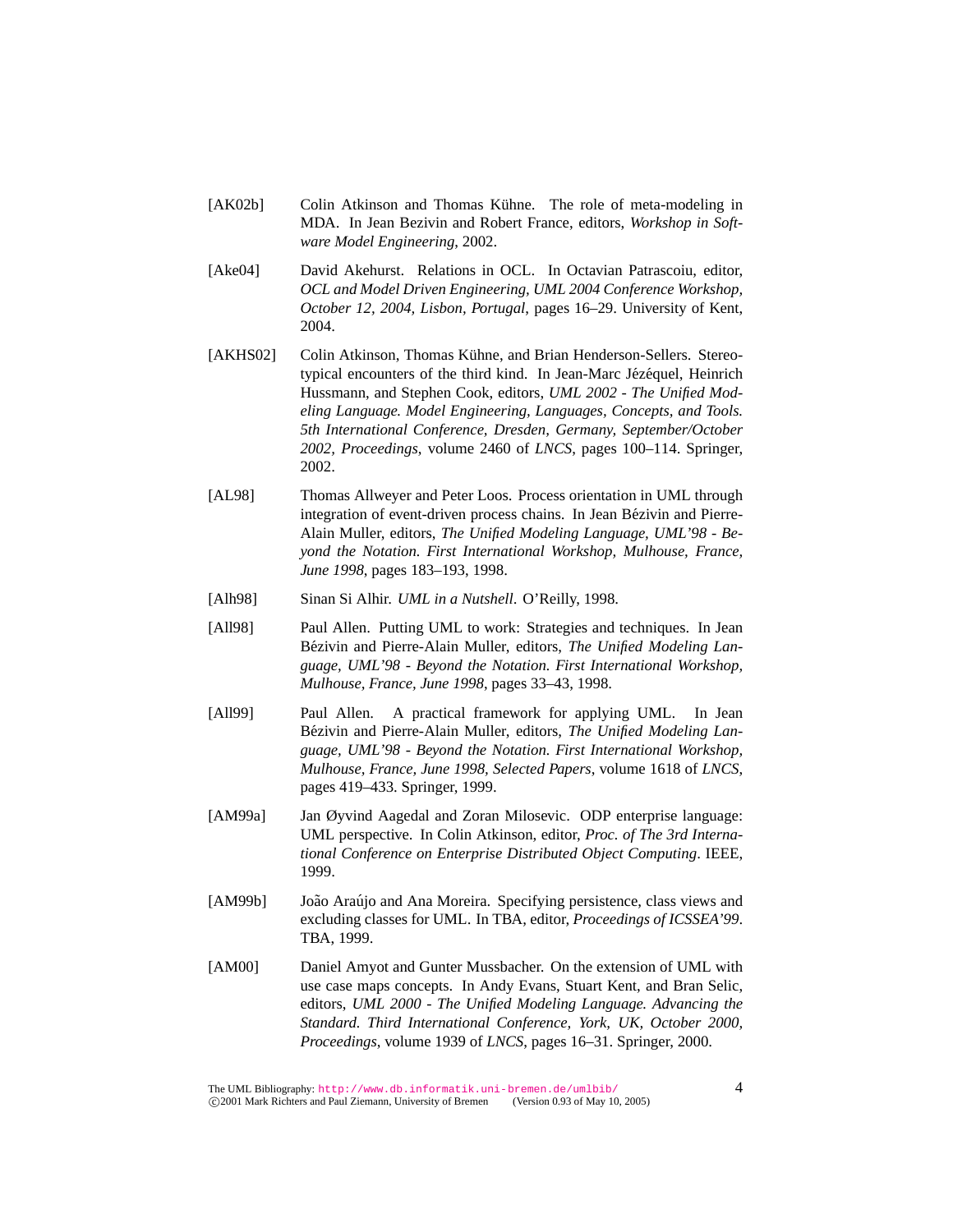- [AK02b] Colin Atkinson and Thomas Kühne. The role of meta-modeling in MDA. In Jean Bezivin and Robert France, editors, *Workshop in Software Model Engineering*, 2002.
- [Ake04] David Akehurst. Relations in OCL. In Octavian Patrascoiu, editor, *OCL and Model Driven Engineering, UML 2004 Conference Workshop, October 12, 2004, Lisbon, Portugal*, pages 16–29. University of Kent, 2004.
- [AKHS02] Colin Atkinson, Thomas Kühne, and Brian Henderson-Sellers. Stereotypical encounters of the third kind. In Jean-Marc Jézéquel, Heinrich Hussmann, and Stephen Cook, editors, *UML 2002 - The Unified Modeling Language. Model Engineering, Languages, Concepts, and Tools. 5th International Conference, Dresden, Germany, September/October 2002, Proceedings*, volume 2460 of *LNCS*, pages 100–114. Springer, 2002.
- [AL98] Thomas Allweyer and Peter Loos. Process orientation in UML through integration of event-driven process chains. In Jean Bézivin and Pierre-Alain Muller, editors, *The Unified Modeling Language, UML'98 - Beyond the Notation. First International Workshop, Mulhouse, France, June 1998*, pages 183–193, 1998.
- [Alh98] Sinan Si Alhir. *UML in a Nutshell*. O'Reilly, 1998.
- [All98] Paul Allen. Putting UML to work: Strategies and techniques. In Jean Bézivin and Pierre-Alain Muller, editors, *The Unified Modeling Language, UML'98 - Beyond the Notation. First International Workshop, Mulhouse, France, June 1998*, pages 33–43, 1998.
- [All99] Paul Allen. A practical framework for applying UML. In Jean Bézivin and Pierre-Alain Muller, editors, *The Unified Modeling Language, UML'98 - Beyond the Notation. First International Workshop, Mulhouse, France, June 1998, Selected Papers*, volume 1618 of *LNCS*, pages 419–433. Springer, 1999.
- [AM99a] Jan Øyvind Aagedal and Zoran Milosevic. ODP enterprise language: UML perspective. In Colin Atkinson, editor, *Proc. of The 3rd International Conference on Enterprise Distributed Object Computing*. IEEE, 1999.
- [AM99b] João Araújo and Ana Moreira. Specifying persistence, class views and excluding classes for UML. In TBA, editor, *Proceedings of ICSSEA'99*. TBA, 1999.
- [AM00] Daniel Amyot and Gunter Mussbacher. On the extension of UML with use case maps concepts. In Andy Evans, Stuart Kent, and Bran Selic, editors, *UML 2000 - The Unified Modeling Language. Advancing the Standard. Third International Conference, York, UK, October 2000, Proceedings*, volume 1939 of *LNCS*, pages 16–31. Springer, 2000.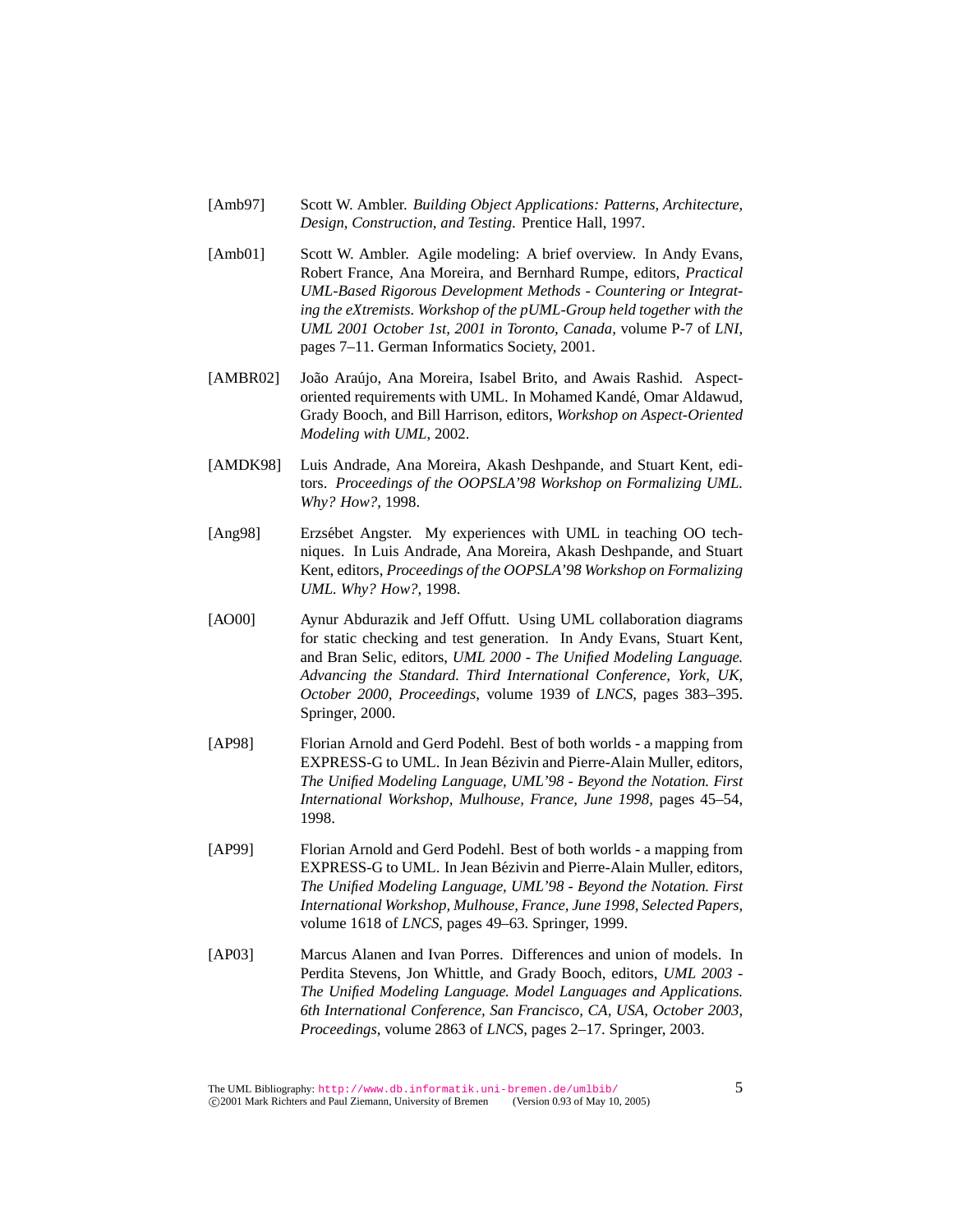- [Amb97] Scott W. Ambler. *Building Object Applications: Patterns, Architecture, Design, Construction, and Testing*. Prentice Hall, 1997.
- [Amb01] Scott W. Ambler. Agile modeling: A brief overview. In Andy Evans, Robert France, Ana Moreira, and Bernhard Rumpe, editors, *Practical UML-Based Rigorous Development Methods - Countering or Integrating the eXtremists. Workshop of the pUML-Group held together with the UML 2001 October 1st, 2001 in Toronto, Canada*, volume P-7 of *LNI*, pages 7–11. German Informatics Society, 2001.
- [AMBR02] João Araújo, Ana Moreira, Isabel Brito, and Awais Rashid. Aspectoriented requirements with UML. In Mohamed Kande, Omar Aldawud, ´ Grady Booch, and Bill Harrison, editors, *Workshop on Aspect-Oriented Modeling with UML*, 2002.
- [AMDK98] Luis Andrade, Ana Moreira, Akash Deshpande, and Stuart Kent, editors. *Proceedings of the OOPSLA'98 Workshop on Formalizing UML. Why? How?*, 1998.
- [Ang98] Erzsébet Angster. My experiences with UML in teaching OO techniques. In Luis Andrade, Ana Moreira, Akash Deshpande, and Stuart Kent, editors, *Proceedings of the OOPSLA'98 Workshop on Formalizing UML. Why? How?*, 1998.
- [AO00] Aynur Abdurazik and Jeff Offutt. Using UML collaboration diagrams for static checking and test generation. In Andy Evans, Stuart Kent, and Bran Selic, editors, *UML 2000 - The Unified Modeling Language. Advancing the Standard. Third International Conference, York, UK, October 2000, Proceedings*, volume 1939 of *LNCS*, pages 383–395. Springer, 2000.
- [AP98] Florian Arnold and Gerd Podehl. Best of both worlds a mapping from EXPRESS-G to UML. In Jean Bezivin and Pierre-Alain Muller, editors, ´ *The Unified Modeling Language, UML'98 - Beyond the Notation. First International Workshop, Mulhouse, France, June 1998*, pages 45–54, 1998.
- [AP99] Florian Arnold and Gerd Podehl. Best of both worlds a mapping from EXPRESS-G to UML. In Jean Bézivin and Pierre-Alain Muller, editors, *The Unified Modeling Language, UML'98 - Beyond the Notation. First International Workshop, Mulhouse, France, June 1998, Selected Papers*, volume 1618 of *LNCS*, pages 49–63. Springer, 1999.
- [AP03] Marcus Alanen and Ivan Porres. Differences and union of models. In Perdita Stevens, Jon Whittle, and Grady Booch, editors, *UML 2003 - The Unified Modeling Language. Model Languages and Applications. 6th International Conference, San Francisco, CA, USA, October 2003, Proceedings*, volume 2863 of *LNCS*, pages 2–17. Springer, 2003.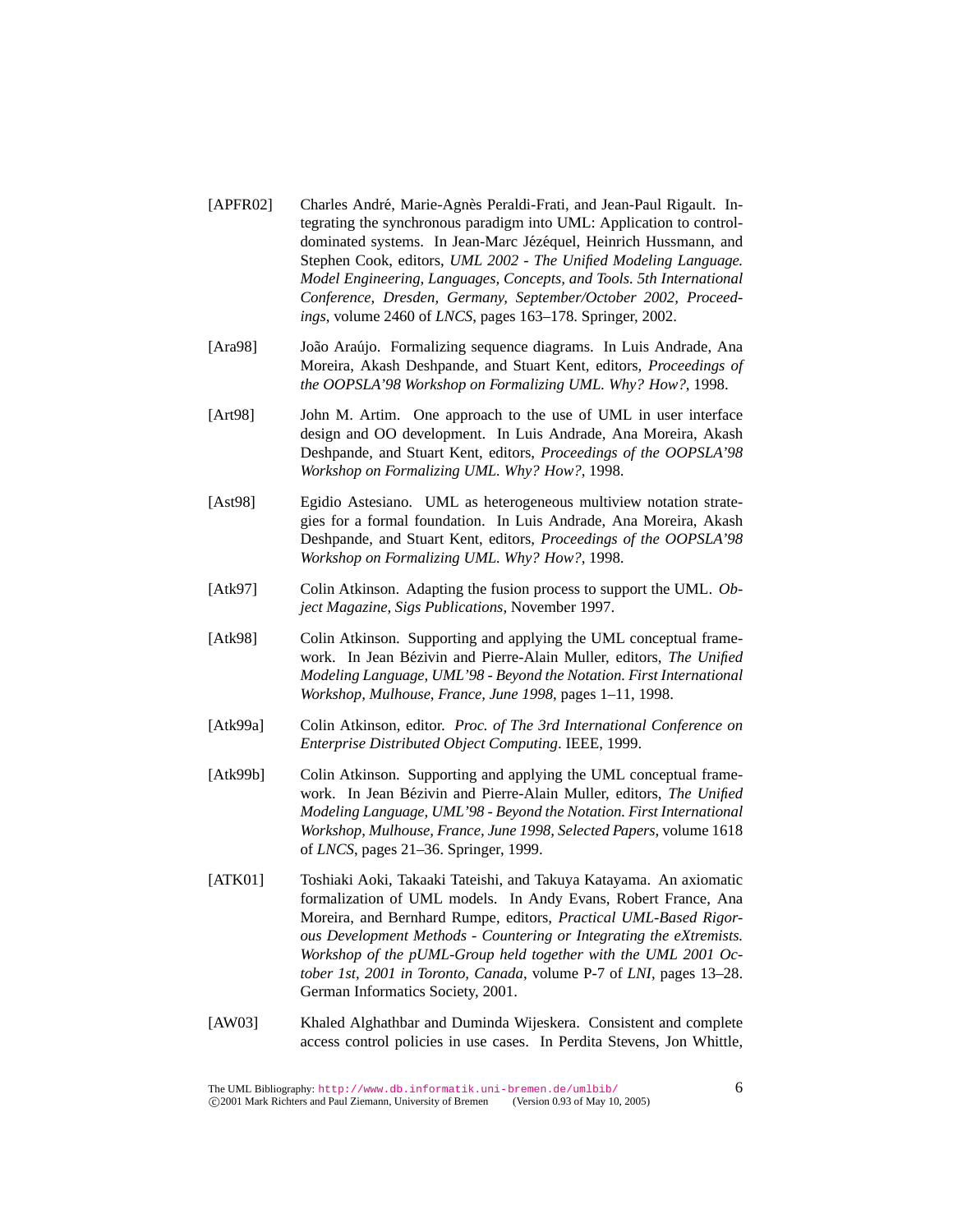- [APFR02] Charles André, Marie-Agnès Peraldi-Frati, and Jean-Paul Rigault. Integrating the synchronous paradigm into UML: Application to controldominated systems. In Jean-Marc Jézéquel, Heinrich Hussmann, and Stephen Cook, editors, *UML 2002 - The Unified Modeling Language. Model Engineering, Languages, Concepts, and Tools. 5th International Conference, Dresden, Germany, September/October 2002, Proceedings*, volume 2460 of *LNCS*, pages 163–178. Springer, 2002.
- [Ara98] João Araújo. Formalizing sequence diagrams. In Luis Andrade, Ana Moreira, Akash Deshpande, and Stuart Kent, editors, *Proceedings of the OOPSLA'98 Workshop on Formalizing UML. Why? How?*, 1998.
- [Art98] John M. Artim. One approach to the use of UML in user interface design and OO development. In Luis Andrade, Ana Moreira, Akash Deshpande, and Stuart Kent, editors, *Proceedings of the OOPSLA'98 Workshop on Formalizing UML. Why? How?*, 1998.
- [Ast98] Egidio Astesiano. UML as heterogeneous multiview notation strategies for a formal foundation. In Luis Andrade, Ana Moreira, Akash Deshpande, and Stuart Kent, editors, *Proceedings of the OOPSLA'98 Workshop on Formalizing UML. Why? How?*, 1998.
- [Atk97] Colin Atkinson. Adapting the fusion process to support the UML. *Object Magazine, Sigs Publications*, November 1997.
- [Atk98] Colin Atkinson. Supporting and applying the UML conceptual framework. In Jean Bézivin and Pierre-Alain Muller, editors, *The Unified Modeling Language, UML'98 - Beyond the Notation. First International Workshop, Mulhouse, France, June 1998*, pages 1–11, 1998.
- [Atk99a] Colin Atkinson, editor. *Proc. of The 3rd International Conference on Enterprise Distributed Object Computing*. IEEE, 1999.
- [Atk99b] Colin Atkinson. Supporting and applying the UML conceptual framework. In Jean Bézivin and Pierre-Alain Muller, editors, The Unified *Modeling Language, UML'98 - Beyond the Notation. First International Workshop, Mulhouse, France, June 1998, Selected Papers*, volume 1618 of *LNCS*, pages 21–36. Springer, 1999.
- [ATK01] Toshiaki Aoki, Takaaki Tateishi, and Takuya Katayama. An axiomatic formalization of UML models. In Andy Evans, Robert France, Ana Moreira, and Bernhard Rumpe, editors, *Practical UML-Based Rigorous Development Methods - Countering or Integrating the eXtremists. Workshop of the pUML-Group held together with the UML 2001 October 1st, 2001 in Toronto, Canada*, volume P-7 of *LNI*, pages 13–28. German Informatics Society, 2001.
- [AW03] Khaled Alghathbar and Duminda Wijeskera. Consistent and complete access control policies in use cases. In Perdita Stevens, Jon Whittle,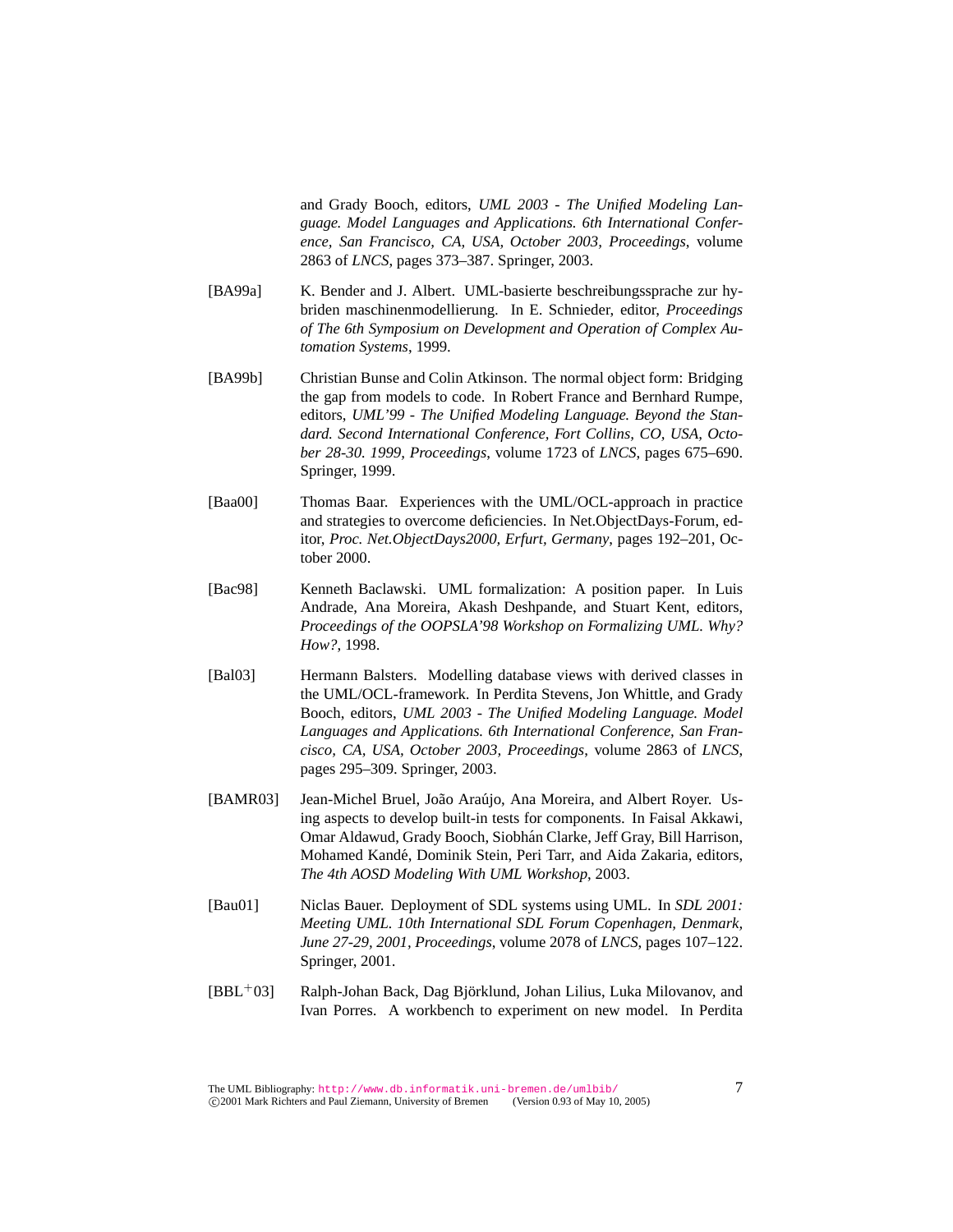and Grady Booch, editors, *UML 2003 - The Unified Modeling Language. Model Languages and Applications. 6th International Conference, San Francisco, CA, USA, October 2003, Proceedings*, volume 2863 of *LNCS*, pages 373–387. Springer, 2003.

- [BA99a] K. Bender and J. Albert. UML-basierte beschreibungssprache zur hybriden maschinenmodellierung. In E. Schnieder, editor, *Proceedings of The 6th Symposium on Development and Operation of Complex Automation Systems*, 1999.
- [BA99b] Christian Bunse and Colin Atkinson. The normal object form: Bridging the gap from models to code. In Robert France and Bernhard Rumpe, editors, *UML'99 - The Unified Modeling Language. Beyond the Standard. Second International Conference, Fort Collins, CO, USA, October 28-30. 1999, Proceedings*, volume 1723 of *LNCS*, pages 675–690. Springer, 1999.
- [Baa00] Thomas Baar. Experiences with the UML/OCL-approach in practice and strategies to overcome deficiencies. In Net.ObjectDays-Forum, editor, *Proc. Net.ObjectDays2000, Erfurt, Germany*, pages 192–201, October 2000.
- [Bac98] Kenneth Baclawski. UML formalization: A position paper. In Luis Andrade, Ana Moreira, Akash Deshpande, and Stuart Kent, editors, *Proceedings of the OOPSLA'98 Workshop on Formalizing UML. Why? How?*, 1998.
- [Bal03] Hermann Balsters. Modelling database views with derived classes in the UML/OCL-framework. In Perdita Stevens, Jon Whittle, and Grady Booch, editors, *UML 2003 - The Unified Modeling Language. Model Languages and Applications. 6th International Conference, San Francisco, CA, USA, October 2003, Proceedings*, volume 2863 of *LNCS*, pages 295–309. Springer, 2003.
- [BAMR03] Jean-Michel Bruel, João Araújo, Ana Moreira, and Albert Royer. Using aspects to develop built-in tests for components. In Faisal Akkawi, Omar Aldawud, Grady Booch, Siobhán Clarke, Jeff Gray, Bill Harrison, Mohamed Kande, Dominik Stein, Peri Tarr, and Aida Zakaria, editors, ´ *The 4th AOSD Modeling With UML Workshop*, 2003.
- [Bau01] Niclas Bauer. Deployment of SDL systems using UML. In *SDL 2001: Meeting UML. 10th International SDL Forum Copenhagen, Denmark, June 27-29, 2001, Proceedings*, volume 2078 of *LNCS*, pages 107–122. Springer, 2001.
- $[BBL<sup>+</sup>03]$  Ralph-Johan Back, Dag Björklund, Johan Lilius, Luka Milovanov, and Ivan Porres. A workbench to experiment on new model. In Perdita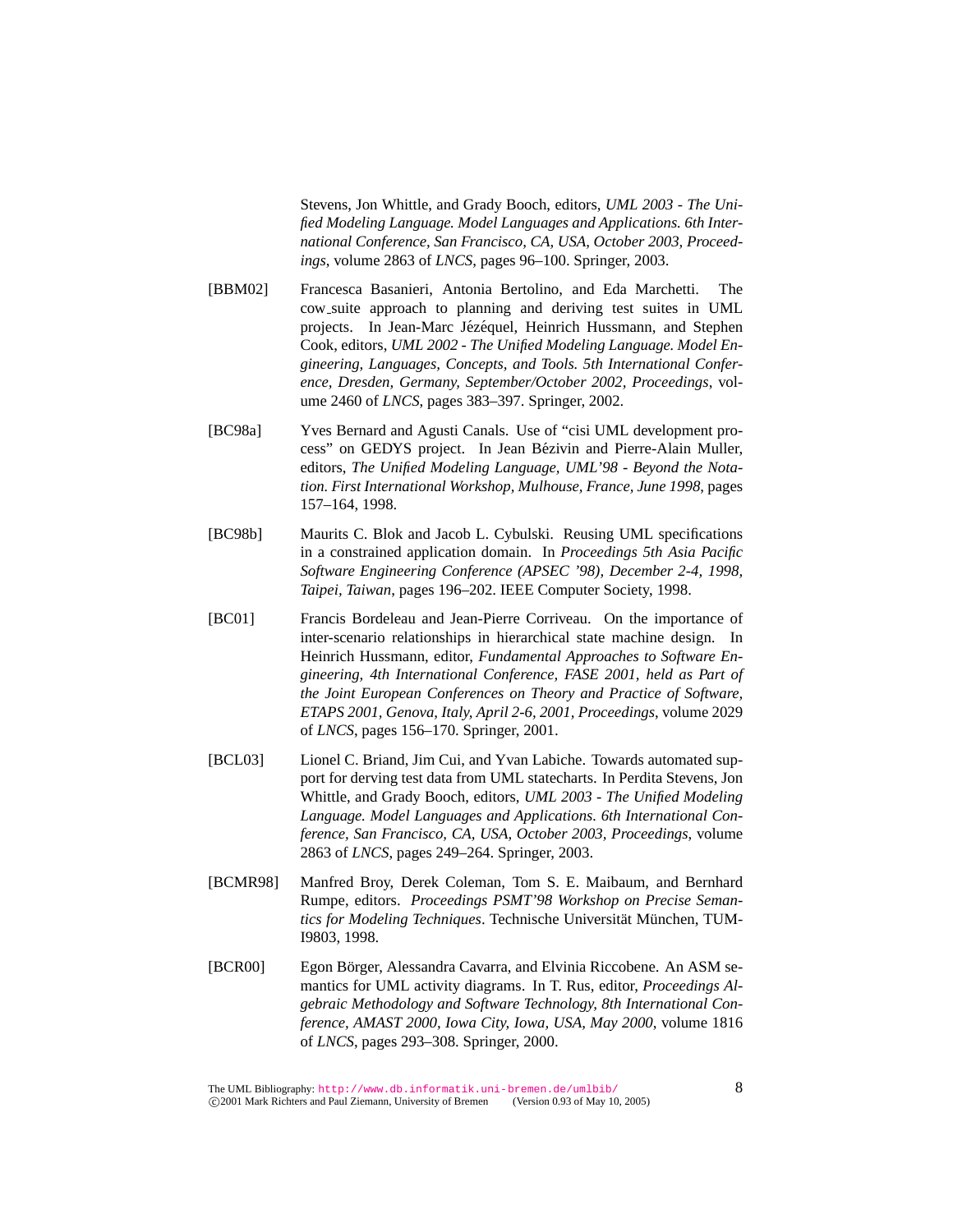Stevens, Jon Whittle, and Grady Booch, editors, *UML 2003 - The Unified Modeling Language. Model Languages and Applications. 6th International Conference, San Francisco, CA, USA, October 2003, Proceedings*, volume 2863 of *LNCS*, pages 96–100. Springer, 2003.

- [BBM02] Francesca Basanieri, Antonia Bertolino, and Eda Marchetti. The cow suite approach to planning and deriving test suites in UML projects. In Jean-Marc Jézéquel, Heinrich Hussmann, and Stephen Cook, editors, *UML 2002 - The Unified Modeling Language. Model Engineering, Languages, Concepts, and Tools. 5th International Conference, Dresden, Germany, September/October 2002, Proceedings*, volume 2460 of *LNCS*, pages 383–397. Springer, 2002.
- [BC98a] Yves Bernard and Agusti Canals. Use of "cisi UML development process" on GEDYS project. In Jean Bezivin and Pierre-Alain Muller, ´ editors, *The Unified Modeling Language, UML'98 - Beyond the Notation. First International Workshop, Mulhouse, France, June 1998*, pages 157–164, 1998.
- [BC98b] Maurits C. Blok and Jacob L. Cybulski. Reusing UML specifications in a constrained application domain. In *Proceedings 5th Asia Pacific Software Engineering Conference (APSEC '98), December 2-4, 1998, Taipei, Taiwan*, pages 196–202. IEEE Computer Society, 1998.
- [BC01] Francis Bordeleau and Jean-Pierre Corriveau. On the importance of inter-scenario relationships in hierarchical state machine design. In Heinrich Hussmann, editor, *Fundamental Approaches to Software Engineering, 4th International Conference, FASE 2001, held as Part of the Joint European Conferences on Theory and Practice of Software, ETAPS 2001, Genova, Italy, April 2-6, 2001, Proceedings*, volume 2029 of *LNCS*, pages 156–170. Springer, 2001.
- [BCL03] Lionel C. Briand, Jim Cui, and Yvan Labiche. Towards automated support for derving test data from UML statecharts. In Perdita Stevens, Jon Whittle, and Grady Booch, editors, *UML 2003 - The Unified Modeling Language. Model Languages and Applications. 6th International Conference, San Francisco, CA, USA, October 2003, Proceedings*, volume 2863 of *LNCS*, pages 249–264. Springer, 2003.
- [BCMR98] Manfred Broy, Derek Coleman, Tom S. E. Maibaum, and Bernhard Rumpe, editors. *Proceedings PSMT'98 Workshop on Precise Semantics for Modeling Techniques*. Technische Universität München, TUM-I9803, 1998.
- [BCR00] Egon Börger, Alessandra Cavarra, and Elvinia Riccobene. An ASM semantics for UML activity diagrams. In T. Rus, editor, *Proceedings Algebraic Methodology and Software Technology, 8th International Conference, AMAST 2000, Iowa City, Iowa, USA, May 2000*, volume 1816 of *LNCS*, pages 293–308. Springer, 2000.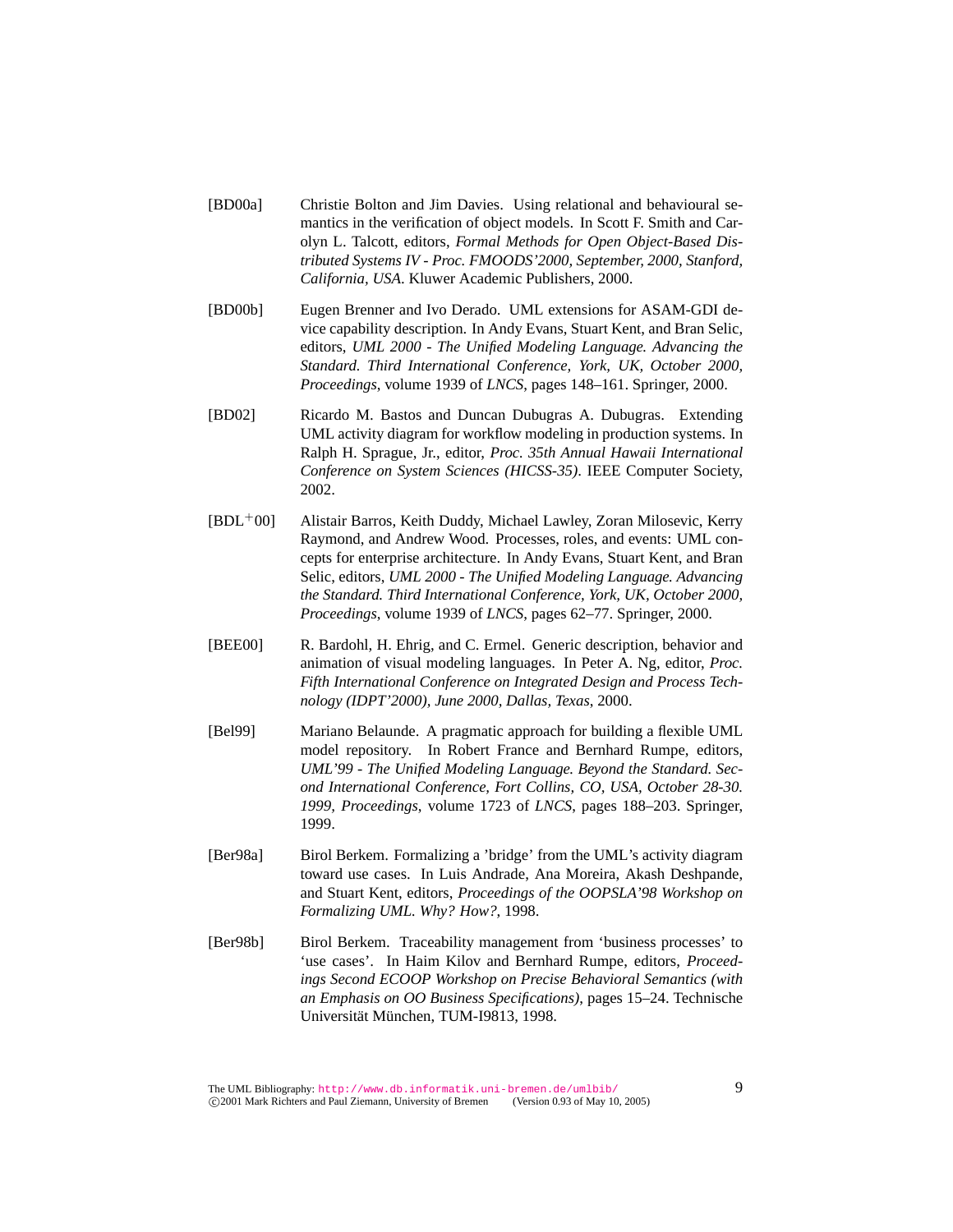- [BD00a] Christie Bolton and Jim Davies. Using relational and behavioural semantics in the verification of object models. In Scott F. Smith and Carolyn L. Talcott, editors, *Formal Methods for Open Object-Based Distributed Systems IV - Proc. FMOODS'2000, September, 2000, Stanford, California, USA*. Kluwer Academic Publishers, 2000.
- [BD00b] Eugen Brenner and Ivo Derado. UML extensions for ASAM-GDI device capability description. In Andy Evans, Stuart Kent, and Bran Selic, editors, *UML 2000 - The Unified Modeling Language. Advancing the Standard. Third International Conference, York, UK, October 2000, Proceedings*, volume 1939 of *LNCS*, pages 148–161. Springer, 2000.
- [BD02] Ricardo M. Bastos and Duncan Dubugras A. Dubugras. Extending UML activity diagram for workflow modeling in production systems. In Ralph H. Sprague, Jr., editor, *Proc. 35th Annual Hawaii International Conference on System Sciences (HICSS-35)*. IEEE Computer Society, 2002.
- [BDL<sup>+</sup>00] Alistair Barros, Keith Duddy, Michael Lawley, Zoran Milosevic, Kerry Raymond, and Andrew Wood. Processes, roles, and events: UML concepts for enterprise architecture. In Andy Evans, Stuart Kent, and Bran Selic, editors, *UML 2000 - The Unified Modeling Language. Advancing the Standard. Third International Conference, York, UK, October 2000, Proceedings*, volume 1939 of *LNCS*, pages 62–77. Springer, 2000.
- [BEE00] R. Bardohl, H. Ehrig, and C. Ermel. Generic description, behavior and animation of visual modeling languages. In Peter A. Ng, editor, *Proc. Fifth International Conference on Integrated Design and Process Technology (IDPT'2000), June 2000, Dallas, Texas*, 2000.
- [Bel99] Mariano Belaunde. A pragmatic approach for building a flexible UML model repository. In Robert France and Bernhard Rumpe, editors, *UML'99 - The Unified Modeling Language. Beyond the Standard. Second International Conference, Fort Collins, CO, USA, October 28-30. 1999, Proceedings*, volume 1723 of *LNCS*, pages 188–203. Springer, 1999.
- [Ber98a] Birol Berkem. Formalizing a 'bridge' from the UML's activity diagram toward use cases. In Luis Andrade, Ana Moreira, Akash Deshpande, and Stuart Kent, editors, *Proceedings of the OOPSLA'98 Workshop on Formalizing UML. Why? How?*, 1998.
- [Ber98b] Birol Berkem. Traceability management from 'business processes' to 'use cases'. In Haim Kilov and Bernhard Rumpe, editors, *Proceedings Second ECOOP Workshop on Precise Behavioral Semantics (with an Emphasis on OO Business Specifications)*, pages 15–24. Technische Universität München, TUM-I9813, 1998.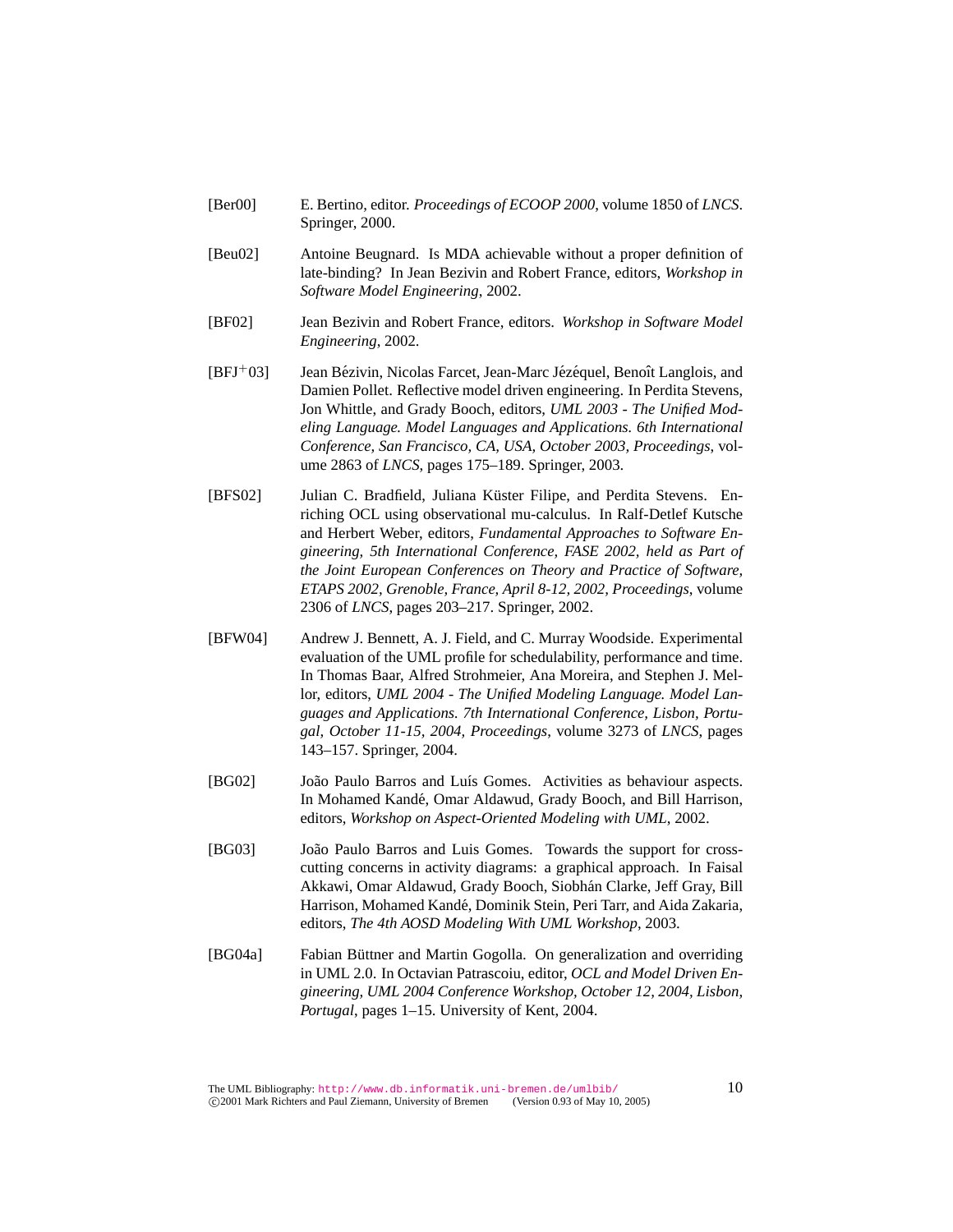- [Ber00] E. Bertino, editor. *Proceedings of ECOOP 2000*, volume 1850 of *LNCS*. Springer, 2000.
- [Beu02] Antoine Beugnard. Is MDA achievable without a proper definition of late-binding? In Jean Bezivin and Robert France, editors, *Workshop in Software Model Engineering*, 2002.
- [BF02] Jean Bezivin and Robert France, editors. *Workshop in Software Model Engineering*, 2002.
- $[BFJ^+03]$  Jean Bézivin, Nicolas Farcet, Jean-Marc Jézéquel, Benoît Langlois, and Damien Pollet. Reflective model driven engineering. In Perdita Stevens, Jon Whittle, and Grady Booch, editors, *UML 2003 - The Unified Modeling Language. Model Languages and Applications. 6th International Conference, San Francisco, CA, USA, October 2003, Proceedings*, volume 2863 of *LNCS*, pages 175–189. Springer, 2003.
- [BFS02] Julian C. Bradfield, Juliana Küster Filipe, and Perdita Stevens. Enriching OCL using observational mu-calculus. In Ralf-Detlef Kutsche and Herbert Weber, editors, *Fundamental Approaches to Software Engineering, 5th International Conference, FASE 2002, held as Part of the Joint European Conferences on Theory and Practice of Software, ETAPS 2002, Grenoble, France, April 8-12, 2002, Proceedings*, volume 2306 of *LNCS*, pages 203–217. Springer, 2002.
- [BFW04] Andrew J. Bennett, A. J. Field, and C. Murray Woodside. Experimental evaluation of the UML profile for schedulability, performance and time. In Thomas Baar, Alfred Strohmeier, Ana Moreira, and Stephen J. Mellor, editors, *UML 2004 - The Unified Modeling Language. Model Languages and Applications. 7th International Conference, Lisbon, Portugal, October 11-15, 2004, Proceedings*, volume 3273 of *LNCS*, pages 143–157. Springer, 2004.
- [BG02] João Paulo Barros and Luís Gomes. Activities as behaviour aspects. In Mohamed Kandé, Omar Aldawud, Grady Booch, and Bill Harrison, editors, *Workshop on Aspect-Oriented Modeling with UML*, 2002.
- [BG03] João Paulo Barros and Luis Gomes. Towards the support for crosscutting concerns in activity diagrams: a graphical approach. In Faisal Akkawi, Omar Aldawud, Grady Booch, Siobhan Clarke, Jeff Gray, Bill ´ Harrison, Mohamed Kandé, Dominik Stein, Peri Tarr, and Aida Zakaria, editors, *The 4th AOSD Modeling With UML Workshop*, 2003.
- [BG04a] Fabian Büttner and Martin Gogolla. On generalization and overriding in UML 2.0. In Octavian Patrascoiu, editor, *OCL and Model Driven Engineering, UML 2004 Conference Workshop, October 12, 2004, Lisbon, Portugal*, pages 1–15. University of Kent, 2004.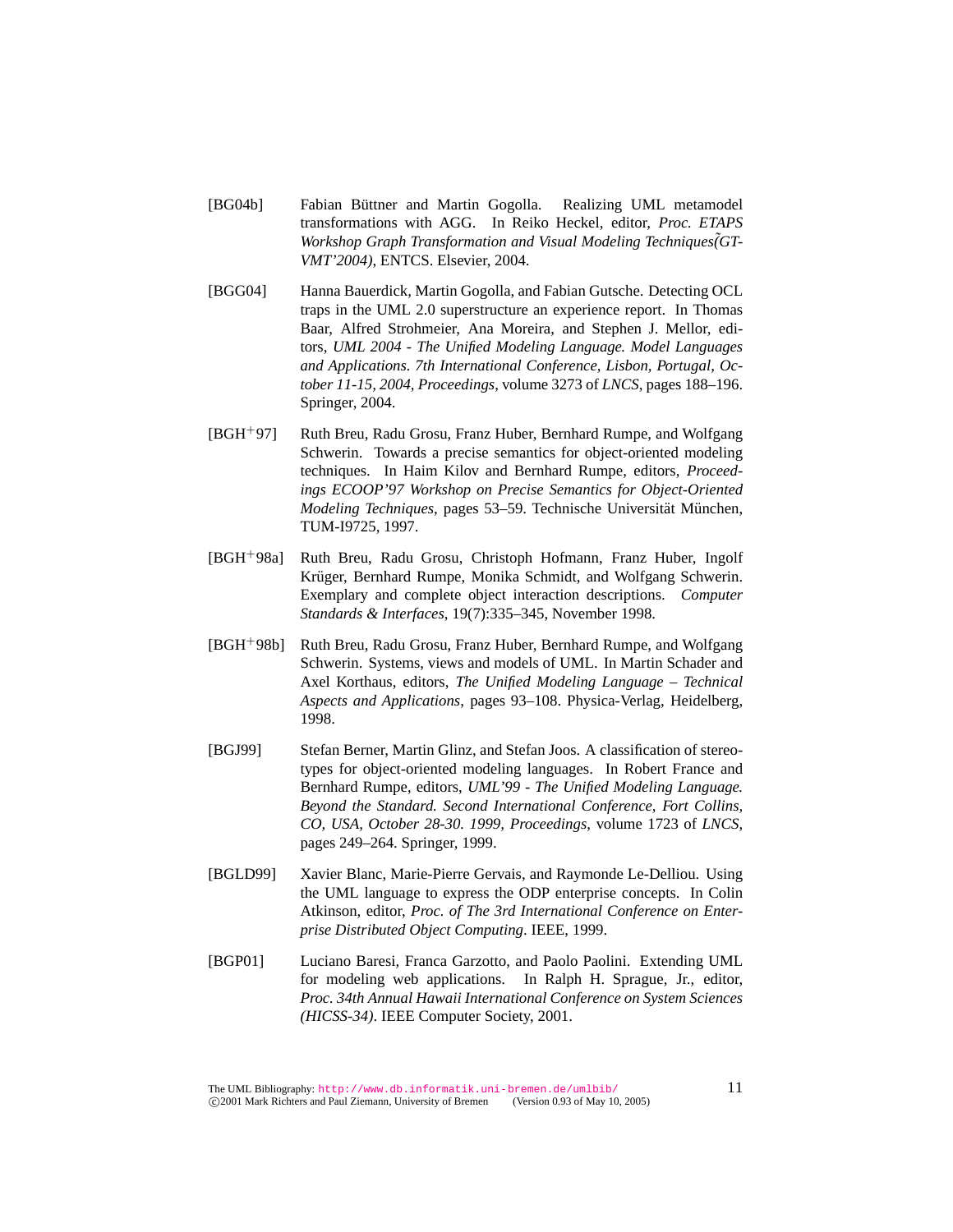- [BG04b] Fabian Büttner and Martin Gogolla. Realizing UML metamodel transformations with AGG. In Reiko Heckel, editor, *Proc. ETAPS* Workshop Graph Transformation and Visual Modeling Techniques(GT-*VMT'2004)*, ENTCS. Elsevier, 2004.
- [BGG04] Hanna Bauerdick, Martin Gogolla, and Fabian Gutsche. Detecting OCL traps in the UML 2.0 superstructure an experience report. In Thomas Baar, Alfred Strohmeier, Ana Moreira, and Stephen J. Mellor, editors, *UML 2004 - The Unified Modeling Language. Model Languages and Applications. 7th International Conference, Lisbon, Portugal, October 11-15, 2004, Proceedings*, volume 3273 of *LNCS*, pages 188–196. Springer, 2004.
- [BGH<sup>+</sup>97] Ruth Breu, Radu Grosu, Franz Huber, Bernhard Rumpe, and Wolfgang Schwerin. Towards a precise semantics for object-oriented modeling techniques. In Haim Kilov and Bernhard Rumpe, editors, *Proceedings ECOOP'97 Workshop on Precise Semantics for Object-Oriented Modeling Techniques*, pages 53–59. Technische Universität München, TUM-I9725, 1997.
- [BGH<sup>+</sup>98a] Ruth Breu, Radu Grosu, Christoph Hofmann, Franz Huber, Ingolf Krüger, Bernhard Rumpe, Monika Schmidt, and Wolfgang Schwerin. Exemplary and complete object interaction descriptions. *Computer Standards & Interfaces*, 19(7):335–345, November 1998.
- [BGH<sup>+</sup>98b] Ruth Breu, Radu Grosu, Franz Huber, Bernhard Rumpe, and Wolfgang Schwerin. Systems, views and models of UML. In Martin Schader and Axel Korthaus, editors, *The Unified Modeling Language – Technical Aspects and Applications*, pages 93–108. Physica-Verlag, Heidelberg, 1998.
- [BGJ99] Stefan Berner, Martin Glinz, and Stefan Joos. A classification of stereotypes for object-oriented modeling languages. In Robert France and Bernhard Rumpe, editors, *UML'99 - The Unified Modeling Language. Beyond the Standard. Second International Conference, Fort Collins, CO, USA, October 28-30. 1999, Proceedings*, volume 1723 of *LNCS*, pages 249–264. Springer, 1999.
- [BGLD99] Xavier Blanc, Marie-Pierre Gervais, and Raymonde Le-Delliou. Using the UML language to express the ODP enterprise concepts. In Colin Atkinson, editor, *Proc. of The 3rd International Conference on Enterprise Distributed Object Computing*. IEEE, 1999.
- [BGP01] Luciano Baresi, Franca Garzotto, and Paolo Paolini. Extending UML for modeling web applications. In Ralph H. Sprague, Jr., editor, *Proc. 34th Annual Hawaii International Conference on System Sciences (HICSS-34)*. IEEE Computer Society, 2001.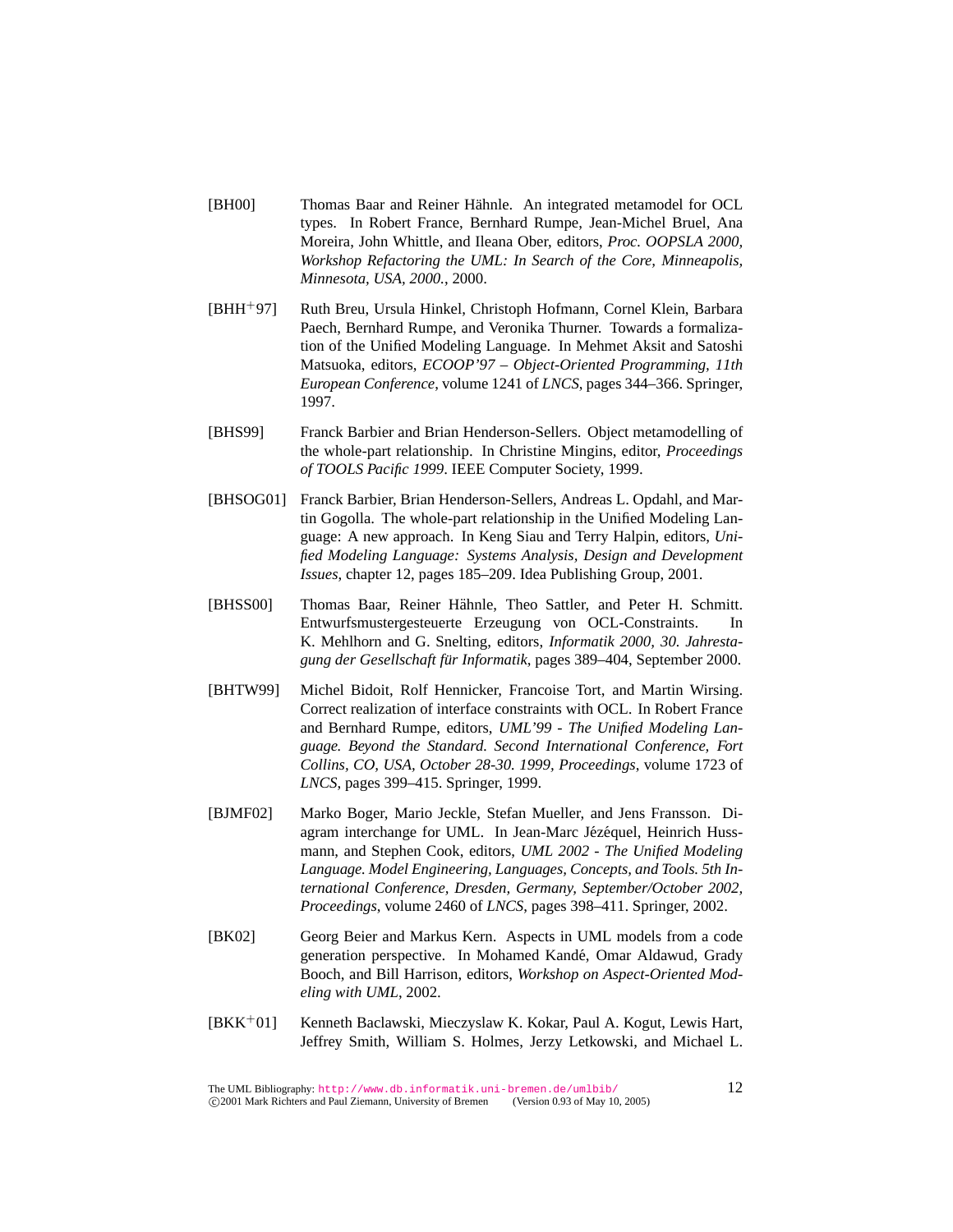- [BH00] Thomas Baar and Reiner Hähnle. An integrated metamodel for OCL types. In Robert France, Bernhard Rumpe, Jean-Michel Bruel, Ana Moreira, John Whittle, and Ileana Ober, editors, *Proc. OOPSLA 2000, Workshop Refactoring the UML: In Search of the Core, Minneapolis, Minnesota, USA, 2000.*, 2000.
- [BHH<sup>+</sup>97] Ruth Breu, Ursula Hinkel, Christoph Hofmann, Cornel Klein, Barbara Paech, Bernhard Rumpe, and Veronika Thurner. Towards a formalization of the Unified Modeling Language. In Mehmet Aksit and Satoshi Matsuoka, editors, *ECOOP'97 – Object-Oriented Programming, 11th European Conference*, volume 1241 of *LNCS*, pages 344–366. Springer, 1997.
- [BHS99] Franck Barbier and Brian Henderson-Sellers. Object metamodelling of the whole-part relationship. In Christine Mingins, editor, *Proceedings of TOOLS Pacific 1999*. IEEE Computer Society, 1999.
- [BHSOG01] Franck Barbier, Brian Henderson-Sellers, Andreas L. Opdahl, and Martin Gogolla. The whole-part relationship in the Unified Modeling Language: A new approach. In Keng Siau and Terry Halpin, editors, *Unified Modeling Language: Systems Analysis, Design and Development Issues*, chapter 12, pages 185–209. Idea Publishing Group, 2001.
- [BHSS00] Thomas Baar, Reiner Hähnle, Theo Sattler, and Peter H. Schmitt. Entwurfsmustergesteuerte Erzeugung von OCL-Constraints. In K. Mehlhorn and G. Snelting, editors, *Informatik 2000, 30. Jahrestagung der Gesellschaft fur Informatik ¨* , pages 389–404, September 2000.
- [BHTW99] Michel Bidoit, Rolf Hennicker, Francoise Tort, and Martin Wirsing. Correct realization of interface constraints with OCL. In Robert France and Bernhard Rumpe, editors, *UML'99 - The Unified Modeling Language. Beyond the Standard. Second International Conference, Fort Collins, CO, USA, October 28-30. 1999, Proceedings*, volume 1723 of *LNCS*, pages 399–415. Springer, 1999.
- [BJMF02] Marko Boger, Mario Jeckle, Stefan Mueller, and Jens Fransson. Diagram interchange for UML. In Jean-Marc Jézéquel, Heinrich Hussmann, and Stephen Cook, editors, *UML 2002 - The Unified Modeling Language. Model Engineering, Languages, Concepts, and Tools. 5th International Conference, Dresden, Germany, September/October 2002, Proceedings*, volume 2460 of *LNCS*, pages 398–411. Springer, 2002.
- [BK02] Georg Beier and Markus Kern. Aspects in UML models from a code generation perspective. In Mohamed Kande, Omar Aldawud, Grady ´ Booch, and Bill Harrison, editors, *Workshop on Aspect-Oriented Modeling with UML*, 2002.
- [BKK<sup>+</sup>01] Kenneth Baclawski, Mieczyslaw K. Kokar, Paul A. Kogut, Lewis Hart, Jeffrey Smith, William S. Holmes, Jerzy Letkowski, and Michael L.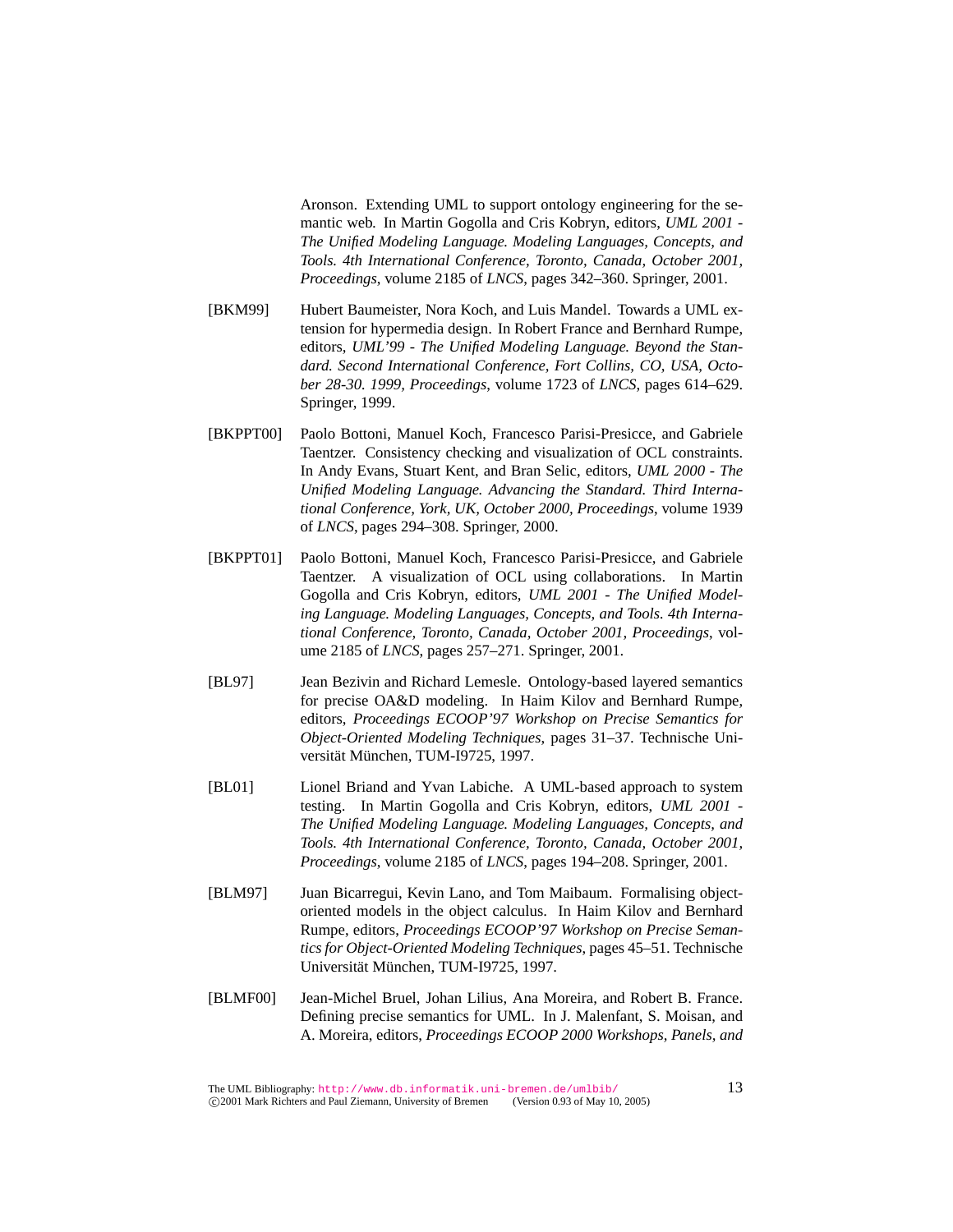Aronson. Extending UML to support ontology engineering for the semantic web. In Martin Gogolla and Cris Kobryn, editors, *UML 2001 - The Unified Modeling Language. Modeling Languages, Concepts, and Tools. 4th International Conference, Toronto, Canada, October 2001, Proceedings*, volume 2185 of *LNCS*, pages 342–360. Springer, 2001.

- [BKM99] Hubert Baumeister, Nora Koch, and Luis Mandel. Towards a UML extension for hypermedia design. In Robert France and Bernhard Rumpe, editors, *UML'99 - The Unified Modeling Language. Beyond the Standard. Second International Conference, Fort Collins, CO, USA, October 28-30. 1999, Proceedings*, volume 1723 of *LNCS*, pages 614–629. Springer, 1999.
- [BKPPT00] Paolo Bottoni, Manuel Koch, Francesco Parisi-Presicce, and Gabriele Taentzer. Consistency checking and visualization of OCL constraints. In Andy Evans, Stuart Kent, and Bran Selic, editors, *UML 2000 - The Unified Modeling Language. Advancing the Standard. Third International Conference, York, UK, October 2000, Proceedings*, volume 1939 of *LNCS*, pages 294–308. Springer, 2000.
- [BKPPT01] Paolo Bottoni, Manuel Koch, Francesco Parisi-Presicce, and Gabriele Taentzer. A visualization of OCL using collaborations. In Martin Gogolla and Cris Kobryn, editors, *UML 2001 - The Unified Modeling Language. Modeling Languages, Concepts, and Tools. 4th International Conference, Toronto, Canada, October 2001, Proceedings*, volume 2185 of *LNCS*, pages 257–271. Springer, 2001.
- [BL97] Jean Bezivin and Richard Lemesle. Ontology-based layered semantics for precise OA&D modeling. In Haim Kilov and Bernhard Rumpe, editors, *Proceedings ECOOP'97 Workshop on Precise Semantics for Object-Oriented Modeling Techniques*, pages 31–37. Technische Universität München, TUM-I9725, 1997.
- [BL01] Lionel Briand and Yvan Labiche. A UML-based approach to system testing. In Martin Gogolla and Cris Kobryn, editors, *UML 2001 - The Unified Modeling Language. Modeling Languages, Concepts, and Tools. 4th International Conference, Toronto, Canada, October 2001, Proceedings*, volume 2185 of *LNCS*, pages 194–208. Springer, 2001.
- [BLM97] Juan Bicarregui, Kevin Lano, and Tom Maibaum. Formalising objectoriented models in the object calculus. In Haim Kilov and Bernhard Rumpe, editors, *Proceedings ECOOP'97 Workshop on Precise Semantics for Object-Oriented Modeling Techniques*, pages 45–51. Technische Universität München, TUM-I9725, 1997.
- [BLMF00] Jean-Michel Bruel, Johan Lilius, Ana Moreira, and Robert B. France. Defining precise semantics for UML. In J. Malenfant, S. Moisan, and A. Moreira, editors, *Proceedings ECOOP 2000 Workshops, Panels, and*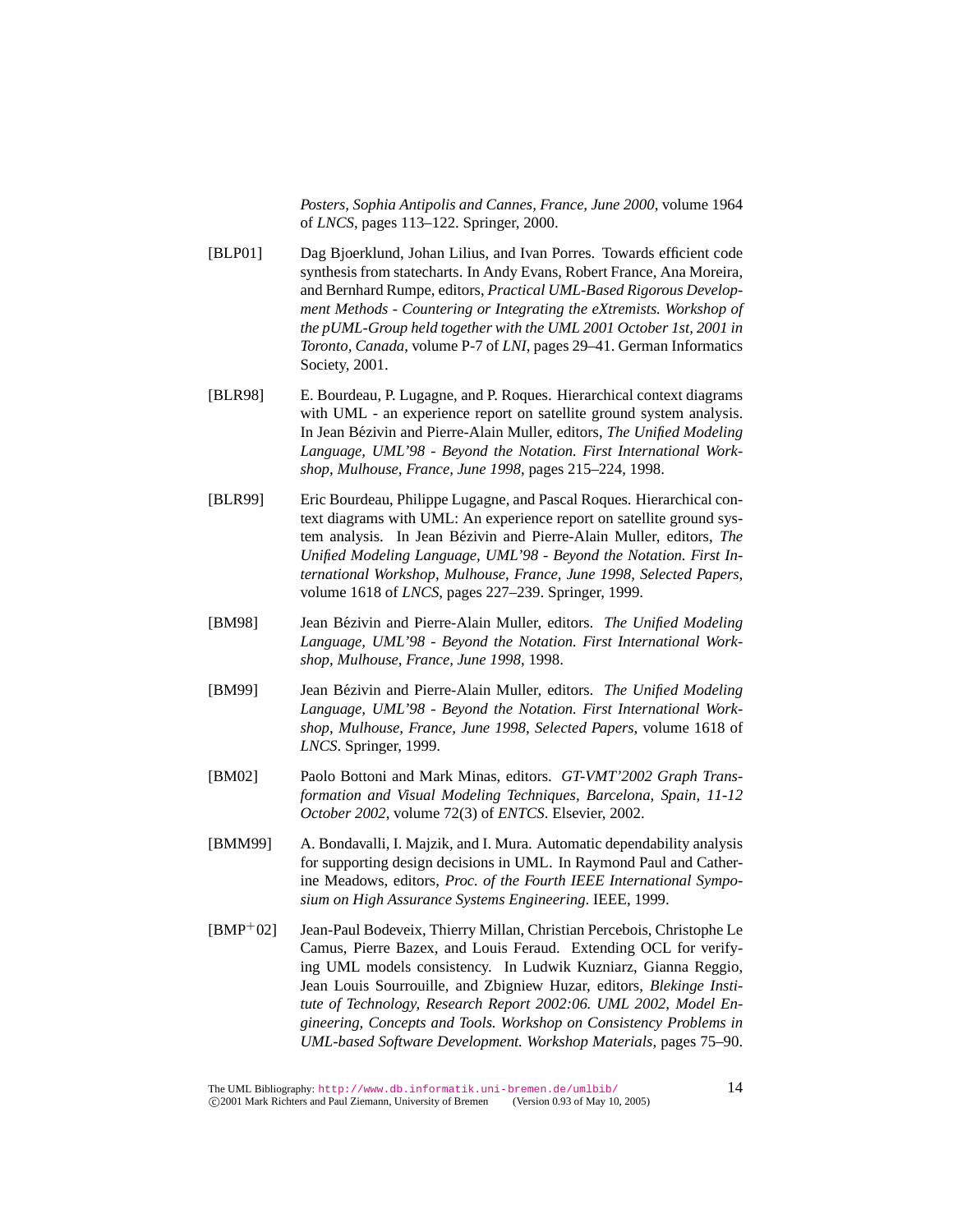*Posters, Sophia Antipolis and Cannes, France, June 2000*, volume 1964 of *LNCS*, pages 113–122. Springer, 2000.

- [BLP01] Dag Bjoerklund, Johan Lilius, and Ivan Porres. Towards efficient code synthesis from statecharts. In Andy Evans, Robert France, Ana Moreira, and Bernhard Rumpe, editors, *Practical UML-Based Rigorous Development Methods - Countering or Integrating the eXtremists. Workshop of the pUML-Group held together with the UML 2001 October 1st, 2001 in Toronto, Canada*, volume P-7 of *LNI*, pages 29–41. German Informatics Society, 2001.
- [BLR98] E. Bourdeau, P. Lugagne, and P. Roques. Hierarchical context diagrams with UML - an experience report on satellite ground system analysis. In Jean Bézivin and Pierre-Alain Muller, editors, *The Unified Modeling Language, UML'98 - Beyond the Notation. First International Workshop, Mulhouse, France, June 1998*, pages 215–224, 1998.
- [BLR99] Eric Bourdeau, Philippe Lugagne, and Pascal Roques. Hierarchical context diagrams with UML: An experience report on satellite ground system analysis. In Jean Bézivin and Pierre-Alain Muller, editors, *The Unified Modeling Language, UML'98 - Beyond the Notation. First International Workshop, Mulhouse, France, June 1998, Selected Papers*, volume 1618 of *LNCS*, pages 227–239. Springer, 1999.
- [BM98] Jean Bézivin and Pierre-Alain Muller, editors. The Unified Modeling *Language, UML'98 - Beyond the Notation. First International Workshop, Mulhouse, France, June 1998*, 1998.
- [BM99] Jean Bézivin and Pierre-Alain Muller, editors. *The Unified Modeling Language, UML'98 - Beyond the Notation. First International Workshop, Mulhouse, France, June 1998, Selected Papers*, volume 1618 of *LNCS*. Springer, 1999.
- [BM02] Paolo Bottoni and Mark Minas, editors. *GT-VMT'2002 Graph Transformation and Visual Modeling Techniques, Barcelona, Spain, 11-12 October 2002*, volume 72(3) of *ENTCS*. Elsevier, 2002.
- [BMM99] A. Bondavalli, I. Majzik, and I. Mura. Automatic dependability analysis for supporting design decisions in UML. In Raymond Paul and Catherine Meadows, editors, *Proc. of the Fourth IEEE International Symposium on High Assurance Systems Engineering*. IEEE, 1999.
- [BMP<sup>+</sup>02] Jean-Paul Bodeveix, Thierry Millan, Christian Percebois, Christophe Le Camus, Pierre Bazex, and Louis Feraud. Extending OCL for verifying UML models consistency. In Ludwik Kuzniarz, Gianna Reggio, Jean Louis Sourrouille, and Zbigniew Huzar, editors, *Blekinge Institute of Technology, Research Report 2002:06. UML 2002, Model Engineering, Concepts and Tools. Workshop on Consistency Problems in UML-based Software Development. Workshop Materials*, pages 75–90.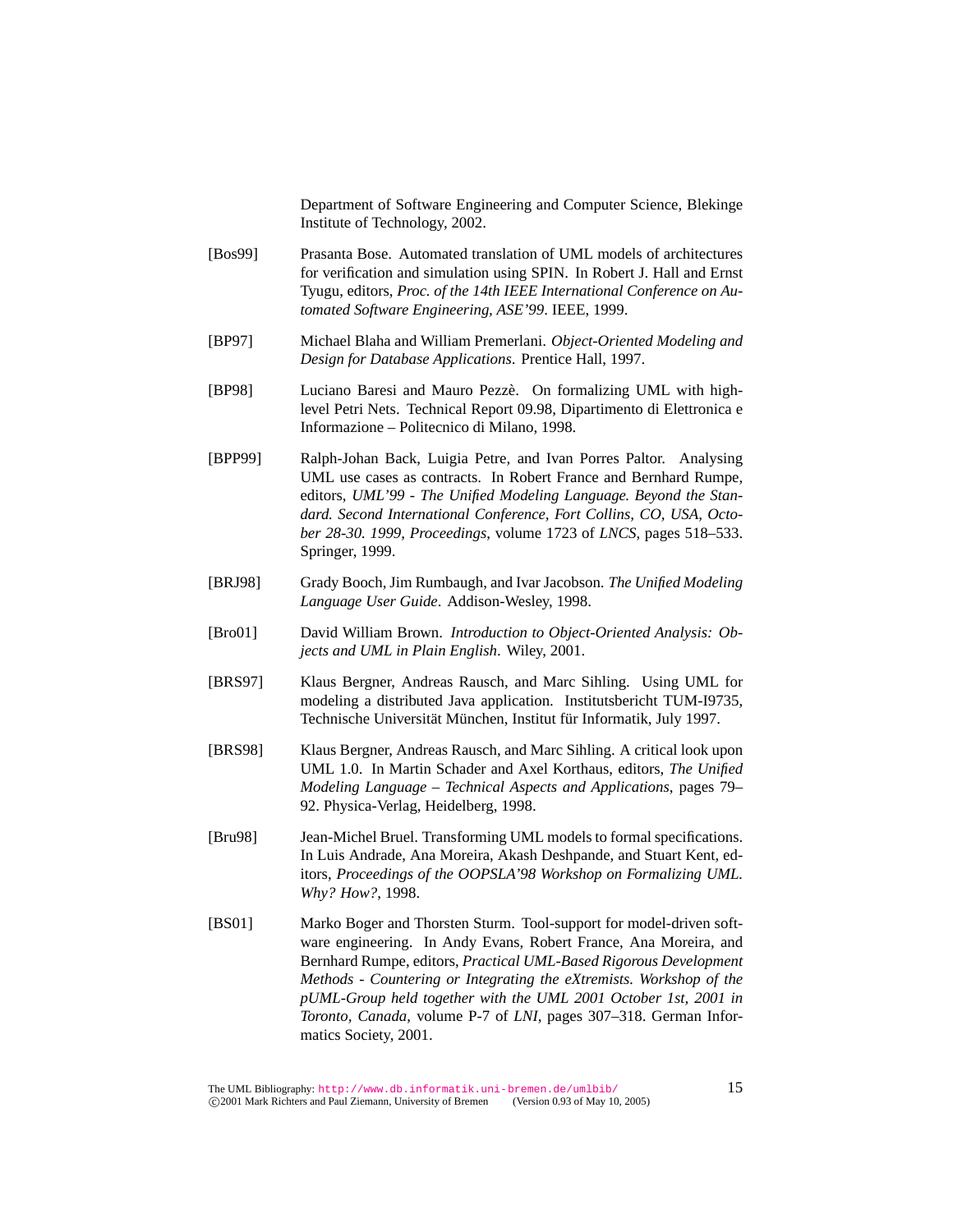Department of Software Engineering and Computer Science, Blekinge Institute of Technology, 2002.

- [Bos99] Prasanta Bose. Automated translation of UML models of architectures for verification and simulation using SPIN. In Robert J. Hall and Ernst Tyugu, editors, *Proc. of the 14th IEEE International Conference on Automated Software Engineering, ASE'99*. IEEE, 1999.
- [BP97] Michael Blaha and William Premerlani. *Object-Oriented Modeling and Design for Database Applications*. Prentice Hall, 1997.
- [BP98] Luciano Baresi and Mauro Pezze. On formalizing UML with high- ` level Petri Nets. Technical Report 09.98, Dipartimento di Elettronica e Informazione – Politecnico di Milano, 1998.
- [BPP99] Ralph-Johan Back, Luigia Petre, and Ivan Porres Paltor. Analysing UML use cases as contracts. In Robert France and Bernhard Rumpe, editors, *UML'99 - The Unified Modeling Language. Beyond the Standard. Second International Conference, Fort Collins, CO, USA, October 28-30. 1999, Proceedings*, volume 1723 of *LNCS*, pages 518–533. Springer, 1999.
- [BRJ98] Grady Booch, Jim Rumbaugh, and Ivar Jacobson. *The Unified Modeling Language User Guide*. Addison-Wesley, 1998.
- [Bro01] David William Brown. *Introduction to Object-Oriented Analysis: Objects and UML in Plain English*. Wiley, 2001.
- [BRS97] Klaus Bergner, Andreas Rausch, and Marc Sihling. Using UML for modeling a distributed Java application. Institutsbericht TUM-I9735, Technische Universität München, Institut für Informatik, July 1997.
- [BRS98] Klaus Bergner, Andreas Rausch, and Marc Sihling. A critical look upon UML 1.0. In Martin Schader and Axel Korthaus, editors, *The Unified Modeling Language – Technical Aspects and Applications*, pages 79– 92. Physica-Verlag, Heidelberg, 1998.
- [Bru98] Jean-Michel Bruel. Transforming UML models to formal specifications. In Luis Andrade, Ana Moreira, Akash Deshpande, and Stuart Kent, editors, *Proceedings of the OOPSLA'98 Workshop on Formalizing UML. Why? How?*, 1998.
- [BS01] Marko Boger and Thorsten Sturm. Tool-support for model-driven software engineering. In Andy Evans, Robert France, Ana Moreira, and Bernhard Rumpe, editors, *Practical UML-Based Rigorous Development Methods - Countering or Integrating the eXtremists. Workshop of the pUML-Group held together with the UML 2001 October 1st, 2001 in Toronto, Canada*, volume P-7 of *LNI*, pages 307–318. German Informatics Society, 2001.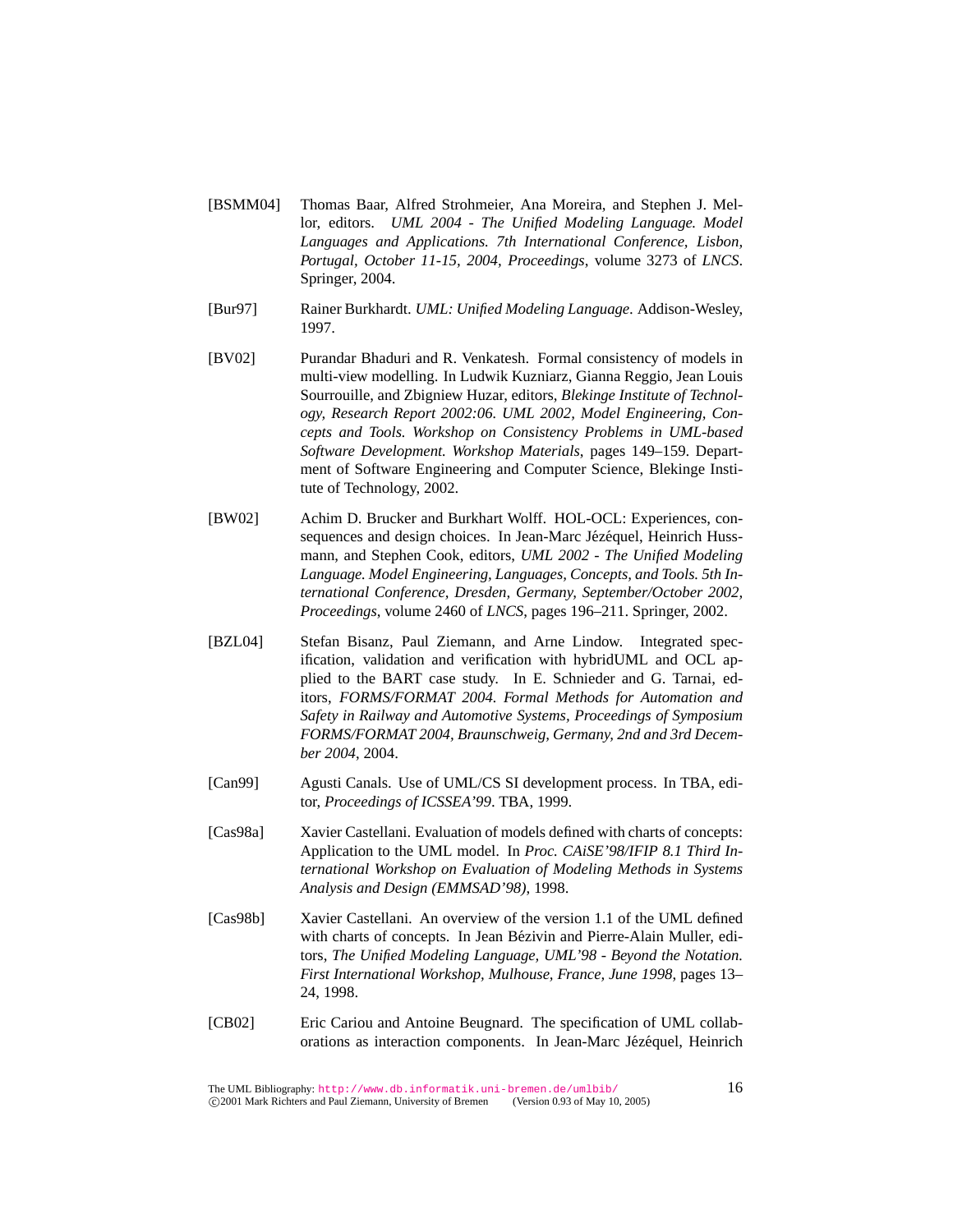- [BSMM04] Thomas Baar, Alfred Strohmeier, Ana Moreira, and Stephen J. Mellor, editors. *UML 2004 - The Unified Modeling Language. Model Languages and Applications. 7th International Conference, Lisbon, Portugal, October 11-15, 2004, Proceedings*, volume 3273 of *LNCS*. Springer, 2004.
- [Bur97] Rainer Burkhardt. *UML: Unified Modeling Language*. Addison-Wesley, 1997.
- [BV02] Purandar Bhaduri and R. Venkatesh. Formal consistency of models in multi-view modelling. In Ludwik Kuzniarz, Gianna Reggio, Jean Louis Sourrouille, and Zbigniew Huzar, editors, *Blekinge Institute of Technology, Research Report 2002:06. UML 2002, Model Engineering, Concepts and Tools. Workshop on Consistency Problems in UML-based Software Development. Workshop Materials*, pages 149–159. Department of Software Engineering and Computer Science, Blekinge Institute of Technology, 2002.
- [BW02] Achim D. Brucker and Burkhart Wolff. HOL-OCL: Experiences, consequences and design choices. In Jean-Marc Jézéquel, Heinrich Hussmann, and Stephen Cook, editors, *UML 2002 - The Unified Modeling Language. Model Engineering, Languages, Concepts, and Tools. 5th International Conference, Dresden, Germany, September/October 2002, Proceedings*, volume 2460 of *LNCS*, pages 196–211. Springer, 2002.
- [BZL04] Stefan Bisanz, Paul Ziemann, and Arne Lindow. Integrated specification, validation and verification with hybridUML and OCL applied to the BART case study. In E. Schnieder and G. Tarnai, editors, *FORMS/FORMAT 2004. Formal Methods for Automation and Safety in Railway and Automotive Systems, Proceedings of Symposium FORMS/FORMAT 2004, Braunschweig, Germany, 2nd and 3rd December 2004*, 2004.
- [Can99] Agusti Canals. Use of UML/CS SI development process. In TBA, editor, *Proceedings of ICSSEA'99*. TBA, 1999.
- [Cas98a] Xavier Castellani. Evaluation of models defined with charts of concepts: Application to the UML model. In *Proc. CAiSE'98/IFIP 8.1 Third International Workshop on Evaluation of Modeling Methods in Systems Analysis and Design (EMMSAD'98)*, 1998.
- [Cas98b] Xavier Castellani. An overview of the version 1.1 of the UML defined with charts of concepts. In Jean Bézivin and Pierre-Alain Muller, editors, *The Unified Modeling Language, UML'98 - Beyond the Notation. First International Workshop, Mulhouse, France, June 1998*, pages 13– 24, 1998.
- [CB02] Eric Cariou and Antoine Beugnard. The specification of UML collaborations as interaction components. In Jean-Marc Jézéquel, Heinrich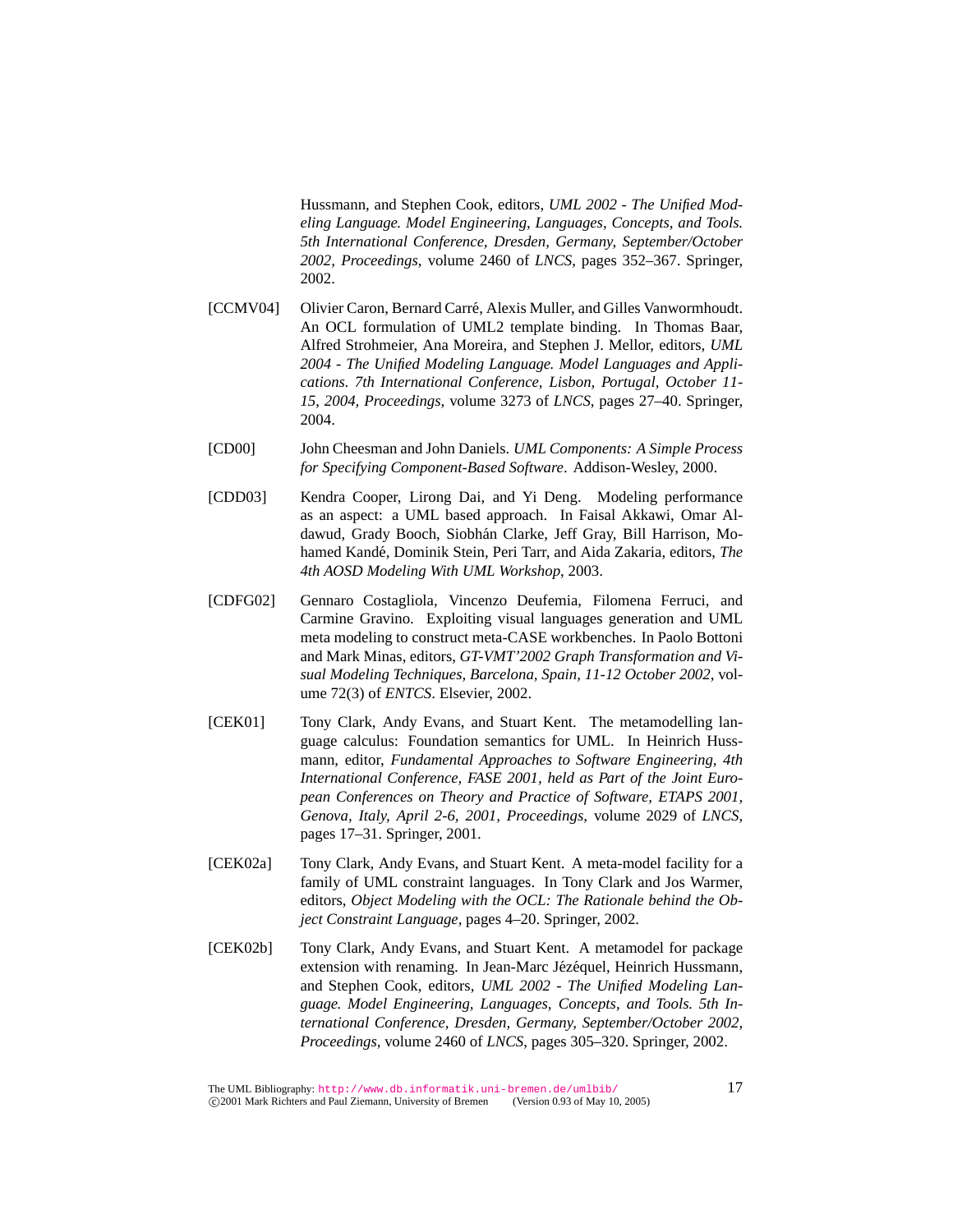Hussmann, and Stephen Cook, editors, *UML 2002 - The Unified Modeling Language. Model Engineering, Languages, Concepts, and Tools. 5th International Conference, Dresden, Germany, September/October 2002, Proceedings*, volume 2460 of *LNCS*, pages 352–367. Springer, 2002.

- [CCMV04] Olivier Caron, Bernard Carré, Alexis Muller, and Gilles Vanwormhoudt. An OCL formulation of UML2 template binding. In Thomas Baar, Alfred Strohmeier, Ana Moreira, and Stephen J. Mellor, editors, *UML 2004 - The Unified Modeling Language. Model Languages and Applications. 7th International Conference, Lisbon, Portugal, October 11- 15, 2004, Proceedings*, volume 3273 of *LNCS*, pages 27–40. Springer, 2004.
- [CD00] John Cheesman and John Daniels. *UML Components: A Simple Process for Specifying Component-Based Software*. Addison-Wesley, 2000.
- [CDD03] Kendra Cooper, Lirong Dai, and Yi Deng. Modeling performance as an aspect: a UML based approach. In Faisal Akkawi, Omar Aldawud, Grady Booch, Siobhán Clarke, Jeff Gray, Bill Harrison, Mohamed Kandé, Dominik Stein, Peri Tarr, and Aida Zakaria, editors, *The 4th AOSD Modeling With UML Workshop*, 2003.
- [CDFG02] Gennaro Costagliola, Vincenzo Deufemia, Filomena Ferruci, and Carmine Gravino. Exploiting visual languages generation and UML meta modeling to construct meta-CASE workbenches. In Paolo Bottoni and Mark Minas, editors, *GT-VMT'2002 Graph Transformation and Visual Modeling Techniques, Barcelona, Spain, 11-12 October 2002*, volume 72(3) of *ENTCS*. Elsevier, 2002.
- [CEK01] Tony Clark, Andy Evans, and Stuart Kent. The metamodelling language calculus: Foundation semantics for UML. In Heinrich Hussmann, editor, *Fundamental Approaches to Software Engineering, 4th International Conference, FASE 2001, held as Part of the Joint European Conferences on Theory and Practice of Software, ETAPS 2001, Genova, Italy, April 2-6, 2001, Proceedings*, volume 2029 of *LNCS*, pages 17–31. Springer, 2001.
- [CEK02a] Tony Clark, Andy Evans, and Stuart Kent. A meta-model facility for a family of UML constraint languages. In Tony Clark and Jos Warmer, editors, *Object Modeling with the OCL: The Rationale behind the Object Constraint Language*, pages 4–20. Springer, 2002.
- [CEK02b] Tony Clark, Andy Evans, and Stuart Kent. A metamodel for package extension with renaming. In Jean-Marc Jézéquel, Heinrich Hussmann, and Stephen Cook, editors, *UML 2002 - The Unified Modeling Language. Model Engineering, Languages, Concepts, and Tools. 5th International Conference, Dresden, Germany, September/October 2002, Proceedings*, volume 2460 of *LNCS*, pages 305–320. Springer, 2002.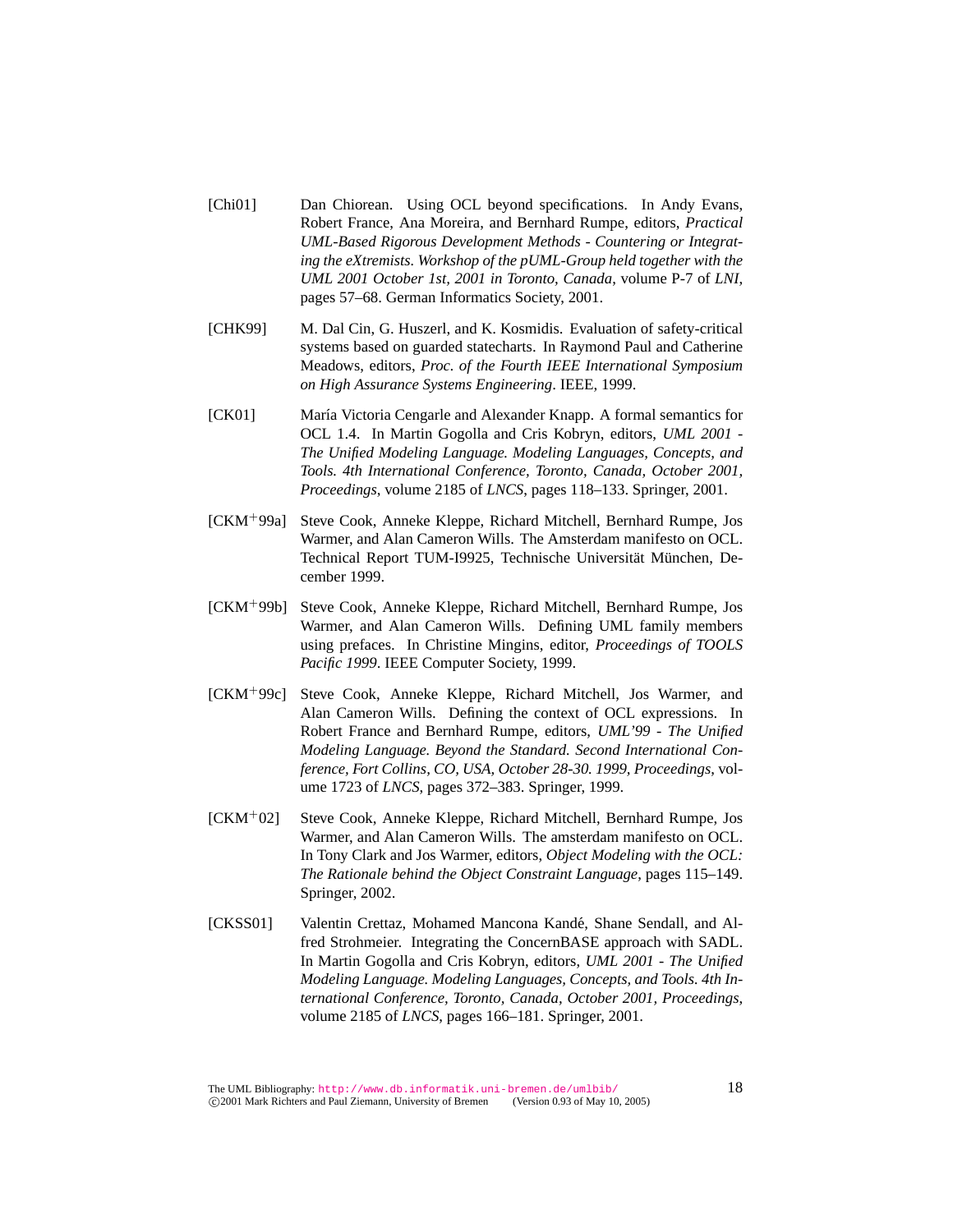- [Chi01] Dan Chiorean. Using OCL beyond specifications. In Andy Evans, Robert France, Ana Moreira, and Bernhard Rumpe, editors, *Practical UML-Based Rigorous Development Methods - Countering or Integrating the eXtremists. Workshop of the pUML-Group held together with the UML 2001 October 1st, 2001 in Toronto, Canada*, volume P-7 of *LNI*, pages 57–68. German Informatics Society, 2001.
- [CHK99] M. Dal Cin, G. Huszerl, and K. Kosmidis. Evaluation of safety-critical systems based on guarded statecharts. In Raymond Paul and Catherine Meadows, editors, *Proc. of the Fourth IEEE International Symposium on High Assurance Systems Engineering*. IEEE, 1999.
- [CK01] María Victoria Cengarle and Alexander Knapp. A formal semantics for OCL 1.4. In Martin Gogolla and Cris Kobryn, editors, *UML 2001 - The Unified Modeling Language. Modeling Languages, Concepts, and Tools. 4th International Conference, Toronto, Canada, October 2001, Proceedings*, volume 2185 of *LNCS*, pages 118–133. Springer, 2001.
- [CKM<sup>+</sup>99a] Steve Cook, Anneke Kleppe, Richard Mitchell, Bernhard Rumpe, Jos Warmer, and Alan Cameron Wills. The Amsterdam manifesto on OCL. Technical Report TUM-I9925, Technische Universität München, December 1999.
- [CKM<sup>+</sup>99b] Steve Cook, Anneke Kleppe, Richard Mitchell, Bernhard Rumpe, Jos Warmer, and Alan Cameron Wills. Defining UML family members using prefaces. In Christine Mingins, editor, *Proceedings of TOOLS Pacific 1999*. IEEE Computer Society, 1999.
- [CKM<sup>+</sup>99c] Steve Cook, Anneke Kleppe, Richard Mitchell, Jos Warmer, and Alan Cameron Wills. Defining the context of OCL expressions. In Robert France and Bernhard Rumpe, editors, *UML'99 - The Unified Modeling Language. Beyond the Standard. Second International Conference, Fort Collins, CO, USA, October 28-30. 1999, Proceedings*, volume 1723 of *LNCS*, pages 372–383. Springer, 1999.
- [CKM<sup>+</sup>02] Steve Cook, Anneke Kleppe, Richard Mitchell, Bernhard Rumpe, Jos Warmer, and Alan Cameron Wills. The amsterdam manifesto on OCL. In Tony Clark and Jos Warmer, editors, *Object Modeling with the OCL: The Rationale behind the Object Constraint Language*, pages 115–149. Springer, 2002.
- [CKSS01] Valentin Crettaz, Mohamed Mancona Kandé, Shane Sendall, and Alfred Strohmeier. Integrating the ConcernBASE approach with SADL. In Martin Gogolla and Cris Kobryn, editors, *UML 2001 - The Unified Modeling Language. Modeling Languages, Concepts, and Tools. 4th International Conference, Toronto, Canada, October 2001, Proceedings*, volume 2185 of *LNCS*, pages 166–181. Springer, 2001.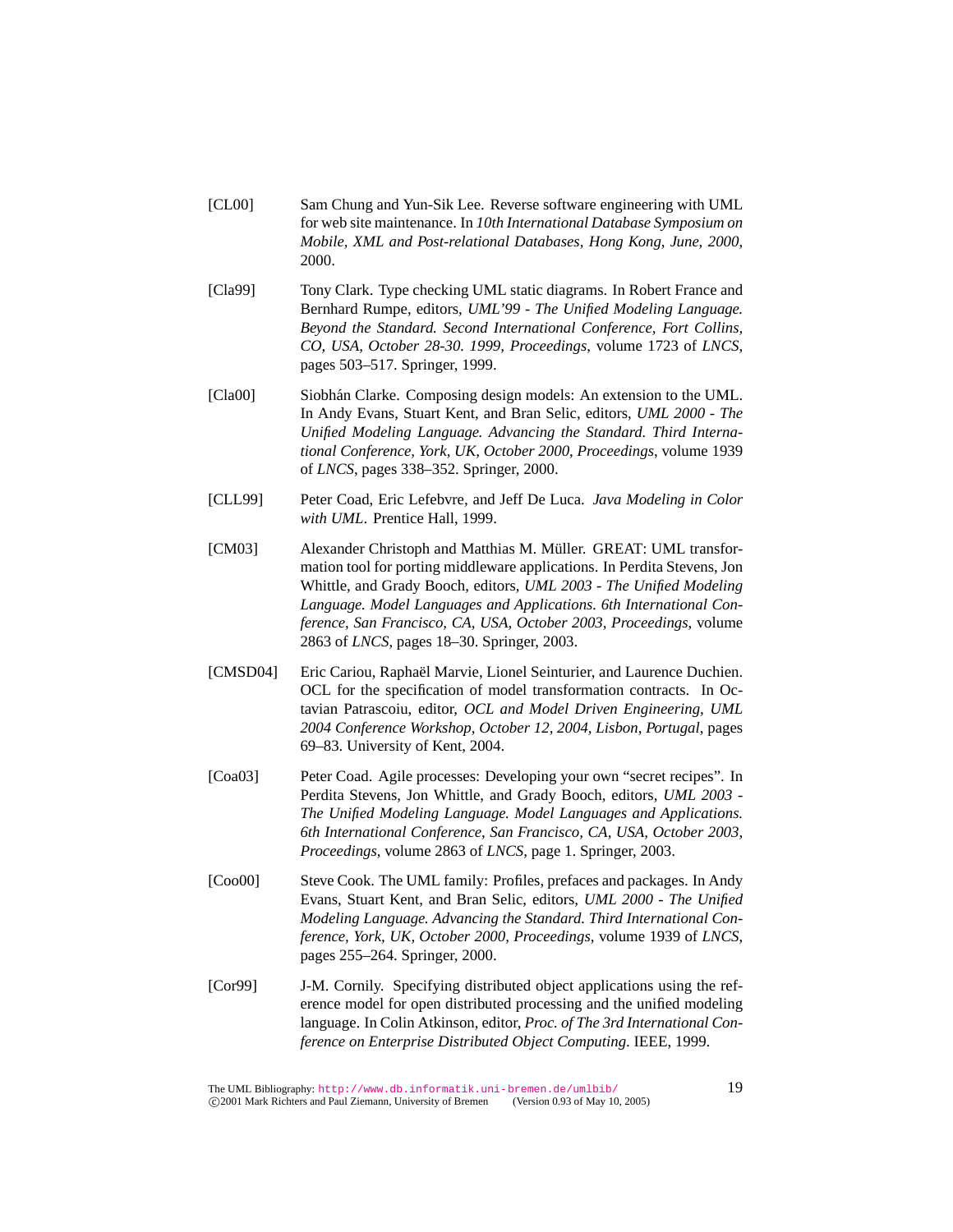- [CL00] Sam Chung and Yun-Sik Lee. Reverse software engineering with UML for web site maintenance. In *10th International Database Symposium on Mobile, XML and Post-relational Databases, Hong Kong, June, 2000*, 2000.
- [Cla99] Tony Clark. Type checking UML static diagrams. In Robert France and Bernhard Rumpe, editors, *UML'99 - The Unified Modeling Language. Beyond the Standard. Second International Conference, Fort Collins, CO, USA, October 28-30. 1999, Proceedings*, volume 1723 of *LNCS*, pages 503–517. Springer, 1999.
- [Cla00] Siobhán Clarke. Composing design models: An extension to the UML. In Andy Evans, Stuart Kent, and Bran Selic, editors, *UML 2000 - The Unified Modeling Language. Advancing the Standard. Third International Conference, York, UK, October 2000, Proceedings*, volume 1939 of *LNCS*, pages 338–352. Springer, 2000.
- [CLL99] Peter Coad, Eric Lefebvre, and Jeff De Luca. *Java Modeling in Color with UML*. Prentice Hall, 1999.
- [CM03] Alexander Christoph and Matthias M. Müller. GREAT: UML transformation tool for porting middleware applications. In Perdita Stevens, Jon Whittle, and Grady Booch, editors, *UML 2003 - The Unified Modeling Language. Model Languages and Applications. 6th International Conference, San Francisco, CA, USA, October 2003, Proceedings*, volume 2863 of *LNCS*, pages 18–30. Springer, 2003.
- [CMSD04] Eric Cariou, Raphaël Marvie, Lionel Seinturier, and Laurence Duchien. OCL for the specification of model transformation contracts. In Octavian Patrascoiu, editor, *OCL and Model Driven Engineering, UML 2004 Conference Workshop, October 12, 2004, Lisbon, Portugal*, pages 69–83. University of Kent, 2004.
- [Coa03] Peter Coad. Agile processes: Developing your own "secret recipes". In Perdita Stevens, Jon Whittle, and Grady Booch, editors, *UML 2003 - The Unified Modeling Language. Model Languages and Applications. 6th International Conference, San Francisco, CA, USA, October 2003, Proceedings*, volume 2863 of *LNCS*, page 1. Springer, 2003.
- [Coo00] Steve Cook. The UML family: Profiles, prefaces and packages. In Andy Evans, Stuart Kent, and Bran Selic, editors, *UML 2000 - The Unified Modeling Language. Advancing the Standard. Third International Conference, York, UK, October 2000, Proceedings*, volume 1939 of *LNCS*, pages 255–264. Springer, 2000.
- [Cor99] J-M. Cornily. Specifying distributed object applications using the reference model for open distributed processing and the unified modeling language. In Colin Atkinson, editor, *Proc. of The 3rd International Conference on Enterprise Distributed Object Computing*. IEEE, 1999.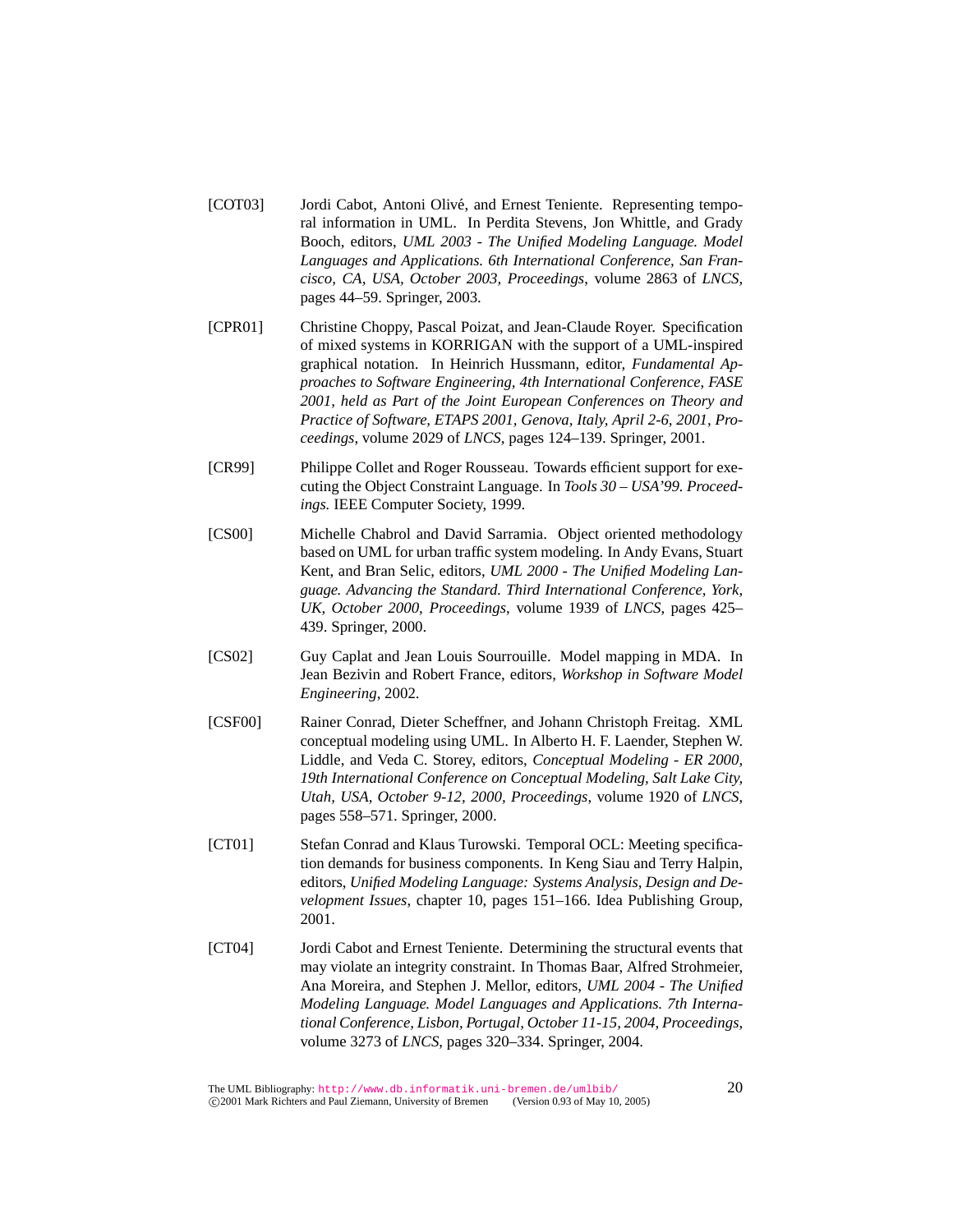- [COT03] Jordi Cabot, Antoni Olivé, and Ernest Teniente. Representing temporal information in UML. In Perdita Stevens, Jon Whittle, and Grady Booch, editors, *UML 2003 - The Unified Modeling Language. Model Languages and Applications. 6th International Conference, San Francisco, CA, USA, October 2003, Proceedings*, volume 2863 of *LNCS*, pages 44–59. Springer, 2003.
- [CPR01] Christine Choppy, Pascal Poizat, and Jean-Claude Royer. Specification of mixed systems in KORRIGAN with the support of a UML-inspired graphical notation. In Heinrich Hussmann, editor, *Fundamental Approaches to Software Engineering, 4th International Conference, FASE 2001, held as Part of the Joint European Conferences on Theory and Practice of Software, ETAPS 2001, Genova, Italy, April 2-6, 2001, Proceedings*, volume 2029 of *LNCS*, pages 124–139. Springer, 2001.
- [CR99] Philippe Collet and Roger Rousseau. Towards efficient support for executing the Object Constraint Language. In *Tools 30 – USA'99. Proceedings.* IEEE Computer Society, 1999.
- [CS00] Michelle Chabrol and David Sarramia. Object oriented methodology based on UML for urban traffic system modeling. In Andy Evans, Stuart Kent, and Bran Selic, editors, *UML 2000 - The Unified Modeling Language. Advancing the Standard. Third International Conference, York, UK, October 2000, Proceedings*, volume 1939 of *LNCS*, pages 425– 439. Springer, 2000.
- [CS02] Guy Caplat and Jean Louis Sourrouille. Model mapping in MDA. In Jean Bezivin and Robert France, editors, *Workshop in Software Model Engineering*, 2002.
- [CSF00] Rainer Conrad, Dieter Scheffner, and Johann Christoph Freitag. XML conceptual modeling using UML. In Alberto H. F. Laender, Stephen W. Liddle, and Veda C. Storey, editors, *Conceptual Modeling - ER 2000, 19th International Conference on Conceptual Modeling, Salt Lake City, Utah, USA, October 9-12, 2000, Proceedings*, volume 1920 of *LNCS*, pages 558–571. Springer, 2000.
- [CT01] Stefan Conrad and Klaus Turowski. Temporal OCL: Meeting specification demands for business components. In Keng Siau and Terry Halpin, editors, *Unified Modeling Language: Systems Analysis, Design and Development Issues*, chapter 10, pages 151–166. Idea Publishing Group, 2001.
- [CT04] Jordi Cabot and Ernest Teniente. Determining the structural events that may violate an integrity constraint. In Thomas Baar, Alfred Strohmeier, Ana Moreira, and Stephen J. Mellor, editors, *UML 2004 - The Unified Modeling Language. Model Languages and Applications. 7th International Conference, Lisbon, Portugal, October 11-15, 2004, Proceedings*, volume 3273 of *LNCS*, pages 320–334. Springer, 2004.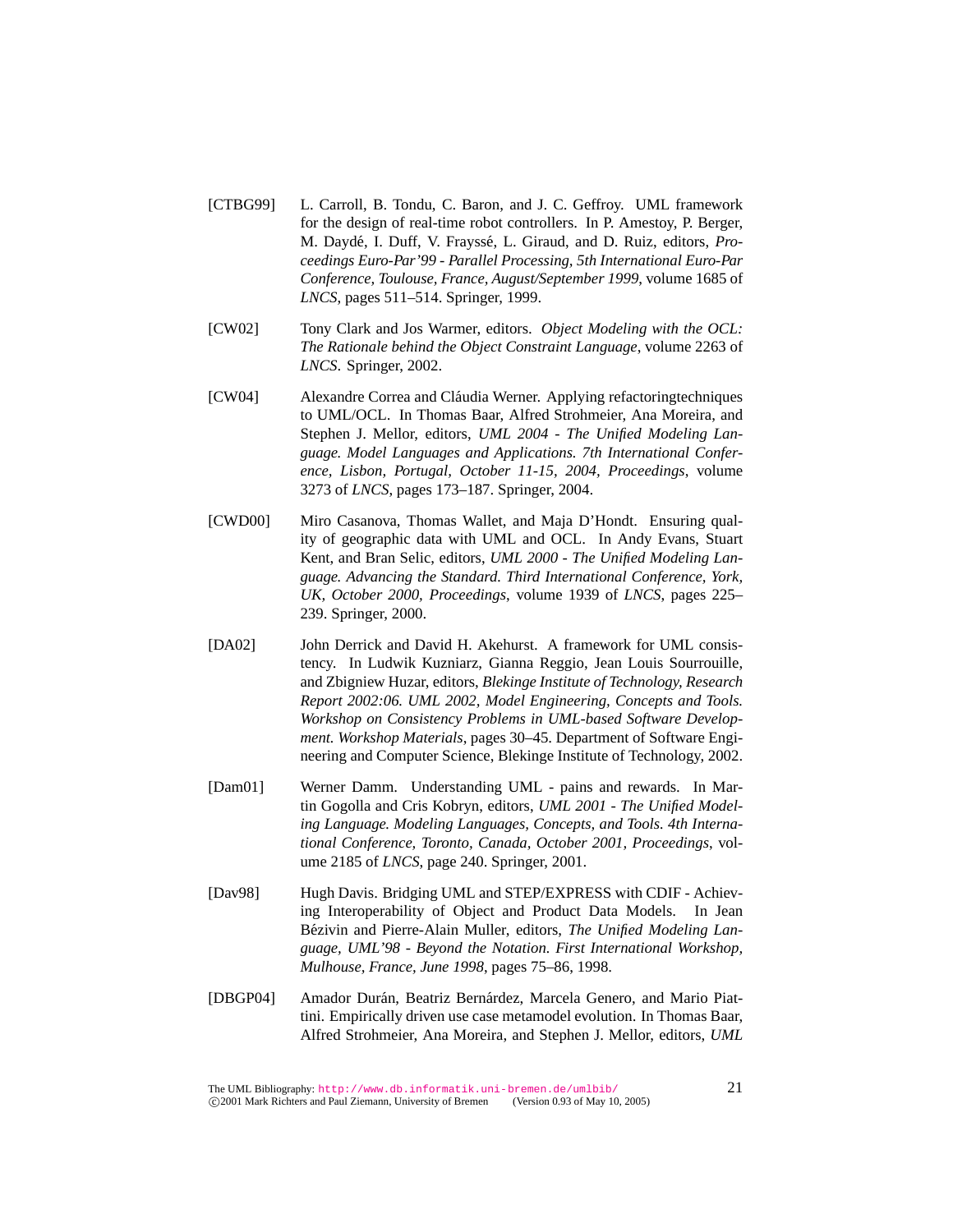- [CTBG99] L. Carroll, B. Tondu, C. Baron, and J. C. Geffroy. UML framework for the design of real-time robot controllers. In P. Amestoy, P. Berger, M. Daydé, I. Duff, V. Frayssé, L. Giraud, and D. Ruiz, editors, *Proceedings Euro-Par'99 - Parallel Processing, 5th International Euro-Par Conference, Toulouse, France, August/September 1999*, volume 1685 of *LNCS*, pages 511–514. Springer, 1999.
- [CW02] Tony Clark and Jos Warmer, editors. *Object Modeling with the OCL: The Rationale behind the Object Constraint Language*, volume 2263 of *LNCS*. Springer, 2002.
- [CW04] Alexandre Correa and Cláudia Werner. Applying refactoring techniques to UML/OCL. In Thomas Baar, Alfred Strohmeier, Ana Moreira, and Stephen J. Mellor, editors, *UML 2004 - The Unified Modeling Language. Model Languages and Applications. 7th International Conference, Lisbon, Portugal, October 11-15, 2004, Proceedings*, volume 3273 of *LNCS*, pages 173–187. Springer, 2004.
- [CWD00] Miro Casanova, Thomas Wallet, and Maja D'Hondt. Ensuring quality of geographic data with UML and OCL. In Andy Evans, Stuart Kent, and Bran Selic, editors, *UML 2000 - The Unified Modeling Language. Advancing the Standard. Third International Conference, York, UK, October 2000, Proceedings*, volume 1939 of *LNCS*, pages 225– 239. Springer, 2000.
- [DA02] John Derrick and David H. Akehurst. A framework for UML consistency. In Ludwik Kuzniarz, Gianna Reggio, Jean Louis Sourrouille, and Zbigniew Huzar, editors, *Blekinge Institute of Technology, Research Report 2002:06. UML 2002, Model Engineering, Concepts and Tools. Workshop on Consistency Problems in UML-based Software Development. Workshop Materials*, pages 30–45. Department of Software Engineering and Computer Science, Blekinge Institute of Technology, 2002.
- [Dam01] Werner Damm. Understanding UML pains and rewards. In Martin Gogolla and Cris Kobryn, editors, *UML 2001 - The Unified Modeling Language. Modeling Languages, Concepts, and Tools. 4th International Conference, Toronto, Canada, October 2001, Proceedings*, volume 2185 of *LNCS*, page 240. Springer, 2001.
- [Dav98] Hugh Davis. Bridging UML and STEP/EXPRESS with CDIF Achieving Interoperability of Object and Product Data Models. In Jean Bézivin and Pierre-Alain Muller, editors, *The Unified Modeling Language, UML'98 - Beyond the Notation. First International Workshop, Mulhouse, France, June 1998*, pages 75–86, 1998.
- [DBGP04] Amador Durán, Beatriz Bernárdez, Marcela Genero, and Mario Piattini. Empirically driven use case metamodel evolution. In Thomas Baar, Alfred Strohmeier, Ana Moreira, and Stephen J. Mellor, editors, *UML*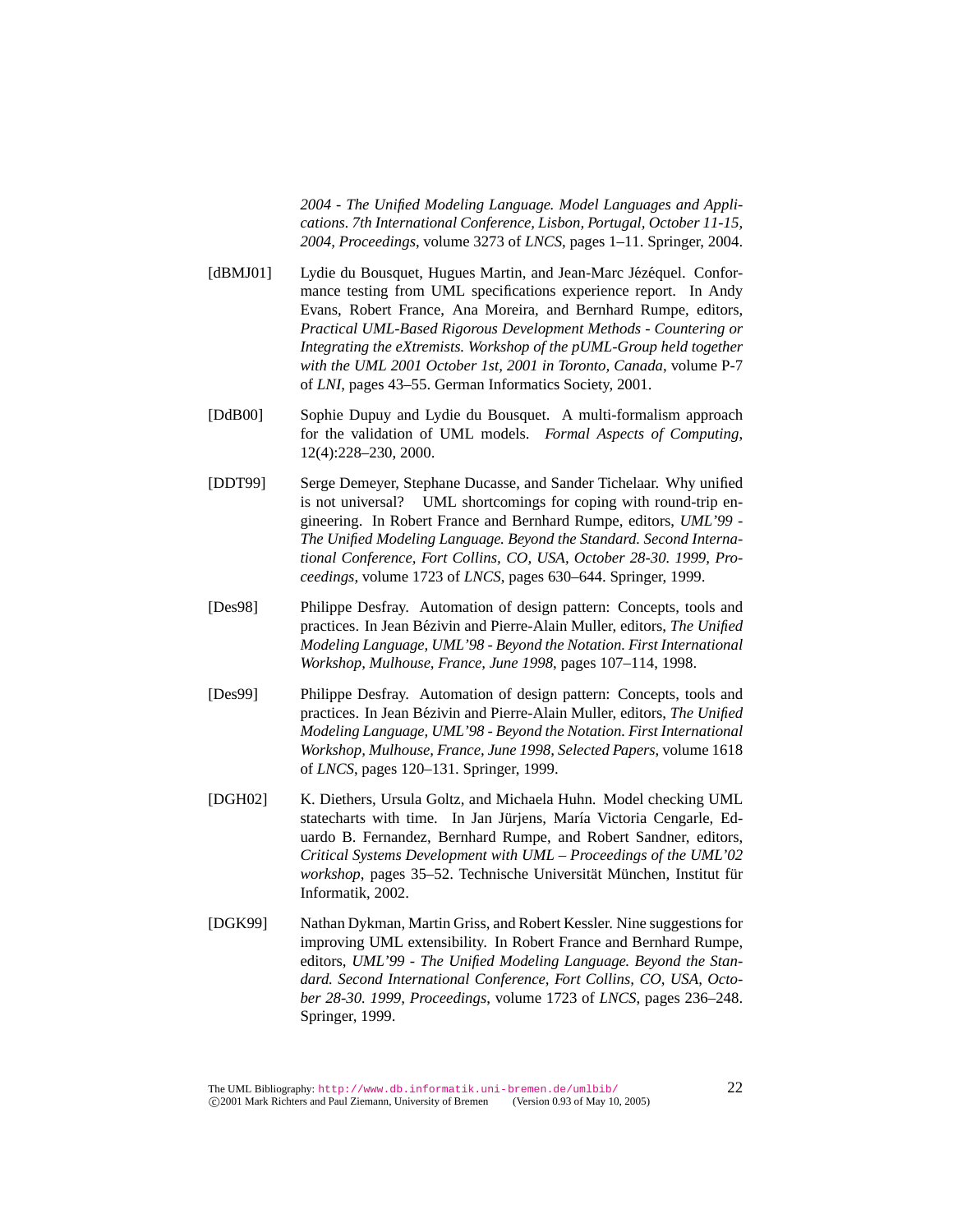*2004 - The Unified Modeling Language. Model Languages and Applications. 7th International Conference, Lisbon, Portugal, October 11-15, 2004, Proceedings*, volume 3273 of *LNCS*, pages 1–11. Springer, 2004.

- [dBMJ01] Lydie du Bousquet, Hugues Martin, and Jean-Marc Jézéquel. Conformance testing from UML specifications experience report. In Andy Evans, Robert France, Ana Moreira, and Bernhard Rumpe, editors, *Practical UML-Based Rigorous Development Methods - Countering or Integrating the eXtremists. Workshop of the pUML-Group held together with the UML 2001 October 1st, 2001 in Toronto, Canada*, volume P-7 of *LNI*, pages 43–55. German Informatics Society, 2001.
- [DdB00] Sophie Dupuy and Lydie du Bousquet. A multi-formalism approach for the validation of UML models. *Formal Aspects of Computing*, 12(4):228–230, 2000.
- [DDT99] Serge Demeyer, Stephane Ducasse, and Sander Tichelaar. Why unified is not universal? UML shortcomings for coping with round-trip engineering. In Robert France and Bernhard Rumpe, editors, *UML'99 - The Unified Modeling Language. Beyond the Standard. Second International Conference, Fort Collins, CO, USA, October 28-30. 1999, Proceedings*, volume 1723 of *LNCS*, pages 630–644. Springer, 1999.
- [Des98] Philippe Desfray. Automation of design pattern: Concepts, tools and practices. In Jean Bézivin and Pierre-Alain Muller, editors, *The Unified Modeling Language, UML'98 - Beyond the Notation. First International Workshop, Mulhouse, France, June 1998*, pages 107–114, 1998.
- [Des99] Philippe Desfray. Automation of design pattern: Concepts, tools and practices. In Jean Bézivin and Pierre-Alain Muller, editors, *The Unified Modeling Language, UML'98 - Beyond the Notation. First International Workshop, Mulhouse, France, June 1998, Selected Papers*, volume 1618 of *LNCS*, pages 120–131. Springer, 1999.
- [DGH02] K. Diethers, Ursula Goltz, and Michaela Huhn. Model checking UML statecharts with time. In Jan Jürjens, María Victoria Cengarle, Eduardo B. Fernandez, Bernhard Rumpe, and Robert Sandner, editors, *Critical Systems Development with UML – Proceedings of the UML'02 workshop*, pages 35–52. Technische Universität München, Institut für Informatik, 2002.
- [DGK99] Nathan Dykman, Martin Griss, and Robert Kessler. Nine suggestions for improving UML extensibility. In Robert France and Bernhard Rumpe, editors, *UML'99 - The Unified Modeling Language. Beyond the Standard. Second International Conference, Fort Collins, CO, USA, October 28-30. 1999, Proceedings*, volume 1723 of *LNCS*, pages 236–248. Springer, 1999.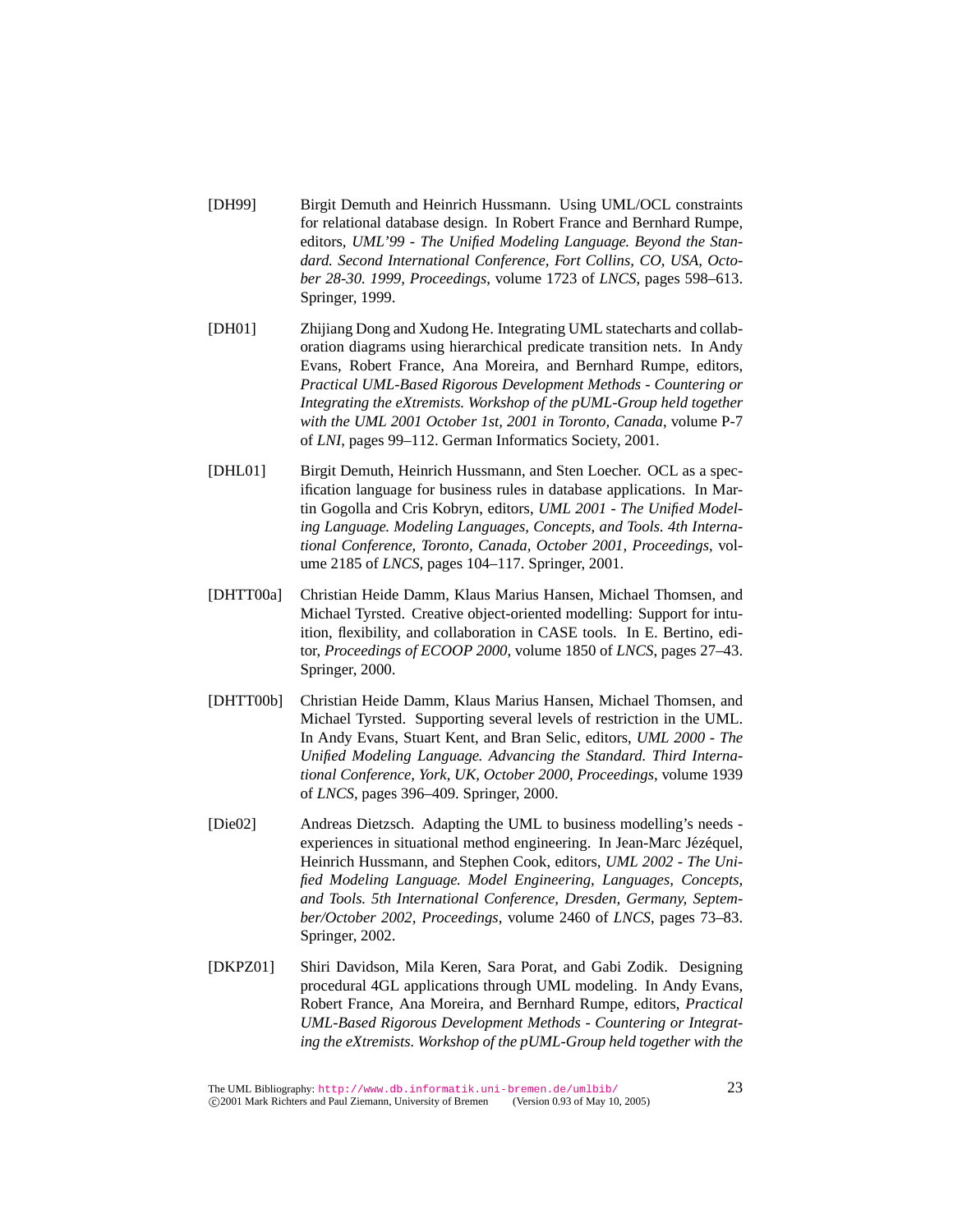- [DH99] Birgit Demuth and Heinrich Hussmann. Using UML/OCL constraints for relational database design. In Robert France and Bernhard Rumpe, editors, *UML'99 - The Unified Modeling Language. Beyond the Standard. Second International Conference, Fort Collins, CO, USA, October 28-30. 1999, Proceedings*, volume 1723 of *LNCS*, pages 598–613. Springer, 1999.
- [DH01] Zhijiang Dong and Xudong He. Integrating UML statecharts and collaboration diagrams using hierarchical predicate transition nets. In Andy Evans, Robert France, Ana Moreira, and Bernhard Rumpe, editors, *Practical UML-Based Rigorous Development Methods - Countering or Integrating the eXtremists. Workshop of the pUML-Group held together with the UML 2001 October 1st, 2001 in Toronto, Canada*, volume P-7 of *LNI*, pages 99–112. German Informatics Society, 2001.
- [DHL01] Birgit Demuth, Heinrich Hussmann, and Sten Loecher. OCL as a specification language for business rules in database applications. In Martin Gogolla and Cris Kobryn, editors, *UML 2001 - The Unified Modeling Language. Modeling Languages, Concepts, and Tools. 4th International Conference, Toronto, Canada, October 2001, Proceedings*, volume 2185 of *LNCS*, pages 104–117. Springer, 2001.
- [DHTT00a] Christian Heide Damm, Klaus Marius Hansen, Michael Thomsen, and Michael Tyrsted. Creative object-oriented modelling: Support for intuition, flexibility, and collaboration in CASE tools. In E. Bertino, editor, *Proceedings of ECOOP 2000*, volume 1850 of *LNCS*, pages 27–43. Springer, 2000.
- [DHTT00b] Christian Heide Damm, Klaus Marius Hansen, Michael Thomsen, and Michael Tyrsted. Supporting several levels of restriction in the UML. In Andy Evans, Stuart Kent, and Bran Selic, editors, *UML 2000 - The Unified Modeling Language. Advancing the Standard. Third International Conference, York, UK, October 2000, Proceedings*, volume 1939 of *LNCS*, pages 396–409. Springer, 2000.
- [Die02] Andreas Dietzsch. Adapting the UML to business modelling's needs experiences in situational method engineering. In Jean-Marc Jézéquel, Heinrich Hussmann, and Stephen Cook, editors, *UML 2002 - The Unified Modeling Language. Model Engineering, Languages, Concepts, and Tools. 5th International Conference, Dresden, Germany, September/October 2002, Proceedings*, volume 2460 of *LNCS*, pages 73–83. Springer, 2002.
- [DKPZ01] Shiri Davidson, Mila Keren, Sara Porat, and Gabi Zodik. Designing procedural 4GL applications through UML modeling. In Andy Evans, Robert France, Ana Moreira, and Bernhard Rumpe, editors, *Practical UML-Based Rigorous Development Methods - Countering or Integrating the eXtremists. Workshop of the pUML-Group held together with the*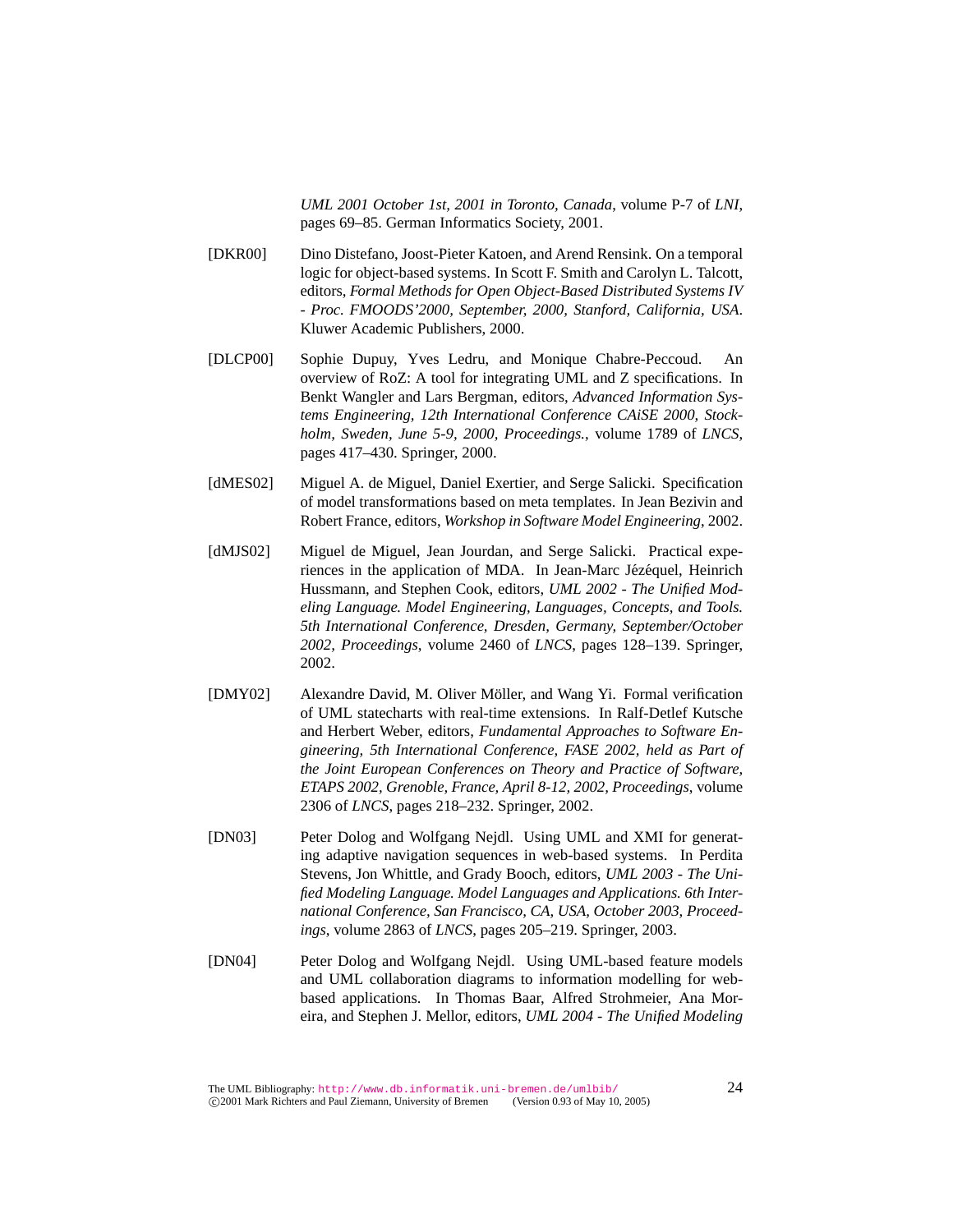*UML 2001 October 1st, 2001 in Toronto, Canada*, volume P-7 of *LNI*, pages 69–85. German Informatics Society, 2001.

- [DKR00] Dino Distefano, Joost-Pieter Katoen, and Arend Rensink. On a temporal logic for object-based systems. In Scott F. Smith and Carolyn L. Talcott, editors, *Formal Methods for Open Object-Based Distributed Systems IV - Proc. FMOODS'2000, September, 2000, Stanford, California, USA*. Kluwer Academic Publishers, 2000.
- [DLCP00] Sophie Dupuy, Yves Ledru, and Monique Chabre-Peccoud. An overview of RoZ: A tool for integrating UML and Z specifications. In Benkt Wangler and Lars Bergman, editors, *Advanced Information Systems Engineering, 12th International Conference CAiSE 2000, Stockholm, Sweden, June 5-9, 2000, Proceedings.*, volume 1789 of *LNCS*, pages 417–430. Springer, 2000.
- [dMES02] Miguel A. de Miguel, Daniel Exertier, and Serge Salicki. Specification of model transformations based on meta templates. In Jean Bezivin and Robert France, editors, *Workshop in Software Model Engineering*, 2002.
- [dMJS02] Miguel de Miguel, Jean Jourdan, and Serge Salicki. Practical experiences in the application of MDA. In Jean-Marc Jézéquel, Heinrich Hussmann, and Stephen Cook, editors, *UML 2002 - The Unified Modeling Language. Model Engineering, Languages, Concepts, and Tools. 5th International Conference, Dresden, Germany, September/October 2002, Proceedings*, volume 2460 of *LNCS*, pages 128–139. Springer, 2002.
- [DMY02] Alexandre David, M. Oliver Möller, and Wang Yi. Formal verification of UML statecharts with real-time extensions. In Ralf-Detlef Kutsche and Herbert Weber, editors, *Fundamental Approaches to Software Engineering, 5th International Conference, FASE 2002, held as Part of the Joint European Conferences on Theory and Practice of Software, ETAPS 2002, Grenoble, France, April 8-12, 2002, Proceedings*, volume 2306 of *LNCS*, pages 218–232. Springer, 2002.
- [DN03] Peter Dolog and Wolfgang Nejdl. Using UML and XMI for generating adaptive navigation sequences in web-based systems. In Perdita Stevens, Jon Whittle, and Grady Booch, editors, *UML 2003 - The Unified Modeling Language. Model Languages and Applications. 6th International Conference, San Francisco, CA, USA, October 2003, Proceedings*, volume 2863 of *LNCS*, pages 205–219. Springer, 2003.
- [DN04] Peter Dolog and Wolfgang Nejdl. Using UML-based feature models and UML collaboration diagrams to information modelling for webbased applications. In Thomas Baar, Alfred Strohmeier, Ana Moreira, and Stephen J. Mellor, editors, *UML 2004 - The Unified Modeling*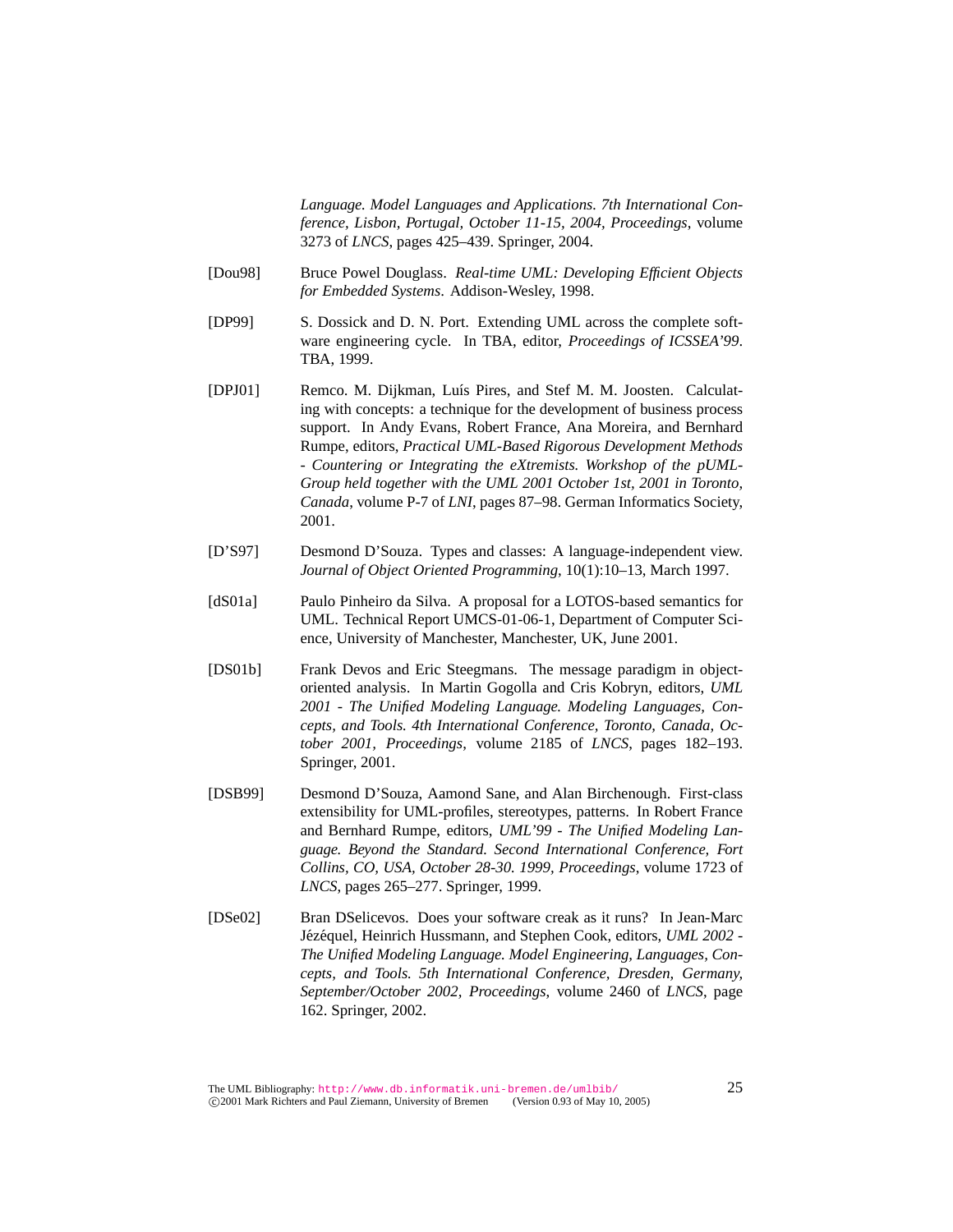*Language. Model Languages and Applications. 7th International Conference, Lisbon, Portugal, October 11-15, 2004, Proceedings*, volume 3273 of *LNCS*, pages 425–439. Springer, 2004.

- [Dou98] Bruce Powel Douglass. *Real-time UML: Developing Efficient Objects for Embedded Systems*. Addison-Wesley, 1998.
- [DP99] S. Dossick and D. N. Port. Extending UML across the complete software engineering cycle. In TBA, editor, *Proceedings of ICSSEA'99*. TBA, 1999.
- [DPJ01] Remco. M. Dijkman, Luís Pires, and Stef M. M. Joosten. Calculating with concepts: a technique for the development of business process support. In Andy Evans, Robert France, Ana Moreira, and Bernhard Rumpe, editors, *Practical UML-Based Rigorous Development Methods - Countering or Integrating the eXtremists. Workshop of the pUML-Group held together with the UML 2001 October 1st, 2001 in Toronto, Canada*, volume P-7 of *LNI*, pages 87–98. German Informatics Society, 2001.
- [D'S97] Desmond D'Souza. Types and classes: A language-independent view. *Journal of Object Oriented Programming*, 10(1):10–13, March 1997.
- [dS01a] Paulo Pinheiro da Silva. A proposal for a LOTOS-based semantics for UML. Technical Report UMCS-01-06-1, Department of Computer Science, University of Manchester, Manchester, UK, June 2001.
- [DS01b] Frank Devos and Eric Steegmans. The message paradigm in objectoriented analysis. In Martin Gogolla and Cris Kobryn, editors, *UML 2001 - The Unified Modeling Language. Modeling Languages, Concepts, and Tools. 4th International Conference, Toronto, Canada, October 2001, Proceedings*, volume 2185 of *LNCS*, pages 182–193. Springer, 2001.
- [DSB99] Desmond D'Souza, Aamond Sane, and Alan Birchenough. First-class extensibility for UML-profiles, stereotypes, patterns. In Robert France and Bernhard Rumpe, editors, *UML'99 - The Unified Modeling Language. Beyond the Standard. Second International Conference, Fort Collins, CO, USA, October 28-30. 1999, Proceedings*, volume 1723 of *LNCS*, pages 265–277. Springer, 1999.
- [DSe02] Bran DSelicevos. Does your software creak as it runs? In Jean-Marc Jézéquel, Heinrich Hussmann, and Stephen Cook, editors, *UML 2002 -The Unified Modeling Language. Model Engineering, Languages, Concepts, and Tools. 5th International Conference, Dresden, Germany, September/October 2002, Proceedings*, volume 2460 of *LNCS*, page 162. Springer, 2002.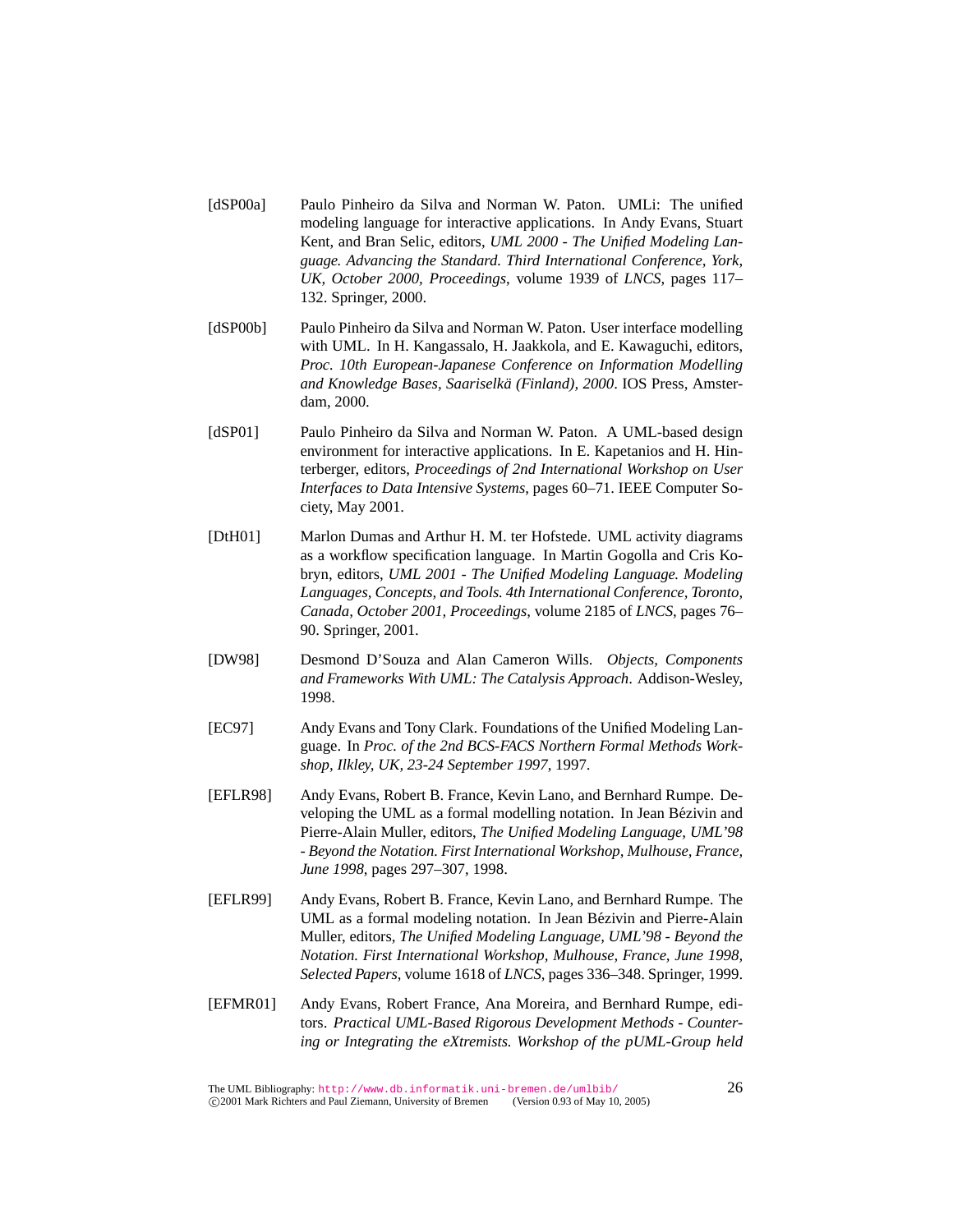- [dSP00a] Paulo Pinheiro da Silva and Norman W. Paton. UMLi: The unified modeling language for interactive applications. In Andy Evans, Stuart Kent, and Bran Selic, editors, *UML 2000 - The Unified Modeling Language. Advancing the Standard. Third International Conference, York, UK, October 2000, Proceedings*, volume 1939 of *LNCS*, pages 117– 132. Springer, 2000.
- [dSP00b] Paulo Pinheiro da Silva and Norman W. Paton. User interface modelling with UML. In H. Kangassalo, H. Jaakkola, and E. Kawaguchi, editors, *Proc. 10th European-Japanese Conference on Information Modelling and Knowledge Bases, Saariselka (Finland), 2000 ¨* . IOS Press, Amsterdam, 2000.
- [dSP01] Paulo Pinheiro da Silva and Norman W. Paton. A UML-based design environment for interactive applications. In E. Kapetanios and H. Hinterberger, editors, *Proceedings of 2nd International Workshop on User Interfaces to Data Intensive Systems*, pages 60–71. IEEE Computer Society, May 2001.
- [DtH01] Marlon Dumas and Arthur H. M. ter Hofstede. UML activity diagrams as a workflow specification language. In Martin Gogolla and Cris Kobryn, editors, *UML 2001 - The Unified Modeling Language. Modeling Languages, Concepts, and Tools. 4th International Conference, Toronto, Canada, October 2001, Proceedings*, volume 2185 of *LNCS*, pages 76– 90. Springer, 2001.
- [DW98] Desmond D'Souza and Alan Cameron Wills. *Objects, Components and Frameworks With UML: The Catalysis Approach*. Addison-Wesley, 1998.
- [EC97] Andy Evans and Tony Clark. Foundations of the Unified Modeling Language. In *Proc. of the 2nd BCS-FACS Northern Formal Methods Workshop, Ilkley, UK, 23-24 September 1997*, 1997.
- [EFLR98] Andy Evans, Robert B. France, Kevin Lano, and Bernhard Rumpe. Developing the UML as a formal modelling notation. In Jean Bézivin and Pierre-Alain Muller, editors, *The Unified Modeling Language, UML'98 - Beyond the Notation. First International Workshop, Mulhouse, France, June 1998*, pages 297–307, 1998.
- [EFLR99] Andy Evans, Robert B. France, Kevin Lano, and Bernhard Rumpe. The UML as a formal modeling notation. In Jean Bézivin and Pierre-Alain Muller, editors, *The Unified Modeling Language, UML'98 - Beyond the Notation. First International Workshop, Mulhouse, France, June 1998, Selected Papers*, volume 1618 of *LNCS*, pages 336–348. Springer, 1999.
- [EFMR01] Andy Evans, Robert France, Ana Moreira, and Bernhard Rumpe, editors. *Practical UML-Based Rigorous Development Methods - Countering or Integrating the eXtremists. Workshop of the pUML-Group held*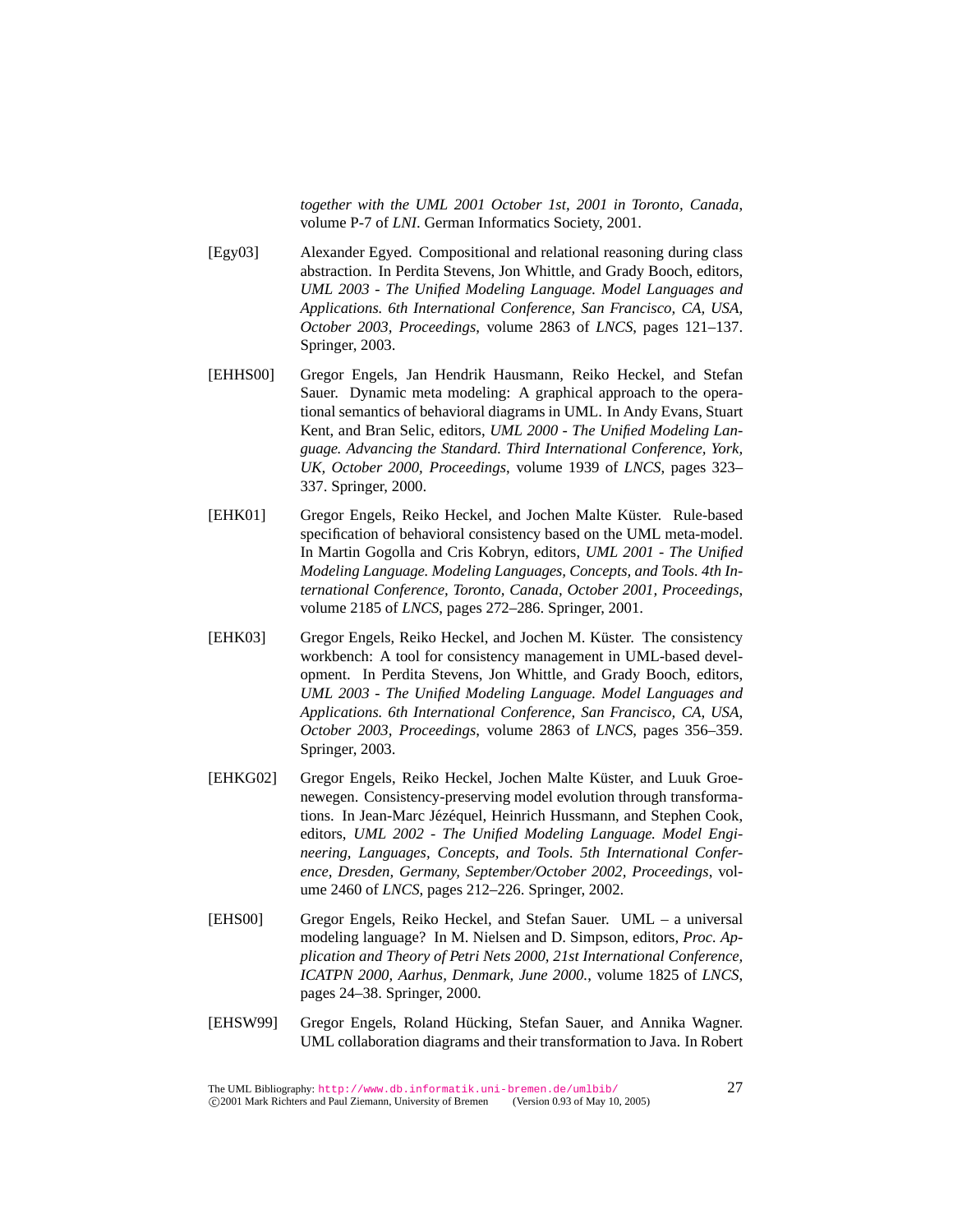*together with the UML 2001 October 1st, 2001 in Toronto, Canada*, volume P-7 of *LNI*. German Informatics Society, 2001.

- [Egy03] Alexander Egyed. Compositional and relational reasoning during class abstraction. In Perdita Stevens, Jon Whittle, and Grady Booch, editors, *UML 2003 - The Unified Modeling Language. Model Languages and Applications. 6th International Conference, San Francisco, CA, USA, October 2003, Proceedings*, volume 2863 of *LNCS*, pages 121–137. Springer, 2003.
- [EHHS00] Gregor Engels, Jan Hendrik Hausmann, Reiko Heckel, and Stefan Sauer. Dynamic meta modeling: A graphical approach to the operational semantics of behavioral diagrams in UML. In Andy Evans, Stuart Kent, and Bran Selic, editors, *UML 2000 - The Unified Modeling Language. Advancing the Standard. Third International Conference, York, UK, October 2000, Proceedings*, volume 1939 of *LNCS*, pages 323– 337. Springer, 2000.
- [EHK01] Gregor Engels, Reiko Heckel, and Jochen Malte Küster. Rule-based specification of behavioral consistency based on the UML meta-model. In Martin Gogolla and Cris Kobryn, editors, *UML 2001 - The Unified Modeling Language. Modeling Languages, Concepts, and Tools. 4th International Conference, Toronto, Canada, October 2001, Proceedings*, volume 2185 of *LNCS*, pages 272–286. Springer, 2001.
- [EHK03] Gregor Engels, Reiko Heckel, and Jochen M. Küster. The consistency workbench: A tool for consistency management in UML-based development. In Perdita Stevens, Jon Whittle, and Grady Booch, editors, *UML 2003 - The Unified Modeling Language. Model Languages and Applications. 6th International Conference, San Francisco, CA, USA, October 2003, Proceedings*, volume 2863 of *LNCS*, pages 356–359. Springer, 2003.
- [EHKG02] Gregor Engels, Reiko Heckel, Jochen Malte Küster, and Luuk Groenewegen. Consistency-preserving model evolution through transformations. In Jean-Marc Jézéquel, Heinrich Hussmann, and Stephen Cook, editors, *UML 2002 - The Unified Modeling Language. Model Engineering, Languages, Concepts, and Tools. 5th International Conference, Dresden, Germany, September/October 2002, Proceedings*, volume 2460 of *LNCS*, pages 212–226. Springer, 2002.
- [EHS00] Gregor Engels, Reiko Heckel, and Stefan Sauer. UML a universal modeling language? In M. Nielsen and D. Simpson, editors, *Proc. Application and Theory of Petri Nets 2000, 21st International Conference, ICATPN 2000, Aarhus, Denmark, June 2000.*, volume 1825 of *LNCS*, pages 24–38. Springer, 2000.
- [EHSW99] Gregor Engels, Roland Hücking, Stefan Sauer, and Annika Wagner. UML collaboration diagrams and their transformation to Java. In Robert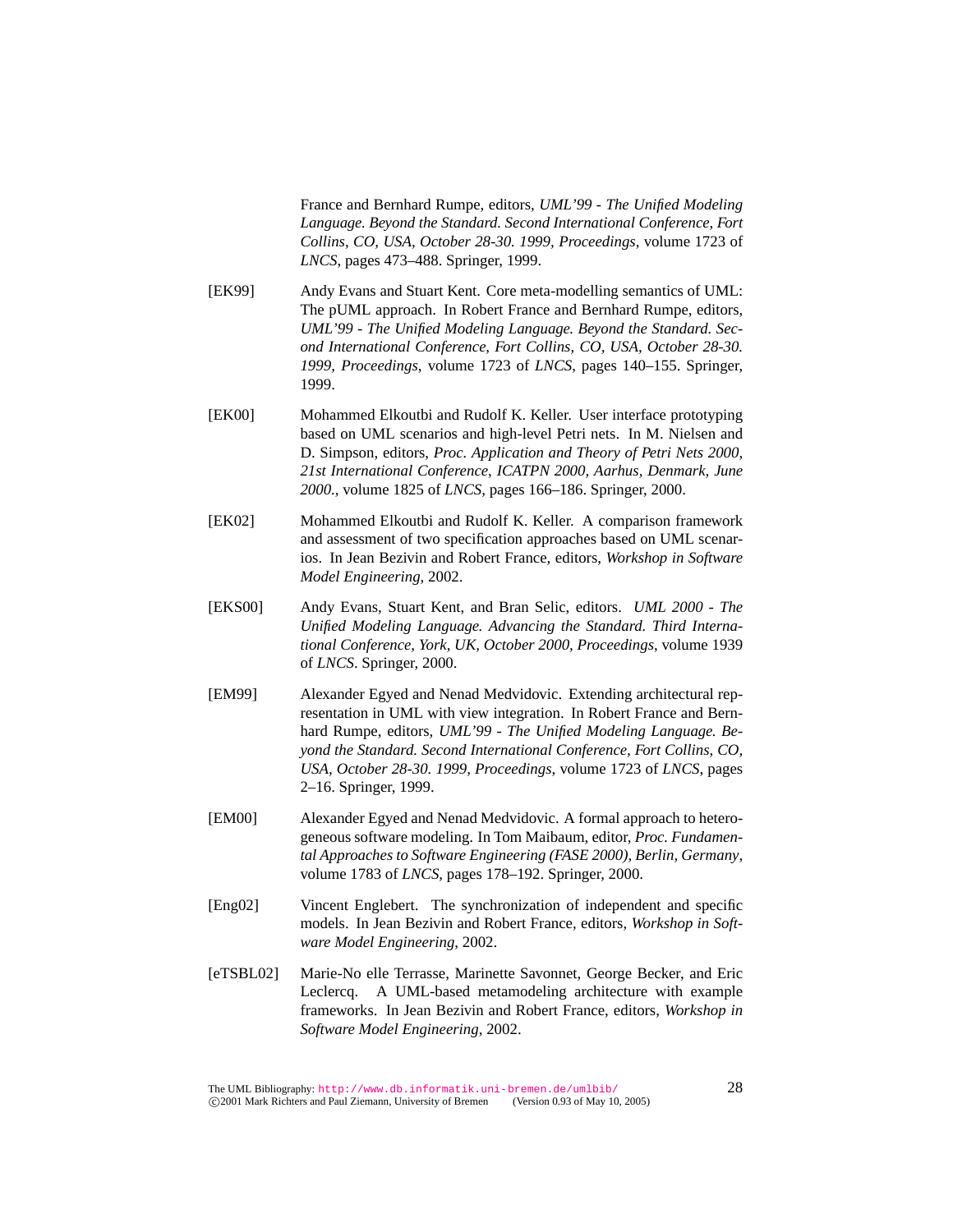France and Bernhard Rumpe, editors, *UML'99 - The Unified Modeling Language. Beyond the Standard. Second International Conference, Fort Collins, CO, USA, October 28-30. 1999, Proceedings*, volume 1723 of *LNCS*, pages 473–488. Springer, 1999.

- [EK99] Andy Evans and Stuart Kent. Core meta-modelling semantics of UML: The pUML approach. In Robert France and Bernhard Rumpe, editors, *UML'99 - The Unified Modeling Language. Beyond the Standard. Second International Conference, Fort Collins, CO, USA, October 28-30. 1999, Proceedings*, volume 1723 of *LNCS*, pages 140–155. Springer, 1999.
- [EK00] Mohammed Elkoutbi and Rudolf K. Keller. User interface prototyping based on UML scenarios and high-level Petri nets. In M. Nielsen and D. Simpson, editors, *Proc. Application and Theory of Petri Nets 2000, 21st International Conference, ICATPN 2000, Aarhus, Denmark, June 2000.*, volume 1825 of *LNCS*, pages 166–186. Springer, 2000.
- [EK02] Mohammed Elkoutbi and Rudolf K. Keller. A comparison framework and assessment of two specification approaches based on UML scenarios. In Jean Bezivin and Robert France, editors, *Workshop in Software Model Engineering*, 2002.
- [EKS00] Andy Evans, Stuart Kent, and Bran Selic, editors. *UML 2000 The Unified Modeling Language. Advancing the Standard. Third International Conference, York, UK, October 2000, Proceedings*, volume 1939 of *LNCS*. Springer, 2000.
- [EM99] Alexander Egyed and Nenad Medvidovic. Extending architectural representation in UML with view integration. In Robert France and Bernhard Rumpe, editors, *UML'99 - The Unified Modeling Language. Beyond the Standard. Second International Conference, Fort Collins, CO, USA, October 28-30. 1999, Proceedings*, volume 1723 of *LNCS*, pages 2–16. Springer, 1999.
- [EM00] Alexander Egyed and Nenad Medvidovic. A formal approach to heterogeneous software modeling. In Tom Maibaum, editor, *Proc. Fundamental Approaches to Software Engineering (FASE 2000), Berlin, Germany*, volume 1783 of *LNCS*, pages 178–192. Springer, 2000.
- [Eng02] Vincent Englebert. The synchronization of independent and specific models. In Jean Bezivin and Robert France, editors, *Workshop in Software Model Engineering*, 2002.
- [eTSBL02] Marie-No elle Terrasse, Marinette Savonnet, George Becker, and Eric Leclercq. A UML-based metamodeling architecture with example frameworks. In Jean Bezivin and Robert France, editors, *Workshop in Software Model Engineering*, 2002.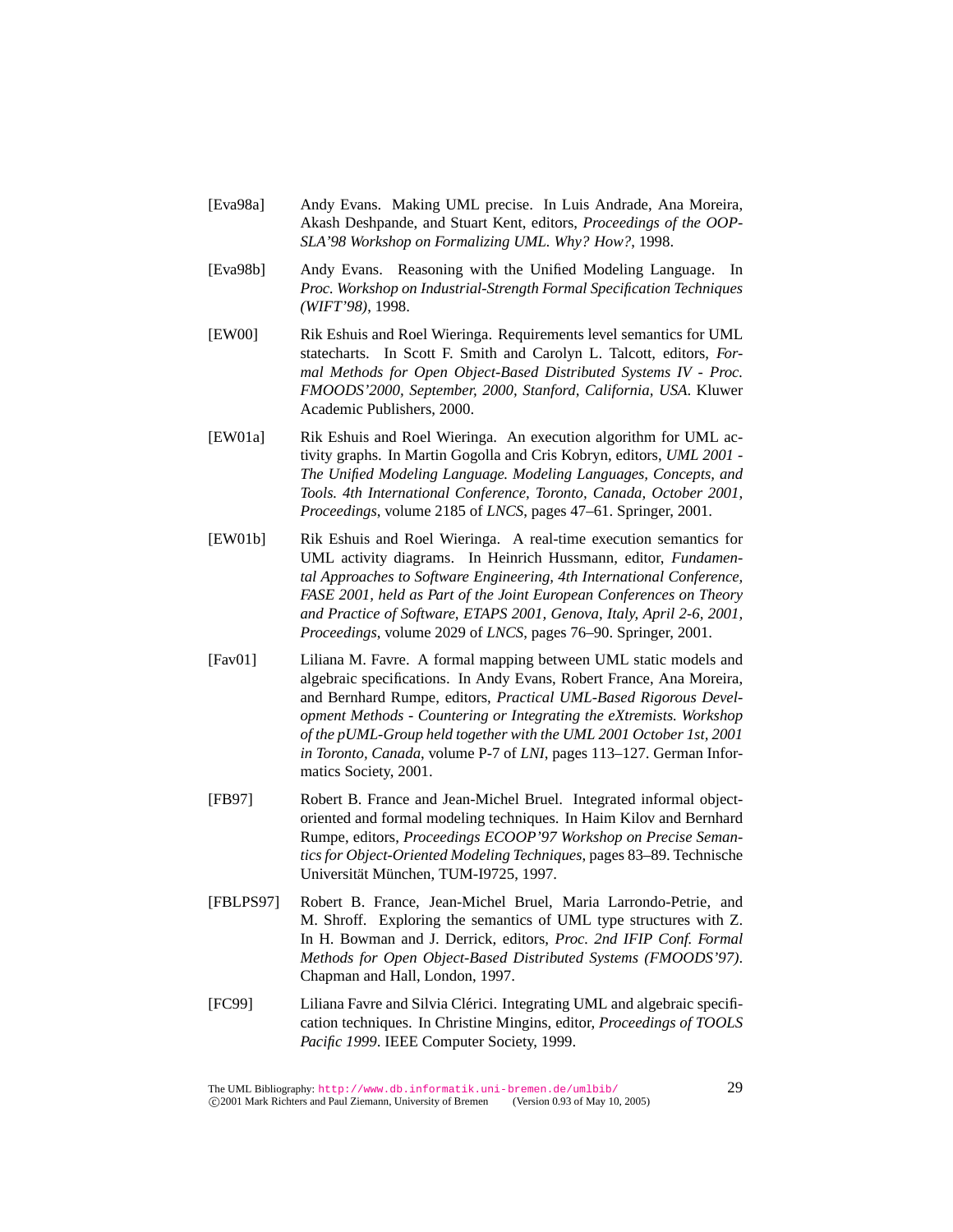- [Eva98a] Andy Evans. Making UML precise. In Luis Andrade, Ana Moreira, Akash Deshpande, and Stuart Kent, editors, *Proceedings of the OOP-SLA'98 Workshop on Formalizing UML. Why? How?*, 1998.
- [Eva98b] Andy Evans. Reasoning with the Unified Modeling Language. In *Proc. Workshop on Industrial-Strength Formal Specification Techniques (WIFT'98)*, 1998.
- [EW00] Rik Eshuis and Roel Wieringa. Requirements level semantics for UML statecharts. In Scott F. Smith and Carolyn L. Talcott, editors, *Formal Methods for Open Object-Based Distributed Systems IV - Proc. FMOODS'2000, September, 2000, Stanford, California, USA*. Kluwer Academic Publishers, 2000.
- [EW01a] Rik Eshuis and Roel Wieringa. An execution algorithm for UML activity graphs. In Martin Gogolla and Cris Kobryn, editors, *UML 2001 - The Unified Modeling Language. Modeling Languages, Concepts, and Tools. 4th International Conference, Toronto, Canada, October 2001, Proceedings*, volume 2185 of *LNCS*, pages 47–61. Springer, 2001.
- [EW01b] Rik Eshuis and Roel Wieringa. A real-time execution semantics for UML activity diagrams. In Heinrich Hussmann, editor, *Fundamental Approaches to Software Engineering, 4th International Conference, FASE 2001, held as Part of the Joint European Conferences on Theory and Practice of Software, ETAPS 2001, Genova, Italy, April 2-6, 2001, Proceedings*, volume 2029 of *LNCS*, pages 76–90. Springer, 2001.
- [Fav01] Liliana M. Favre. A formal mapping between UML static models and algebraic specifications. In Andy Evans, Robert France, Ana Moreira, and Bernhard Rumpe, editors, *Practical UML-Based Rigorous Development Methods - Countering or Integrating the eXtremists. Workshop of the pUML-Group held together with the UML 2001 October 1st, 2001 in Toronto, Canada*, volume P-7 of *LNI*, pages 113–127. German Informatics Society, 2001.
- [FB97] Robert B. France and Jean-Michel Bruel. Integrated informal objectoriented and formal modeling techniques. In Haim Kilov and Bernhard Rumpe, editors, *Proceedings ECOOP'97 Workshop on Precise Semantics for Object-Oriented Modeling Techniques*, pages 83–89. Technische Universität München, TUM-I9725, 1997.
- [FBLPS97] Robert B. France, Jean-Michel Bruel, Maria Larrondo-Petrie, and M. Shroff. Exploring the semantics of UML type structures with Z. In H. Bowman and J. Derrick, editors, *Proc. 2nd IFIP Conf. Formal Methods for Open Object-Based Distributed Systems (FMOODS'97)*. Chapman and Hall, London, 1997.
- [FC99] Liliana Favre and Silvia Clerici. Integrating UML and algebraic specifi- ´ cation techniques. In Christine Mingins, editor, *Proceedings of TOOLS Pacific 1999*. IEEE Computer Society, 1999.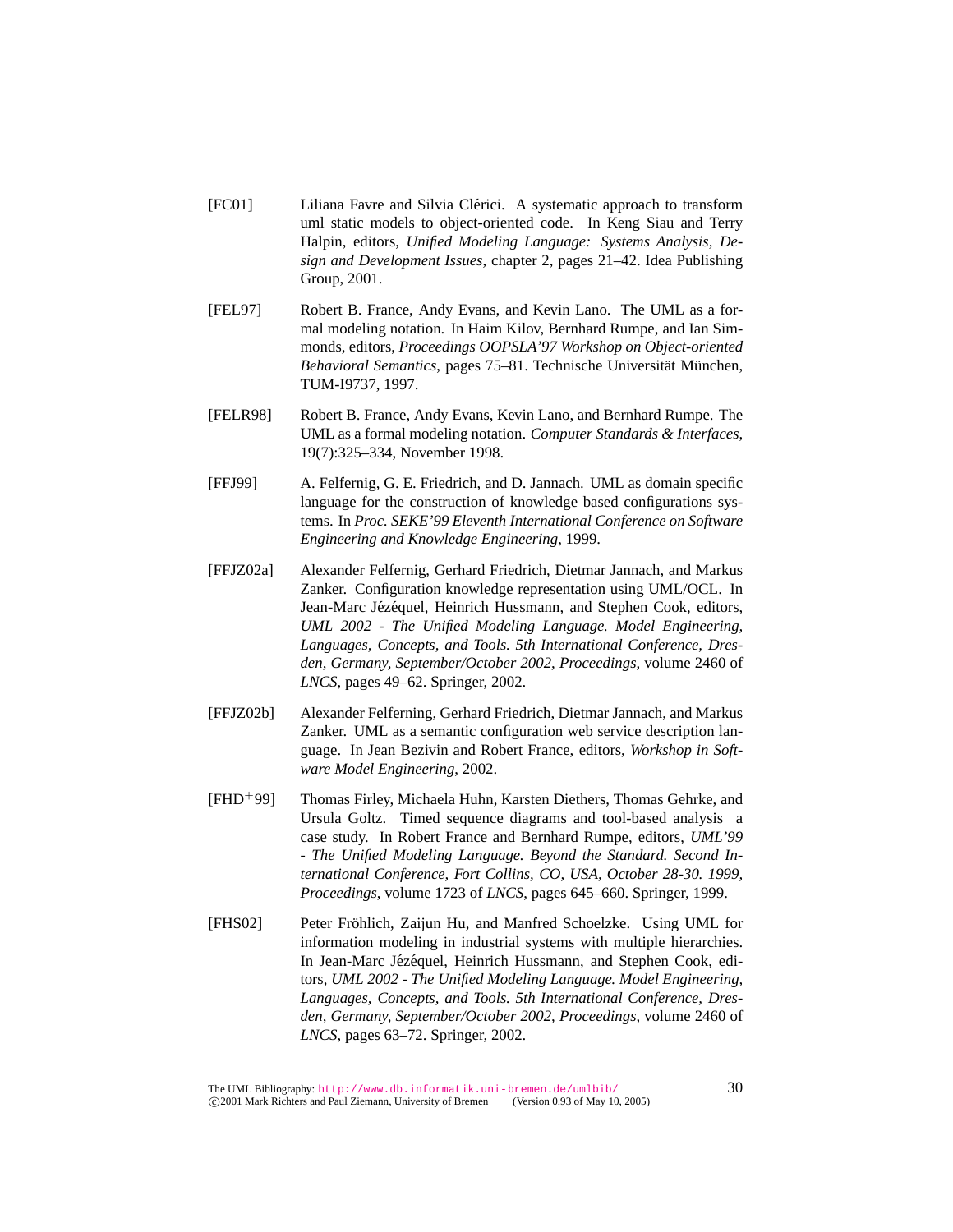- [FC01] Liliana Favre and Silvia Clerici. A systematic approach to transform ´ uml static models to object-oriented code. In Keng Siau and Terry Halpin, editors, *Unified Modeling Language: Systems Analysis, Design and Development Issues*, chapter 2, pages 21–42. Idea Publishing Group, 2001.
- [FEL97] Robert B. France, Andy Evans, and Kevin Lano. The UML as a formal modeling notation. In Haim Kilov, Bernhard Rumpe, and Ian Simmonds, editors, *Proceedings OOPSLA'97 Workshop on Object-oriented Behavioral Semantics*, pages 75–81. Technische Universität München, TUM-I9737, 1997.
- [FELR98] Robert B. France, Andy Evans, Kevin Lano, and Bernhard Rumpe. The UML as a formal modeling notation. *Computer Standards & Interfaces*, 19(7):325–334, November 1998.
- [FFJ99] A. Felfernig, G. E. Friedrich, and D. Jannach. UML as domain specific language for the construction of knowledge based configurations systems. In *Proc. SEKE'99 Eleventh International Conference on Software Engineering and Knowledge Engineering*, 1999.
- [FFJZ02a] Alexander Felfernig, Gerhard Friedrich, Dietmar Jannach, and Markus Zanker. Configuration knowledge representation using UML/OCL. In Jean-Marc Jézéquel, Heinrich Hussmann, and Stephen Cook, editors, *UML 2002 - The Unified Modeling Language. Model Engineering, Languages, Concepts, and Tools. 5th International Conference, Dresden, Germany, September/October 2002, Proceedings*, volume 2460 of *LNCS*, pages 49–62. Springer, 2002.
- [FFJZ02b] Alexander Felferning, Gerhard Friedrich, Dietmar Jannach, and Markus Zanker. UML as a semantic configuration web service description language. In Jean Bezivin and Robert France, editors, *Workshop in Software Model Engineering*, 2002.
- [FHD<sup>+</sup>99] Thomas Firley, Michaela Huhn, Karsten Diethers, Thomas Gehrke, and Ursula Goltz. Timed sequence diagrams and tool-based analysis a case study. In Robert France and Bernhard Rumpe, editors, *UML'99 - The Unified Modeling Language. Beyond the Standard. Second International Conference, Fort Collins, CO, USA, October 28-30. 1999, Proceedings*, volume 1723 of *LNCS*, pages 645–660. Springer, 1999.
- [FHS02] Peter Frohlich, Zaijun Hu, and Manfred Schoelzke. Using UML for ¨ information modeling in industrial systems with multiple hierarchies. In Jean-Marc Jézéquel, Heinrich Hussmann, and Stephen Cook, editors, *UML 2002 - The Unified Modeling Language. Model Engineering, Languages, Concepts, and Tools. 5th International Conference, Dresden, Germany, September/October 2002, Proceedings*, volume 2460 of *LNCS*, pages 63–72. Springer, 2002.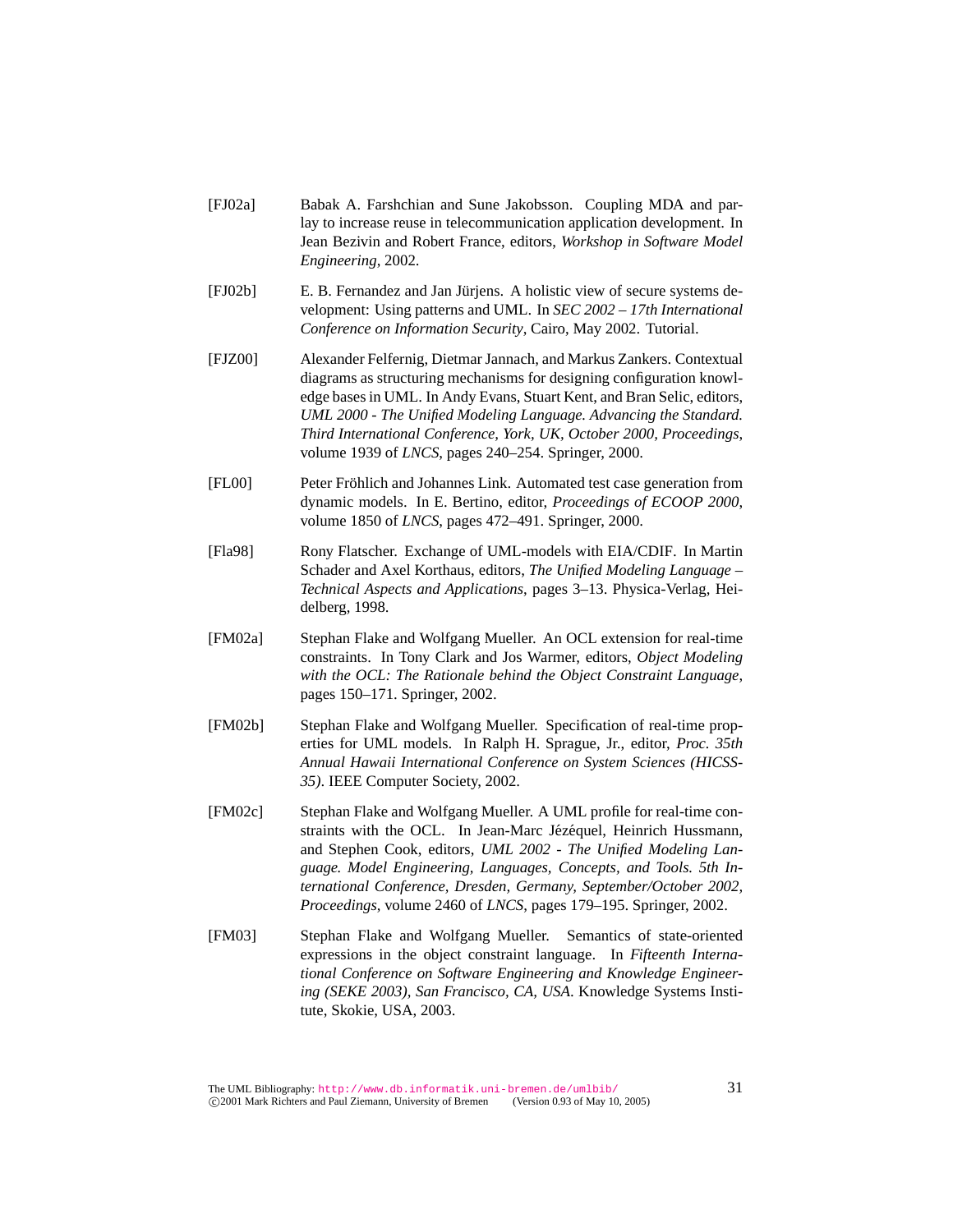- [FJ02a] Babak A. Farshchian and Sune Jakobsson. Coupling MDA and parlay to increase reuse in telecommunication application development. In Jean Bezivin and Robert France, editors, *Workshop in Software Model Engineering*, 2002.
- [FJ02b] E. B. Fernandez and Jan Jürjens. A holistic view of secure systems development: Using patterns and UML. In *SEC 2002 – 17th International Conference on Information Security*, Cairo, May 2002. Tutorial.
- [FJZ00] Alexander Felfernig, Dietmar Jannach, and Markus Zankers. Contextual diagrams as structuring mechanisms for designing configuration knowledge bases in UML. In Andy Evans, Stuart Kent, and Bran Selic, editors, *UML 2000 - The Unified Modeling Language. Advancing the Standard. Third International Conference, York, UK, October 2000, Proceedings*, volume 1939 of *LNCS*, pages 240–254. Springer, 2000.
- [FL00] Peter Fröhlich and Johannes Link. Automated test case generation from dynamic models. In E. Bertino, editor, *Proceedings of ECOOP 2000*, volume 1850 of *LNCS*, pages 472–491. Springer, 2000.
- [Fla98] Rony Flatscher. Exchange of UML-models with EIA/CDIF. In Martin Schader and Axel Korthaus, editors, *The Unified Modeling Language – Technical Aspects and Applications*, pages 3–13. Physica-Verlag, Heidelberg, 1998.
- [FM02a] Stephan Flake and Wolfgang Mueller. An OCL extension for real-time constraints. In Tony Clark and Jos Warmer, editors, *Object Modeling with the OCL: The Rationale behind the Object Constraint Language*, pages 150–171. Springer, 2002.
- [FM02b] Stephan Flake and Wolfgang Mueller. Specification of real-time properties for UML models. In Ralph H. Sprague, Jr., editor, *Proc. 35th Annual Hawaii International Conference on System Sciences (HICSS-35)*. IEEE Computer Society, 2002.
- [FM02c] Stephan Flake and Wolfgang Mueller. A UML profile for real-time constraints with the OCL. In Jean-Marc Jézéquel, Heinrich Hussmann, and Stephen Cook, editors, *UML 2002 - The Unified Modeling Language. Model Engineering, Languages, Concepts, and Tools. 5th International Conference, Dresden, Germany, September/October 2002, Proceedings*, volume 2460 of *LNCS*, pages 179–195. Springer, 2002.
- [FM03] Stephan Flake and Wolfgang Mueller. Semantics of state-oriented expressions in the object constraint language. In *Fifteenth International Conference on Software Engineering and Knowledge Engineering (SEKE 2003), San Francisco, CA, USA*. Knowledge Systems Institute, Skokie, USA, 2003.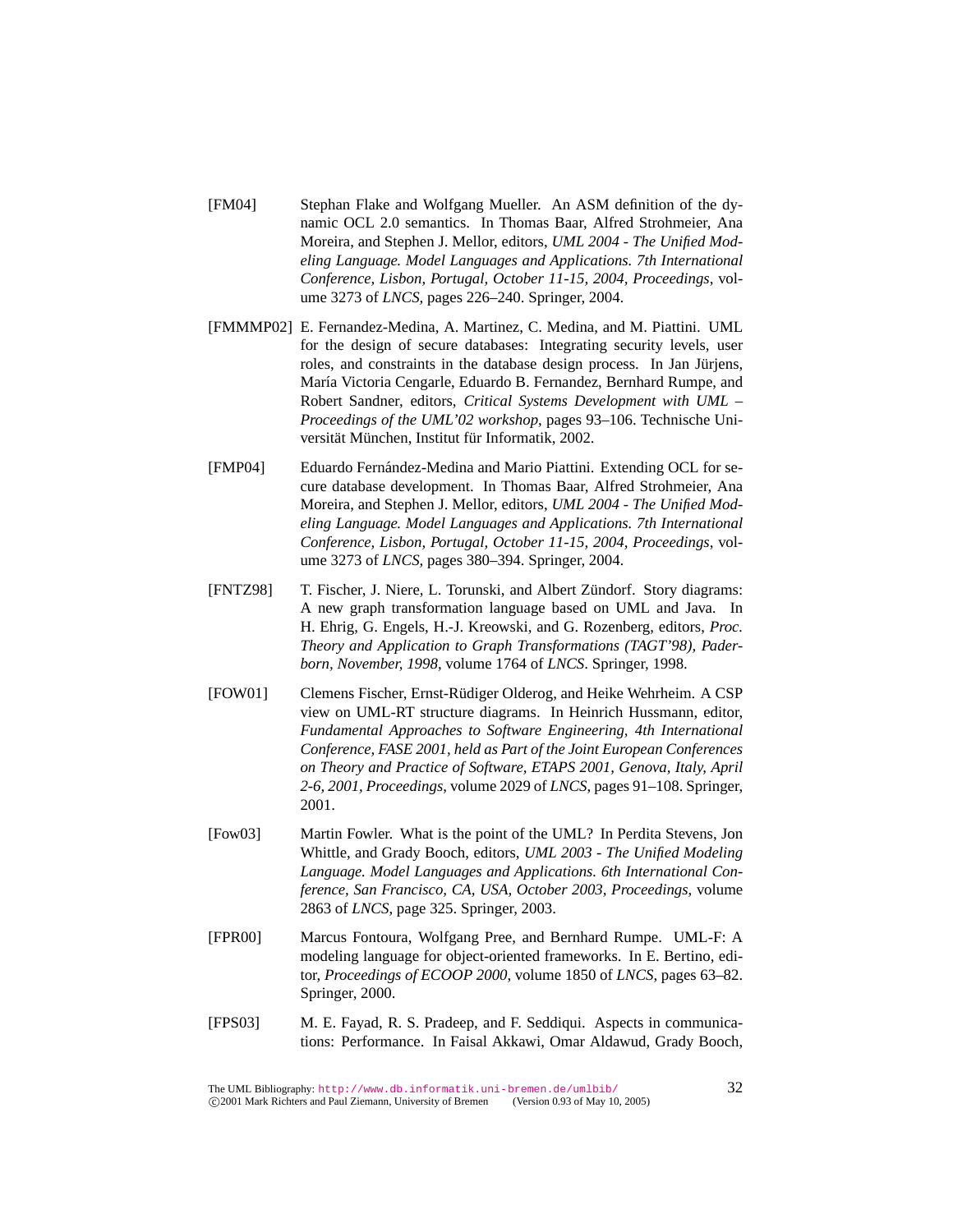- [FM04] Stephan Flake and Wolfgang Mueller. An ASM definition of the dynamic OCL 2.0 semantics. In Thomas Baar, Alfred Strohmeier, Ana Moreira, and Stephen J. Mellor, editors, *UML 2004 - The Unified Modeling Language. Model Languages and Applications. 7th International Conference, Lisbon, Portugal, October 11-15, 2004, Proceedings*, volume 3273 of *LNCS*, pages 226–240. Springer, 2004.
- [FMMMP02] E. Fernandez-Medina, A. Martinez, C. Medina, and M. Piattini. UML for the design of secure databases: Integrating security levels, user roles, and constraints in the database design process. In Jan Jüriens, María Victoria Cengarle, Eduardo B. Fernandez, Bernhard Rumpe, and Robert Sandner, editors, *Critical Systems Development with UML – Proceedings of the UML'02 workshop*, pages 93–106. Technische Universität München, Institut für Informatik, 2002.
- [FMP04] Eduardo Fernandez-Medina and Mario Piattini. Extending OCL for se- ´ cure database development. In Thomas Baar, Alfred Strohmeier, Ana Moreira, and Stephen J. Mellor, editors, *UML 2004 - The Unified Modeling Language. Model Languages and Applications. 7th International Conference, Lisbon, Portugal, October 11-15, 2004, Proceedings*, volume 3273 of *LNCS*, pages 380–394. Springer, 2004.
- [FNTZ98] T. Fischer, J. Niere, L. Torunski, and Albert Zündorf. Story diagrams: A new graph transformation language based on UML and Java. In H. Ehrig, G. Engels, H.-J. Kreowski, and G. Rozenberg, editors, *Proc. Theory and Application to Graph Transformations (TAGT'98), Paderborn, November, 1998*, volume 1764 of *LNCS*. Springer, 1998.
- [FOW01] Clemens Fischer, Ernst-Rüdiger Olderog, and Heike Wehrheim. A CSP view on UML-RT structure diagrams. In Heinrich Hussmann, editor, *Fundamental Approaches to Software Engineering, 4th International Conference, FASE 2001, held as Part of the Joint European Conferences on Theory and Practice of Software, ETAPS 2001, Genova, Italy, April 2-6, 2001, Proceedings*, volume 2029 of *LNCS*, pages 91–108. Springer, 2001.
- [Fow03] Martin Fowler. What is the point of the UML? In Perdita Stevens, Jon Whittle, and Grady Booch, editors, *UML 2003 - The Unified Modeling Language. Model Languages and Applications. 6th International Conference, San Francisco, CA, USA, October 2003, Proceedings*, volume 2863 of *LNCS*, page 325. Springer, 2003.
- [FPR00] Marcus Fontoura, Wolfgang Pree, and Bernhard Rumpe. UML-F: A modeling language for object-oriented frameworks. In E. Bertino, editor, *Proceedings of ECOOP 2000*, volume 1850 of *LNCS*, pages 63–82. Springer, 2000.
- [FPS03] M. E. Fayad, R. S. Pradeep, and F. Seddiqui. Aspects in communications: Performance. In Faisal Akkawi, Omar Aldawud, Grady Booch,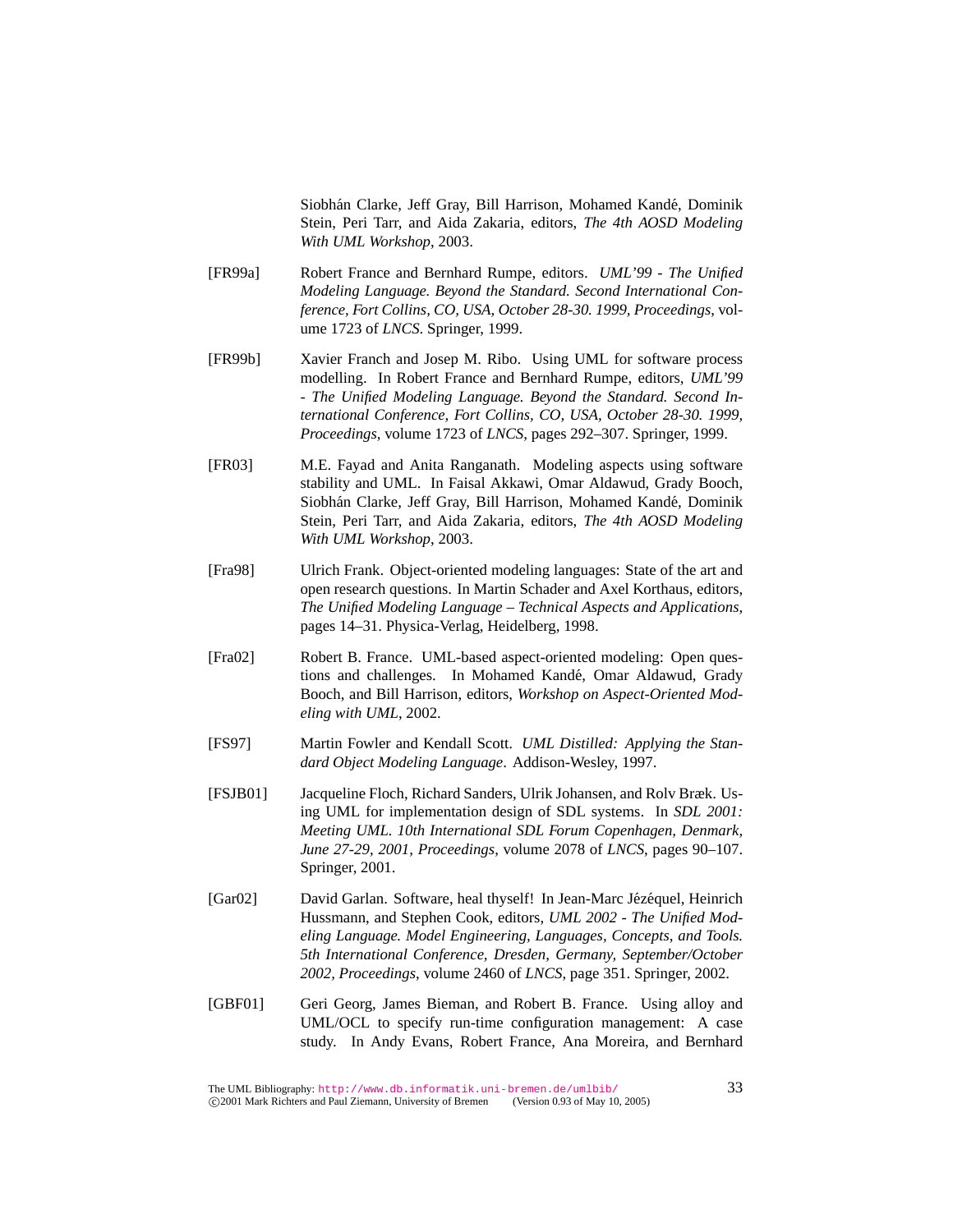Siobhán Clarke, Jeff Gray, Bill Harrison, Mohamed Kandé, Dominik Stein, Peri Tarr, and Aida Zakaria, editors, *The 4th AOSD Modeling With UML Workshop*, 2003.

- [FR99a] Robert France and Bernhard Rumpe, editors. *UML'99 The Unified Modeling Language. Beyond the Standard. Second International Conference, Fort Collins, CO, USA, October 28-30. 1999, Proceedings*, volume 1723 of *LNCS*. Springer, 1999.
- [FR99b] Xavier Franch and Josep M. Ribo. Using UML for software process modelling. In Robert France and Bernhard Rumpe, editors, *UML'99 - The Unified Modeling Language. Beyond the Standard. Second International Conference, Fort Collins, CO, USA, October 28-30. 1999, Proceedings*, volume 1723 of *LNCS*, pages 292–307. Springer, 1999.
- [FR03] M.E. Fayad and Anita Ranganath. Modeling aspects using software stability and UML. In Faisal Akkawi, Omar Aldawud, Grady Booch, Siobhán Clarke, Jeff Gray, Bill Harrison, Mohamed Kandé, Dominik Stein, Peri Tarr, and Aida Zakaria, editors, *The 4th AOSD Modeling With UML Workshop*, 2003.
- [Fra98] Ulrich Frank. Object-oriented modeling languages: State of the art and open research questions. In Martin Schader and Axel Korthaus, editors, *The Unified Modeling Language – Technical Aspects and Applications*, pages 14–31. Physica-Verlag, Heidelberg, 1998.
- [Fra02] Robert B. France. UML-based aspect-oriented modeling: Open questions and challenges. In Mohamed Kandé, Omar Aldawud, Grady Booch, and Bill Harrison, editors, *Workshop on Aspect-Oriented Modeling with UML*, 2002.
- [FS97] Martin Fowler and Kendall Scott. *UML Distilled: Applying the Standard Object Modeling Language*. Addison-Wesley, 1997.
- [FSJB01] Jacqueline Floch, Richard Sanders, Ulrik Johansen, and Rolv Bræk. Using UML for implementation design of SDL systems. In *SDL 2001: Meeting UML. 10th International SDL Forum Copenhagen, Denmark, June 27-29, 2001, Proceedings*, volume 2078 of *LNCS*, pages 90–107. Springer, 2001.
- [Gar02] David Garlan. Software, heal thyself! In Jean-Marc Jézéquel, Heinrich Hussmann, and Stephen Cook, editors, *UML 2002 - The Unified Modeling Language. Model Engineering, Languages, Concepts, and Tools. 5th International Conference, Dresden, Germany, September/October 2002, Proceedings*, volume 2460 of *LNCS*, page 351. Springer, 2002.
- [GBF01] Geri Georg, James Bieman, and Robert B. France. Using alloy and UML/OCL to specify run-time configuration management: A case study. In Andy Evans, Robert France, Ana Moreira, and Bernhard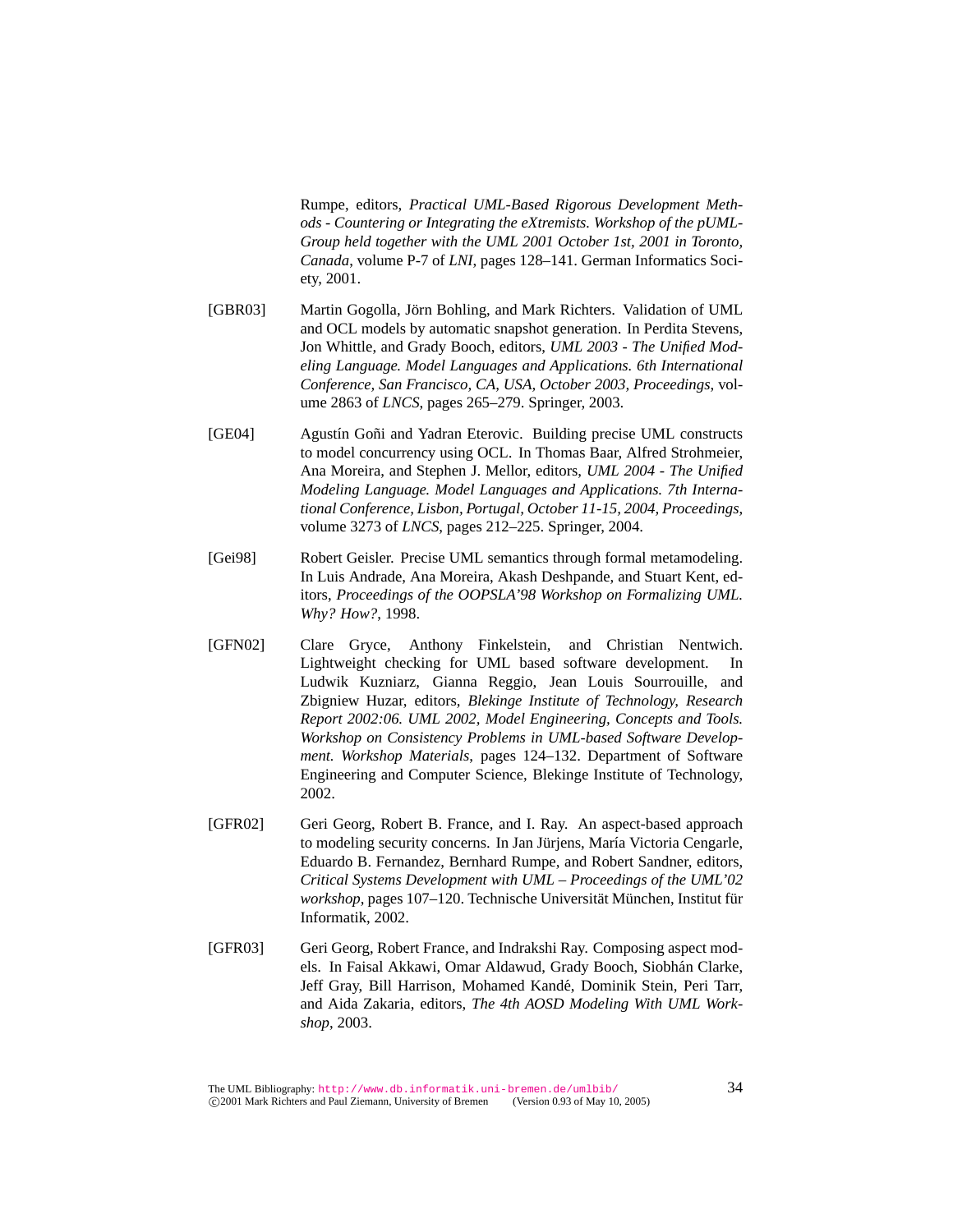Rumpe, editors, *Practical UML-Based Rigorous Development Methods - Countering or Integrating the eXtremists. Workshop of the pUML-Group held together with the UML 2001 October 1st, 2001 in Toronto, Canada*, volume P-7 of *LNI*, pages 128–141. German Informatics Society, 2001.

- [GBR03] Martin Gogolla, Jörn Bohling, and Mark Richters. Validation of UML and OCL models by automatic snapshot generation. In Perdita Stevens, Jon Whittle, and Grady Booch, editors, *UML 2003 - The Unified Modeling Language. Model Languages and Applications. 6th International Conference, San Francisco, CA, USA, October 2003, Proceedings*, volume 2863 of *LNCS*, pages 265–279. Springer, 2003.
- [GE04] Agustín Goñi and Yadran Eterovic. Building precise UML constructs to model concurrency using OCL. In Thomas Baar, Alfred Strohmeier, Ana Moreira, and Stephen J. Mellor, editors, *UML 2004 - The Unified Modeling Language. Model Languages and Applications. 7th International Conference, Lisbon, Portugal, October 11-15, 2004, Proceedings*, volume 3273 of *LNCS*, pages 212–225. Springer, 2004.
- [Gei98] Robert Geisler. Precise UML semantics through formal metamodeling. In Luis Andrade, Ana Moreira, Akash Deshpande, and Stuart Kent, editors, *Proceedings of the OOPSLA'98 Workshop on Formalizing UML. Why? How?*, 1998.
- [GFN02] Clare Gryce, Anthony Finkelstein, and Christian Nentwich. Lightweight checking for UML based software development. In Ludwik Kuzniarz, Gianna Reggio, Jean Louis Sourrouille, and Zbigniew Huzar, editors, *Blekinge Institute of Technology, Research Report 2002:06. UML 2002, Model Engineering, Concepts and Tools. Workshop on Consistency Problems in UML-based Software Development. Workshop Materials*, pages 124–132. Department of Software Engineering and Computer Science, Blekinge Institute of Technology, 2002.
- [GFR02] Geri Georg, Robert B. France, and I. Ray. An aspect-based approach to modeling security concerns. In Jan Jürjens, María Victoria Cengarle, Eduardo B. Fernandez, Bernhard Rumpe, and Robert Sandner, editors, *Critical Systems Development with UML – Proceedings of the UML'02 workshop*, pages 107–120. Technische Universität München, Institut für Informatik, 2002.
- [GFR03] Geri Georg, Robert France, and Indrakshi Ray. Composing aspect models. In Faisal Akkawi, Omar Aldawud, Grady Booch, Siobhán Clarke, Jeff Gray, Bill Harrison, Mohamed Kande, Dominik Stein, Peri Tarr, ´ and Aida Zakaria, editors, *The 4th AOSD Modeling With UML Workshop*, 2003.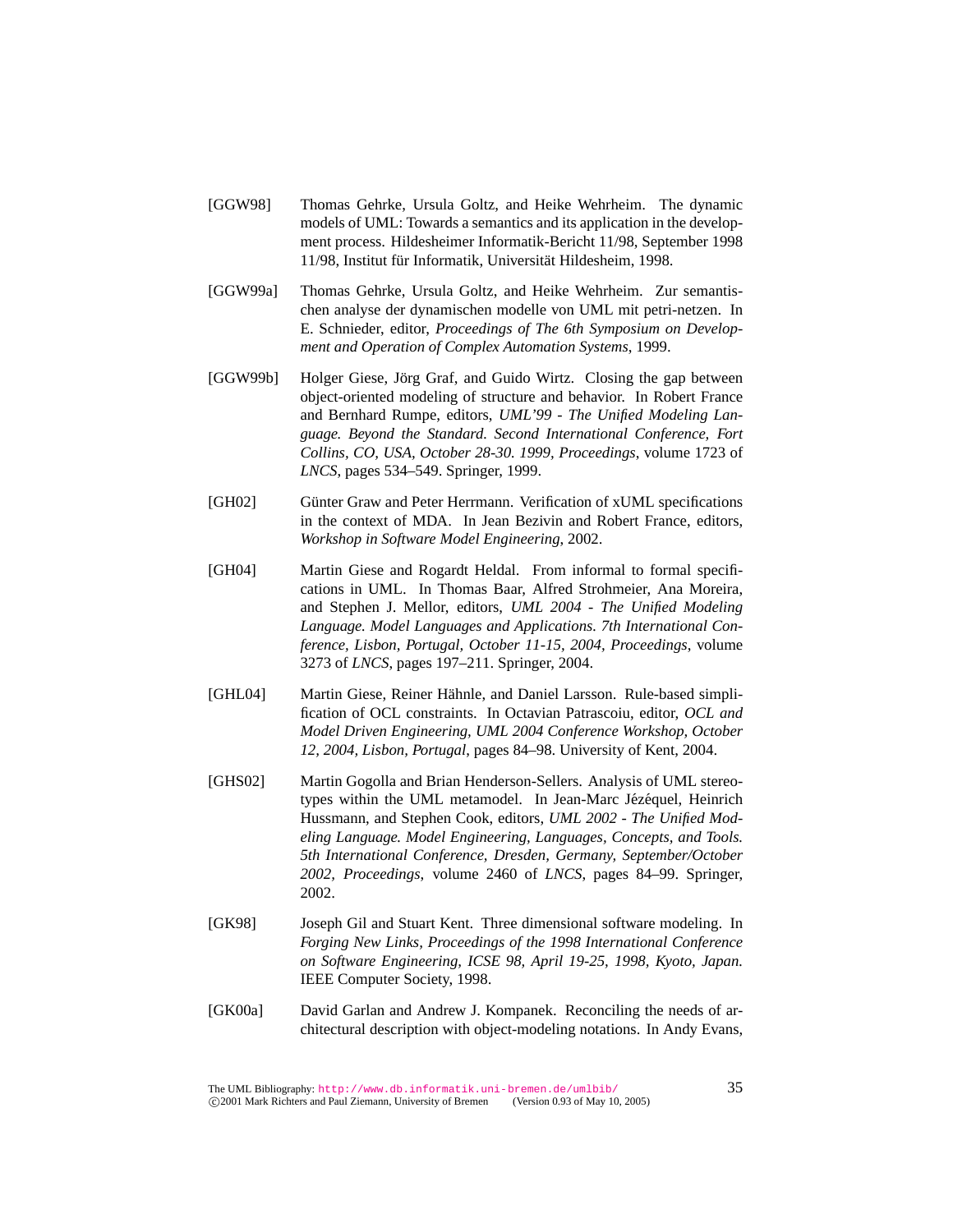- [GGW98] Thomas Gehrke, Ursula Goltz, and Heike Wehrheim. The dynamic models of UML: Towards a semantics and its application in the development process. Hildesheimer Informatik-Bericht 11/98, September 1998 11/98, Institut für Informatik, Universität Hildesheim, 1998.
- [GGW99a] Thomas Gehrke, Ursula Goltz, and Heike Wehrheim. Zur semantischen analyse der dynamischen modelle von UML mit petri-netzen. In E. Schnieder, editor, *Proceedings of The 6th Symposium on Development and Operation of Complex Automation Systems*, 1999.
- [GGW99b] Holger Giese, Jörg Graf, and Guido Wirtz. Closing the gap between object-oriented modeling of structure and behavior. In Robert France and Bernhard Rumpe, editors, *UML'99 - The Unified Modeling Language. Beyond the Standard. Second International Conference, Fort Collins, CO, USA, October 28-30. 1999, Proceedings*, volume 1723 of *LNCS*, pages 534–549. Springer, 1999.
- [GH02] Günter Graw and Peter Herrmann. Verification of xUML specifications in the context of MDA. In Jean Bezivin and Robert France, editors, *Workshop in Software Model Engineering*, 2002.
- [GH04] Martin Giese and Rogardt Heldal. From informal to formal specifications in UML. In Thomas Baar, Alfred Strohmeier, Ana Moreira, and Stephen J. Mellor, editors, *UML 2004 - The Unified Modeling Language. Model Languages and Applications. 7th International Conference, Lisbon, Portugal, October 11-15, 2004, Proceedings*, volume 3273 of *LNCS*, pages 197–211. Springer, 2004.
- [GHL04] Martin Giese, Reiner Hähnle, and Daniel Larsson. Rule-based simplification of OCL constraints. In Octavian Patrascoiu, editor, *OCL and Model Driven Engineering, UML 2004 Conference Workshop, October 12, 2004, Lisbon, Portugal*, pages 84–98. University of Kent, 2004.
- [GHS02] Martin Gogolla and Brian Henderson-Sellers. Analysis of UML stereotypes within the UML metamodel. In Jean-Marc Jézéquel, Heinrich Hussmann, and Stephen Cook, editors, *UML 2002 - The Unified Modeling Language. Model Engineering, Languages, Concepts, and Tools. 5th International Conference, Dresden, Germany, September/October 2002, Proceedings*, volume 2460 of *LNCS*, pages 84–99. Springer, 2002.
- [GK98] Joseph Gil and Stuart Kent. Three dimensional software modeling. In *Forging New Links, Proceedings of the 1998 International Conference on Software Engineering, ICSE 98, April 19-25, 1998, Kyoto, Japan.* IEEE Computer Society, 1998.
- [GK00a] David Garlan and Andrew J. Kompanek. Reconciling the needs of architectural description with object-modeling notations. In Andy Evans,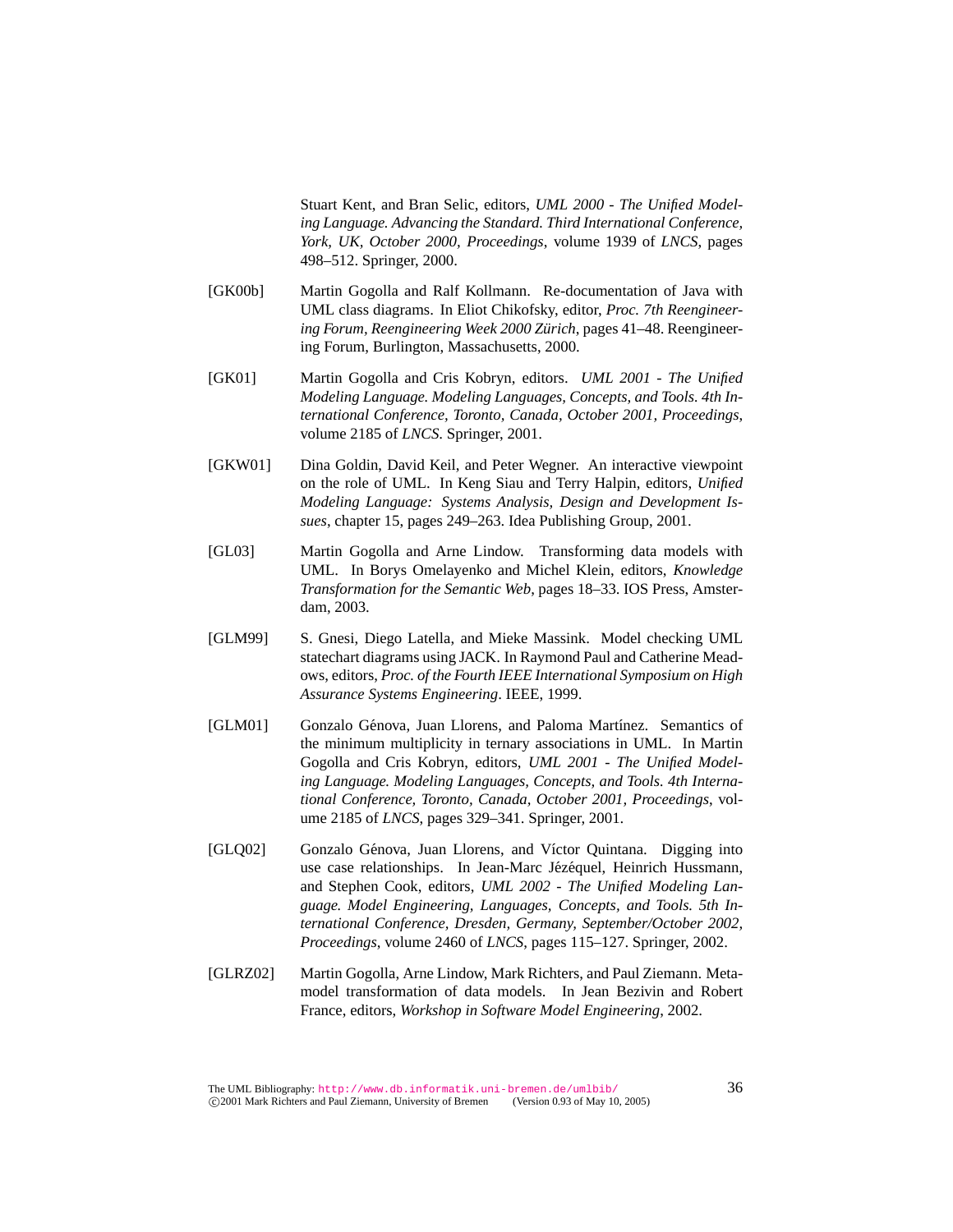Stuart Kent, and Bran Selic, editors, *UML 2000 - The Unified Modeling Language. Advancing the Standard. Third International Conference, York, UK, October 2000, Proceedings*, volume 1939 of *LNCS*, pages 498–512. Springer, 2000.

- [GK00b] Martin Gogolla and Ralf Kollmann. Re-documentation of Java with UML class diagrams. In Eliot Chikofsky, editor, *Proc. 7th Reengineering Forum, Reengineering Week 2000 Zürich, pages 41–48. Reengineer*ing Forum, Burlington, Massachusetts, 2000.
- [GK01] Martin Gogolla and Cris Kobryn, editors. *UML 2001 The Unified Modeling Language. Modeling Languages, Concepts, and Tools. 4th International Conference, Toronto, Canada, October 2001, Proceedings*, volume 2185 of *LNCS*. Springer, 2001.
- [GKW01] Dina Goldin, David Keil, and Peter Wegner. An interactive viewpoint on the role of UML. In Keng Siau and Terry Halpin, editors, *Unified Modeling Language: Systems Analysis, Design and Development Issues*, chapter 15, pages 249–263. Idea Publishing Group, 2001.
- [GL03] Martin Gogolla and Arne Lindow. Transforming data models with UML. In Borys Omelayenko and Michel Klein, editors, *Knowledge Transformation for the Semantic Web*, pages 18–33. IOS Press, Amsterdam, 2003.
- [GLM99] S. Gnesi, Diego Latella, and Mieke Massink. Model checking UML statechart diagrams using JACK. In Raymond Paul and Catherine Meadows, editors, *Proc. of the Fourth IEEE International Symposium on High Assurance Systems Engineering*. IEEE, 1999.
- [GLM01] Gonzalo Génova, Juan Llorens, and Paloma Martínez. Semantics of the minimum multiplicity in ternary associations in UML. In Martin Gogolla and Cris Kobryn, editors, *UML 2001 - The Unified Modeling Language. Modeling Languages, Concepts, and Tools. 4th International Conference, Toronto, Canada, October 2001, Proceedings*, volume 2185 of *LNCS*, pages 329–341. Springer, 2001.
- [GLQ02] Gonzalo Génova, Juan Llorens, and Víctor Quintana. Digging into use case relationships. In Jean-Marc Jézéquel, Heinrich Hussmann, and Stephen Cook, editors, *UML 2002 - The Unified Modeling Language. Model Engineering, Languages, Concepts, and Tools. 5th International Conference, Dresden, Germany, September/October 2002, Proceedings*, volume 2460 of *LNCS*, pages 115–127. Springer, 2002.
- [GLRZ02] Martin Gogolla, Arne Lindow, Mark Richters, and Paul Ziemann. Metamodel transformation of data models. In Jean Bezivin and Robert France, editors, *Workshop in Software Model Engineering*, 2002.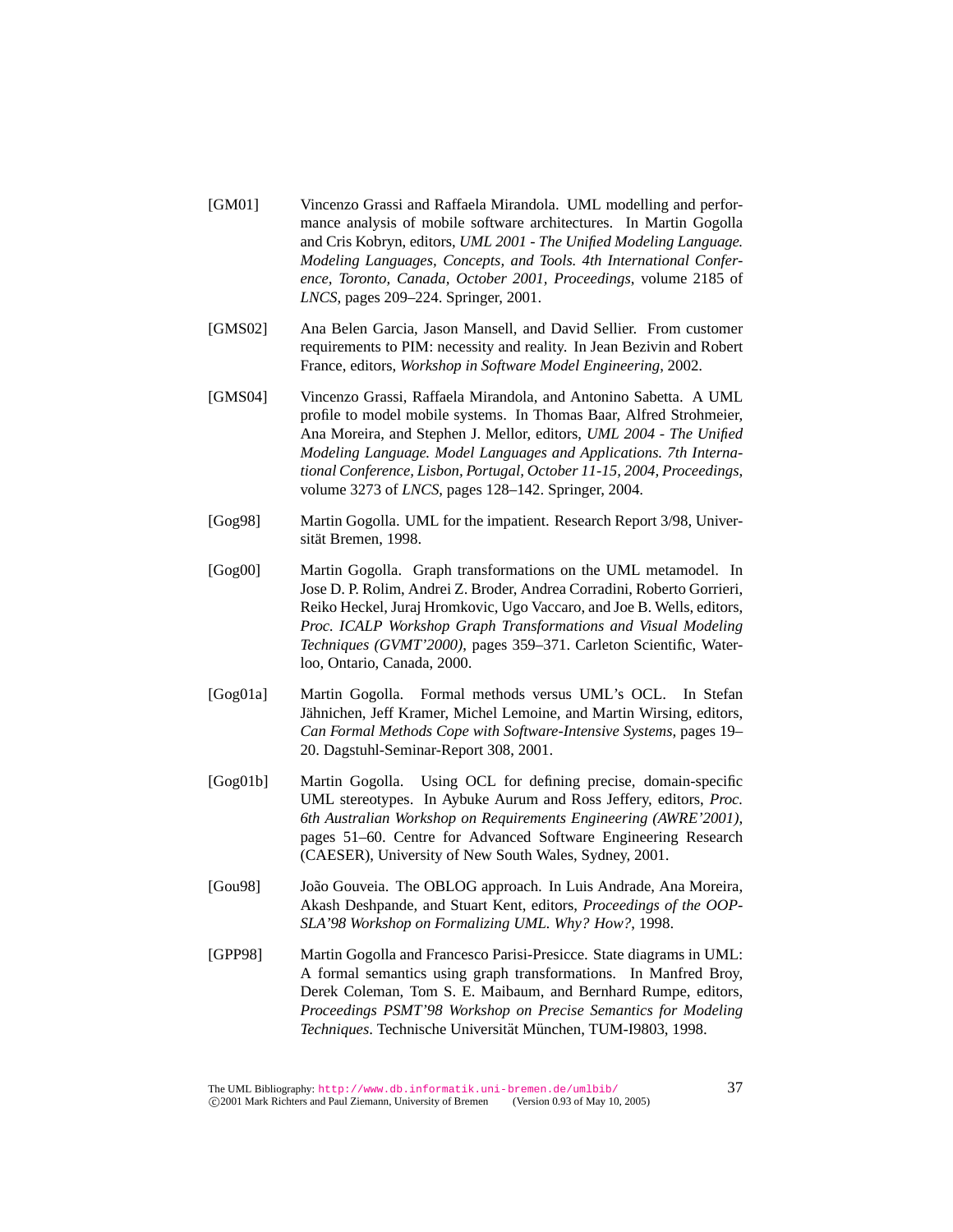- [GM01] Vincenzo Grassi and Raffaela Mirandola. UML modelling and performance analysis of mobile software architectures. In Martin Gogolla and Cris Kobryn, editors, *UML 2001 - The Unified Modeling Language. Modeling Languages, Concepts, and Tools. 4th International Conference, Toronto, Canada, October 2001, Proceedings*, volume 2185 of *LNCS*, pages 209–224. Springer, 2001.
- [GMS02] Ana Belen Garcia, Jason Mansell, and David Sellier. From customer requirements to PIM: necessity and reality. In Jean Bezivin and Robert France, editors, *Workshop in Software Model Engineering*, 2002.
- [GMS04] Vincenzo Grassi, Raffaela Mirandola, and Antonino Sabetta. A UML profile to model mobile systems. In Thomas Baar, Alfred Strohmeier, Ana Moreira, and Stephen J. Mellor, editors, *UML 2004 - The Unified Modeling Language. Model Languages and Applications. 7th International Conference, Lisbon, Portugal, October 11-15, 2004, Proceedings*, volume 3273 of *LNCS*, pages 128–142. Springer, 2004.
- [Gog98] Martin Gogolla. UML for the impatient. Research Report 3/98, Universität Bremen, 1998.
- [Gog00] Martin Gogolla. Graph transformations on the UML metamodel. In Jose D. P. Rolim, Andrei Z. Broder, Andrea Corradini, Roberto Gorrieri, Reiko Heckel, Juraj Hromkovic, Ugo Vaccaro, and Joe B. Wells, editors, *Proc. ICALP Workshop Graph Transformations and Visual Modeling Techniques (GVMT'2000)*, pages 359–371. Carleton Scientific, Waterloo, Ontario, Canada, 2000.
- [Gog01a] Martin Gogolla. Formal methods versus UML's OCL. In Stefan Jähnichen, Jeff Kramer, Michel Lemoine, and Martin Wirsing, editors, *Can Formal Methods Cope with Software-Intensive Systems*, pages 19– 20. Dagstuhl-Seminar-Report 308, 2001.
- [Gog01b] Martin Gogolla. Using OCL for defining precise, domain-specific UML stereotypes. In Aybuke Aurum and Ross Jeffery, editors, *Proc. 6th Australian Workshop on Requirements Engineering (AWRE'2001)*, pages 51–60. Centre for Advanced Software Engineering Research (CAESER), University of New South Wales, Sydney, 2001.
- [Gou98] João Gouveia. The OBLOG approach. In Luis Andrade, Ana Moreira, Akash Deshpande, and Stuart Kent, editors, *Proceedings of the OOP-SLA'98 Workshop on Formalizing UML. Why? How?*, 1998.
- [GPP98] Martin Gogolla and Francesco Parisi-Presicce. State diagrams in UML: A formal semantics using graph transformations. In Manfred Broy, Derek Coleman, Tom S. E. Maibaum, and Bernhard Rumpe, editors, *Proceedings PSMT'98 Workshop on Precise Semantics for Modeling* Techniques. Technische Universität München, TUM-I9803, 1998.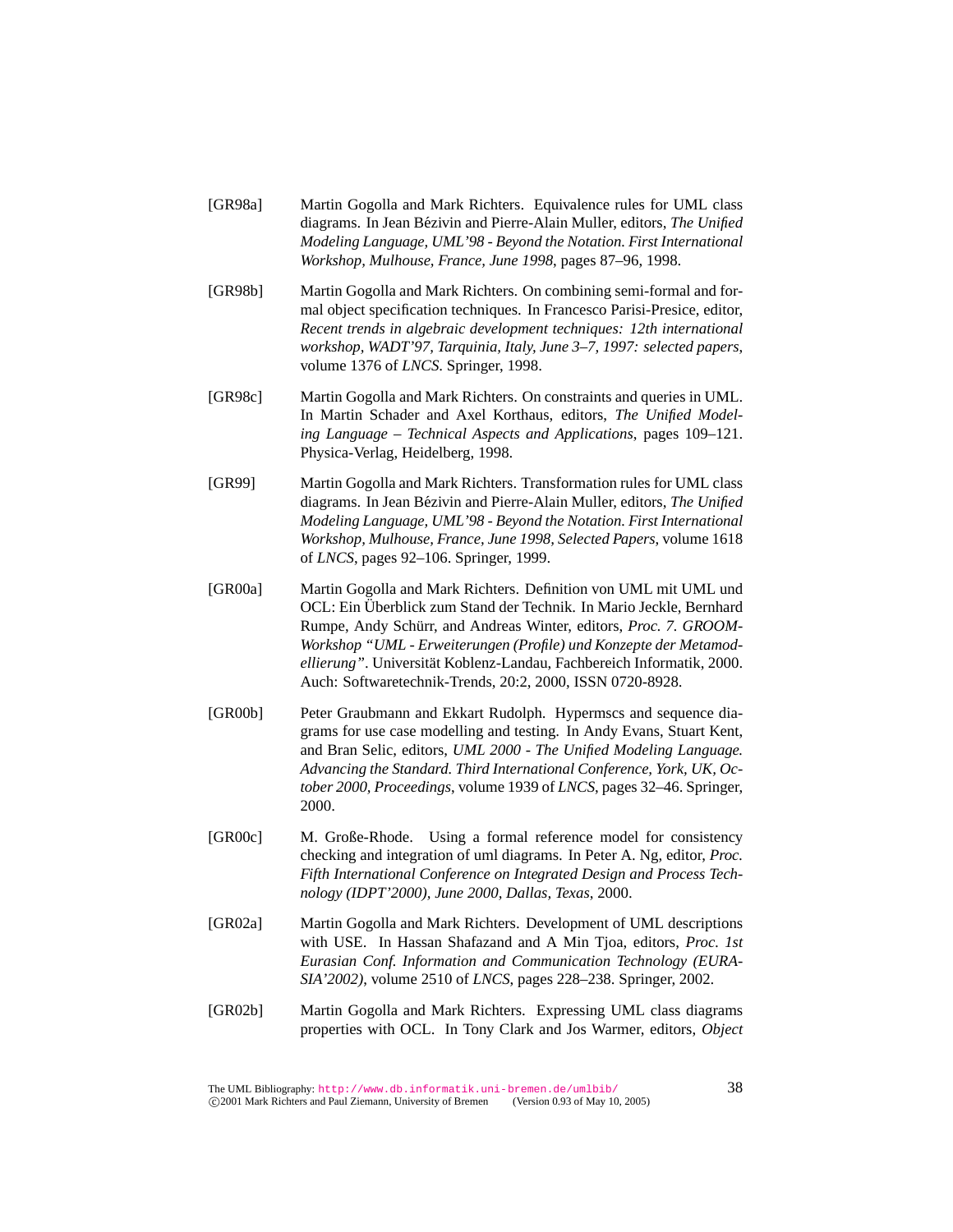- [GR98a] Martin Gogolla and Mark Richters. Equivalence rules for UML class diagrams. In Jean Bézivin and Pierre-Alain Muller, editors, The Unified *Modeling Language, UML'98 - Beyond the Notation. First International Workshop, Mulhouse, France, June 1998*, pages 87–96, 1998.
- [GR98b] Martin Gogolla and Mark Richters. On combining semi-formal and formal object specification techniques. In Francesco Parisi-Presice, editor, *Recent trends in algebraic development techniques: 12th international workshop, WADT'97, Tarquinia, Italy, June 3–7, 1997: selected papers*, volume 1376 of *LNCS*. Springer, 1998.
- [GR98c] Martin Gogolla and Mark Richters. On constraints and queries in UML. In Martin Schader and Axel Korthaus, editors, *The Unified Modeling Language – Technical Aspects and Applications*, pages 109–121. Physica-Verlag, Heidelberg, 1998.
- [GR99] Martin Gogolla and Mark Richters. Transformation rules for UML class diagrams. In Jean Bézivin and Pierre-Alain Muller, editors, The Unified *Modeling Language, UML'98 - Beyond the Notation. First International Workshop, Mulhouse, France, June 1998, Selected Papers*, volume 1618 of *LNCS*, pages 92–106. Springer, 1999.
- [GR00a] Martin Gogolla and Mark Richters. Definition von UML mit UML und OCL: Ein Uberblick zum Stand der Technik. In Mario Jeckle, Bernhard ¨ Rumpe, Andy Schürr, and Andreas Winter, editors, *Proc. 7. GROOM-Workshop "UML - Erweiterungen (Profile) und Konzepte der Metamodellierung"*. Universitat Koblenz-Landau, Fachbereich Informatik, 2000. ¨ Auch: Softwaretechnik-Trends, 20:2, 2000, ISSN 0720-8928.
- [GR00b] Peter Graubmann and Ekkart Rudolph. Hypermscs and sequence diagrams for use case modelling and testing. In Andy Evans, Stuart Kent, and Bran Selic, editors, *UML 2000 - The Unified Modeling Language. Advancing the Standard. Third International Conference, York, UK, October 2000, Proceedings*, volume 1939 of *LNCS*, pages 32–46. Springer, 2000.
- [GR00c] M. Große-Rhode. Using a formal reference model for consistency checking and integration of uml diagrams. In Peter A. Ng, editor, *Proc. Fifth International Conference on Integrated Design and Process Technology (IDPT'2000), June 2000, Dallas, Texas*, 2000.
- [GR02a] Martin Gogolla and Mark Richters. Development of UML descriptions with USE. In Hassan Shafazand and A Min Tjoa, editors, *Proc. 1st Eurasian Conf. Information and Communication Technology (EURA-SIA'2002)*, volume 2510 of *LNCS*, pages 228–238. Springer, 2002.
- [GR02b] Martin Gogolla and Mark Richters. Expressing UML class diagrams properties with OCL. In Tony Clark and Jos Warmer, editors, *Object*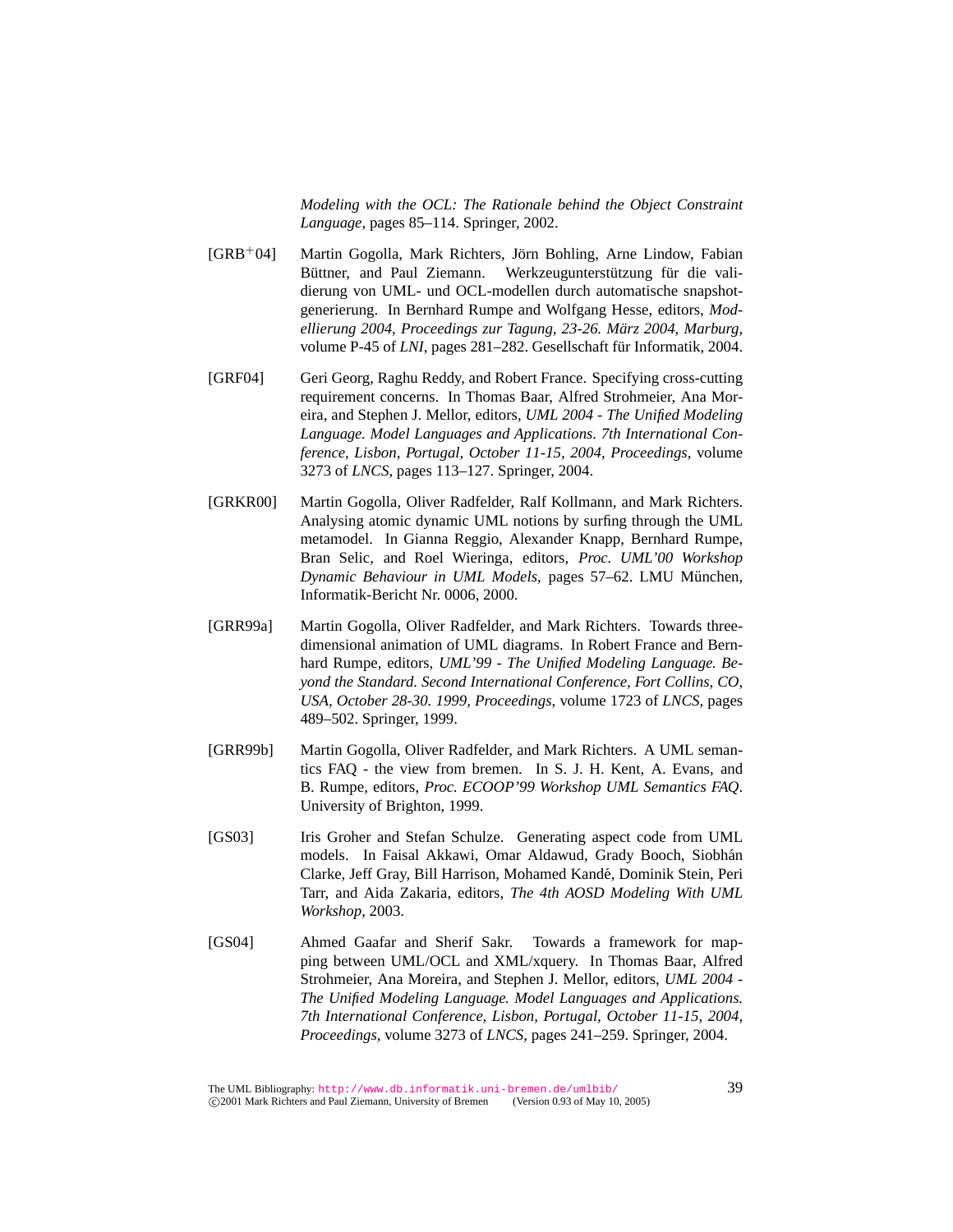*Modeling with the OCL: The Rationale behind the Object Constraint Language*, pages 85–114. Springer, 2002.

- [GRB<sup>+</sup>04] Martin Gogolla, Mark Richters, Jorn Bohling, Arne Lindow, Fabian ¨ Büttner, and Paul Ziemann. Werkzeugunterstützung für die validierung von UML- und OCL-modellen durch automatische snapshotgenerierung. In Bernhard Rumpe and Wolfgang Hesse, editors, *Modellierung 2004, Proceedings zur Tagung, 23-26. Marz 2004, Marburg ¨* , volume P-45 of *LNI*, pages 281–282. Gesellschaft für Informatik, 2004.
- [GRF04] Geri Georg, Raghu Reddy, and Robert France. Specifying cross-cutting requirement concerns. In Thomas Baar, Alfred Strohmeier, Ana Moreira, and Stephen J. Mellor, editors, *UML 2004 - The Unified Modeling Language. Model Languages and Applications. 7th International Conference, Lisbon, Portugal, October 11-15, 2004, Proceedings*, volume 3273 of *LNCS*, pages 113–127. Springer, 2004.
- [GRKR00] Martin Gogolla, Oliver Radfelder, Ralf Kollmann, and Mark Richters. Analysing atomic dynamic UML notions by surfing through the UML metamodel. In Gianna Reggio, Alexander Knapp, Bernhard Rumpe, Bran Selic, and Roel Wieringa, editors, *Proc. UML'00 Workshop Dynamic Behaviour in UML Models*, pages 57–62. LMU München, Informatik-Bericht Nr. 0006, 2000.
- [GRR99a] Martin Gogolla, Oliver Radfelder, and Mark Richters. Towards threedimensional animation of UML diagrams. In Robert France and Bernhard Rumpe, editors, *UML'99 - The Unified Modeling Language. Beyond the Standard. Second International Conference, Fort Collins, CO, USA, October 28-30. 1999, Proceedings*, volume 1723 of *LNCS*, pages 489–502. Springer, 1999.
- [GRR99b] Martin Gogolla, Oliver Radfelder, and Mark Richters. A UML semantics FAQ - the view from bremen. In S. J. H. Kent, A. Evans, and B. Rumpe, editors, *Proc. ECOOP'99 Workshop UML Semantics FAQ*. University of Brighton, 1999.
- [GS03] Iris Groher and Stefan Schulze. Generating aspect code from UML models. In Faisal Akkawi, Omar Aldawud, Grady Booch, Siobhán Clarke, Jeff Gray, Bill Harrison, Mohamed Kande, Dominik Stein, Peri ´ Tarr, and Aida Zakaria, editors, *The 4th AOSD Modeling With UML Workshop*, 2003.
- [GS04] Ahmed Gaafar and Sherif Sakr. Towards a framework for mapping between UML/OCL and XML/xquery. In Thomas Baar, Alfred Strohmeier, Ana Moreira, and Stephen J. Mellor, editors, *UML 2004 - The Unified Modeling Language. Model Languages and Applications. 7th International Conference, Lisbon, Portugal, October 11-15, 2004, Proceedings*, volume 3273 of *LNCS*, pages 241–259. Springer, 2004.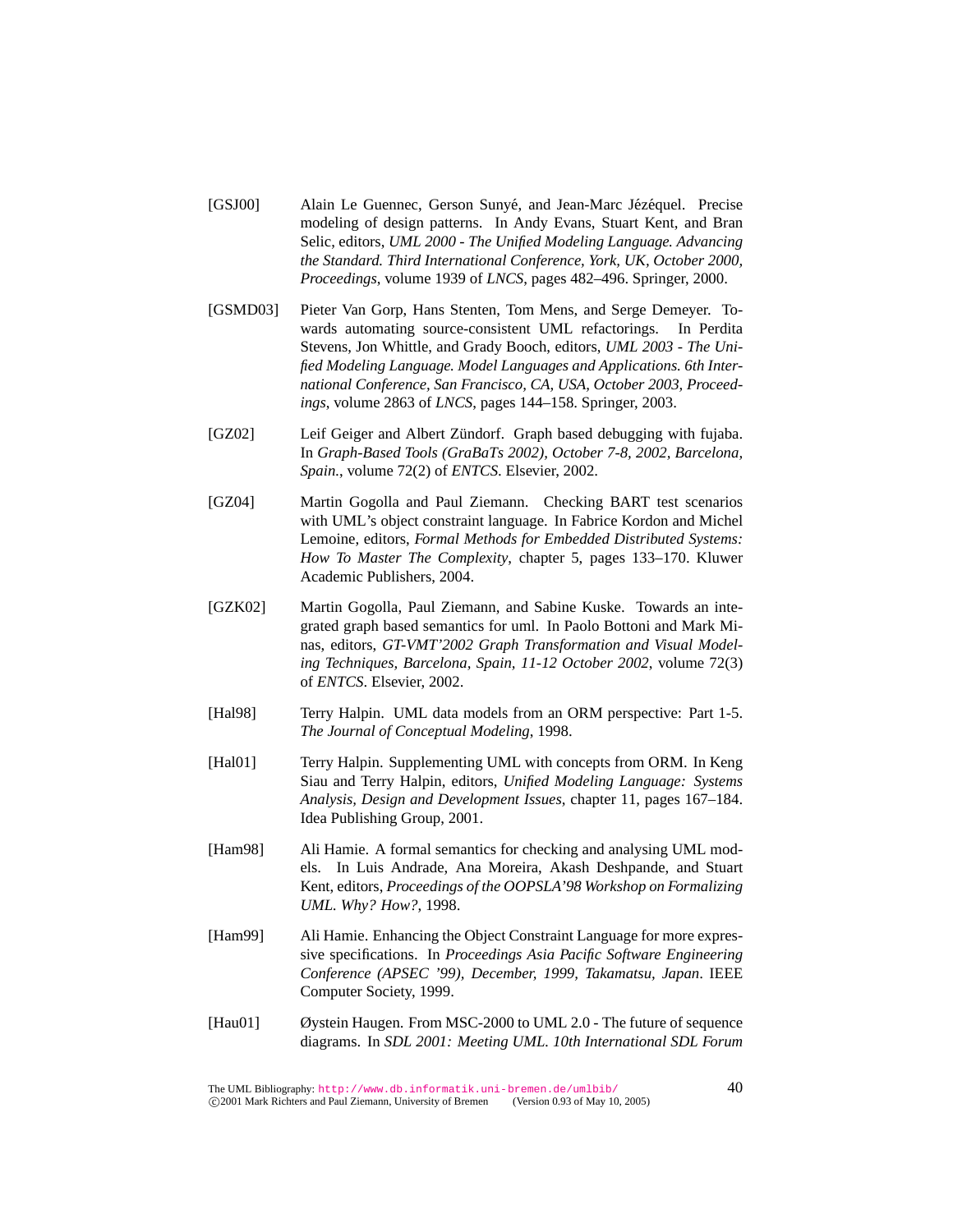- [GSJ00] Alain Le Guennec, Gerson Sunyé, and Jean-Marc Jézéquel. Precise modeling of design patterns. In Andy Evans, Stuart Kent, and Bran Selic, editors, *UML 2000 - The Unified Modeling Language. Advancing the Standard. Third International Conference, York, UK, October 2000, Proceedings*, volume 1939 of *LNCS*, pages 482–496. Springer, 2000.
- [GSMD03] Pieter Van Gorp, Hans Stenten, Tom Mens, and Serge Demeyer. Towards automating source-consistent UML refactorings. In Perdita Stevens, Jon Whittle, and Grady Booch, editors, *UML 2003 - The Unified Modeling Language. Model Languages and Applications. 6th International Conference, San Francisco, CA, USA, October 2003, Proceedings*, volume 2863 of *LNCS*, pages 144–158. Springer, 2003.
- [GZ02] Leif Geiger and Albert Zündorf. Graph based debugging with fujaba. In *Graph-Based Tools (GraBaTs 2002), October 7-8, 2002, Barcelona, Spain.*, volume 72(2) of *ENTCS*. Elsevier, 2002.
- [GZ04] Martin Gogolla and Paul Ziemann. Checking BART test scenarios with UML's object constraint language. In Fabrice Kordon and Michel Lemoine, editors, *Formal Methods for Embedded Distributed Systems: How To Master The Complexity*, chapter 5, pages 133–170. Kluwer Academic Publishers, 2004.
- [GZK02] Martin Gogolla, Paul Ziemann, and Sabine Kuske. Towards an integrated graph based semantics for uml. In Paolo Bottoni and Mark Minas, editors, *GT-VMT'2002 Graph Transformation and Visual Modeling Techniques, Barcelona, Spain, 11-12 October 2002*, volume 72(3) of *ENTCS*. Elsevier, 2002.
- [Hal98] Terry Halpin. UML data models from an ORM perspective: Part 1-5. *The Journal of Conceptual Modeling*, 1998.
- [Hal01] Terry Halpin. Supplementing UML with concepts from ORM. In Keng Siau and Terry Halpin, editors, *Unified Modeling Language: Systems Analysis, Design and Development Issues*, chapter 11, pages 167–184. Idea Publishing Group, 2001.
- [Ham98] Ali Hamie. A formal semantics for checking and analysing UML models. In Luis Andrade, Ana Moreira, Akash Deshpande, and Stuart Kent, editors, *Proceedings of the OOPSLA'98 Workshop on Formalizing UML. Why? How?*, 1998.
- [Ham99] Ali Hamie. Enhancing the Object Constraint Language for more expressive specifications. In *Proceedings Asia Pacific Software Engineering Conference (APSEC '99), December, 1999, Takamatsu, Japan*. IEEE Computer Society, 1999.
- [Hau01] Øystein Haugen. From MSC-2000 to UML 2.0 The future of sequence diagrams. In *SDL 2001: Meeting UML. 10th International SDL Forum*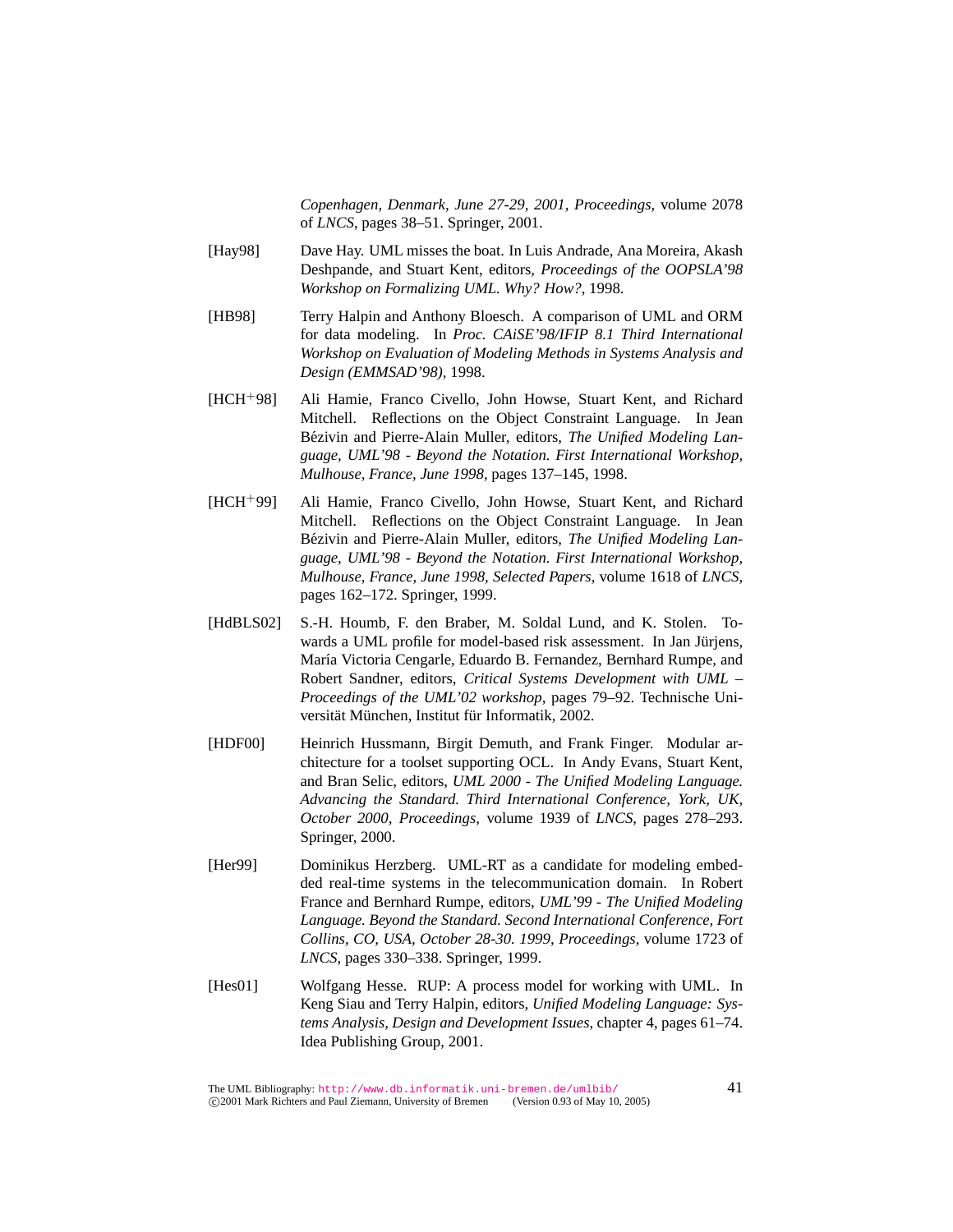*Copenhagen, Denmark, June 27-29, 2001, Proceedings*, volume 2078 of *LNCS*, pages 38–51. Springer, 2001.

- [Hay98] Dave Hay. UML misses the boat. In Luis Andrade, Ana Moreira, Akash Deshpande, and Stuart Kent, editors, *Proceedings of the OOPSLA'98 Workshop on Formalizing UML. Why? How?*, 1998.
- [HB98] Terry Halpin and Anthony Bloesch. A comparison of UML and ORM for data modeling. In *Proc. CAiSE'98/IFIP 8.1 Third International Workshop on Evaluation of Modeling Methods in Systems Analysis and Design (EMMSAD'98)*, 1998.
- [HCH<sup>+</sup>98] Ali Hamie, Franco Civello, John Howse, Stuart Kent, and Richard Mitchell. Reflections on the Object Constraint Language. In Jean Bézivin and Pierre-Alain Muller, editors, *The Unified Modeling Language, UML'98 - Beyond the Notation. First International Workshop, Mulhouse, France, June 1998*, pages 137–145, 1998.
- [HCH<sup>+</sup>99] Ali Hamie, Franco Civello, John Howse, Stuart Kent, and Richard Mitchell. Reflections on the Object Constraint Language. In Jean Bézivin and Pierre-Alain Muller, editors, The Unified Modeling Lan*guage, UML'98 - Beyond the Notation. First International Workshop, Mulhouse, France, June 1998, Selected Papers*, volume 1618 of *LNCS*, pages 162–172. Springer, 1999.
- [HdBLS02] S.-H. Houmb, F. den Braber, M. Soldal Lund, and K. Stolen. Towards a UML profile for model-based risk assessment. In Jan Jürjens, María Victoria Cengarle, Eduardo B. Fernandez, Bernhard Rumpe, and Robert Sandner, editors, *Critical Systems Development with UML – Proceedings of the UML'02 workshop*, pages 79–92. Technische Universität München, Institut für Informatik, 2002.
- [HDF00] Heinrich Hussmann, Birgit Demuth, and Frank Finger. Modular architecture for a toolset supporting OCL. In Andy Evans, Stuart Kent, and Bran Selic, editors, *UML 2000 - The Unified Modeling Language. Advancing the Standard. Third International Conference, York, UK, October 2000, Proceedings*, volume 1939 of *LNCS*, pages 278–293. Springer, 2000.
- [Her99] Dominikus Herzberg. UML-RT as a candidate for modeling embedded real-time systems in the telecommunication domain. In Robert France and Bernhard Rumpe, editors, *UML'99 - The Unified Modeling Language. Beyond the Standard. Second International Conference, Fort Collins, CO, USA, October 28-30. 1999, Proceedings*, volume 1723 of *LNCS*, pages 330–338. Springer, 1999.
- [Hes01] Wolfgang Hesse. RUP: A process model for working with UML. In Keng Siau and Terry Halpin, editors, *Unified Modeling Language: Systems Analysis, Design and Development Issues*, chapter 4, pages 61–74. Idea Publishing Group, 2001.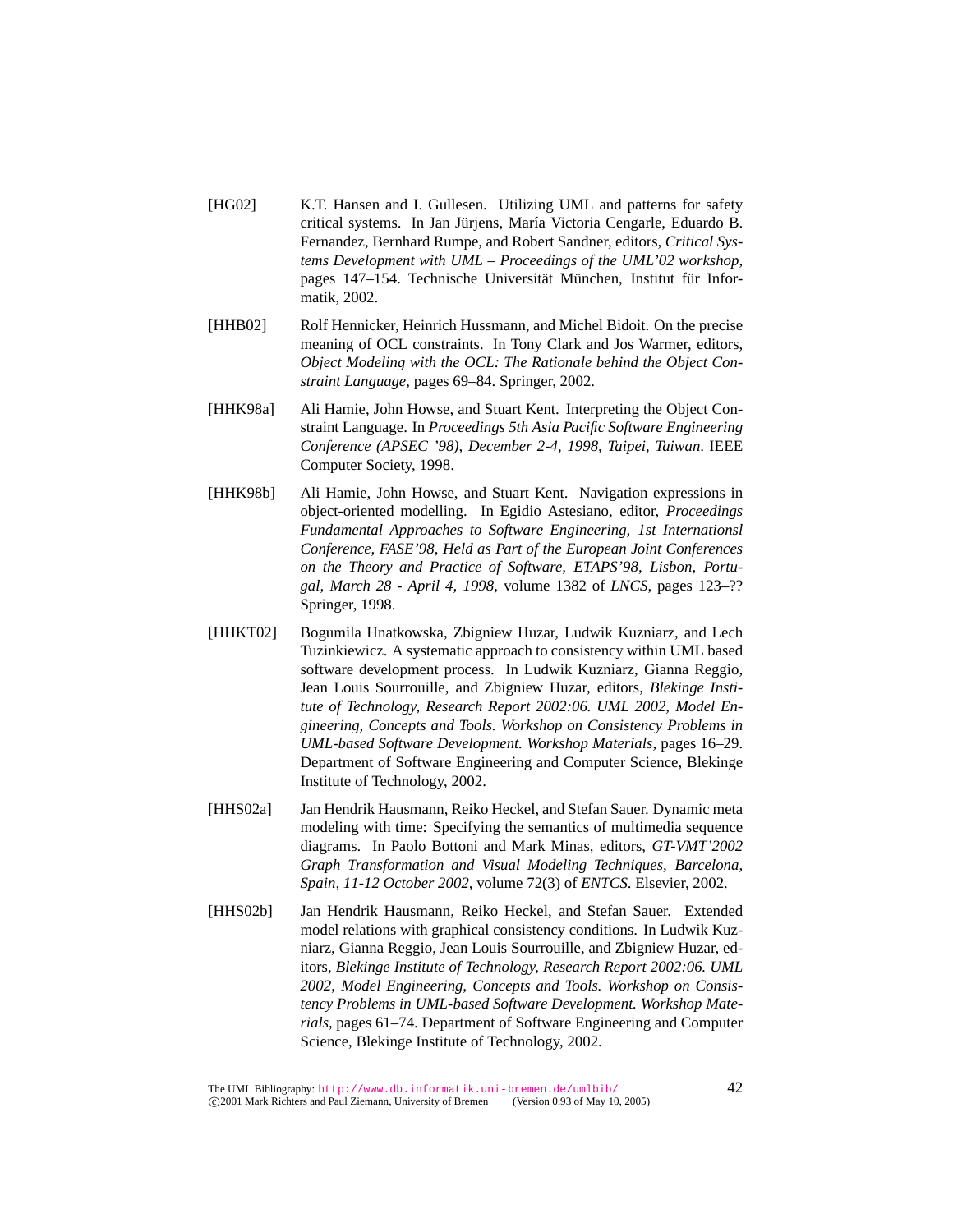- [HG02] K.T. Hansen and I. Gullesen. Utilizing UML and patterns for safety critical systems. In Jan Jürjens, María Victoria Cengarle, Eduardo B. Fernandez, Bernhard Rumpe, and Robert Sandner, editors, *Critical Systems Development with UML – Proceedings of the UML'02 workshop*, pages 147–154. Technische Universität München, Institut für Informatik, 2002.
- [HHB02] Rolf Hennicker, Heinrich Hussmann, and Michel Bidoit. On the precise meaning of OCL constraints. In Tony Clark and Jos Warmer, editors, *Object Modeling with the OCL: The Rationale behind the Object Constraint Language*, pages 69–84. Springer, 2002.
- [HHK98a] Ali Hamie, John Howse, and Stuart Kent. Interpreting the Object Constraint Language. In *Proceedings 5th Asia Pacific Software Engineering Conference (APSEC '98), December 2-4, 1998, Taipei, Taiwan*. IEEE Computer Society, 1998.
- [HHK98b] Ali Hamie, John Howse, and Stuart Kent. Navigation expressions in object-oriented modelling. In Egidio Astesiano, editor, *Proceedings Fundamental Approaches to Software Engineering, 1st Internationsl Conference, FASE'98, Held as Part of the European Joint Conferences on the Theory and Practice of Software, ETAPS'98, Lisbon, Portugal, March 28 - April 4, 1998*, volume 1382 of *LNCS*, pages 123–?? Springer, 1998.
- [HHKT02] Bogumila Hnatkowska, Zbigniew Huzar, Ludwik Kuzniarz, and Lech Tuzinkiewicz. A systematic approach to consistency within UML based software development process. In Ludwik Kuzniarz, Gianna Reggio, Jean Louis Sourrouille, and Zbigniew Huzar, editors, *Blekinge Institute of Technology, Research Report 2002:06. UML 2002, Model Engineering, Concepts and Tools. Workshop on Consistency Problems in UML-based Software Development. Workshop Materials*, pages 16–29. Department of Software Engineering and Computer Science, Blekinge Institute of Technology, 2002.
- [HHS02a] Jan Hendrik Hausmann, Reiko Heckel, and Stefan Sauer. Dynamic meta modeling with time: Specifying the semantics of multimedia sequence diagrams. In Paolo Bottoni and Mark Minas, editors, *GT-VMT'2002 Graph Transformation and Visual Modeling Techniques, Barcelona, Spain, 11-12 October 2002*, volume 72(3) of *ENTCS*. Elsevier, 2002.
- [HHS02b] Jan Hendrik Hausmann, Reiko Heckel, and Stefan Sauer. Extended model relations with graphical consistency conditions. In Ludwik Kuzniarz, Gianna Reggio, Jean Louis Sourrouille, and Zbigniew Huzar, editors, *Blekinge Institute of Technology, Research Report 2002:06. UML 2002, Model Engineering, Concepts and Tools. Workshop on Consistency Problems in UML-based Software Development. Workshop Materials*, pages 61–74. Department of Software Engineering and Computer Science, Blekinge Institute of Technology, 2002.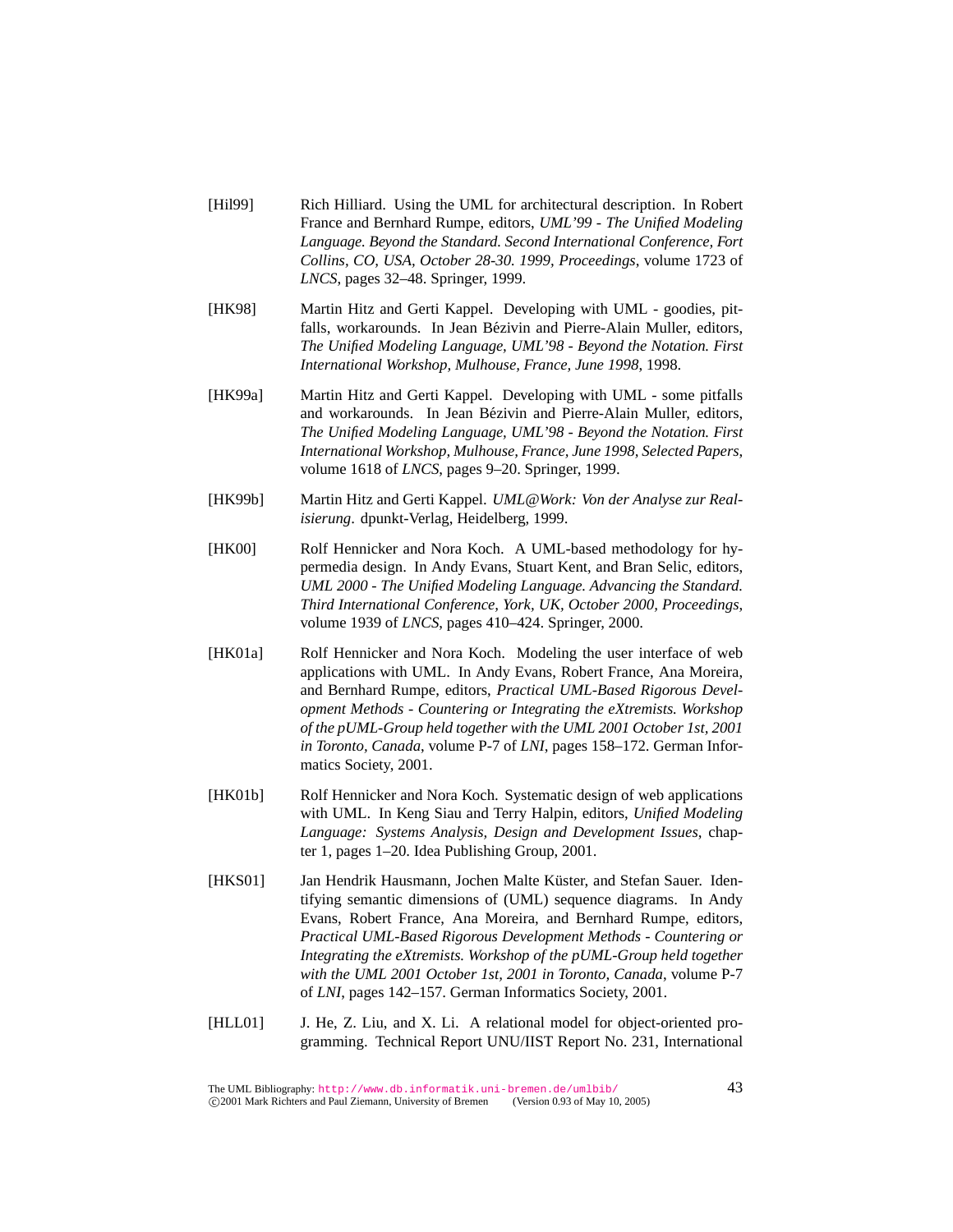- [Hil99] Rich Hilliard. Using the UML for architectural description. In Robert France and Bernhard Rumpe, editors, *UML'99 - The Unified Modeling Language. Beyond the Standard. Second International Conference, Fort Collins, CO, USA, October 28-30. 1999, Proceedings*, volume 1723 of *LNCS*, pages 32–48. Springer, 1999.
- [HK98] Martin Hitz and Gerti Kappel. Developing with UML goodies, pitfalls, workarounds. In Jean Bézivin and Pierre-Alain Muller, editors, *The Unified Modeling Language, UML'98 - Beyond the Notation. First International Workshop, Mulhouse, France, June 1998*, 1998.
- [HK99a] Martin Hitz and Gerti Kappel. Developing with UML some pitfalls and workarounds. In Jean Bézivin and Pierre-Alain Muller, editors, *The Unified Modeling Language, UML'98 - Beyond the Notation. First International Workshop, Mulhouse, France, June 1998, Selected Papers*, volume 1618 of *LNCS*, pages 9–20. Springer, 1999.
- [HK99b] Martin Hitz and Gerti Kappel. *UML@Work: Von der Analyse zur Realisierung*. dpunkt-Verlag, Heidelberg, 1999.
- [HK00] Rolf Hennicker and Nora Koch. A UML-based methodology for hypermedia design. In Andy Evans, Stuart Kent, and Bran Selic, editors, *UML 2000 - The Unified Modeling Language. Advancing the Standard. Third International Conference, York, UK, October 2000, Proceedings*, volume 1939 of *LNCS*, pages 410–424. Springer, 2000.
- [HK01a] Rolf Hennicker and Nora Koch. Modeling the user interface of web applications with UML. In Andy Evans, Robert France, Ana Moreira, and Bernhard Rumpe, editors, *Practical UML-Based Rigorous Development Methods - Countering or Integrating the eXtremists. Workshop of the pUML-Group held together with the UML 2001 October 1st, 2001 in Toronto, Canada*, volume P-7 of *LNI*, pages 158–172. German Informatics Society, 2001.
- [HK01b] Rolf Hennicker and Nora Koch. Systematic design of web applications with UML. In Keng Siau and Terry Halpin, editors, *Unified Modeling Language: Systems Analysis, Design and Development Issues*, chapter 1, pages 1–20. Idea Publishing Group, 2001.
- [HKS01] Jan Hendrik Hausmann, Jochen Malte Küster, and Stefan Sauer. Identifying semantic dimensions of (UML) sequence diagrams. In Andy Evans, Robert France, Ana Moreira, and Bernhard Rumpe, editors, *Practical UML-Based Rigorous Development Methods - Countering or Integrating the eXtremists. Workshop of the pUML-Group held together with the UML 2001 October 1st, 2001 in Toronto, Canada*, volume P-7 of *LNI*, pages 142–157. German Informatics Society, 2001.
- [HLL01] J. He, Z. Liu, and X. Li. A relational model for object-oriented programming. Technical Report UNU/IIST Report No. 231, International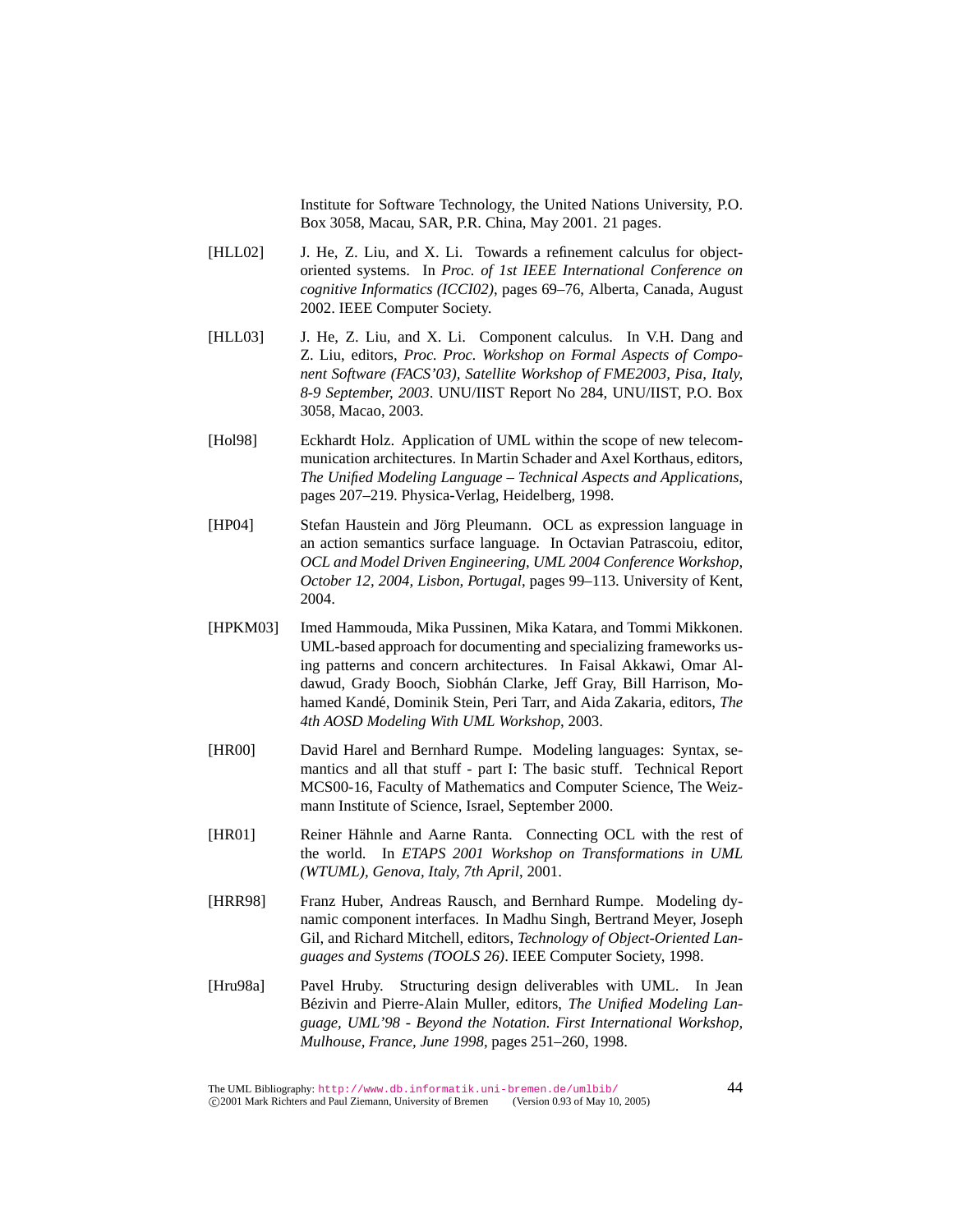Institute for Software Technology, the United Nations University, P.O. Box 3058, Macau, SAR, P.R. China, May 2001. 21 pages.

- [HLL02] J. He, Z. Liu, and X. Li. Towards a refinement calculus for objectoriented systems. In *Proc. of 1st IEEE International Conference on cognitive Informatics (ICCI02)*, pages 69–76, Alberta, Canada, August 2002. IEEE Computer Society.
- [HLL03] J. He, Z. Liu, and X. Li. Component calculus. In V.H. Dang and Z. Liu, editors, *Proc. Proc. Workshop on Formal Aspects of Component Software (FACS'03), Satellite Workshop of FME2003, Pisa, Italy, 8-9 September, 2003*. UNU/IIST Report No 284, UNU/IIST, P.O. Box 3058, Macao, 2003.
- [Hol98] Eckhardt Holz. Application of UML within the scope of new telecommunication architectures. In Martin Schader and Axel Korthaus, editors, *The Unified Modeling Language – Technical Aspects and Applications*, pages 207–219. Physica-Verlag, Heidelberg, 1998.
- [HP04] Stefan Haustein and Jörg Pleumann. OCL as expression language in an action semantics surface language. In Octavian Patrascoiu, editor, *OCL and Model Driven Engineering, UML 2004 Conference Workshop, October 12, 2004, Lisbon, Portugal*, pages 99–113. University of Kent, 2004.
- [HPKM03] Imed Hammouda, Mika Pussinen, Mika Katara, and Tommi Mikkonen. UML-based approach for documenting and specializing frameworks using patterns and concern architectures. In Faisal Akkawi, Omar Aldawud, Grady Booch, Siobhán Clarke, Jeff Gray, Bill Harrison, Mohamed Kandé, Dominik Stein, Peri Tarr, and Aida Zakaria, editors, The *4th AOSD Modeling With UML Workshop*, 2003.
- [HR00] David Harel and Bernhard Rumpe. Modeling languages: Syntax, semantics and all that stuff - part I: The basic stuff. Technical Report MCS00-16, Faculty of Mathematics and Computer Science, The Weizmann Institute of Science, Israel, September 2000.
- [HR01] Reiner Hähnle and Aarne Ranta. Connecting OCL with the rest of the world. In *ETAPS 2001 Workshop on Transformations in UML (WTUML), Genova, Italy, 7th April*, 2001.
- [HRR98] Franz Huber, Andreas Rausch, and Bernhard Rumpe. Modeling dynamic component interfaces. In Madhu Singh, Bertrand Meyer, Joseph Gil, and Richard Mitchell, editors, *Technology of Object-Oriented Languages and Systems (TOOLS 26)*. IEEE Computer Society, 1998.
- [Hru98a] Pavel Hruby. Structuring design deliverables with UML. In Jean Bézivin and Pierre-Alain Muller, editors, *The Unified Modeling Language, UML'98 - Beyond the Notation. First International Workshop, Mulhouse, France, June 1998*, pages 251–260, 1998.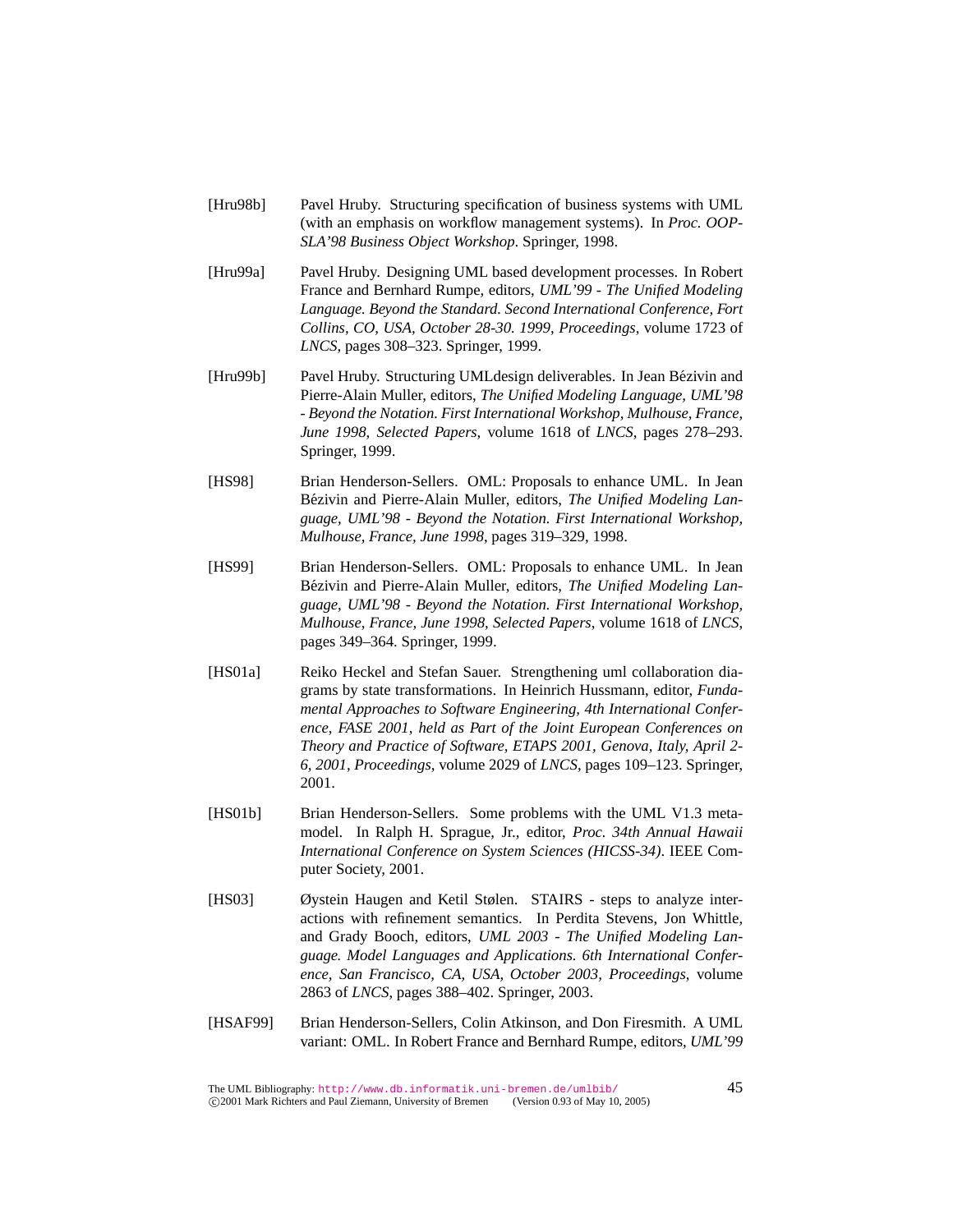- [Hru98b] Pavel Hruby. Structuring specification of business systems with UML (with an emphasis on workflow management systems). In *Proc. OOP-SLA'98 Business Object Workshop*. Springer, 1998.
- [Hru99a] Pavel Hruby. Designing UML based development processes. In Robert France and Bernhard Rumpe, editors, *UML'99 - The Unified Modeling Language. Beyond the Standard. Second International Conference, Fort Collins, CO, USA, October 28-30. 1999, Proceedings*, volume 1723 of *LNCS*, pages 308–323. Springer, 1999.
- [Hru99b] Pavel Hruby. Structuring UMLdesign deliverables. In Jean Bézivin and Pierre-Alain Muller, editors, *The Unified Modeling Language, UML'98 - Beyond the Notation. First International Workshop, Mulhouse, France, June 1998, Selected Papers*, volume 1618 of *LNCS*, pages 278–293. Springer, 1999.
- [HS98] Brian Henderson-Sellers. OML: Proposals to enhance UML. In Jean Bézivin and Pierre-Alain Muller, editors, *The Unified Modeling Language, UML'98 - Beyond the Notation. First International Workshop, Mulhouse, France, June 1998*, pages 319–329, 1998.
- [HS99] Brian Henderson-Sellers. OML: Proposals to enhance UML. In Jean Bézivin and Pierre-Alain Muller, editors, *The Unified Modeling Language, UML'98 - Beyond the Notation. First International Workshop, Mulhouse, France, June 1998, Selected Papers*, volume 1618 of *LNCS*, pages 349–364. Springer, 1999.
- [HS01a] Reiko Heckel and Stefan Sauer. Strengthening uml collaboration diagrams by state transformations. In Heinrich Hussmann, editor, *Fundamental Approaches to Software Engineering, 4th International Conference, FASE 2001, held as Part of the Joint European Conferences on Theory and Practice of Software, ETAPS 2001, Genova, Italy, April 2- 6, 2001, Proceedings*, volume 2029 of *LNCS*, pages 109–123. Springer, 2001.
- [HS01b] Brian Henderson-Sellers. Some problems with the UML V1.3 metamodel. In Ralph H. Sprague, Jr., editor, *Proc. 34th Annual Hawaii International Conference on System Sciences (HICSS-34)*. IEEE Computer Society, 2001.
- [HS03] Øystein Haugen and Ketil Stølen. STAIRS steps to analyze interactions with refinement semantics. In Perdita Stevens, Jon Whittle, and Grady Booch, editors, *UML 2003 - The Unified Modeling Language. Model Languages and Applications. 6th International Conference, San Francisco, CA, USA, October 2003, Proceedings*, volume 2863 of *LNCS*, pages 388–402. Springer, 2003.
- [HSAF99] Brian Henderson-Sellers, Colin Atkinson, and Don Firesmith. A UML variant: OML. In Robert France and Bernhard Rumpe, editors, *UML'99*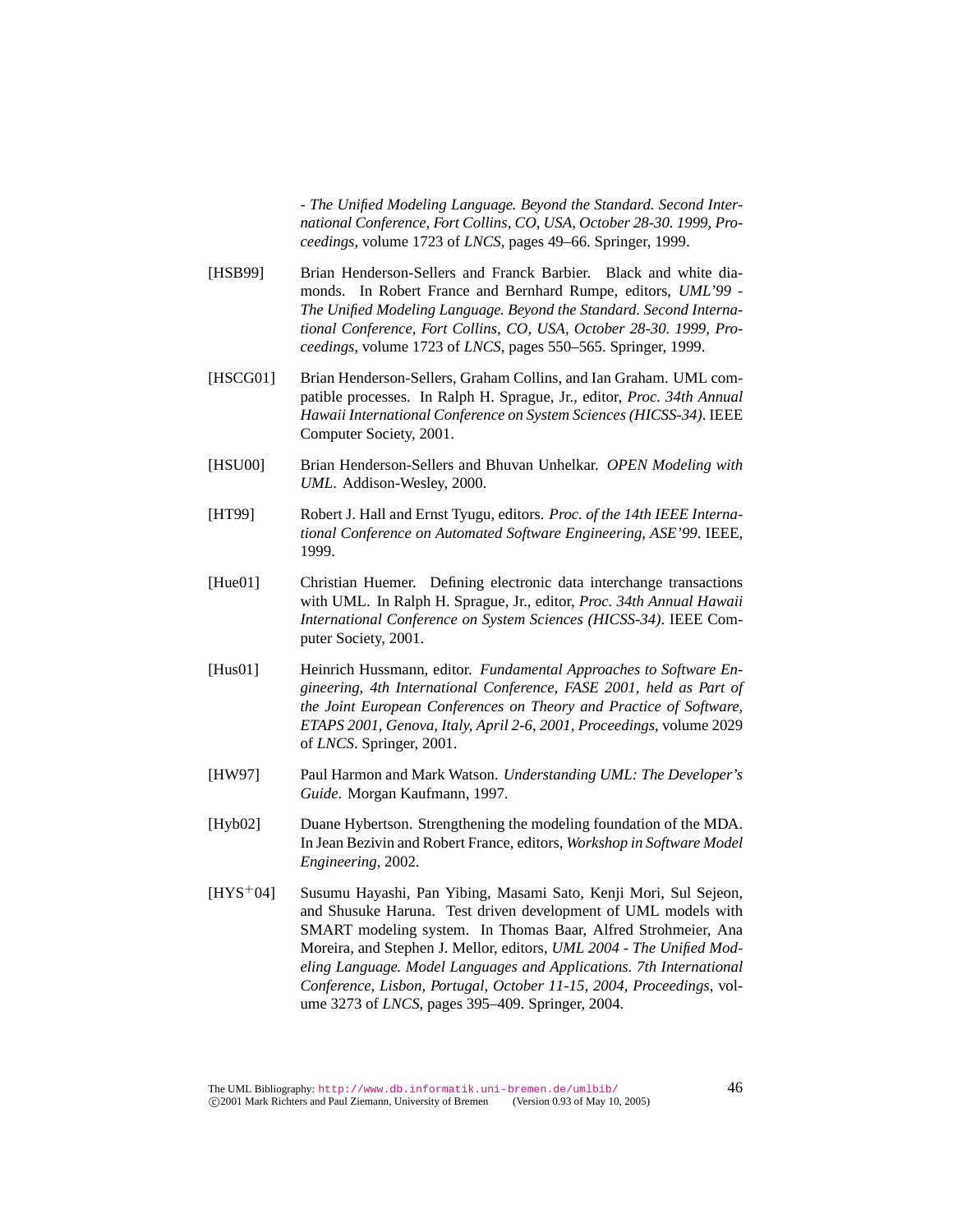*- The Unified Modeling Language. Beyond the Standard. Second International Conference, Fort Collins, CO, USA, October 28-30. 1999, Proceedings*, volume 1723 of *LNCS*, pages 49–66. Springer, 1999.

- [HSB99] Brian Henderson-Sellers and Franck Barbier. Black and white diamonds. In Robert France and Bernhard Rumpe, editors, *UML'99 - The Unified Modeling Language. Beyond the Standard. Second International Conference, Fort Collins, CO, USA, October 28-30. 1999, Proceedings*, volume 1723 of *LNCS*, pages 550–565. Springer, 1999.
- [HSCG01] Brian Henderson-Sellers, Graham Collins, and Ian Graham. UML compatible processes. In Ralph H. Sprague, Jr., editor, *Proc. 34th Annual Hawaii International Conference on System Sciences (HICSS-34)*. IEEE Computer Society, 2001.
- [HSU00] Brian Henderson-Sellers and Bhuvan Unhelkar. *OPEN Modeling with UML*. Addison-Wesley, 2000.
- [HT99] Robert J. Hall and Ernst Tyugu, editors. *Proc. of the 14th IEEE International Conference on Automated Software Engineering, ASE'99*. IEEE, 1999.
- [Hue01] Christian Huemer. Defining electronic data interchange transactions with UML. In Ralph H. Sprague, Jr., editor, *Proc. 34th Annual Hawaii International Conference on System Sciences (HICSS-34)*. IEEE Computer Society, 2001.
- [Hus01] Heinrich Hussmann, editor. *Fundamental Approaches to Software Engineering, 4th International Conference, FASE 2001, held as Part of the Joint European Conferences on Theory and Practice of Software, ETAPS 2001, Genova, Italy, April 2-6, 2001, Proceedings*, volume 2029 of *LNCS*. Springer, 2001.
- [HW97] Paul Harmon and Mark Watson. *Understanding UML: The Developer's Guide*. Morgan Kaufmann, 1997.
- [Hyb02] Duane Hybertson. Strengthening the modeling foundation of the MDA. In Jean Bezivin and Robert France, editors, *Workshop in Software Model Engineering*, 2002.
- [HYS<sup>+</sup>04] Susumu Hayashi, Pan Yibing, Masami Sato, Kenji Mori, Sul Sejeon, and Shusuke Haruna. Test driven development of UML models with SMART modeling system. In Thomas Baar, Alfred Strohmeier, Ana Moreira, and Stephen J. Mellor, editors, *UML 2004 - The Unified Modeling Language. Model Languages and Applications. 7th International Conference, Lisbon, Portugal, October 11-15, 2004, Proceedings*, volume 3273 of *LNCS*, pages 395–409. Springer, 2004.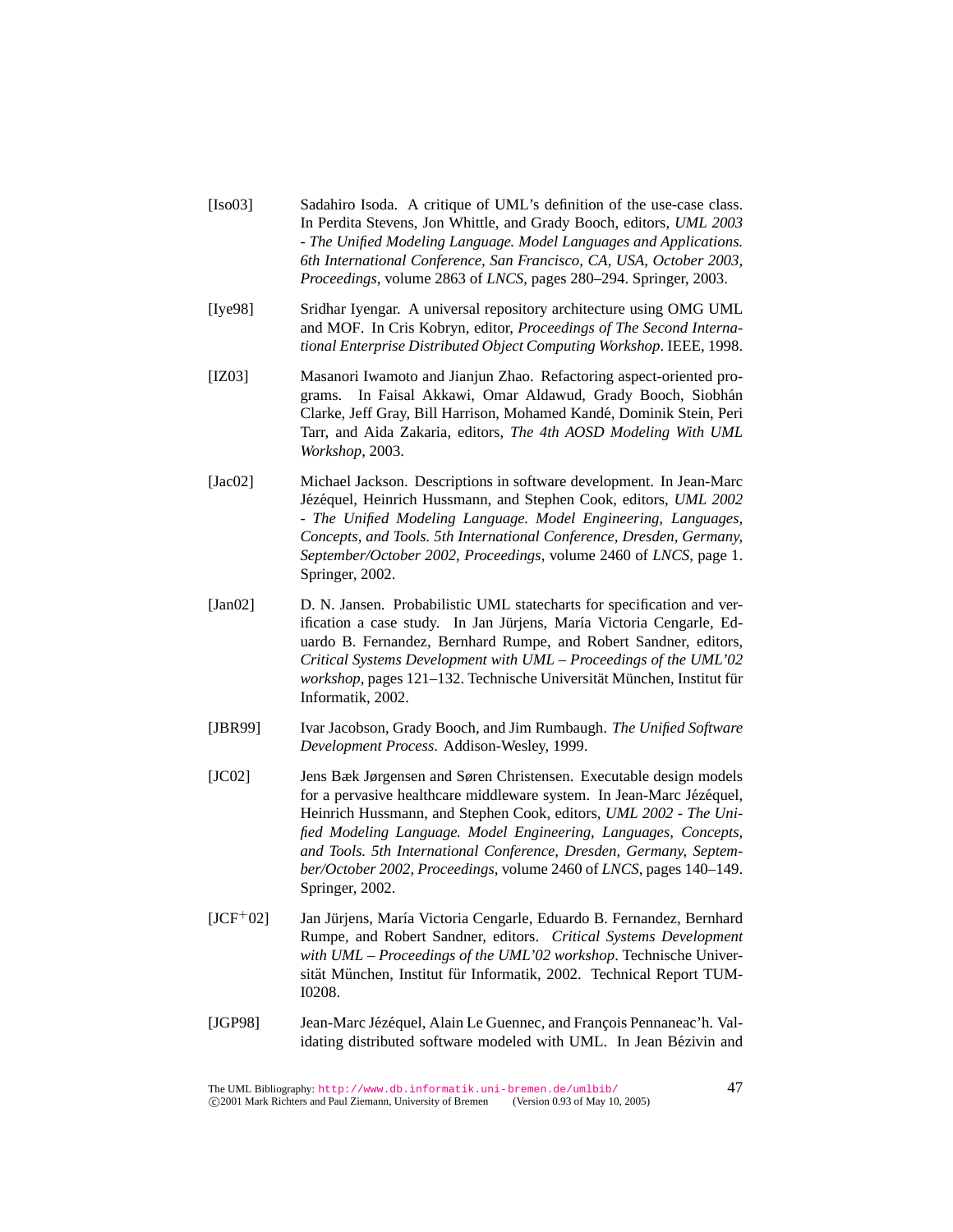- [Iso03] Sadahiro Isoda. A critique of UML's definition of the use-case class. In Perdita Stevens, Jon Whittle, and Grady Booch, editors, *UML 2003 - The Unified Modeling Language. Model Languages and Applications. 6th International Conference, San Francisco, CA, USA, October 2003, Proceedings*, volume 2863 of *LNCS*, pages 280–294. Springer, 2003.
- [Iye98] Sridhar Iyengar. A universal repository architecture using OMG UML and MOF. In Cris Kobryn, editor, *Proceedings of The Second International Enterprise Distributed Object Computing Workshop*. IEEE, 1998.
- [IZ03] Masanori Iwamoto and Jianjun Zhao. Refactoring aspect-oriented programs. In Faisal Akkawi, Omar Aldawud, Grady Booch, Siobhan´ Clarke, Jeff Gray, Bill Harrison, Mohamed Kande, Dominik Stein, Peri ´ Tarr, and Aida Zakaria, editors, *The 4th AOSD Modeling With UML Workshop*, 2003.
- [Jac02] Michael Jackson. Descriptions in software development. In Jean-Marc Jézéquel, Heinrich Hussmann, and Stephen Cook, editors, *UML 2002 - The Unified Modeling Language. Model Engineering, Languages, Concepts, and Tools. 5th International Conference, Dresden, Germany, September/October 2002, Proceedings*, volume 2460 of *LNCS*, page 1. Springer, 2002.
- [Jan02] D. N. Jansen. Probabilistic UML statecharts for specification and verification a case study. In Jan Jürjens, María Victoria Cengarle, Eduardo B. Fernandez, Bernhard Rumpe, and Robert Sandner, editors, *Critical Systems Development with UML – Proceedings of the UML'02 workshop*, pages 121–132. Technische Universität München, Institut für Informatik, 2002.
- [JBR99] Ivar Jacobson, Grady Booch, and Jim Rumbaugh. *The Unified Software Development Process*. Addison-Wesley, 1999.
- [JC02] Jens Bæk Jørgensen and Søren Christensen. Executable design models for a pervasive healthcare middleware system. In Jean-Marc Jézéquel, Heinrich Hussmann, and Stephen Cook, editors, *UML 2002 - The Unified Modeling Language. Model Engineering, Languages, Concepts, and Tools. 5th International Conference, Dresden, Germany, September/October 2002, Proceedings*, volume 2460 of *LNCS*, pages 140–149. Springer, 2002.
- $[JCF<sup>+</sup>02]$  Jan Jürjens, María Victoria Cengarle, Eduardo B. Fernandez, Bernhard Rumpe, and Robert Sandner, editors. *Critical Systems Development with UML – Proceedings of the UML'02 workshop*. Technische Universität München, Institut für Informatik, 2002. Technical Report TUM-I0208.
- [JGP98] Jean-Marc Jézéquel, Alain Le Guennec, and François Pennaneac'h. Validating distributed software modeled with UML. In Jean Bézivin and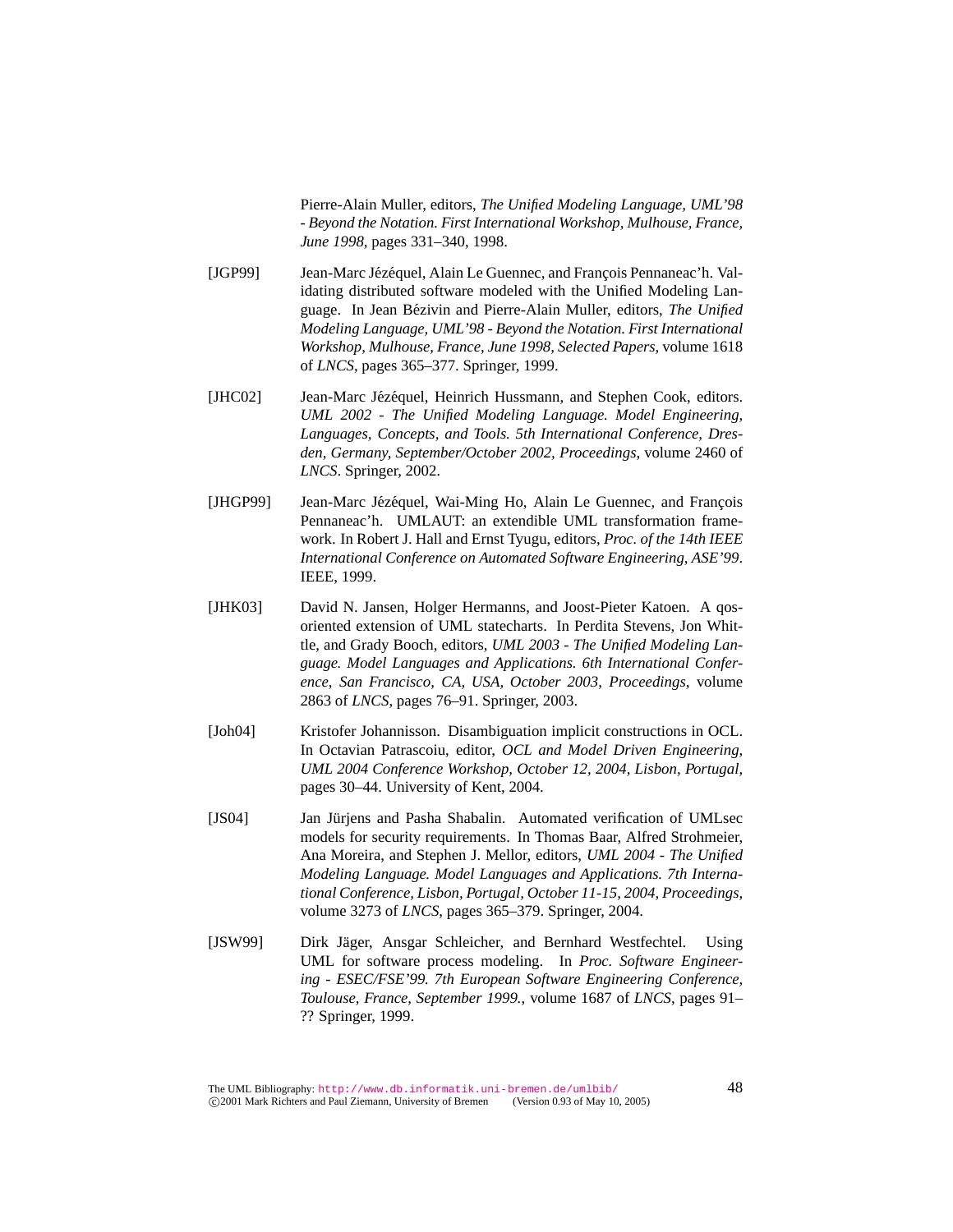Pierre-Alain Muller, editors, *The Unified Modeling Language, UML'98 - Beyond the Notation. First International Workshop, Mulhouse, France, June 1998*, pages 331–340, 1998.

- [JGP99] Jean-Marc Jézéquel, Alain Le Guennec, and François Pennaneac'h. Validating distributed software modeled with the Unified Modeling Language. In Jean Bézivin and Pierre-Alain Muller, editors, *The Unified Modeling Language, UML'98 - Beyond the Notation. First International Workshop, Mulhouse, France, June 1998, Selected Papers*, volume 1618 of *LNCS*, pages 365–377. Springer, 1999.
- [JHC02] Jean-Marc Jézéquel, Heinrich Hussmann, and Stephen Cook, editors. *UML 2002 - The Unified Modeling Language. Model Engineering, Languages, Concepts, and Tools. 5th International Conference, Dresden, Germany, September/October 2002, Proceedings*, volume 2460 of *LNCS*. Springer, 2002.
- [JHGP99] Jean-Marc Jézéquel, Wai-Ming Ho, Alain Le Guennec, and François Pennaneac'h. UMLAUT: an extendible UML transformation framework. In Robert J. Hall and Ernst Tyugu, editors, *Proc. of the 14th IEEE International Conference on Automated Software Engineering, ASE'99*. IEEE, 1999.
- [JHK03] David N. Jansen, Holger Hermanns, and Joost-Pieter Katoen. A qosoriented extension of UML statecharts. In Perdita Stevens, Jon Whittle, and Grady Booch, editors, *UML 2003 - The Unified Modeling Language. Model Languages and Applications. 6th International Conference, San Francisco, CA, USA, October 2003, Proceedings*, volume 2863 of *LNCS*, pages 76–91. Springer, 2003.
- [Joh04] Kristofer Johannisson. Disambiguation implicit constructions in OCL. In Octavian Patrascoiu, editor, *OCL and Model Driven Engineering, UML 2004 Conference Workshop, October 12, 2004, Lisbon, Portugal*, pages 30–44. University of Kent, 2004.
- [JS04] Jan Jürjens and Pasha Shabalin. Automated verification of UMLsec models for security requirements. In Thomas Baar, Alfred Strohmeier, Ana Moreira, and Stephen J. Mellor, editors, *UML 2004 - The Unified Modeling Language. Model Languages and Applications. 7th International Conference, Lisbon, Portugal, October 11-15, 2004, Proceedings*, volume 3273 of *LNCS*, pages 365–379. Springer, 2004.
- [JSW99] Dirk Jäger, Ansgar Schleicher, and Bernhard Westfechtel. Using UML for software process modeling. In *Proc. Software Engineering - ESEC/FSE'99. 7th European Software Engineering Conference, Toulouse, France, September 1999.*, volume 1687 of *LNCS*, pages 91– ?? Springer, 1999.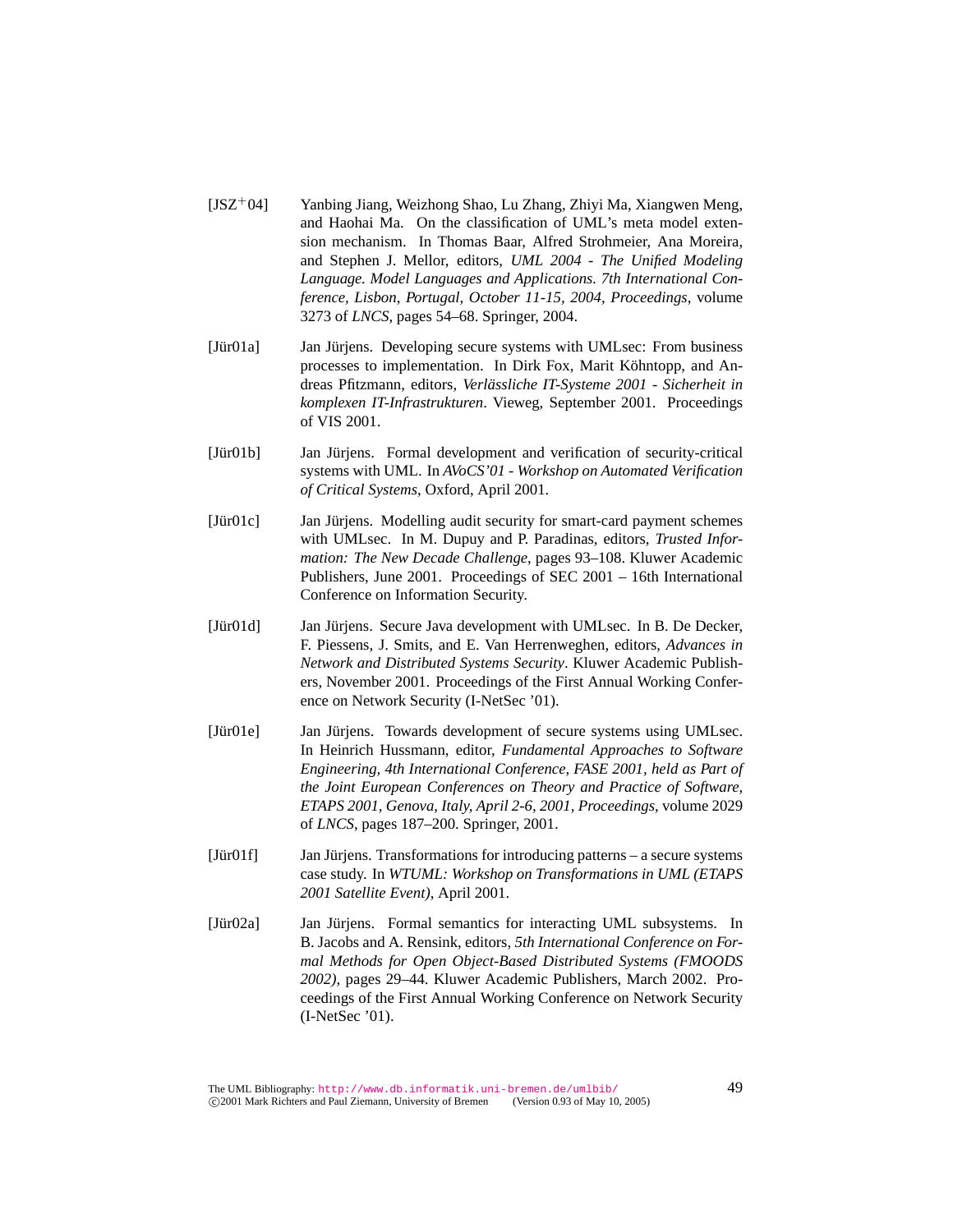- [JSZ<sup>+</sup>04] Yanbing Jiang, Weizhong Shao, Lu Zhang, Zhiyi Ma, Xiangwen Meng, and Haohai Ma. On the classification of UML's meta model extension mechanism. In Thomas Baar, Alfred Strohmeier, Ana Moreira, and Stephen J. Mellor, editors, *UML 2004 - The Unified Modeling Language. Model Languages and Applications. 7th International Conference, Lisbon, Portugal, October 11-15, 2004, Proceedings*, volume 3273 of *LNCS*, pages 54–68. Springer, 2004.
- [Jür01a] Ian Jürjens. Developing secure systems with UMLsec: From business processes to implementation. In Dirk Fox, Marit Köhntopp, and Andreas Pfitzmann, editors, *Verlässliche IT-Systeme 2001 - Sicherheit in komplexen IT-Infrastrukturen*. Vieweg, September 2001. Proceedings of VIS 2001.
- [Jür01b] Jan Jürjens. Formal development and verification of security-critical systems with UML. In *AVoCS'01 - Workshop on Automated Verification of Critical Systems*, Oxford, April 2001.
- [Jür01c] Ian Jürjens. Modelling audit security for smart-card payment schemes with UMLsec. In M. Dupuy and P. Paradinas, editors, *Trusted Information: The New Decade Challenge*, pages 93–108. Kluwer Academic Publishers, June 2001. Proceedings of SEC 2001 – 16th International Conference on Information Security.
- [Jür01d] Jan Jürjens. Secure Java development with UMLsec. In B. De Decker, F. Piessens, J. Smits, and E. Van Herrenweghen, editors, *Advances in Network and Distributed Systems Security*. Kluwer Academic Publishers, November 2001. Proceedings of the First Annual Working Conference on Network Security (I-NetSec '01).
- [Jür01e] Ian Jürjens. Towards development of secure systems using UMLsec. In Heinrich Hussmann, editor, *Fundamental Approaches to Software Engineering, 4th International Conference, FASE 2001, held as Part of the Joint European Conferences on Theory and Practice of Software, ETAPS 2001, Genova, Italy, April 2-6, 2001, Proceedings*, volume 2029 of *LNCS*, pages 187–200. Springer, 2001.
- [Jür01f] Jan Jürjens. Transformations for introducing patterns a secure systems case study. In *WTUML: Workshop on Transformations in UML (ETAPS 2001 Satellite Event)*, April 2001.
- [Jür02a] Ian Jürjens. Formal semantics for interacting UML subsystems. In B. Jacobs and A. Rensink, editors, *5th International Conference on Formal Methods for Open Object-Based Distributed Systems (FMOODS 2002)*, pages 29–44. Kluwer Academic Publishers, March 2002. Proceedings of the First Annual Working Conference on Network Security (I-NetSec '01).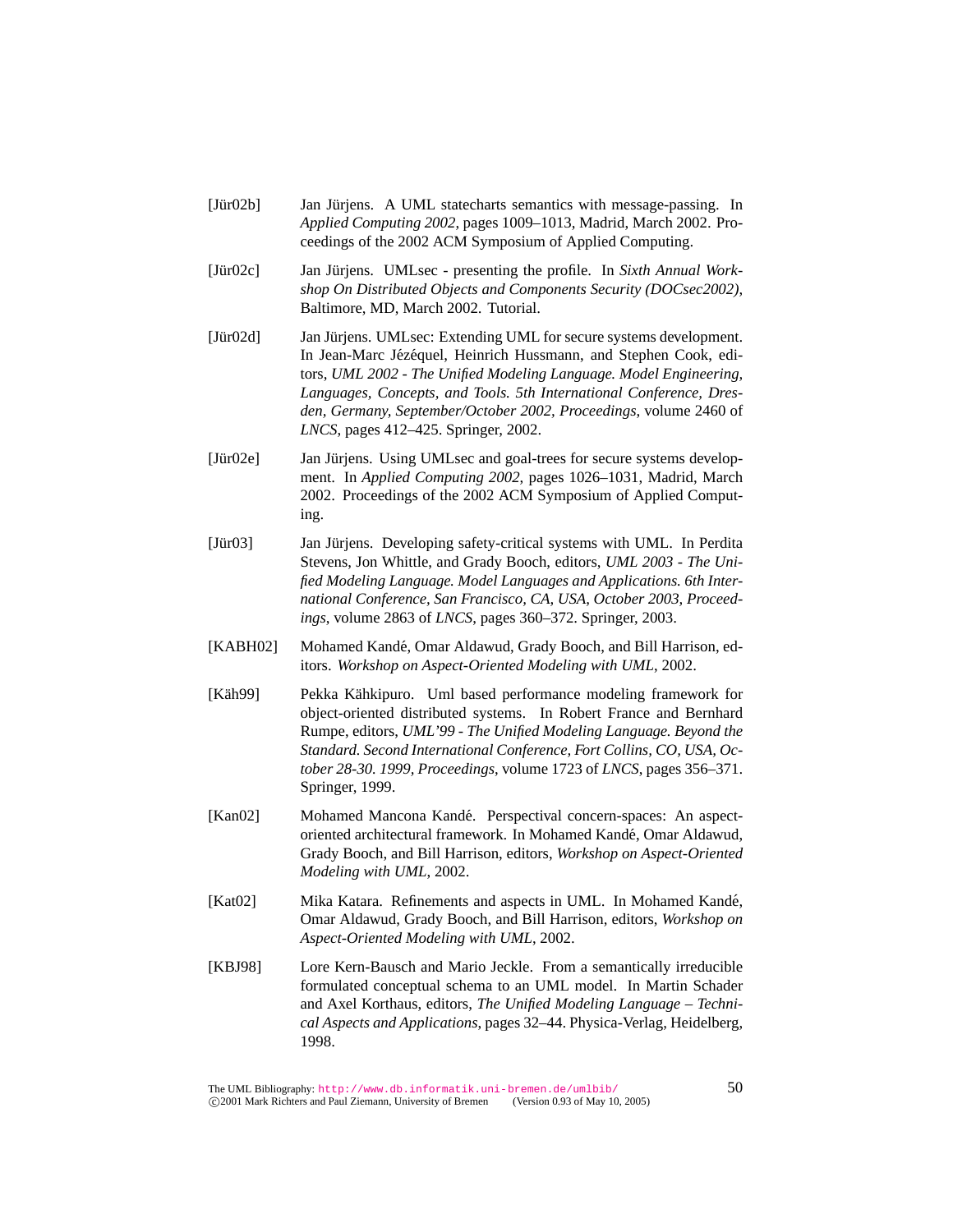- [Jür02b] Ian Jürjens. A UML statecharts semantics with message-passing. In *Applied Computing 2002*, pages 1009–1013, Madrid, March 2002. Proceedings of the 2002 ACM Symposium of Applied Computing.
- [Jür02c] Jan Jürjens. UMLsec presenting the profile. In *Sixth Annual Workshop On Distributed Objects and Components Security (DOCsec2002)*, Baltimore, MD, March 2002. Tutorial.
- [Jür02d] Jan Jürjens. UMLsec: Extending UML for secure systems development. In Jean-Marc Jézéquel, Heinrich Hussmann, and Stephen Cook, editors, *UML 2002 - The Unified Modeling Language. Model Engineering, Languages, Concepts, and Tools. 5th International Conference, Dresden, Germany, September/October 2002, Proceedings*, volume 2460 of *LNCS*, pages 412–425. Springer, 2002.
- [Jür02e] Ian Jürjens. Using UMLsec and goal-trees for secure systems development. In *Applied Computing 2002*, pages 1026–1031, Madrid, March 2002. Proceedings of the 2002 ACM Symposium of Applied Computing.
- [Jür03] Jan Jürjens. Developing safety-critical systems with UML. In Perdita Stevens, Jon Whittle, and Grady Booch, editors, *UML 2003 - The Unified Modeling Language. Model Languages and Applications. 6th International Conference, San Francisco, CA, USA, October 2003, Proceedings*, volume 2863 of *LNCS*, pages 360–372. Springer, 2003.
- [KABH02] Mohamed Kandé, Omar Aldawud, Grady Booch, and Bill Harrison, editors. *Workshop on Aspect-Oriented Modeling with UML*, 2002.
- [Käh99] Sekka Kähkipuro. Uml based performance modeling framework for object-oriented distributed systems. In Robert France and Bernhard Rumpe, editors, *UML'99 - The Unified Modeling Language. Beyond the Standard. Second International Conference, Fort Collins, CO, USA, October 28-30. 1999, Proceedings*, volume 1723 of *LNCS*, pages 356–371. Springer, 1999.
- [Kan02] Mohamed Mancona Kandé. Perspectival concern-spaces: An aspectoriented architectural framework. In Mohamed Kande, Omar Aldawud, ´ Grady Booch, and Bill Harrison, editors, *Workshop on Aspect-Oriented Modeling with UML*, 2002.
- [Kat02] Mika Katara. Refinements and aspects in UML. In Mohamed Kande,´ Omar Aldawud, Grady Booch, and Bill Harrison, editors, *Workshop on Aspect-Oriented Modeling with UML*, 2002.
- [KBJ98] Lore Kern-Bausch and Mario Jeckle. From a semantically irreducible formulated conceptual schema to an UML model. In Martin Schader and Axel Korthaus, editors, *The Unified Modeling Language – Technical Aspects and Applications*, pages 32–44. Physica-Verlag, Heidelberg, 1998.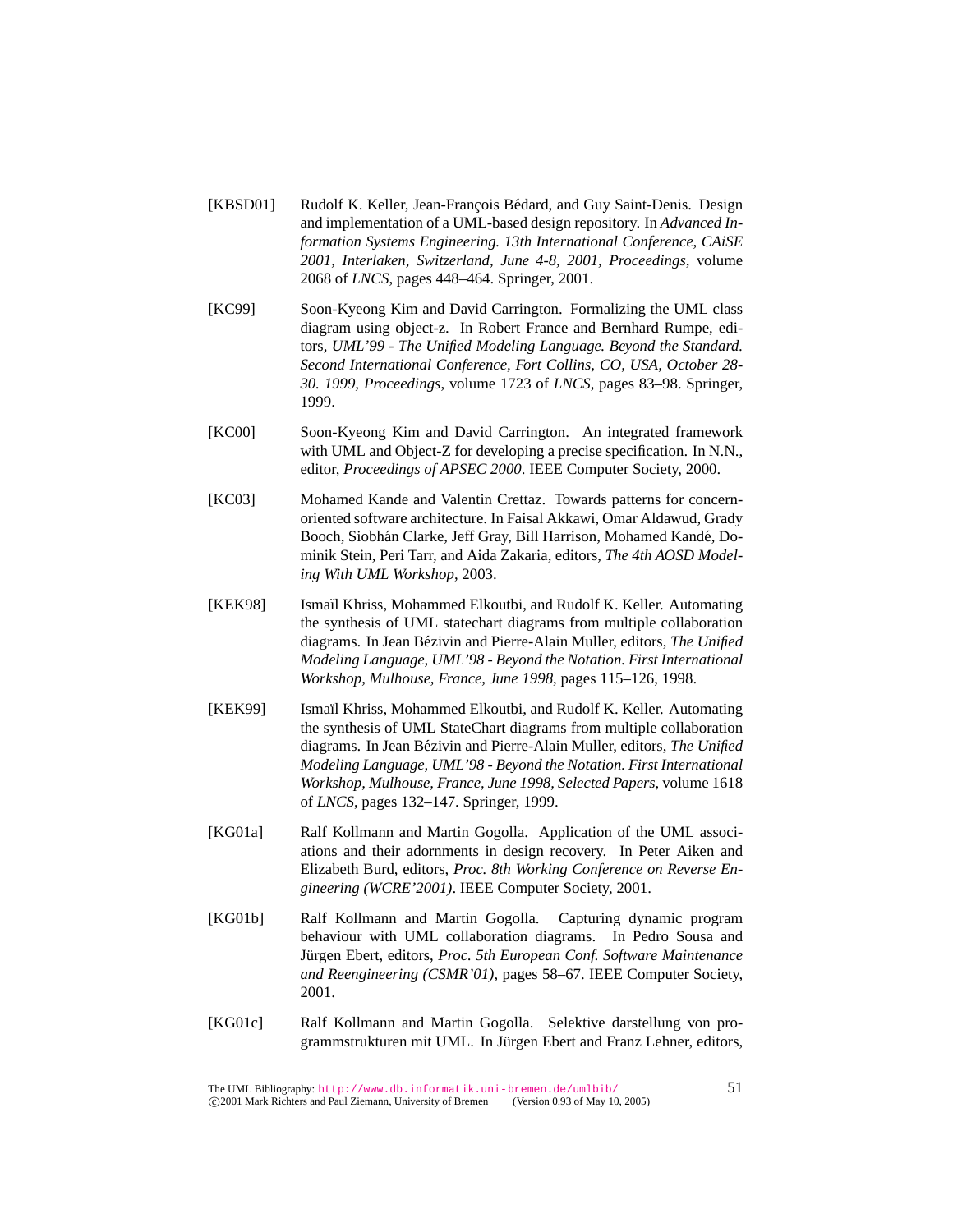- [KBSD01] Rudolf K. Keller, Jean-François Bédard, and Guy Saint-Denis. Design and implementation of a UML-based design repository. In *Advanced Information Systems Engineering. 13th International Conference, CAiSE 2001, Interlaken, Switzerland, June 4-8, 2001, Proceedings*, volume 2068 of *LNCS*, pages 448–464. Springer, 2001.
- [KC99] Soon-Kyeong Kim and David Carrington. Formalizing the UML class diagram using object-z. In Robert France and Bernhard Rumpe, editors, *UML'99 - The Unified Modeling Language. Beyond the Standard. Second International Conference, Fort Collins, CO, USA, October 28- 30. 1999, Proceedings*, volume 1723 of *LNCS*, pages 83–98. Springer, 1999.
- [KC00] Soon-Kyeong Kim and David Carrington. An integrated framework with UML and Object-Z for developing a precise specification. In N.N., editor, *Proceedings of APSEC 2000*. IEEE Computer Society, 2000.
- [KC03] Mohamed Kande and Valentin Crettaz. Towards patterns for concernoriented software architecture. In Faisal Akkawi, Omar Aldawud, Grady Booch, Siobhán Clarke, Jeff Gray, Bill Harrison, Mohamed Kandé, Dominik Stein, Peri Tarr, and Aida Zakaria, editors, *The 4th AOSD Modeling With UML Workshop*, 2003.
- [KEK98] Ismaïl Khriss, Mohammed Elkoutbi, and Rudolf K. Keller. Automating the synthesis of UML statechart diagrams from multiple collaboration diagrams. In Jean Bézivin and Pierre-Alain Muller, editors, *The Unified Modeling Language, UML'98 - Beyond the Notation. First International Workshop, Mulhouse, France, June 1998*, pages 115–126, 1998.
- [KEK99] Ismaïl Khriss, Mohammed Elkoutbi, and Rudolf K. Keller. Automating the synthesis of UML StateChart diagrams from multiple collaboration diagrams. In Jean Bézivin and Pierre-Alain Muller, editors, *The Unified Modeling Language, UML'98 - Beyond the Notation. First International Workshop, Mulhouse, France, June 1998, Selected Papers*, volume 1618 of *LNCS*, pages 132–147. Springer, 1999.
- [KG01a] Ralf Kollmann and Martin Gogolla. Application of the UML associations and their adornments in design recovery. In Peter Aiken and Elizabeth Burd, editors, *Proc. 8th Working Conference on Reverse Engineering (WCRE'2001)*. IEEE Computer Society, 2001.
- [KG01b] Ralf Kollmann and Martin Gogolla. Capturing dynamic program behaviour with UML collaboration diagrams. In Pedro Sousa and Jürgen Ebert, editors, Proc. 5th European Conf. Software Maintenance *and Reengineering (CSMR'01)*, pages 58–67. IEEE Computer Society, 2001.
- [KG01c] Ralf Kollmann and Martin Gogolla. Selektive darstellung von programmstrukturen mit UML. In Jürgen Ebert and Franz Lehner, editors,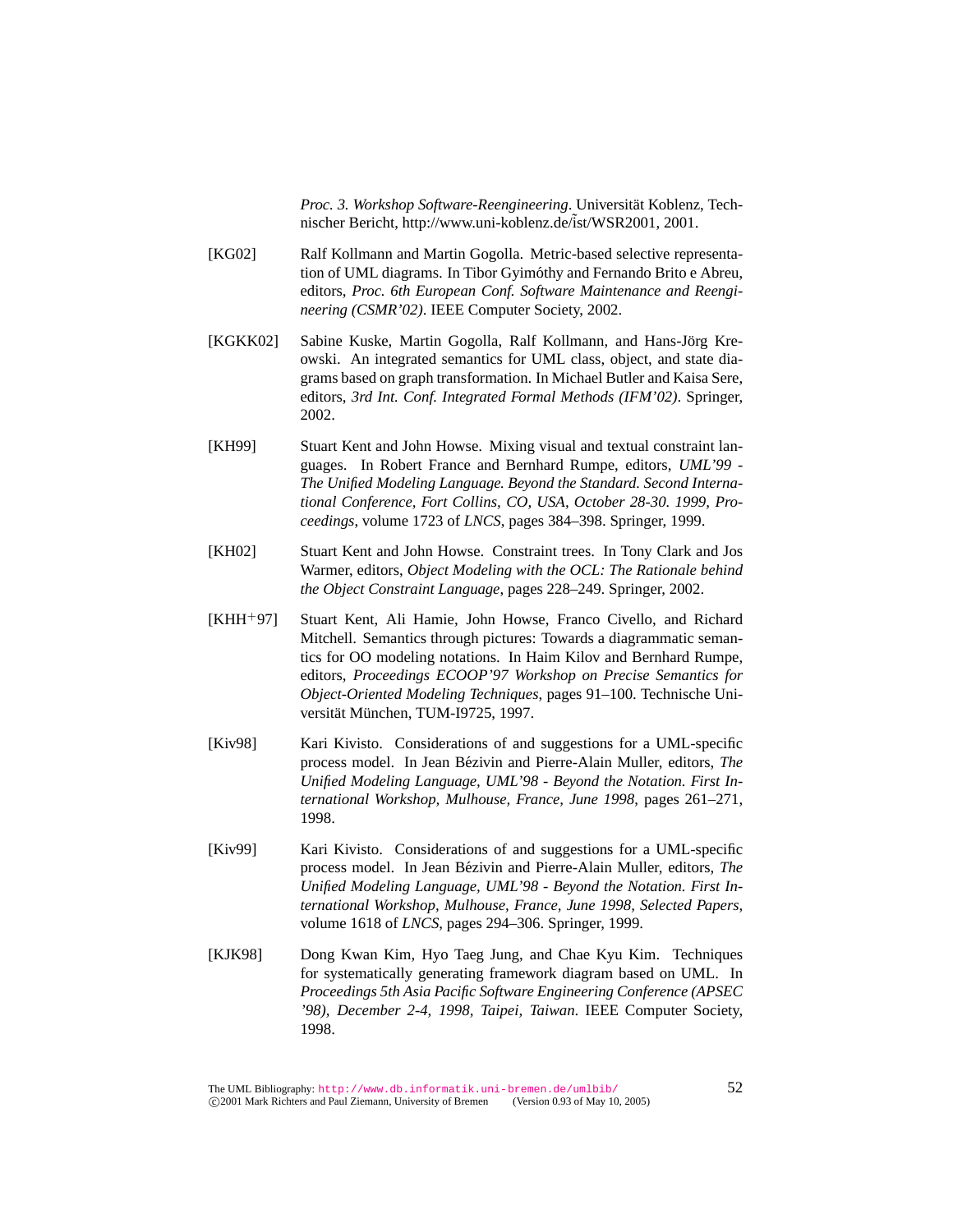*Proc. 3. Workshop Software-Reengineering*. Universitat Koblenz, Tech- ¨ nischer Bericht, http://www.uni-koblenz.de/ist/WSR2001, 2001.

- [KG02] Ralf Kollmann and Martin Gogolla. Metric-based selective representation of UML diagrams. In Tibor Gyimóthy and Fernando Brito e Abreu, editors, *Proc. 6th European Conf. Software Maintenance and Reengineering (CSMR'02)*. IEEE Computer Society, 2002.
- [KGKK02] Sabine Kuske, Martin Gogolla, Ralf Kollmann, and Hans-Jörg Kreowski. An integrated semantics for UML class, object, and state diagrams based on graph transformation. In Michael Butler and Kaisa Sere, editors, *3rd Int. Conf. Integrated Formal Methods (IFM'02)*. Springer, 2002.
- [KH99] Stuart Kent and John Howse. Mixing visual and textual constraint languages. In Robert France and Bernhard Rumpe, editors, *UML'99 - The Unified Modeling Language. Beyond the Standard. Second International Conference, Fort Collins, CO, USA, October 28-30. 1999, Proceedings*, volume 1723 of *LNCS*, pages 384–398. Springer, 1999.
- [KH02] Stuart Kent and John Howse. Constraint trees. In Tony Clark and Jos Warmer, editors, *Object Modeling with the OCL: The Rationale behind the Object Constraint Language*, pages 228–249. Springer, 2002.
- [KHH<sup>+</sup>97] Stuart Kent, Ali Hamie, John Howse, Franco Civello, and Richard Mitchell. Semantics through pictures: Towards a diagrammatic semantics for OO modeling notations. In Haim Kilov and Bernhard Rumpe, editors, *Proceedings ECOOP'97 Workshop on Precise Semantics for Object-Oriented Modeling Techniques*, pages 91–100. Technische Universität München, TUM-I9725, 1997.
- [Kiv98] Kari Kivisto. Considerations of and suggestions for a UML-specific process model. In Jean Bézivin and Pierre-Alain Muller, editors, *The Unified Modeling Language, UML'98 - Beyond the Notation. First International Workshop, Mulhouse, France, June 1998*, pages 261–271, 1998.
- [Kiv99] Kari Kivisto. Considerations of and suggestions for a UML-specific process model. In Jean Bézivin and Pierre-Alain Muller, editors, *The Unified Modeling Language, UML'98 - Beyond the Notation. First International Workshop, Mulhouse, France, June 1998, Selected Papers*, volume 1618 of *LNCS*, pages 294–306. Springer, 1999.
- [KJK98] Dong Kwan Kim, Hyo Taeg Jung, and Chae Kyu Kim. Techniques for systematically generating framework diagram based on UML. In *Proceedings 5th Asia Pacific Software Engineering Conference (APSEC '98), December 2-4, 1998, Taipei, Taiwan*. IEEE Computer Society, 1998.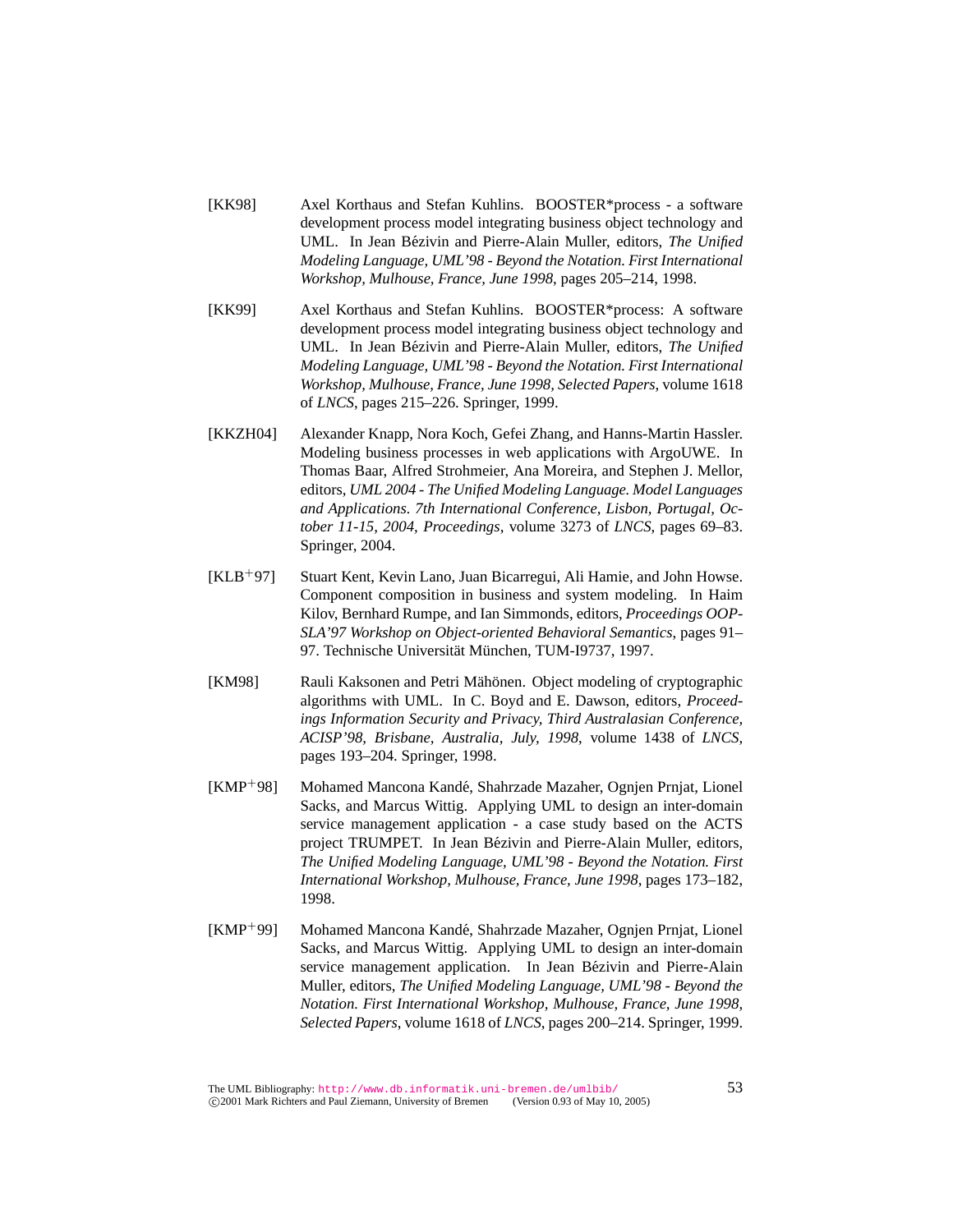- [KK98] Axel Korthaus and Stefan Kuhlins. BOOSTER\*process a software development process model integrating business object technology and UML. In Jean Bézivin and Pierre-Alain Muller, editors, *The Unified Modeling Language, UML'98 - Beyond the Notation. First International Workshop, Mulhouse, France, June 1998*, pages 205–214, 1998.
- [KK99] Axel Korthaus and Stefan Kuhlins. BOOSTER\*process: A software development process model integrating business object technology and UML. In Jean Bézivin and Pierre-Alain Muller, editors, *The Unified Modeling Language, UML'98 - Beyond the Notation. First International Workshop, Mulhouse, France, June 1998, Selected Papers*, volume 1618 of *LNCS*, pages 215–226. Springer, 1999.
- [KKZH04] Alexander Knapp, Nora Koch, Gefei Zhang, and Hanns-Martin Hassler. Modeling business processes in web applications with ArgoUWE. In Thomas Baar, Alfred Strohmeier, Ana Moreira, and Stephen J. Mellor, editors, *UML 2004 - The Unified Modeling Language. Model Languages and Applications. 7th International Conference, Lisbon, Portugal, October 11-15, 2004, Proceedings*, volume 3273 of *LNCS*, pages 69–83. Springer, 2004.
- [KLB<sup>+</sup>97] Stuart Kent, Kevin Lano, Juan Bicarregui, Ali Hamie, and John Howse. Component composition in business and system modeling. In Haim Kilov, Bernhard Rumpe, and Ian Simmonds, editors, *Proceedings OOP-SLA'97 Workshop on Object-oriented Behavioral Semantics*, pages 91– 97. Technische Universität München, TUM-I9737, 1997.
- [KM98] Rauli Kaksonen and Petri Mähönen. Object modeling of cryptographic algorithms with UML. In C. Boyd and E. Dawson, editors, *Proceedings Information Security and Privacy, Third Australasian Conference, ACISP'98, Brisbane, Australia, July, 1998*, volume 1438 of *LNCS*, pages 193–204. Springer, 1998.
- [KMP+98] Mohamed Mancona Kandé, Shahrzade Mazaher, Ognjen Prnjat, Lionel Sacks, and Marcus Wittig. Applying UML to design an inter-domain service management application - a case study based on the ACTS project TRUMPET. In Jean Bézivin and Pierre-Alain Muller, editors, *The Unified Modeling Language, UML'98 - Beyond the Notation. First International Workshop, Mulhouse, France, June 1998*, pages 173–182, 1998.
- [KMP<sup>+</sup>99] Mohamed Mancona Kande, Shahrzade Mazaher, Ognjen Prnjat, Lionel ´ Sacks, and Marcus Wittig. Applying UML to design an inter-domain service management application. In Jean Bézivin and Pierre-Alain Muller, editors, *The Unified Modeling Language, UML'98 - Beyond the Notation. First International Workshop, Mulhouse, France, June 1998, Selected Papers*, volume 1618 of *LNCS*, pages 200–214. Springer, 1999.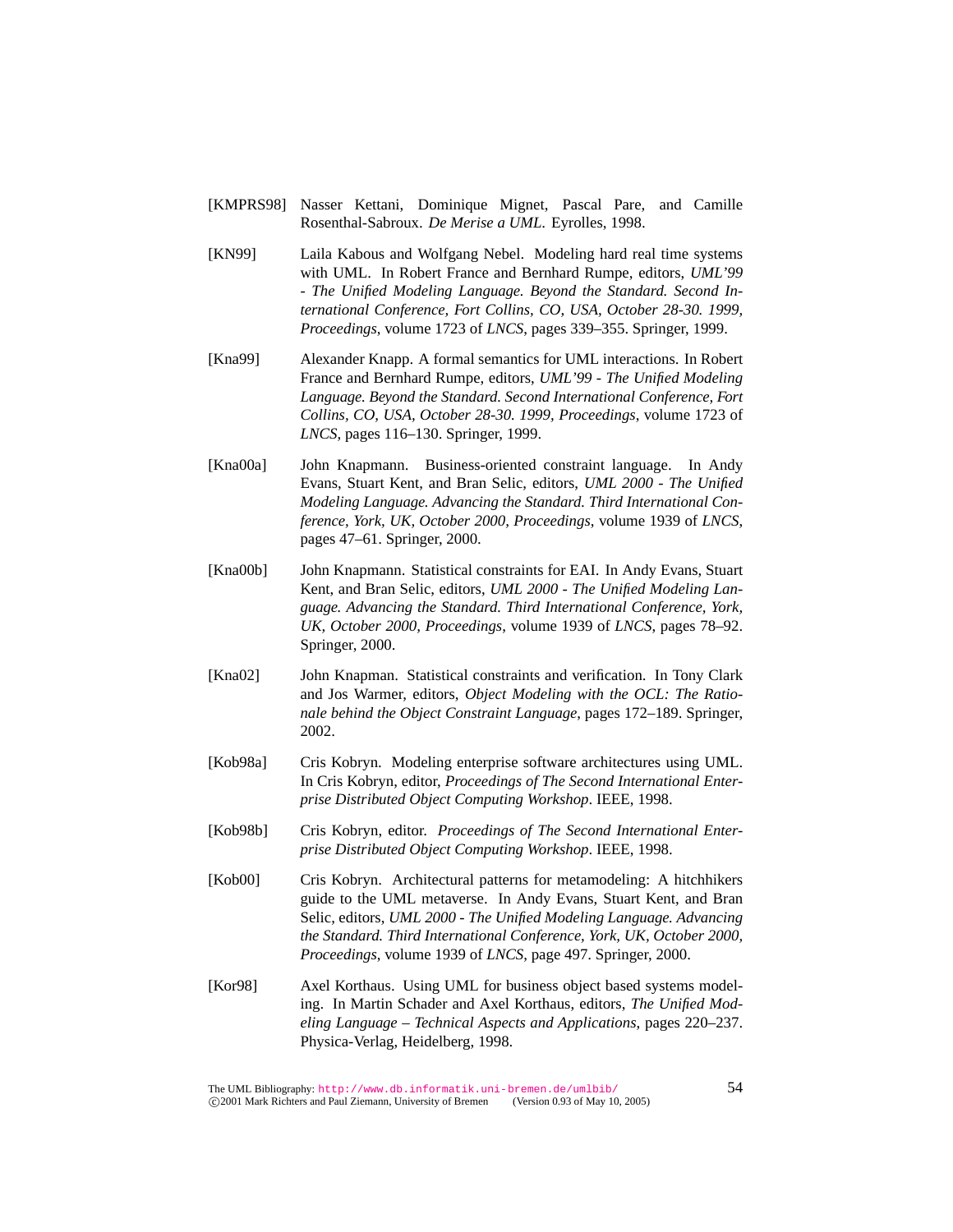- [KMPRS98] Nasser Kettani, Dominique Mignet, Pascal Pare, and Camille Rosenthal-Sabroux. *De Merise a UML*. Eyrolles, 1998.
- [KN99] Laila Kabous and Wolfgang Nebel. Modeling hard real time systems with UML. In Robert France and Bernhard Rumpe, editors, *UML'99 - The Unified Modeling Language. Beyond the Standard. Second International Conference, Fort Collins, CO, USA, October 28-30. 1999, Proceedings*, volume 1723 of *LNCS*, pages 339–355. Springer, 1999.
- [Kna99] Alexander Knapp. A formal semantics for UML interactions. In Robert France and Bernhard Rumpe, editors, *UML'99 - The Unified Modeling Language. Beyond the Standard. Second International Conference, Fort Collins, CO, USA, October 28-30. 1999, Proceedings*, volume 1723 of *LNCS*, pages 116–130. Springer, 1999.
- [Kna00a] John Knapmann. Business-oriented constraint language. In Andy Evans, Stuart Kent, and Bran Selic, editors, *UML 2000 - The Unified Modeling Language. Advancing the Standard. Third International Conference, York, UK, October 2000, Proceedings*, volume 1939 of *LNCS*, pages 47–61. Springer, 2000.
- [Kna00b] John Knapmann. Statistical constraints for EAI. In Andy Evans, Stuart Kent, and Bran Selic, editors, *UML 2000 - The Unified Modeling Language. Advancing the Standard. Third International Conference, York, UK, October 2000, Proceedings*, volume 1939 of *LNCS*, pages 78–92. Springer, 2000.
- [Kna02] John Knapman. Statistical constraints and verification. In Tony Clark and Jos Warmer, editors, *Object Modeling with the OCL: The Rationale behind the Object Constraint Language*, pages 172–189. Springer, 2002.
- [Kob98a] Cris Kobryn. Modeling enterprise software architectures using UML. In Cris Kobryn, editor, *Proceedings of The Second International Enterprise Distributed Object Computing Workshop*. IEEE, 1998.
- [Kob98b] Cris Kobryn, editor. *Proceedings of The Second International Enterprise Distributed Object Computing Workshop*. IEEE, 1998.
- [Kob00] Cris Kobryn. Architectural patterns for metamodeling: A hitchhikers guide to the UML metaverse. In Andy Evans, Stuart Kent, and Bran Selic, editors, *UML 2000 - The Unified Modeling Language. Advancing the Standard. Third International Conference, York, UK, October 2000, Proceedings*, volume 1939 of *LNCS*, page 497. Springer, 2000.
- [Kor98] Axel Korthaus. Using UML for business object based systems modeling. In Martin Schader and Axel Korthaus, editors, *The Unified Modeling Language – Technical Aspects and Applications*, pages 220–237. Physica-Verlag, Heidelberg, 1998.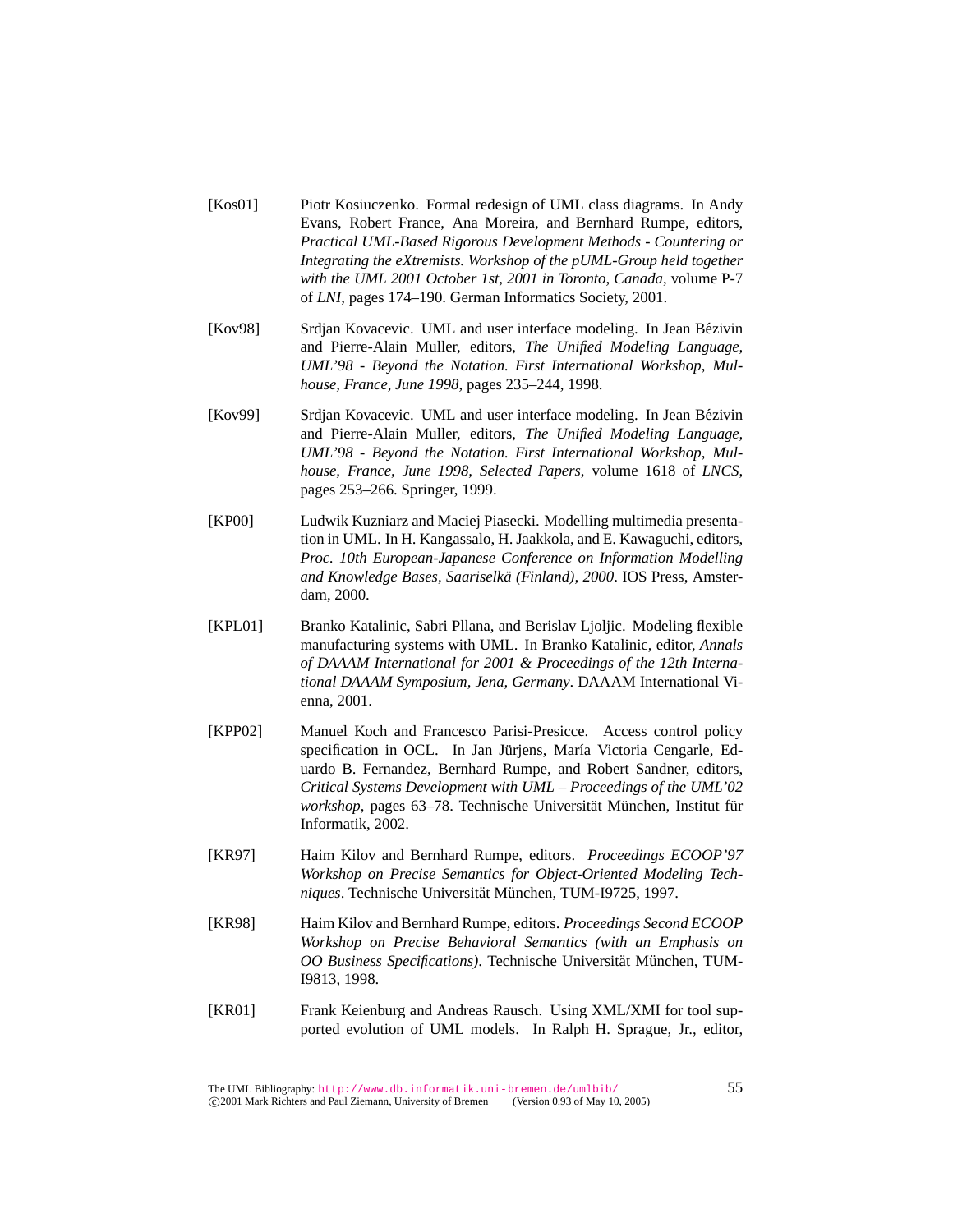- [Kos01] Piotr Kosiuczenko. Formal redesign of UML class diagrams. In Andy Evans, Robert France, Ana Moreira, and Bernhard Rumpe, editors, *Practical UML-Based Rigorous Development Methods - Countering or Integrating the eXtremists. Workshop of the pUML-Group held together with the UML 2001 October 1st, 2001 in Toronto, Canada*, volume P-7 of *LNI*, pages 174–190. German Informatics Society, 2001.
- [Kov98] Srdjan Kovacevic. UML and user interface modeling. In Jean Bezivin ´ and Pierre-Alain Muller, editors, *The Unified Modeling Language, UML'98 - Beyond the Notation. First International Workshop, Mulhouse, France, June 1998*, pages 235–244, 1998.
- [Kov99] Srdjan Kovacevic. UML and user interface modeling. In Jean Bézivin and Pierre-Alain Muller, editors, *The Unified Modeling Language, UML'98 - Beyond the Notation. First International Workshop, Mulhouse, France, June 1998, Selected Papers*, volume 1618 of *LNCS*, pages 253–266. Springer, 1999.
- [KP00] Ludwik Kuzniarz and Maciej Piasecki. Modelling multimedia presentation in UML. In H. Kangassalo, H. Jaakkola, and E. Kawaguchi, editors, *Proc. 10th European-Japanese Conference on Information Modelling and Knowledge Bases, Saariselka (Finland), 2000 ¨* . IOS Press, Amsterdam, 2000.
- [KPL01] Branko Katalinic, Sabri Pllana, and Berislav Ljoljic. Modeling flexible manufacturing systems with UML. In Branko Katalinic, editor, *Annals of DAAAM International for 2001 & Proceedings of the 12th International DAAAM Symposium, Jena, Germany*. DAAAM International Vienna, 2001.
- [KPP02] Manuel Koch and Francesco Parisi-Presicce. Access control policy specification in OCL. In Jan Jürjens, María Victoria Cengarle, Eduardo B. Fernandez, Bernhard Rumpe, and Robert Sandner, editors, *Critical Systems Development with UML – Proceedings of the UML'02 workshop*, pages 63–78. Technische Universität München, Institut für Informatik, 2002.
- [KR97] Haim Kilov and Bernhard Rumpe, editors. *Proceedings ECOOP'97 Workshop on Precise Semantics for Object-Oriented Modeling Techniques*. Technische Universität München, TUM-I9725, 1997.
- [KR98] Haim Kilov and Bernhard Rumpe, editors. *Proceedings Second ECOOP Workshop on Precise Behavioral Semantics (with an Emphasis on OO Business Specifications*). Technische Universität München, TUM-I9813, 1998.
- [KR01] Frank Keienburg and Andreas Rausch. Using XML/XMI for tool supported evolution of UML models. In Ralph H. Sprague, Jr., editor,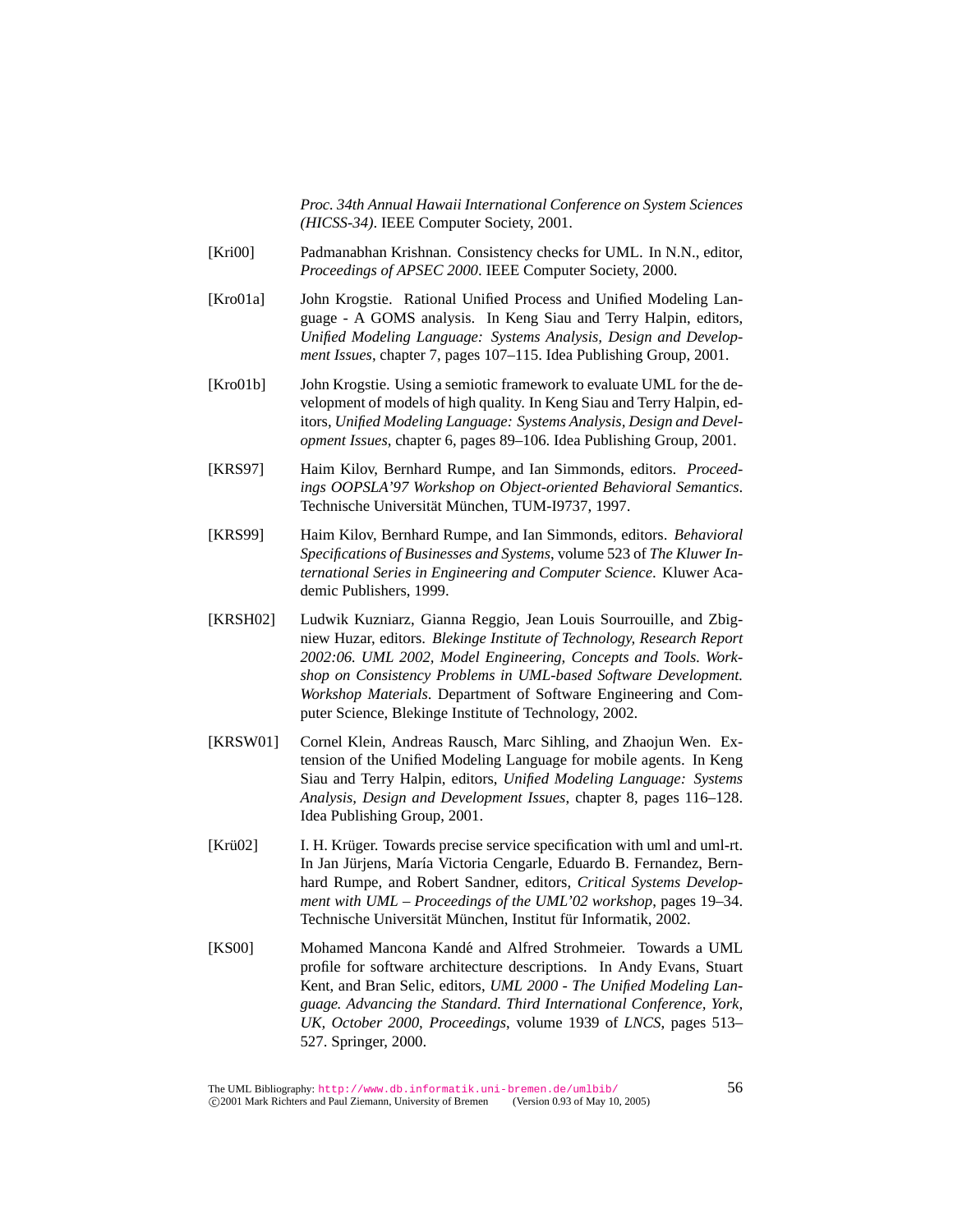*Proc. 34th Annual Hawaii International Conference on System Sciences (HICSS-34)*. IEEE Computer Society, 2001.

- [Kri00] Padmanabhan Krishnan. Consistency checks for UML. In N.N., editor, *Proceedings of APSEC 2000*. IEEE Computer Society, 2000.
- [Kro01a] John Krogstie. Rational Unified Process and Unified Modeling Language - A GOMS analysis. In Keng Siau and Terry Halpin, editors, *Unified Modeling Language: Systems Analysis, Design and Development Issues*, chapter 7, pages 107–115. Idea Publishing Group, 2001.
- [Kro01b] John Krogstie. Using a semiotic framework to evaluate UML for the development of models of high quality. In Keng Siau and Terry Halpin, editors, *Unified Modeling Language: Systems Analysis, Design and Development Issues*, chapter 6, pages 89–106. Idea Publishing Group, 2001.
- [KRS97] Haim Kilov, Bernhard Rumpe, and Ian Simmonds, editors. *Proceedings OOPSLA'97 Workshop on Object-oriented Behavioral Semantics*. Technische Universität München, TUM-I9737, 1997.
- [KRS99] Haim Kilov, Bernhard Rumpe, and Ian Simmonds, editors. *Behavioral Specifications of Businesses and Systems*, volume 523 of *The Kluwer International Series in Engineering and Computer Science*. Kluwer Academic Publishers, 1999.
- [KRSH02] Ludwik Kuzniarz, Gianna Reggio, Jean Louis Sourrouille, and Zbigniew Huzar, editors. *Blekinge Institute of Technology, Research Report 2002:06. UML 2002, Model Engineering, Concepts and Tools. Workshop on Consistency Problems in UML-based Software Development. Workshop Materials*. Department of Software Engineering and Computer Science, Blekinge Institute of Technology, 2002.
- [KRSW01] Cornel Klein, Andreas Rausch, Marc Sihling, and Zhaojun Wen. Extension of the Unified Modeling Language for mobile agents. In Keng Siau and Terry Halpin, editors, *Unified Modeling Language: Systems Analysis, Design and Development Issues*, chapter 8, pages 116–128. Idea Publishing Group, 2001.
- [Krü02] I. H. Krüger. Towards precise service specification with uml and uml-rt. In Jan Jürjens, María Victoria Cengarle, Eduardo B. Fernandez, Bernhard Rumpe, and Robert Sandner, editors, *Critical Systems Development with UML – Proceedings of the UML'02 workshop*, pages 19–34. Technische Universität München, Institut für Informatik, 2002.
- [KS00] Mohamed Mancona Kandé and Alfred Strohmeier. Towards a UML profile for software architecture descriptions. In Andy Evans, Stuart Kent, and Bran Selic, editors, *UML 2000 - The Unified Modeling Language. Advancing the Standard. Third International Conference, York, UK, October 2000, Proceedings*, volume 1939 of *LNCS*, pages 513– 527. Springer, 2000.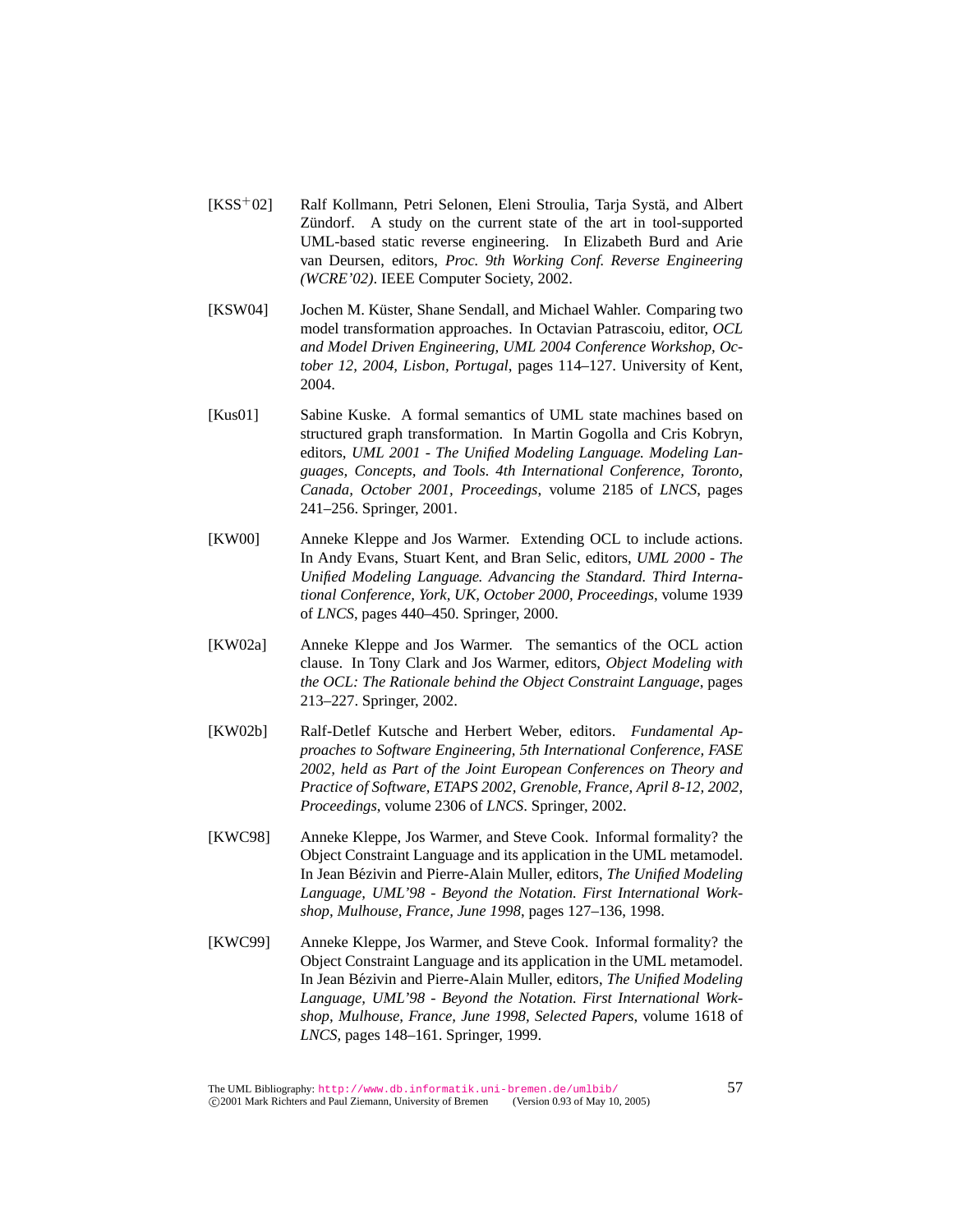- [KSS<sup>+</sup>02] Ralf Kollmann, Petri Selonen, Eleni Stroulia, Tarja Systä, and Albert Zündorf. A study on the current state of the art in tool-supported UML-based static reverse engineering. In Elizabeth Burd and Arie van Deursen, editors, *Proc. 9th Working Conf. Reverse Engineering (WCRE'02)*. IEEE Computer Society, 2002.
- [KSW04] Jochen M. Küster, Shane Sendall, and Michael Wahler. Comparing two model transformation approaches. In Octavian Patrascoiu, editor, *OCL and Model Driven Engineering, UML 2004 Conference Workshop, October 12, 2004, Lisbon, Portugal*, pages 114–127. University of Kent, 2004.
- [Kus01] Sabine Kuske. A formal semantics of UML state machines based on structured graph transformation. In Martin Gogolla and Cris Kobryn, editors, *UML 2001 - The Unified Modeling Language. Modeling Languages, Concepts, and Tools. 4th International Conference, Toronto, Canada, October 2001, Proceedings*, volume 2185 of *LNCS*, pages 241–256. Springer, 2001.
- [KW00] Anneke Kleppe and Jos Warmer. Extending OCL to include actions. In Andy Evans, Stuart Kent, and Bran Selic, editors, *UML 2000 - The Unified Modeling Language. Advancing the Standard. Third International Conference, York, UK, October 2000, Proceedings*, volume 1939 of *LNCS*, pages 440–450. Springer, 2000.
- [KW02a] Anneke Kleppe and Jos Warmer. The semantics of the OCL action clause. In Tony Clark and Jos Warmer, editors, *Object Modeling with the OCL: The Rationale behind the Object Constraint Language*, pages 213–227. Springer, 2002.
- [KW02b] Ralf-Detlef Kutsche and Herbert Weber, editors. *Fundamental Approaches to Software Engineering, 5th International Conference, FASE 2002, held as Part of the Joint European Conferences on Theory and Practice of Software, ETAPS 2002, Grenoble, France, April 8-12, 2002, Proceedings*, volume 2306 of *LNCS*. Springer, 2002.
- [KWC98] Anneke Kleppe, Jos Warmer, and Steve Cook. Informal formality? the Object Constraint Language and its application in the UML metamodel. In Jean Bézivin and Pierre-Alain Muller, editors, *The Unified Modeling Language, UML'98 - Beyond the Notation. First International Workshop, Mulhouse, France, June 1998*, pages 127–136, 1998.
- [KWC99] Anneke Kleppe, Jos Warmer, and Steve Cook. Informal formality? the Object Constraint Language and its application in the UML metamodel. In Jean Bézivin and Pierre-Alain Muller, editors, *The Unified Modeling Language, UML'98 - Beyond the Notation. First International Workshop, Mulhouse, France, June 1998, Selected Papers*, volume 1618 of *LNCS*, pages 148–161. Springer, 1999.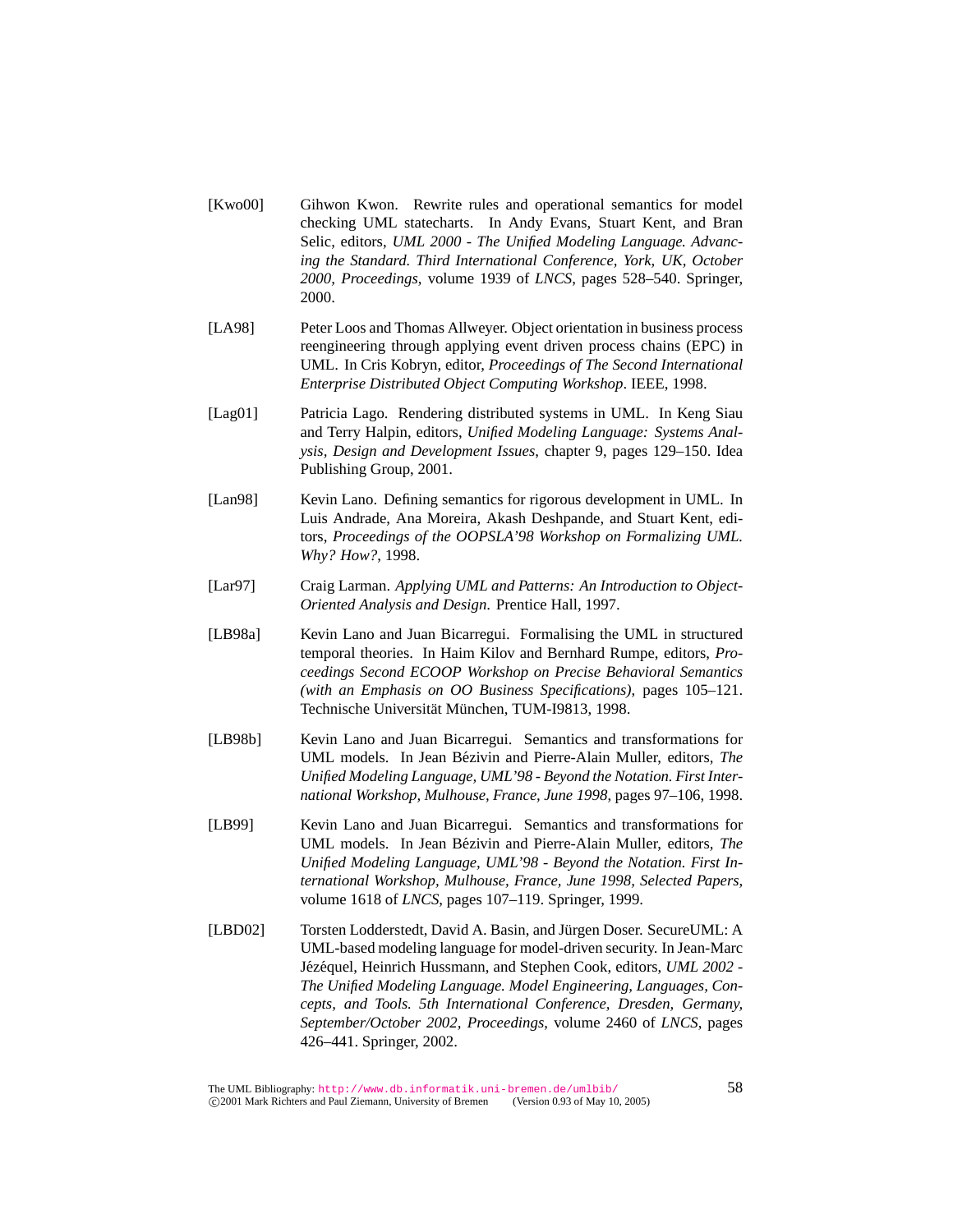- [Kwo00] Gihwon Kwon. Rewrite rules and operational semantics for model checking UML statecharts. In Andy Evans, Stuart Kent, and Bran Selic, editors, *UML 2000 - The Unified Modeling Language. Advancing the Standard. Third International Conference, York, UK, October 2000, Proceedings*, volume 1939 of *LNCS*, pages 528–540. Springer, 2000.
- [LA98] Peter Loos and Thomas Allweyer. Object orientation in business process reengineering through applying event driven process chains (EPC) in UML. In Cris Kobryn, editor, *Proceedings of The Second International Enterprise Distributed Object Computing Workshop*. IEEE, 1998.
- [Lag01] Patricia Lago. Rendering distributed systems in UML. In Keng Siau and Terry Halpin, editors, *Unified Modeling Language: Systems Analysis, Design and Development Issues*, chapter 9, pages 129–150. Idea Publishing Group, 2001.
- [Lan98] Kevin Lano. Defining semantics for rigorous development in UML. In Luis Andrade, Ana Moreira, Akash Deshpande, and Stuart Kent, editors, *Proceedings of the OOPSLA'98 Workshop on Formalizing UML. Why? How?*, 1998.
- [Lar97] Craig Larman. *Applying UML and Patterns: An Introduction to Object-Oriented Analysis and Design*. Prentice Hall, 1997.
- [LB98a] Kevin Lano and Juan Bicarregui. Formalising the UML in structured temporal theories. In Haim Kilov and Bernhard Rumpe, editors, *Proceedings Second ECOOP Workshop on Precise Behavioral Semantics (with an Emphasis on OO Business Specifications)*, pages 105–121. Technische Universität München, TUM-I9813, 1998.
- [LB98b] Kevin Lano and Juan Bicarregui. Semantics and transformations for UML models. In Jean Bézivin and Pierre-Alain Muller, editors, *The Unified Modeling Language, UML'98 - Beyond the Notation. First International Workshop, Mulhouse, France, June 1998*, pages 97–106, 1998.
- [LB99] Kevin Lano and Juan Bicarregui. Semantics and transformations for UML models. In Jean Bézivin and Pierre-Alain Muller, editors, *The Unified Modeling Language, UML'98 - Beyond the Notation. First International Workshop, Mulhouse, France, June 1998, Selected Papers*, volume 1618 of *LNCS*, pages 107–119. Springer, 1999.
- [LBD02] Torsten Lodderstedt, David A. Basin, and Jürgen Doser. SecureUML: A UML-based modeling language for model-driven security. In Jean-Marc Jézéquel, Heinrich Hussmann, and Stephen Cook, editors, *UML 2002 -The Unified Modeling Language. Model Engineering, Languages, Concepts, and Tools. 5th International Conference, Dresden, Germany, September/October 2002, Proceedings*, volume 2460 of *LNCS*, pages 426–441. Springer, 2002.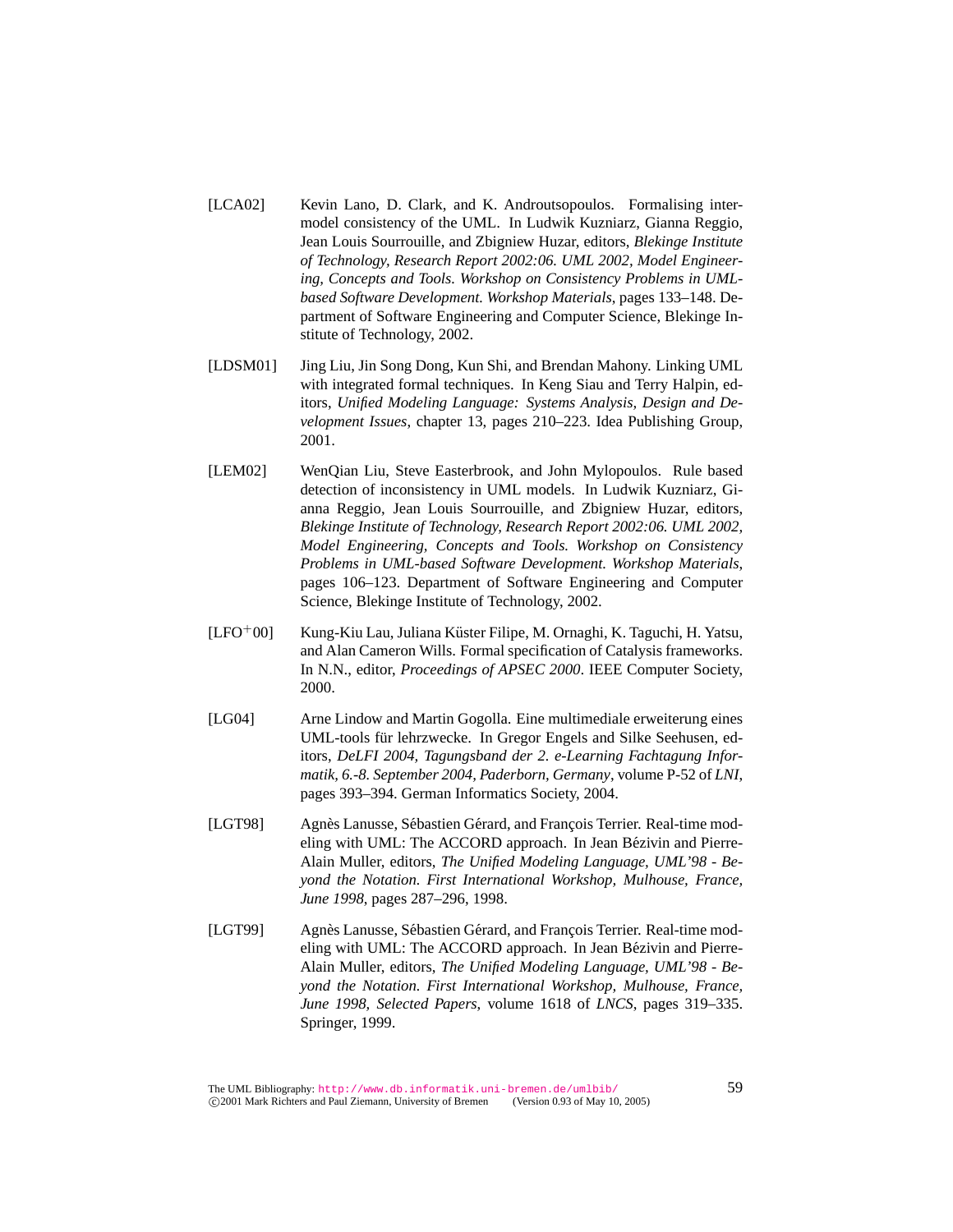- [LCA02] Kevin Lano, D. Clark, and K. Androutsopoulos. Formalising intermodel consistency of the UML. In Ludwik Kuzniarz, Gianna Reggio, Jean Louis Sourrouille, and Zbigniew Huzar, editors, *Blekinge Institute of Technology, Research Report 2002:06. UML 2002, Model Engineering, Concepts and Tools. Workshop on Consistency Problems in UMLbased Software Development. Workshop Materials*, pages 133–148. Department of Software Engineering and Computer Science, Blekinge Institute of Technology, 2002.
- [LDSM01] Jing Liu, Jin Song Dong, Kun Shi, and Brendan Mahony. Linking UML with integrated formal techniques. In Keng Siau and Terry Halpin, editors, *Unified Modeling Language: Systems Analysis, Design and Development Issues*, chapter 13, pages 210–223. Idea Publishing Group, 2001.
- [LEM02] WenQian Liu, Steve Easterbrook, and John Mylopoulos. Rule based detection of inconsistency in UML models. In Ludwik Kuzniarz, Gianna Reggio, Jean Louis Sourrouille, and Zbigniew Huzar, editors, *Blekinge Institute of Technology, Research Report 2002:06. UML 2002, Model Engineering, Concepts and Tools. Workshop on Consistency Problems in UML-based Software Development. Workshop Materials*, pages 106–123. Department of Software Engineering and Computer Science, Blekinge Institute of Technology, 2002.
- $[LEO<sup>+</sup>00]$  Kung-Kiu Lau, Juliana Küster Filipe, M. Ornaghi, K. Taguchi, H. Yatsu, and Alan Cameron Wills. Formal specification of Catalysis frameworks. In N.N., editor, *Proceedings of APSEC 2000*. IEEE Computer Society, 2000.
- [LG04] Arne Lindow and Martin Gogolla. Eine multimediale erweiterung eines UML-tools für lehrzwecke. In Gregor Engels and Silke Seehusen, editors, *DeLFI 2004, Tagungsband der 2. e-Learning Fachtagung Informatik, 6.-8. September 2004, Paderborn, Germany*, volume P-52 of *LNI*, pages 393–394. German Informatics Society, 2004.
- [LGT98] Agnès Lanusse, Sébastien Gérard, and François Terrier. Real-time modeling with UML: The ACCORD approach. In Jean Bézivin and Pierre-Alain Muller, editors, *The Unified Modeling Language, UML'98 - Beyond the Notation. First International Workshop, Mulhouse, France, June 1998*, pages 287–296, 1998.
- [LGT99] Agnès Lanusse, Sébastien Gérard, and François Terrier. Real-time modeling with UML: The ACCORD approach. In Jean Bézivin and Pierre-Alain Muller, editors, *The Unified Modeling Language, UML'98 - Beyond the Notation. First International Workshop, Mulhouse, France, June 1998, Selected Papers*, volume 1618 of *LNCS*, pages 319–335. Springer, 1999.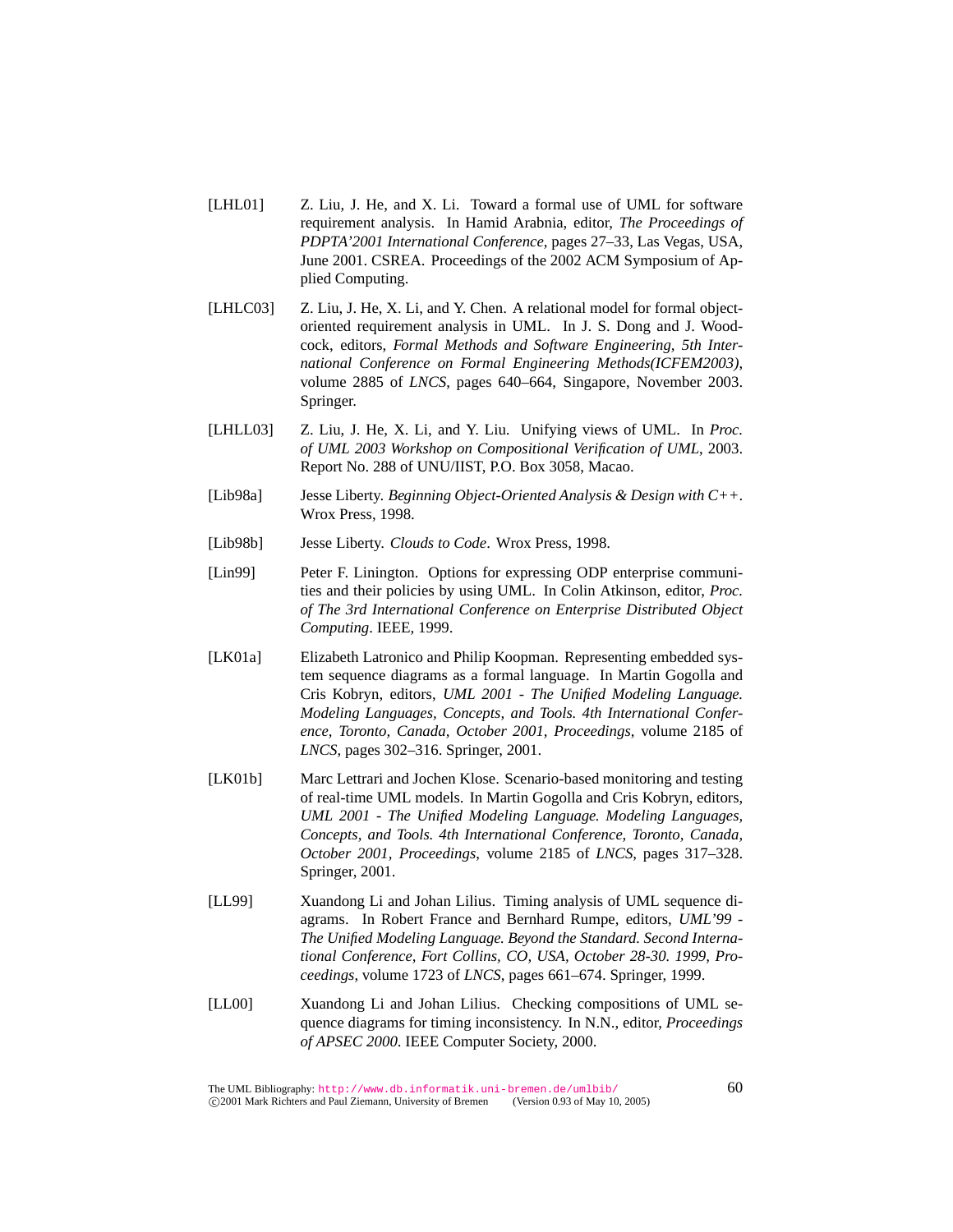- [LHL01] Z. Liu, J. He, and X. Li. Toward a formal use of UML for software requirement analysis. In Hamid Arabnia, editor, *The Proceedings of PDPTA'2001 International Conference*, pages 27–33, Las Vegas, USA, June 2001. CSREA. Proceedings of the 2002 ACM Symposium of Applied Computing.
- [LHLC03] Z. Liu, J. He, X. Li, and Y. Chen. A relational model for formal objectoriented requirement analysis in UML. In J. S. Dong and J. Woodcock, editors, *Formal Methods and Software Engineering, 5th International Conference on Formal Engineering Methods(ICFEM2003)*, volume 2885 of *LNCS*, pages 640–664, Singapore, November 2003. Springer.
- [LHLL03] Z. Liu, J. He, X. Li, and Y. Liu. Unifying views of UML. In *Proc. of UML 2003 Workshop on Compositional Verification of UML*, 2003. Report No. 288 of UNU/IIST, P.O. Box 3058, Macao.
- [Lib98a] Jesse Liberty. *Beginning Object-Oriented Analysis & Design with C++*. Wrox Press, 1998.
- [Lib98b] Jesse Liberty. *Clouds to Code*. Wrox Press, 1998.
- [Lin99] Peter F. Linington. Options for expressing ODP enterprise communities and their policies by using UML. In Colin Atkinson, editor, *Proc. of The 3rd International Conference on Enterprise Distributed Object Computing*. IEEE, 1999.
- [LK01a] Elizabeth Latronico and Philip Koopman. Representing embedded system sequence diagrams as a formal language. In Martin Gogolla and Cris Kobryn, editors, *UML 2001 - The Unified Modeling Language. Modeling Languages, Concepts, and Tools. 4th International Conference, Toronto, Canada, October 2001, Proceedings*, volume 2185 of *LNCS*, pages 302–316. Springer, 2001.
- [LK01b] Marc Lettrari and Jochen Klose. Scenario-based monitoring and testing of real-time UML models. In Martin Gogolla and Cris Kobryn, editors, *UML 2001 - The Unified Modeling Language. Modeling Languages, Concepts, and Tools. 4th International Conference, Toronto, Canada, October 2001, Proceedings*, volume 2185 of *LNCS*, pages 317–328. Springer, 2001.
- [LL99] Xuandong Li and Johan Lilius. Timing analysis of UML sequence diagrams. In Robert France and Bernhard Rumpe, editors, *UML'99 - The Unified Modeling Language. Beyond the Standard. Second International Conference, Fort Collins, CO, USA, October 28-30. 1999, Proceedings*, volume 1723 of *LNCS*, pages 661–674. Springer, 1999.
- [LL00] Xuandong Li and Johan Lilius. Checking compositions of UML sequence diagrams for timing inconsistency. In N.N., editor, *Proceedings of APSEC 2000*. IEEE Computer Society, 2000.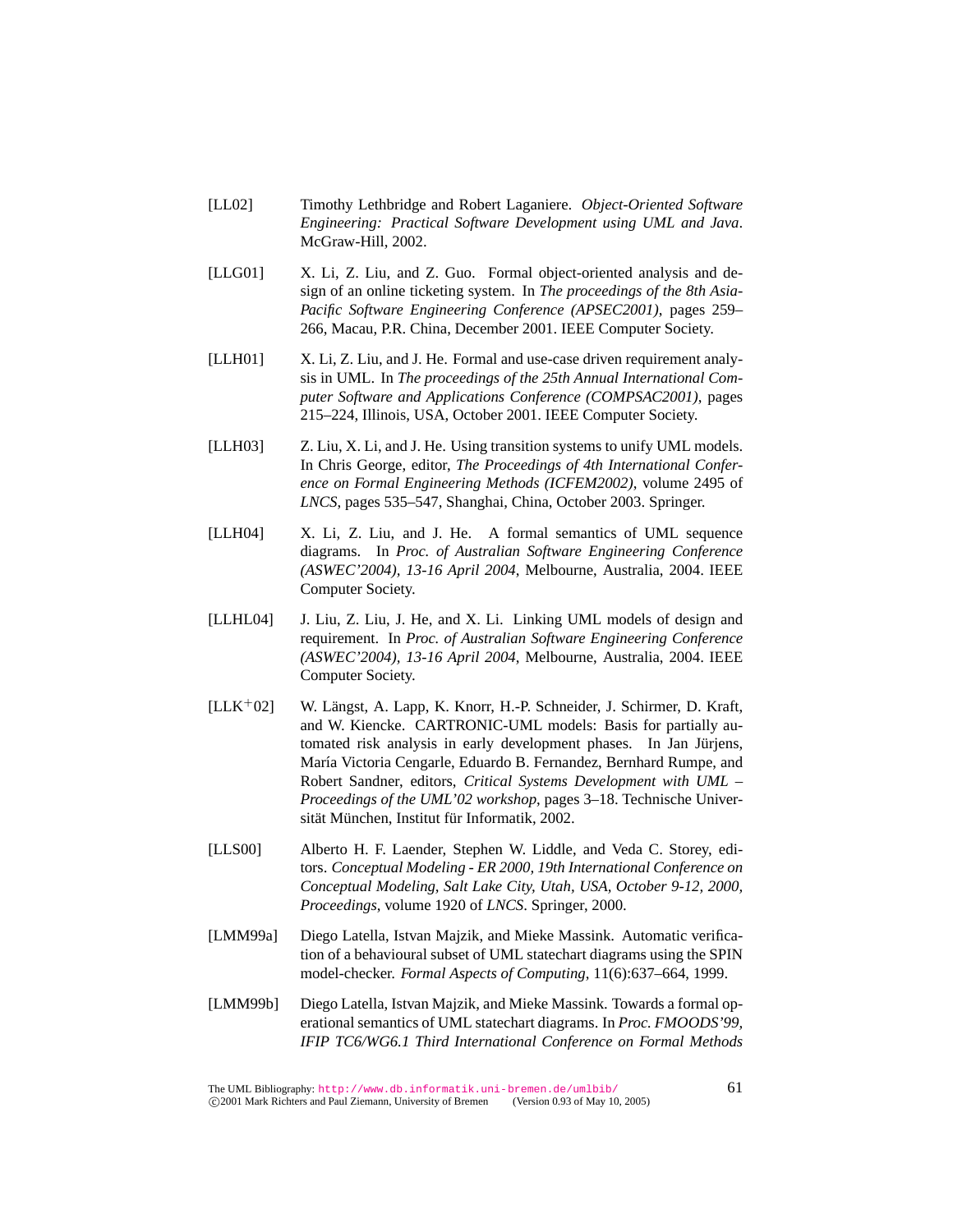- [LL02] Timothy Lethbridge and Robert Laganiere. *Object-Oriented Software Engineering: Practical Software Development using UML and Java*. McGraw-Hill, 2002.
- [LLG01] X. Li, Z. Liu, and Z. Guo. Formal object-oriented analysis and design of an online ticketing system. In *The proceedings of the 8th Asia-Pacific Software Engineering Conference (APSEC2001)*, pages 259– 266, Macau, P.R. China, December 2001. IEEE Computer Society.
- [LLH01] X. Li, Z. Liu, and J. He. Formal and use-case driven requirement analysis in UML. In *The proceedings of the 25th Annual International Computer Software and Applications Conference (COMPSAC2001)*, pages 215–224, Illinois, USA, October 2001. IEEE Computer Society.
- [LLH03] Z. Liu, X. Li, and J. He. Using transition systems to unify UML models. In Chris George, editor, *The Proceedings of 4th International Conference on Formal Engineering Methods (ICFEM2002)*, volume 2495 of *LNCS*, pages 535–547, Shanghai, China, October 2003. Springer.
- [LLH04] X. Li, Z. Liu, and J. He. A formal semantics of UML sequence diagrams. In *Proc. of Australian Software Engineering Conference (ASWEC'2004), 13-16 April 2004*, Melbourne, Australia, 2004. IEEE Computer Society.
- [LLHL04] J. Liu, Z. Liu, J. He, and X. Li. Linking UML models of design and requirement. In *Proc. of Australian Software Engineering Conference (ASWEC'2004), 13-16 April 2004*, Melbourne, Australia, 2004. IEEE Computer Society.
- $[LLK<sup>+</sup>02]$  W. Längst, A. Lapp, K. Knorr, H.-P. Schneider, J. Schirmer, D. Kraft, and W. Kiencke. CARTRONIC-UML models: Basis for partially automated risk analysis in early development phases. In Jan Jürjens, María Victoria Cengarle, Eduardo B. Fernandez, Bernhard Rumpe, and Robert Sandner, editors, *Critical Systems Development with UML – Proceedings of the UML'02 workshop*, pages 3–18. Technische Universität München, Institut für Informatik, 2002.
- [LLS00] Alberto H. F. Laender, Stephen W. Liddle, and Veda C. Storey, editors. *Conceptual Modeling - ER 2000, 19th International Conference on Conceptual Modeling, Salt Lake City, Utah, USA, October 9-12, 2000, Proceedings*, volume 1920 of *LNCS*. Springer, 2000.
- [LMM99a] Diego Latella, Istvan Majzik, and Mieke Massink. Automatic verification of a behavioural subset of UML statechart diagrams using the SPIN model-checker. *Formal Aspects of Computing*, 11(6):637–664, 1999.
- [LMM99b] Diego Latella, Istvan Majzik, and Mieke Massink. Towards a formal operational semantics of UML statechart diagrams. In *Proc. FMOODS'99, IFIP TC6/WG6.1 Third International Conference on Formal Methods*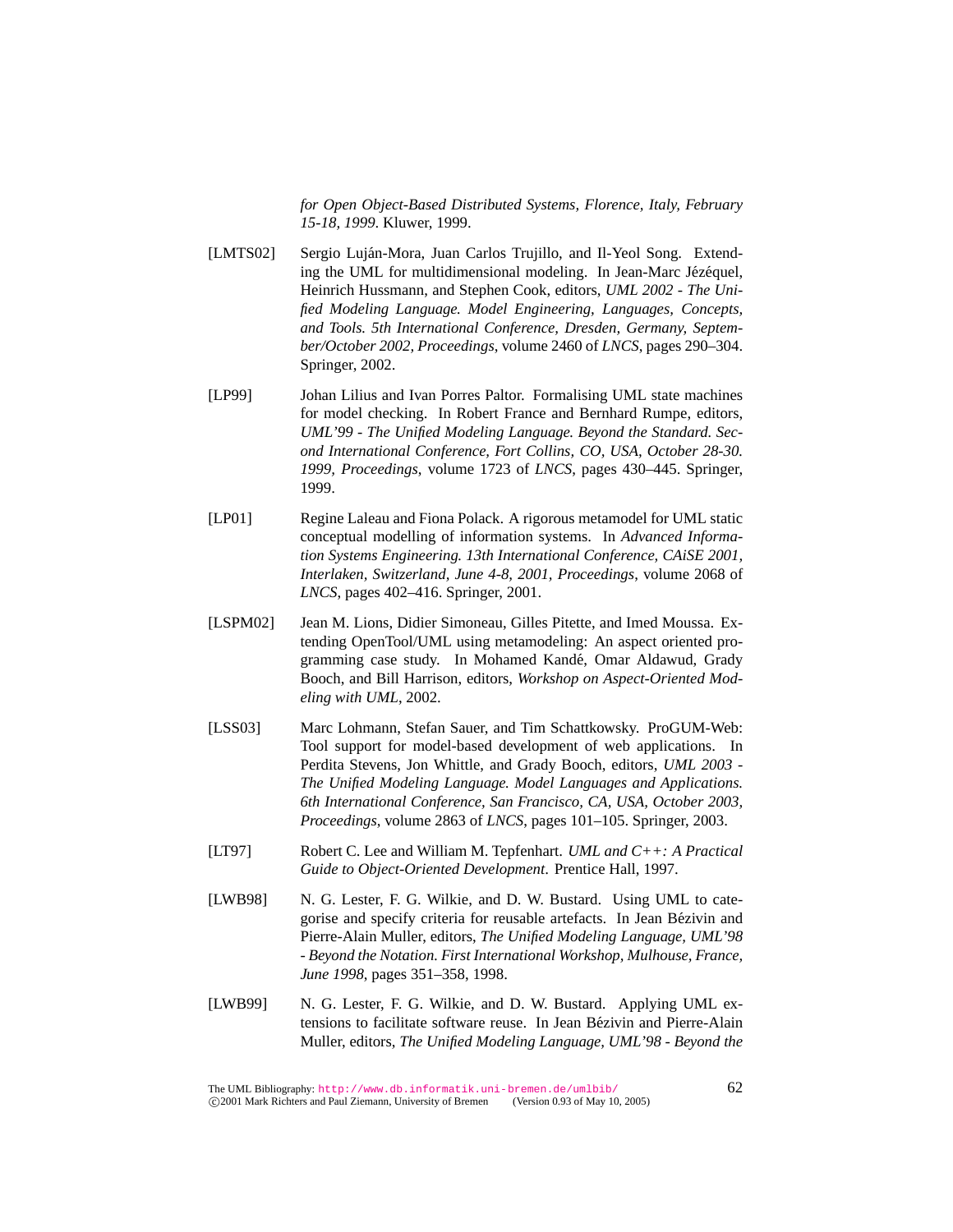*for Open Object-Based Distributed Systems, Florence, Italy, February 15-18, 1999*. Kluwer, 1999.

- [LMTS02] Sergio Luján-Mora, Juan Carlos Trujillo, and Il-Yeol Song. Extending the UML for multidimensional modeling. In Jean-Marc Jézéquel, Heinrich Hussmann, and Stephen Cook, editors, *UML 2002 - The Unified Modeling Language. Model Engineering, Languages, Concepts, and Tools. 5th International Conference, Dresden, Germany, September/October 2002, Proceedings*, volume 2460 of *LNCS*, pages 290–304. Springer, 2002.
- [LP99] Johan Lilius and Ivan Porres Paltor. Formalising UML state machines for model checking. In Robert France and Bernhard Rumpe, editors, *UML'99 - The Unified Modeling Language. Beyond the Standard. Second International Conference, Fort Collins, CO, USA, October 28-30. 1999, Proceedings*, volume 1723 of *LNCS*, pages 430–445. Springer, 1999.
- [LP01] Regine Laleau and Fiona Polack. A rigorous metamodel for UML static conceptual modelling of information systems. In *Advanced Information Systems Engineering. 13th International Conference, CAiSE 2001, Interlaken, Switzerland, June 4-8, 2001, Proceedings*, volume 2068 of *LNCS*, pages 402–416. Springer, 2001.
- [LSPM02] Jean M. Lions, Didier Simoneau, Gilles Pitette, and Imed Moussa. Extending OpenTool/UML using metamodeling: An aspect oriented programming case study. In Mohamed Kandé, Omar Aldawud, Grady Booch, and Bill Harrison, editors, *Workshop on Aspect-Oriented Modeling with UML*, 2002.
- [LSS03] Marc Lohmann, Stefan Sauer, and Tim Schattkowsky. ProGUM-Web: Tool support for model-based development of web applications. In Perdita Stevens, Jon Whittle, and Grady Booch, editors, *UML 2003 - The Unified Modeling Language. Model Languages and Applications. 6th International Conference, San Francisco, CA, USA, October 2003, Proceedings*, volume 2863 of *LNCS*, pages 101–105. Springer, 2003.
- [LT97] Robert C. Lee and William M. Tepfenhart. *UML and C++: A Practical Guide to Object-Oriented Development*. Prentice Hall, 1997.
- [LWB98] N. G. Lester, F. G. Wilkie, and D. W. Bustard. Using UML to categorise and specify criteria for reusable artefacts. In Jean Bezivin and ´ Pierre-Alain Muller, editors, *The Unified Modeling Language, UML'98 - Beyond the Notation. First International Workshop, Mulhouse, France, June 1998*, pages 351–358, 1998.
- [LWB99] N. G. Lester, F. G. Wilkie, and D. W. Bustard. Applying UML extensions to facilitate software reuse. In Jean Bezivin and Pierre-Alain ´ Muller, editors, *The Unified Modeling Language, UML'98 - Beyond the*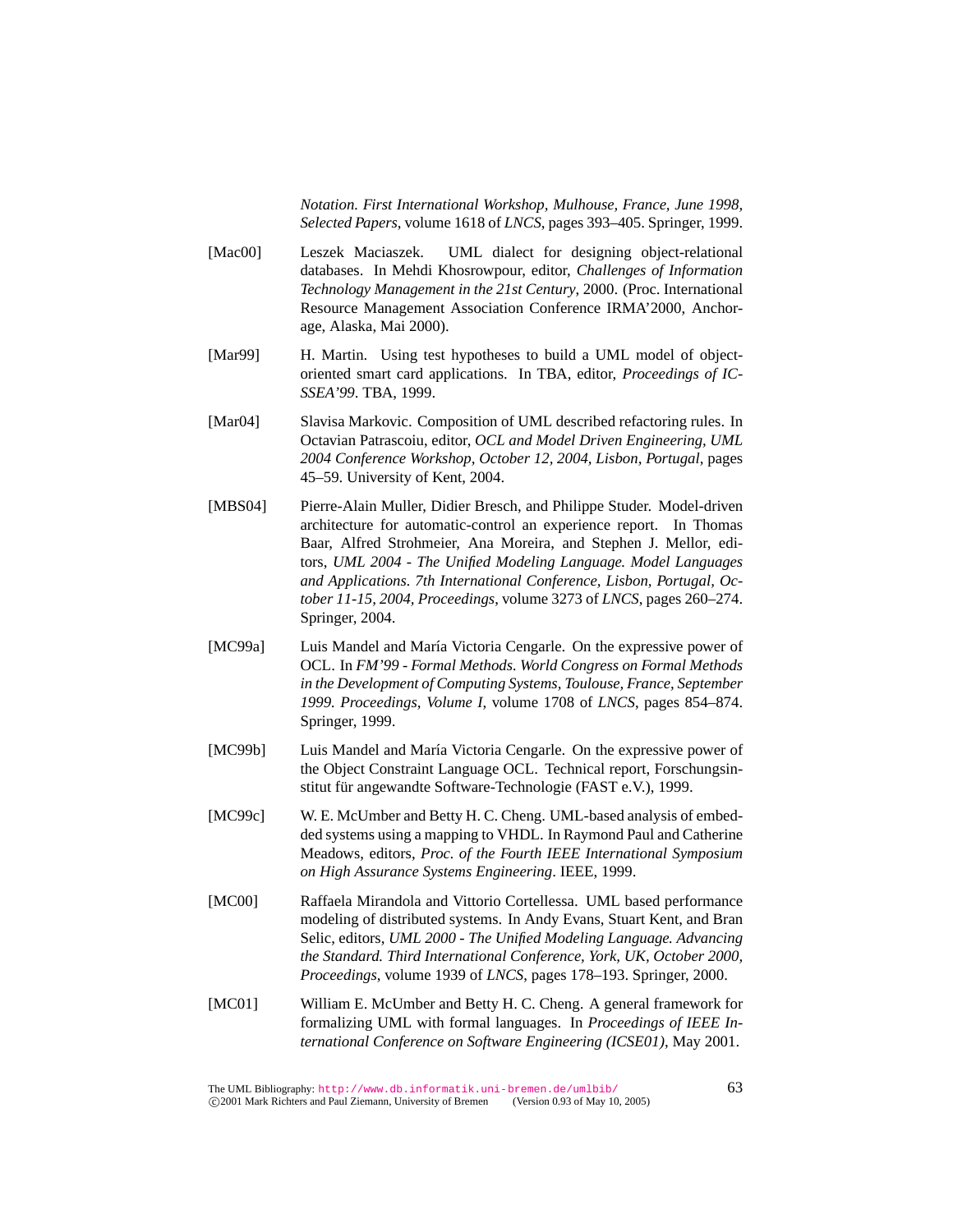*Notation. First International Workshop, Mulhouse, France, June 1998, Selected Papers*, volume 1618 of *LNCS*, pages 393–405. Springer, 1999.

- [Mac00] Leszek Maciaszek. UML dialect for designing object-relational databases. In Mehdi Khosrowpour, editor, *Challenges of Information Technology Management in the 21st Century*, 2000. (Proc. International Resource Management Association Conference IRMA'2000, Anchorage, Alaska, Mai 2000).
- [Mar99] H. Martin. Using test hypotheses to build a UML model of objectoriented smart card applications. In TBA, editor, *Proceedings of IC-SSEA'99*. TBA, 1999.
- [Mar04] Slavisa Markovic. Composition of UML described refactoring rules. In Octavian Patrascoiu, editor, *OCL and Model Driven Engineering, UML 2004 Conference Workshop, October 12, 2004, Lisbon, Portugal*, pages 45–59. University of Kent, 2004.
- [MBS04] Pierre-Alain Muller, Didier Bresch, and Philippe Studer. Model-driven architecture for automatic-control an experience report. In Thomas Baar, Alfred Strohmeier, Ana Moreira, and Stephen J. Mellor, editors, *UML 2004 - The Unified Modeling Language. Model Languages and Applications. 7th International Conference, Lisbon, Portugal, October 11-15, 2004, Proceedings*, volume 3273 of *LNCS*, pages 260–274. Springer, 2004.
- [MC99a] Luis Mandel and María Victoria Cengarle. On the expressive power of OCL. In *FM'99 - Formal Methods. World Congress on Formal Methods in the Development of Computing Systems, Toulouse, France, September 1999. Proceedings, Volume I*, volume 1708 of *LNCS*, pages 854–874. Springer, 1999.
- [MC99b] Luis Mandel and María Victoria Cengarle. On the expressive power of the Object Constraint Language OCL. Technical report, Forschungsinstitut für angewandte Software-Technologie (FAST e.V.), 1999.
- [MC99c] W. E. McUmber and Betty H. C. Cheng. UML-based analysis of embedded systems using a mapping to VHDL. In Raymond Paul and Catherine Meadows, editors, *Proc. of the Fourth IEEE International Symposium on High Assurance Systems Engineering*. IEEE, 1999.
- [MC00] Raffaela Mirandola and Vittorio Cortellessa. UML based performance modeling of distributed systems. In Andy Evans, Stuart Kent, and Bran Selic, editors, *UML 2000 - The Unified Modeling Language. Advancing the Standard. Third International Conference, York, UK, October 2000, Proceedings*, volume 1939 of *LNCS*, pages 178–193. Springer, 2000.
- [MC01] William E. McUmber and Betty H. C. Cheng. A general framework for formalizing UML with formal languages. In *Proceedings of IEEE International Conference on Software Engineering (ICSE01)*, May 2001.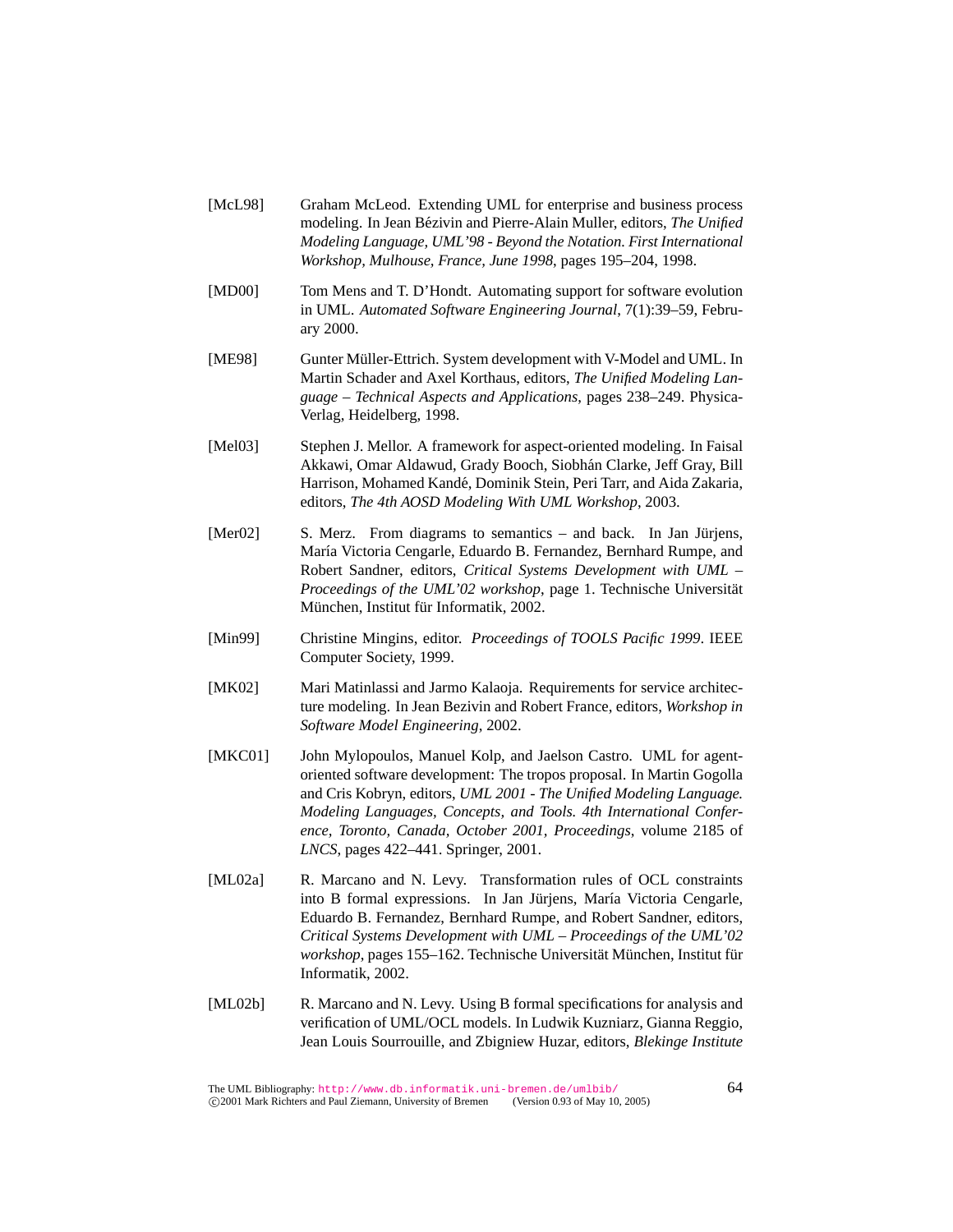- [McL98] Graham McLeod. Extending UML for enterprise and business process modeling. In Jean Bézivin and Pierre-Alain Muller, editors, The Unified *Modeling Language, UML'98 - Beyond the Notation. First International Workshop, Mulhouse, France, June 1998*, pages 195–204, 1998.
- [MD00] Tom Mens and T. D'Hondt. Automating support for software evolution in UML. *Automated Software Engineering Journal*, 7(1):39–59, February 2000.
- [ME98] Gunter Müller-Ettrich. System development with V-Model and UML. In Martin Schader and Axel Korthaus, editors, *The Unified Modeling Language – Technical Aspects and Applications*, pages 238–249. Physica-Verlag, Heidelberg, 1998.
- [Mel03] Stephen J. Mellor. A framework for aspect-oriented modeling. In Faisal Akkawi, Omar Aldawud, Grady Booch, Siobhán Clarke, Jeff Gray, Bill Harrison, Mohamed Kande, Dominik Stein, Peri Tarr, and Aida Zakaria, ´ editors, *The 4th AOSD Modeling With UML Workshop*, 2003.
- [Mer02] S. Merz. From diagrams to semantics and back. In Jan Jürjens, María Victoria Cengarle, Eduardo B. Fernandez, Bernhard Rumpe, and Robert Sandner, editors, *Critical Systems Development with UML – Proceedings of the UML'02 workshop*, page 1. Technische Universität München, Institut für Informatik, 2002.
- [Min99] Christine Mingins, editor. *Proceedings of TOOLS Pacific 1999*. IEEE Computer Society, 1999.
- [MK02] Mari Matinlassi and Jarmo Kalaoja. Requirements for service architecture modeling. In Jean Bezivin and Robert France, editors, *Workshop in Software Model Engineering*, 2002.
- [MKC01] John Mylopoulos, Manuel Kolp, and Jaelson Castro. UML for agentoriented software development: The tropos proposal. In Martin Gogolla and Cris Kobryn, editors, *UML 2001 - The Unified Modeling Language. Modeling Languages, Concepts, and Tools. 4th International Conference, Toronto, Canada, October 2001, Proceedings*, volume 2185 of *LNCS*, pages 422–441. Springer, 2001.
- [ML02a] R. Marcano and N. Levy. Transformation rules of OCL constraints into B formal expressions. In Jan Jürjens, María Victoria Cengarle, Eduardo B. Fernandez, Bernhard Rumpe, and Robert Sandner, editors, *Critical Systems Development with UML – Proceedings of the UML'02 workshop*, pages 155–162. Technische Universität München, Institut für Informatik, 2002.
- [ML02b] R. Marcano and N. Levy. Using B formal specifications for analysis and verification of UML/OCL models. In Ludwik Kuzniarz, Gianna Reggio, Jean Louis Sourrouille, and Zbigniew Huzar, editors, *Blekinge Institute*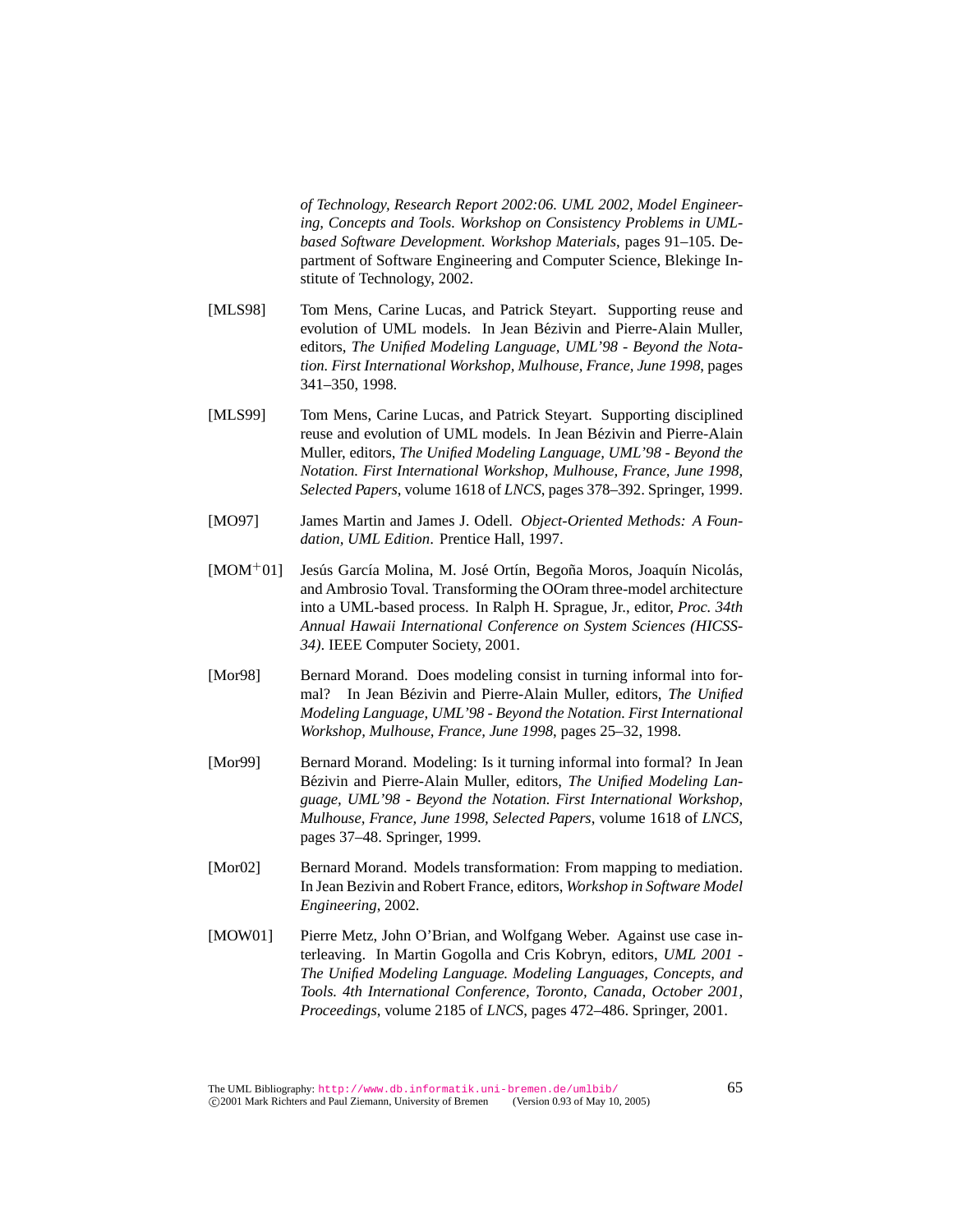*of Technology, Research Report 2002:06. UML 2002, Model Engineering, Concepts and Tools. Workshop on Consistency Problems in UMLbased Software Development. Workshop Materials*, pages 91–105. Department of Software Engineering and Computer Science, Blekinge Institute of Technology, 2002.

- [MLS98] Tom Mens, Carine Lucas, and Patrick Steyart. Supporting reuse and evolution of UML models. In Jean Bezivin and Pierre-Alain Muller, ´ editors, *The Unified Modeling Language, UML'98 - Beyond the Notation. First International Workshop, Mulhouse, France, June 1998*, pages 341–350, 1998.
- [MLS99] Tom Mens, Carine Lucas, and Patrick Steyart. Supporting disciplined reuse and evolution of UML models. In Jean Bézivin and Pierre-Alain Muller, editors, *The Unified Modeling Language, UML'98 - Beyond the Notation. First International Workshop, Mulhouse, France, June 1998, Selected Papers*, volume 1618 of *LNCS*, pages 378–392. Springer, 1999.
- [MO97] James Martin and James J. Odell. *Object-Oriented Methods: A Foundation, UML Edition*. Prentice Hall, 1997.
- [MOM<sup>+</sup>01] Jesús García Molina, M. José Ortín, Begoña Moros, Joaquín Nicolás, and Ambrosio Toval. Transforming the OOram three-model architecture into a UML-based process. In Ralph H. Sprague, Jr., editor, *Proc. 34th Annual Hawaii International Conference on System Sciences (HICSS-34)*. IEEE Computer Society, 2001.
- [Mor98] Bernard Morand. Does modeling consist in turning informal into formal? In Jean Bézivin and Pierre-Alain Muller, editors, The Unified *Modeling Language, UML'98 - Beyond the Notation. First International Workshop, Mulhouse, France, June 1998*, pages 25–32, 1998.
- [Mor99] Bernard Morand. Modeling: Is it turning informal into formal? In Jean Bézivin and Pierre-Alain Muller, editors, *The Unified Modeling Language, UML'98 - Beyond the Notation. First International Workshop, Mulhouse, France, June 1998, Selected Papers*, volume 1618 of *LNCS*, pages 37–48. Springer, 1999.
- [Mor02] Bernard Morand. Models transformation: From mapping to mediation. In Jean Bezivin and Robert France, editors, *Workshop in Software Model Engineering*, 2002.
- [MOW01] Pierre Metz, John O'Brian, and Wolfgang Weber. Against use case interleaving. In Martin Gogolla and Cris Kobryn, editors, *UML 2001 - The Unified Modeling Language. Modeling Languages, Concepts, and Tools. 4th International Conference, Toronto, Canada, October 2001, Proceedings*, volume 2185 of *LNCS*, pages 472–486. Springer, 2001.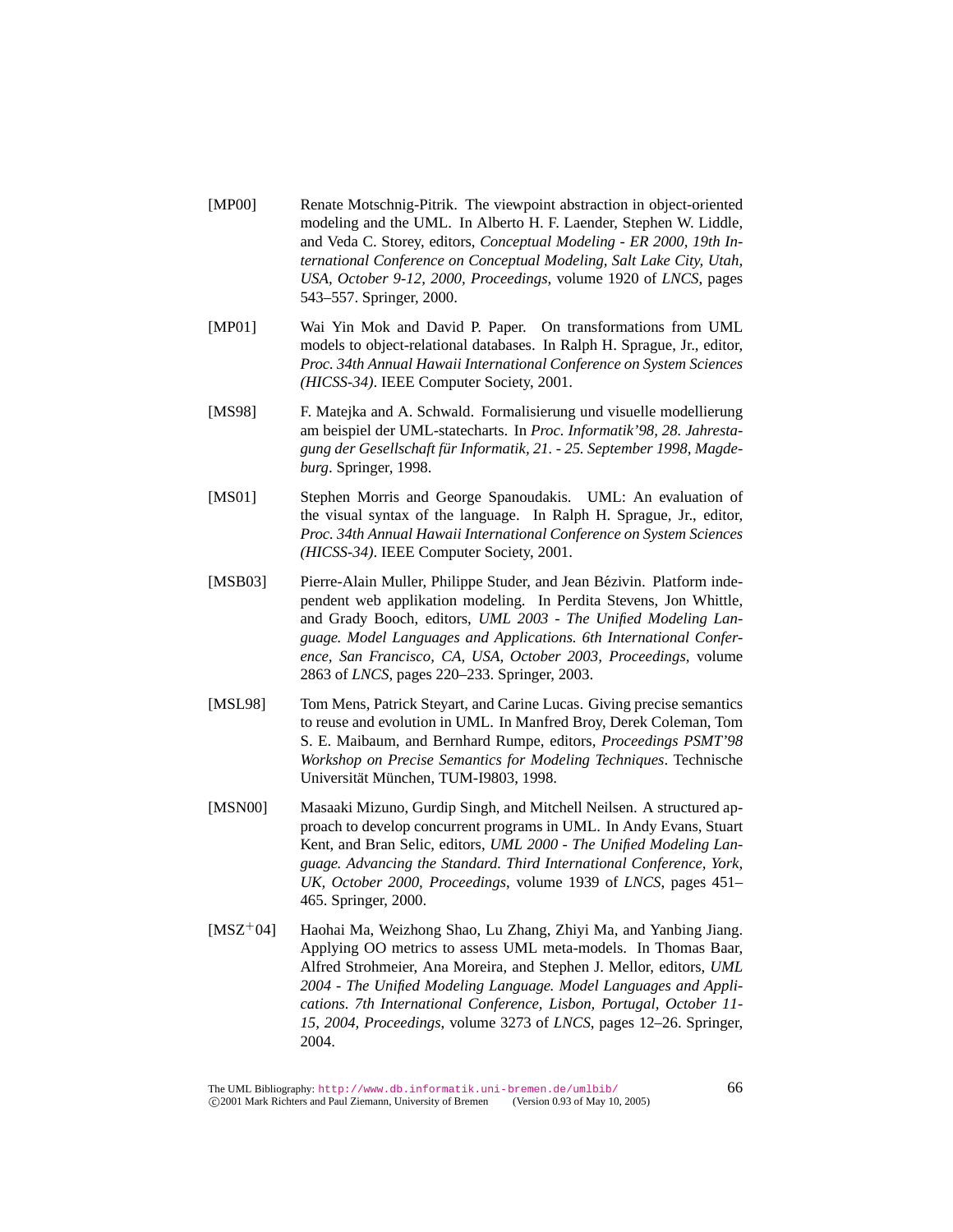- [MP00] Renate Motschnig-Pitrik. The viewpoint abstraction in object-oriented modeling and the UML. In Alberto H. F. Laender, Stephen W. Liddle, and Veda C. Storey, editors, *Conceptual Modeling - ER 2000, 19th International Conference on Conceptual Modeling, Salt Lake City, Utah, USA, October 9-12, 2000, Proceedings*, volume 1920 of *LNCS*, pages 543–557. Springer, 2000.
- [MP01] Wai Yin Mok and David P. Paper. On transformations from UML models to object-relational databases. In Ralph H. Sprague, Jr., editor, *Proc. 34th Annual Hawaii International Conference on System Sciences (HICSS-34)*. IEEE Computer Society, 2001.
- [MS98] F. Matejka and A. Schwald. Formalisierung und visuelle modellierung am beispiel der UML-statecharts. In *Proc. Informatik'98, 28. Jahrestagung der Gesellschaft fur Informatik, 21. - 25. September 1998, Magde- ¨ burg*. Springer, 1998.
- [MS01] Stephen Morris and George Spanoudakis. UML: An evaluation of the visual syntax of the language. In Ralph H. Sprague, Jr., editor, *Proc. 34th Annual Hawaii International Conference on System Sciences (HICSS-34)*. IEEE Computer Society, 2001.
- [MSB03] Pierre-Alain Muller, Philippe Studer, and Jean Bézivin. Platform independent web applikation modeling. In Perdita Stevens, Jon Whittle, and Grady Booch, editors, *UML 2003 - The Unified Modeling Language. Model Languages and Applications. 6th International Conference, San Francisco, CA, USA, October 2003, Proceedings*, volume 2863 of *LNCS*, pages 220–233. Springer, 2003.
- [MSL98] Tom Mens, Patrick Steyart, and Carine Lucas. Giving precise semantics to reuse and evolution in UML. In Manfred Broy, Derek Coleman, Tom S. E. Maibaum, and Bernhard Rumpe, editors, *Proceedings PSMT'98 Workshop on Precise Semantics for Modeling Techniques*. Technische Universität München, TUM-I9803, 1998.
- [MSN00] Masaaki Mizuno, Gurdip Singh, and Mitchell Neilsen. A structured approach to develop concurrent programs in UML. In Andy Evans, Stuart Kent, and Bran Selic, editors, *UML 2000 - The Unified Modeling Language. Advancing the Standard. Third International Conference, York, UK, October 2000, Proceedings*, volume 1939 of *LNCS*, pages 451– 465. Springer, 2000.
- [MSZ<sup>+</sup>04] Haohai Ma, Weizhong Shao, Lu Zhang, Zhiyi Ma, and Yanbing Jiang. Applying OO metrics to assess UML meta-models. In Thomas Baar, Alfred Strohmeier, Ana Moreira, and Stephen J. Mellor, editors, *UML 2004 - The Unified Modeling Language. Model Languages and Applications. 7th International Conference, Lisbon, Portugal, October 11- 15, 2004, Proceedings*, volume 3273 of *LNCS*, pages 12–26. Springer, 2004.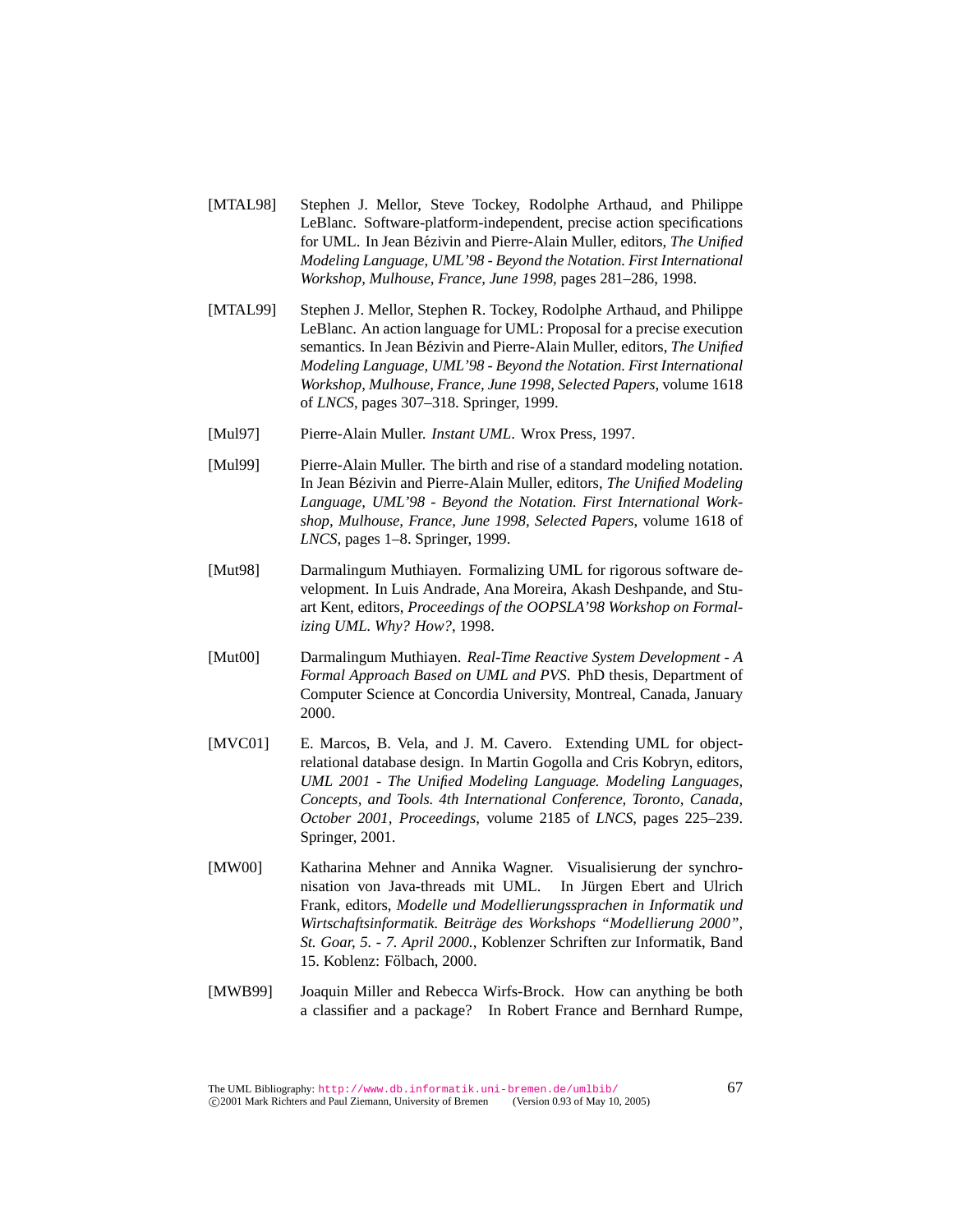- [MTAL98] Stephen J. Mellor, Steve Tockey, Rodolphe Arthaud, and Philippe LeBlanc. Software-platform-independent, precise action specifications for UML. In Jean Bézivin and Pierre-Alain Muller, editors, *The Unified Modeling Language, UML'98 - Beyond the Notation. First International Workshop, Mulhouse, France, June 1998*, pages 281–286, 1998.
- [MTAL99] Stephen J. Mellor, Stephen R. Tockey, Rodolphe Arthaud, and Philippe LeBlanc. An action language for UML: Proposal for a precise execution semantics. In Jean Bézivin and Pierre-Alain Muller, editors, *The Unified Modeling Language, UML'98 - Beyond the Notation. First International Workshop, Mulhouse, France, June 1998, Selected Papers*, volume 1618 of *LNCS*, pages 307–318. Springer, 1999.
- [Mul97] Pierre-Alain Muller. *Instant UML*. Wrox Press, 1997.
- [Mul99] Pierre-Alain Muller. The birth and rise of a standard modeling notation. In Jean Bézivin and Pierre-Alain Muller, editors, *The Unified Modeling Language, UML'98 - Beyond the Notation. First International Workshop, Mulhouse, France, June 1998, Selected Papers*, volume 1618 of *LNCS*, pages 1–8. Springer, 1999.
- [Mut98] Darmalingum Muthiayen. Formalizing UML for rigorous software development. In Luis Andrade, Ana Moreira, Akash Deshpande, and Stuart Kent, editors, *Proceedings of the OOPSLA'98 Workshop on Formalizing UML. Why? How?*, 1998.
- [Mut00] Darmalingum Muthiayen. *Real-Time Reactive System Development A Formal Approach Based on UML and PVS*. PhD thesis, Department of Computer Science at Concordia University, Montreal, Canada, January 2000.
- [MVC01] E. Marcos, B. Vela, and J. M. Cavero. Extending UML for objectrelational database design. In Martin Gogolla and Cris Kobryn, editors, *UML 2001 - The Unified Modeling Language. Modeling Languages, Concepts, and Tools. 4th International Conference, Toronto, Canada, October 2001, Proceedings*, volume 2185 of *LNCS*, pages 225–239. Springer, 2001.
- [MW00] Katharina Mehner and Annika Wagner. Visualisierung der synchronisation von Java-threads mit UML. In Jürgen Ebert and Ulrich Frank, editors, *Modelle und Modellierungssprachen in Informatik und Wirtschaftsinformatik. Beitrage des Workshops "Modellierung 2000", ¨ St. Goar, 5. - 7. April 2000.*, Koblenzer Schriften zur Informatik, Band 15. Koblenz: Fölbach, 2000.
- [MWB99] Joaquin Miller and Rebecca Wirfs-Brock. How can anything be both a classifier and a package? In Robert France and Bernhard Rumpe,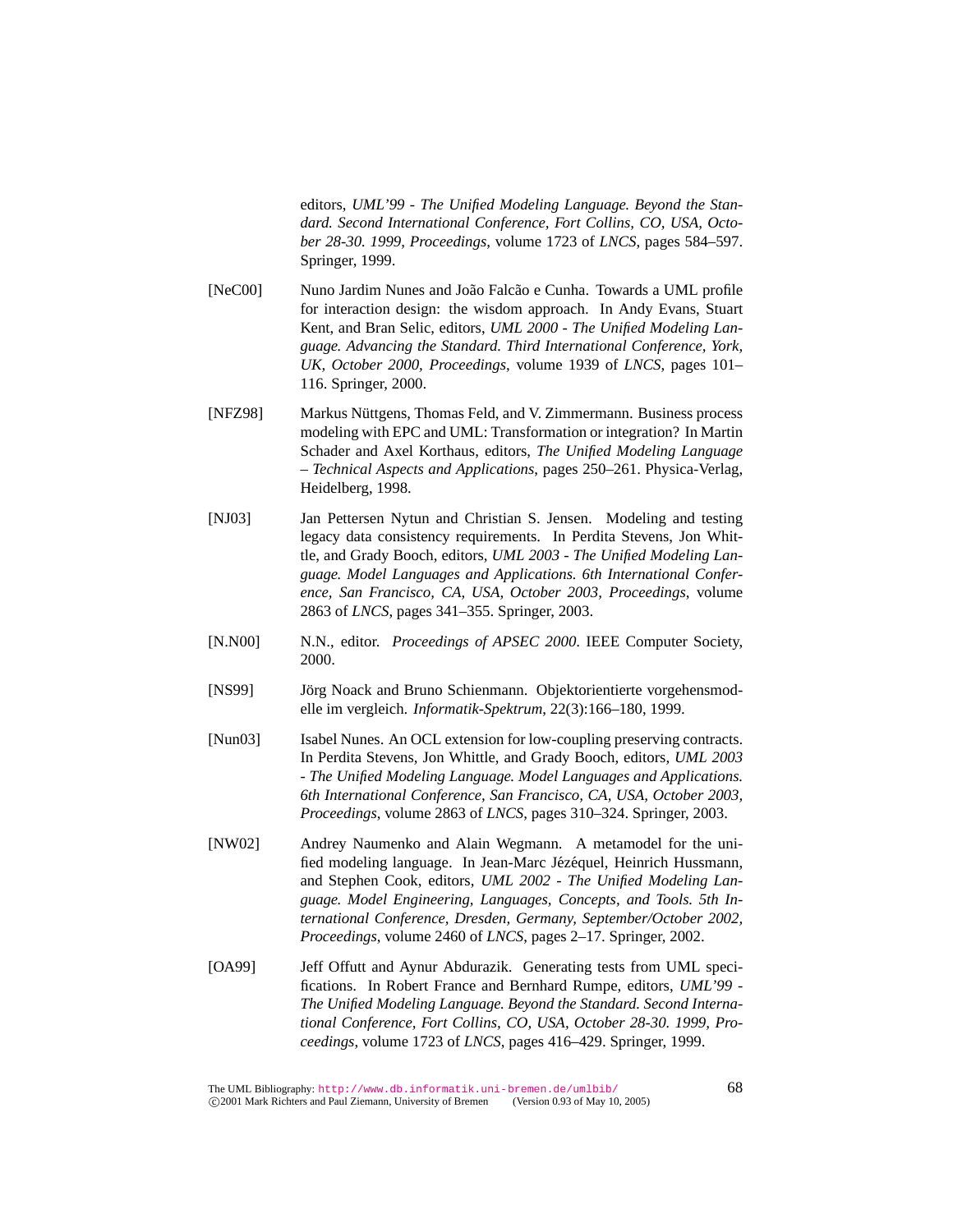editors, *UML'99 - The Unified Modeling Language. Beyond the Standard. Second International Conference, Fort Collins, CO, USA, October 28-30. 1999, Proceedings*, volume 1723 of *LNCS*, pages 584–597. Springer, 1999.

- [NeC00] Nuno Jardim Nunes and João Falcão e Cunha. Towards a UML profile for interaction design: the wisdom approach. In Andy Evans, Stuart Kent, and Bran Selic, editors, *UML 2000 - The Unified Modeling Language. Advancing the Standard. Third International Conference, York, UK, October 2000, Proceedings*, volume 1939 of *LNCS*, pages 101– 116. Springer, 2000.
- [NFZ98] Markus Nüttgens, Thomas Feld, and V. Zimmermann. Business process modeling with EPC and UML: Transformation or integration? In Martin Schader and Axel Korthaus, editors, *The Unified Modeling Language – Technical Aspects and Applications*, pages 250–261. Physica-Verlag, Heidelberg, 1998.
- [NJ03] Jan Pettersen Nytun and Christian S. Jensen. Modeling and testing legacy data consistency requirements. In Perdita Stevens, Jon Whittle, and Grady Booch, editors, *UML 2003 - The Unified Modeling Language. Model Languages and Applications. 6th International Conference, San Francisco, CA, USA, October 2003, Proceedings*, volume 2863 of *LNCS*, pages 341–355. Springer, 2003.
- [N.N00] N.N., editor. *Proceedings of APSEC 2000*. IEEE Computer Society, 2000.
- [NS99] Jörg Noack and Bruno Schienmann. Objektorientierte vorgehensmodelle im vergleich. *Informatik-Spektrum*, 22(3):166–180, 1999.
- [Nun03] Isabel Nunes. An OCL extension for low-coupling preserving contracts. In Perdita Stevens, Jon Whittle, and Grady Booch, editors, *UML 2003 - The Unified Modeling Language. Model Languages and Applications. 6th International Conference, San Francisco, CA, USA, October 2003, Proceedings*, volume 2863 of *LNCS*, pages 310–324. Springer, 2003.
- [NW02] Andrey Naumenko and Alain Wegmann. A metamodel for the unified modeling language. In Jean-Marc Jézéquel, Heinrich Hussmann, and Stephen Cook, editors, *UML 2002 - The Unified Modeling Language. Model Engineering, Languages, Concepts, and Tools. 5th International Conference, Dresden, Germany, September/October 2002, Proceedings*, volume 2460 of *LNCS*, pages 2–17. Springer, 2002.
- [OA99] Jeff Offutt and Aynur Abdurazik. Generating tests from UML specifications. In Robert France and Bernhard Rumpe, editors, *UML'99 - The Unified Modeling Language. Beyond the Standard. Second International Conference, Fort Collins, CO, USA, October 28-30. 1999, Proceedings*, volume 1723 of *LNCS*, pages 416–429. Springer, 1999.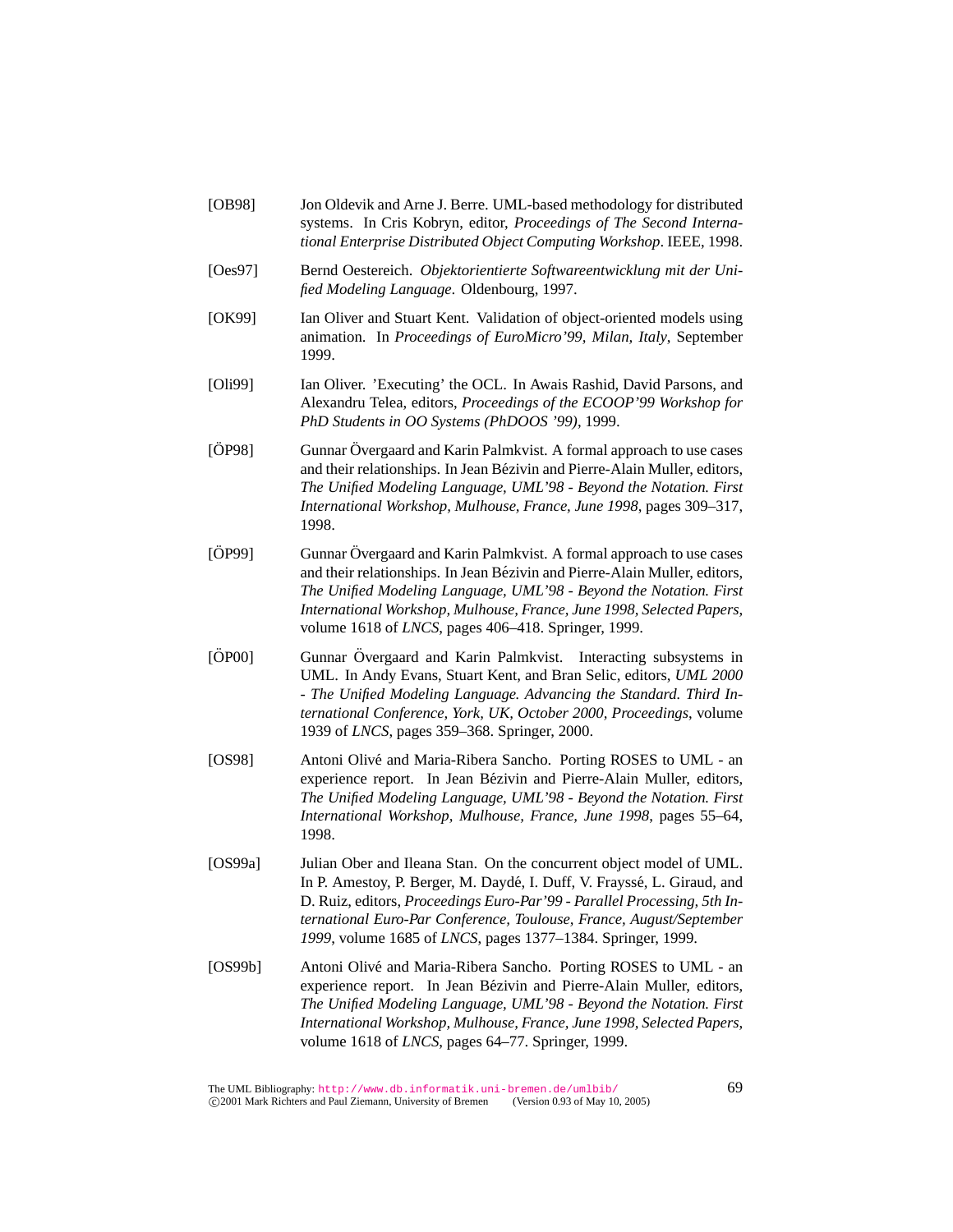- [OB98] Jon Oldevik and Arne J. Berre. UML-based methodology for distributed systems. In Cris Kobryn, editor, *Proceedings of The Second International Enterprise Distributed Object Computing Workshop*. IEEE, 1998.
- [Oes97] Bernd Oestereich. *Objektorientierte Softwareentwicklung mit der Unified Modeling Language*. Oldenbourg, 1997.
- [OK99] Ian Oliver and Stuart Kent. Validation of object-oriented models using animation. In *Proceedings of EuroMicro'99, Milan, Italy*, September 1999.
- [Oli99] Ian Oliver. 'Executing' the OCL. In Awais Rashid, David Parsons, and Alexandru Telea, editors, *Proceedings of the ECOOP'99 Workshop for PhD Students in OO Systems (PhDOOS '99)*, 1999.
- [OP98] Gunnar Övergaard and Karin Palmkvist. A formal approach to use cases and their relationships. In Jean Bezivin and Pierre-Alain Muller, editors, ´ *The Unified Modeling Language, UML'98 - Beyond the Notation. First International Workshop, Mulhouse, France, June 1998*, pages 309–317, 1998.
- [ÖP99] Gunnar Övergaard and Karin Palmkvist. A formal approach to use cases and their relationships. In Jean Bézivin and Pierre-Alain Muller, editors, *The Unified Modeling Language, UML'98 - Beyond the Notation. First International Workshop, Mulhouse, France, June 1998, Selected Papers*, volume 1618 of *LNCS*, pages 406–418. Springer, 1999.
- [ÖP00] Gunnar Övergaard and Karin Palmkvist. Interacting subsystems in UML. In Andy Evans, Stuart Kent, and Bran Selic, editors, *UML 2000 - The Unified Modeling Language. Advancing the Standard. Third International Conference, York, UK, October 2000, Proceedings*, volume 1939 of *LNCS*, pages 359–368. Springer, 2000.
- [OS98] Antoni Olivé and Maria-Ribera Sancho. Porting ROSES to UML an experience report. In Jean Bézivin and Pierre-Alain Muller, editors, *The Unified Modeling Language, UML'98 - Beyond the Notation. First International Workshop, Mulhouse, France, June 1998*, pages 55–64, 1998.
- [OS99a] Julian Ober and Ileana Stan. On the concurrent object model of UML. In P. Amestoy, P. Berger, M. Daydé, I. Duff, V. Frayssé, L. Giraud, and D. Ruiz, editors, *Proceedings Euro-Par'99 - Parallel Processing, 5th International Euro-Par Conference, Toulouse, France, August/September 1999*, volume 1685 of *LNCS*, pages 1377–1384. Springer, 1999.
- [OS99b] Antoni Olivé and Maria-Ribera Sancho. Porting ROSES to UML an experience report. In Jean Bézivin and Pierre-Alain Muller, editors, *The Unified Modeling Language, UML'98 - Beyond the Notation. First International Workshop, Mulhouse, France, June 1998, Selected Papers*, volume 1618 of *LNCS*, pages 64–77. Springer, 1999.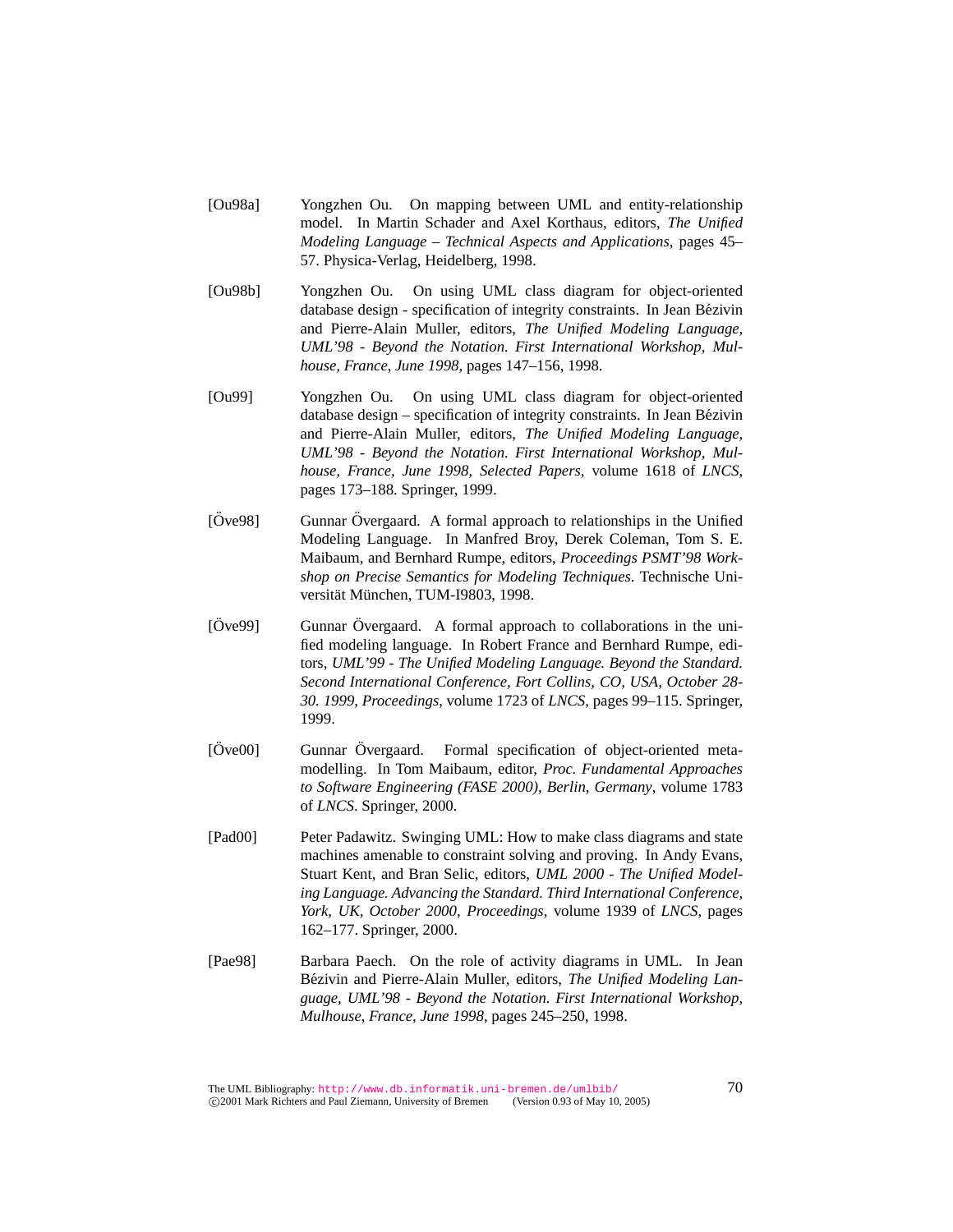- [Ou98a] Yongzhen Ou. On mapping between UML and entity-relationship model. In Martin Schader and Axel Korthaus, editors, *The Unified Modeling Language – Technical Aspects and Applications*, pages 45– 57. Physica-Verlag, Heidelberg, 1998.
- [Ou98b] Yongzhen Ou. On using UML class diagram for object-oriented database design - specification of integrity constraints. In Jean Bezivin ´ and Pierre-Alain Muller, editors, *The Unified Modeling Language, UML'98 - Beyond the Notation. First International Workshop, Mulhouse, France, June 1998*, pages 147–156, 1998.
- [Ou99] Yongzhen Ou. On using UML class diagram for object-oriented database design – specification of integrity constraints. In Jean Bézivin and Pierre-Alain Muller, editors, *The Unified Modeling Language, UML'98 - Beyond the Notation. First International Workshop, Mulhouse, France, June 1998, Selected Papers*, volume 1618 of *LNCS*, pages 173–188. Springer, 1999.
- $[\text{Ove98}]$  Gunnar  $\text{Overgaard}$ . A formal approach to relationships in the Unified Modeling Language. In Manfred Broy, Derek Coleman, Tom S. E. Maibaum, and Bernhard Rumpe, editors, *Proceedings PSMT'98 Workshop on Precise Semantics for Modeling Techniques*. Technische Universität München, TUM-I9803, 1998.
- $[\text{Ove99}]$  Gunnar  $\text{Overgaard}$ . A formal approach to collaborations in the unified modeling language. In Robert France and Bernhard Rumpe, editors, *UML'99 - The Unified Modeling Language. Beyond the Standard. Second International Conference, Fort Collins, CO, USA, October 28- 30. 1999, Proceedings*, volume 1723 of *LNCS*, pages 99–115. Springer, 1999.
- [Ove00] Gunnar Overgaard. Formal specification of object-oriented metamodelling. In Tom Maibaum, editor, *Proc. Fundamental Approaches to Software Engineering (FASE 2000), Berlin, Germany*, volume 1783 of *LNCS*. Springer, 2000.
- [Pad00] Peter Padawitz. Swinging UML: How to make class diagrams and state machines amenable to constraint solving and proving. In Andy Evans, Stuart Kent, and Bran Selic, editors, *UML 2000 - The Unified Modeling Language. Advancing the Standard. Third International Conference, York, UK, October 2000, Proceedings*, volume 1939 of *LNCS*, pages 162–177. Springer, 2000.
- [Pae98] Barbara Paech. On the role of activity diagrams in UML. In Jean Bézivin and Pierre-Alain Muller, editors, *The Unified Modeling Language, UML'98 - Beyond the Notation. First International Workshop, Mulhouse, France, June 1998*, pages 245–250, 1998.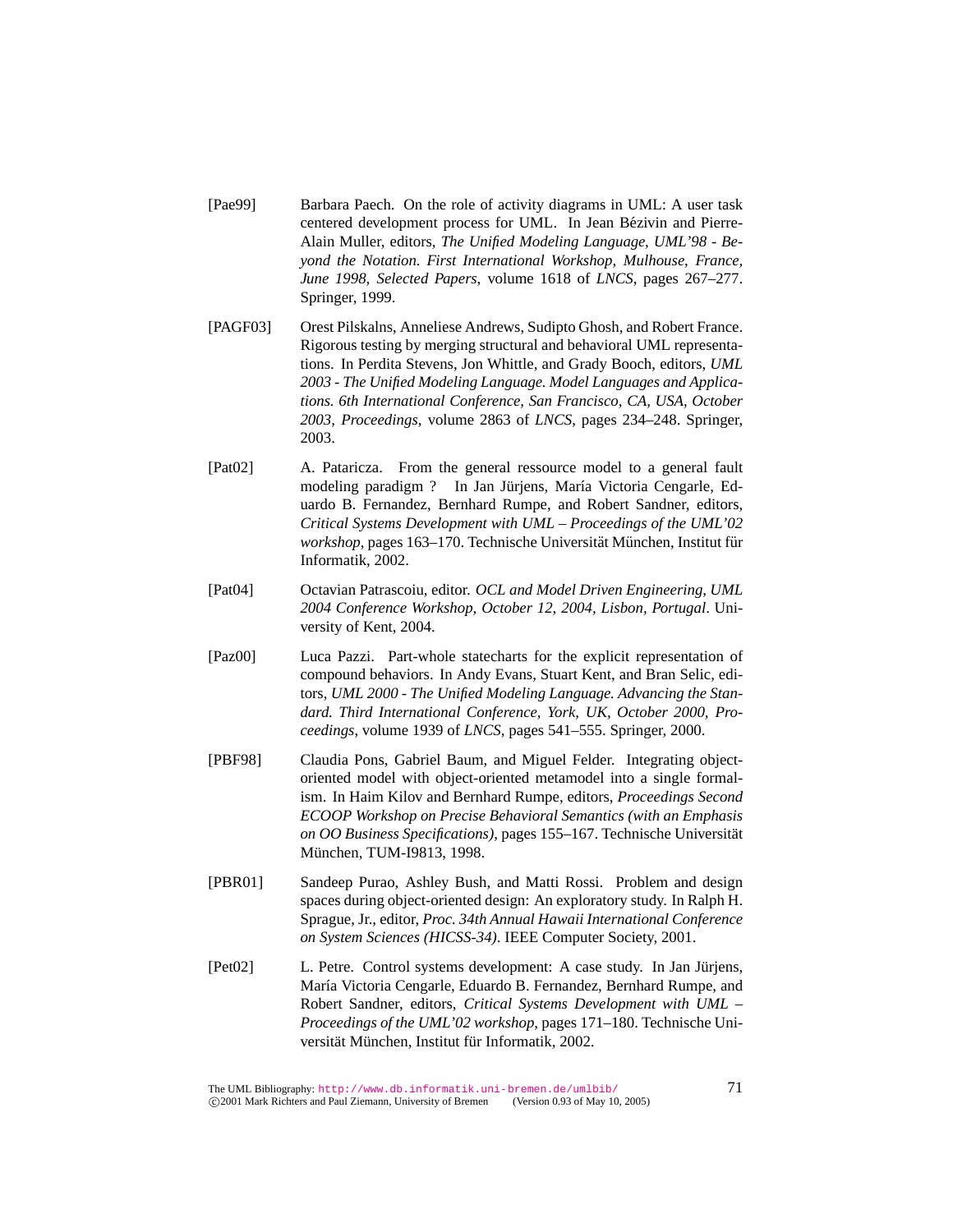- [Pae99] Barbara Paech. On the role of activity diagrams in UML: A user task centered development process for UML. In Jean Bézivin and Pierre-Alain Muller, editors, *The Unified Modeling Language, UML'98 - Beyond the Notation. First International Workshop, Mulhouse, France, June 1998, Selected Papers*, volume 1618 of *LNCS*, pages 267–277. Springer, 1999.
- [PAGF03] Orest Pilskalns, Anneliese Andrews, Sudipto Ghosh, and Robert France. Rigorous testing by merging structural and behavioral UML representations. In Perdita Stevens, Jon Whittle, and Grady Booch, editors, *UML 2003 - The Unified Modeling Language. Model Languages and Applications. 6th International Conference, San Francisco, CA, USA, October 2003, Proceedings*, volume 2863 of *LNCS*, pages 234–248. Springer, 2003.
- [Pat02] A. Pataricza. From the general ressource model to a general fault modeling paradigm ? In Jan Jürjens, María Victoria Cengarle, Eduardo B. Fernandez, Bernhard Rumpe, and Robert Sandner, editors, *Critical Systems Development with UML – Proceedings of the UML'02 workshop*, pages 163–170. Technische Universität München, Institut für Informatik, 2002.
- [Pat04] Octavian Patrascoiu, editor. *OCL and Model Driven Engineering, UML 2004 Conference Workshop, October 12, 2004, Lisbon, Portugal*. University of Kent, 2004.
- [Paz00] Luca Pazzi. Part-whole statecharts for the explicit representation of compound behaviors. In Andy Evans, Stuart Kent, and Bran Selic, editors, *UML 2000 - The Unified Modeling Language. Advancing the Standard. Third International Conference, York, UK, October 2000, Proceedings*, volume 1939 of *LNCS*, pages 541–555. Springer, 2000.
- [PBF98] Claudia Pons, Gabriel Baum, and Miguel Felder. Integrating objectoriented model with object-oriented metamodel into a single formalism. In Haim Kilov and Bernhard Rumpe, editors, *Proceedings Second ECOOP Workshop on Precise Behavioral Semantics (with an Emphasis on OO Business Specifications)*, pages 155–167. Technische Universitat¨ München, TUM-I9813, 1998.
- [PBR01] Sandeep Purao, Ashley Bush, and Matti Rossi. Problem and design spaces during object-oriented design: An exploratory study. In Ralph H. Sprague, Jr., editor, *Proc. 34th Annual Hawaii International Conference on System Sciences (HICSS-34)*. IEEE Computer Society, 2001.
- [Pet02] L. Petre. Control systems development: A case study. In Jan Jürjens, María Victoria Cengarle, Eduardo B. Fernandez, Bernhard Rumpe, and Robert Sandner, editors, *Critical Systems Development with UML – Proceedings of the UML'02 workshop*, pages 171–180. Technische Universität München, Institut für Informatik, 2002.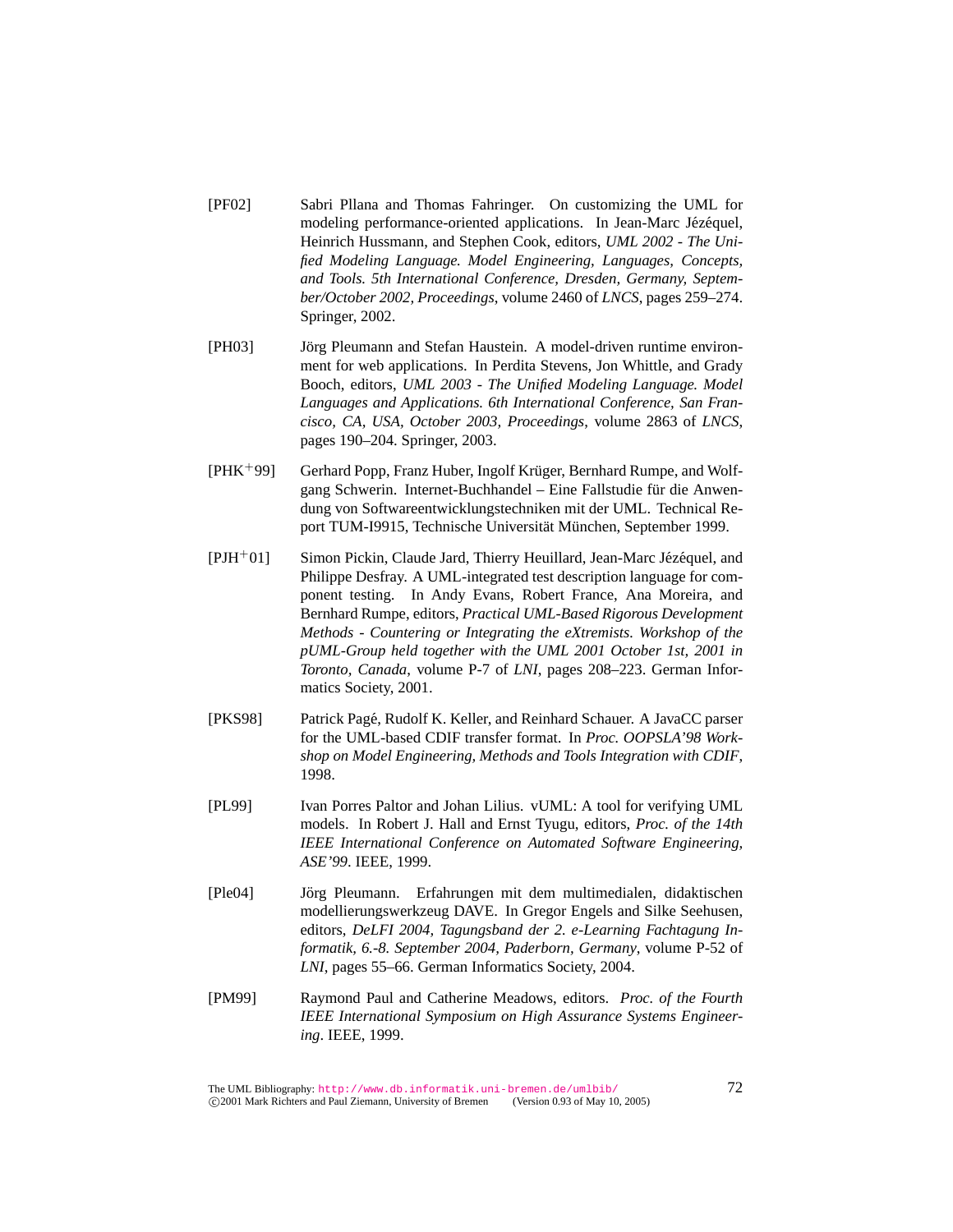- [PF02] Sabri Pllana and Thomas Fahringer. On customizing the UML for modeling performance-oriented applications. In Jean-Marc Jézéquel, Heinrich Hussmann, and Stephen Cook, editors, *UML 2002 - The Unified Modeling Language. Model Engineering, Languages, Concepts, and Tools. 5th International Conference, Dresden, Germany, September/October 2002, Proceedings*, volume 2460 of *LNCS*, pages 259–274. Springer, 2002.
- [PH03] Jörg Pleumann and Stefan Haustein. A model-driven runtime environment for web applications. In Perdita Stevens, Jon Whittle, and Grady Booch, editors, *UML 2003 - The Unified Modeling Language. Model Languages and Applications. 6th International Conference, San Francisco, CA, USA, October 2003, Proceedings*, volume 2863 of *LNCS*, pages 190–204. Springer, 2003.
- [PHK+99] Gerhard Popp, Franz Huber, Ingolf Krüger, Bernhard Rumpe, and Wolfgang Schwerin. Internet-Buchhandel – Eine Fallstudie für die Anwendung von Softwareentwicklungstechniken mit der UML. Technical Report TUM-I9915, Technische Universität München, September 1999.
- $[PIH<sup>+</sup>01]$  Simon Pickin, Claude Jard, Thierry Heuillard, Jean-Marc Jézéquel, and Philippe Desfray. A UML-integrated test description language for component testing. In Andy Evans, Robert France, Ana Moreira, and Bernhard Rumpe, editors, *Practical UML-Based Rigorous Development Methods - Countering or Integrating the eXtremists. Workshop of the pUML-Group held together with the UML 2001 October 1st, 2001 in Toronto, Canada*, volume P-7 of *LNI*, pages 208–223. German Informatics Society, 2001.
- [PKS98] Patrick Pagé, Rudolf K. Keller, and Reinhard Schauer. A JavaCC parser for the UML-based CDIF transfer format. In *Proc. OOPSLA'98 Workshop on Model Engineering, Methods and Tools Integration with CDIF*, 1998.
- [PL99] Ivan Porres Paltor and Johan Lilius. vUML: A tool for verifying UML models. In Robert J. Hall and Ernst Tyugu, editors, *Proc. of the 14th IEEE International Conference on Automated Software Engineering, ASE'99*. IEEE, 1999.
- [Ple04] Jorg Pleumann. Erfahrungen mit dem multimedialen, didaktischen ¨ modellierungswerkzeug DAVE. In Gregor Engels and Silke Seehusen, editors, *DeLFI 2004, Tagungsband der 2. e-Learning Fachtagung Informatik, 6.-8. September 2004, Paderborn, Germany*, volume P-52 of *LNI*, pages 55–66. German Informatics Society, 2004.
- [PM99] Raymond Paul and Catherine Meadows, editors. *Proc. of the Fourth IEEE International Symposium on High Assurance Systems Engineering*. IEEE, 1999.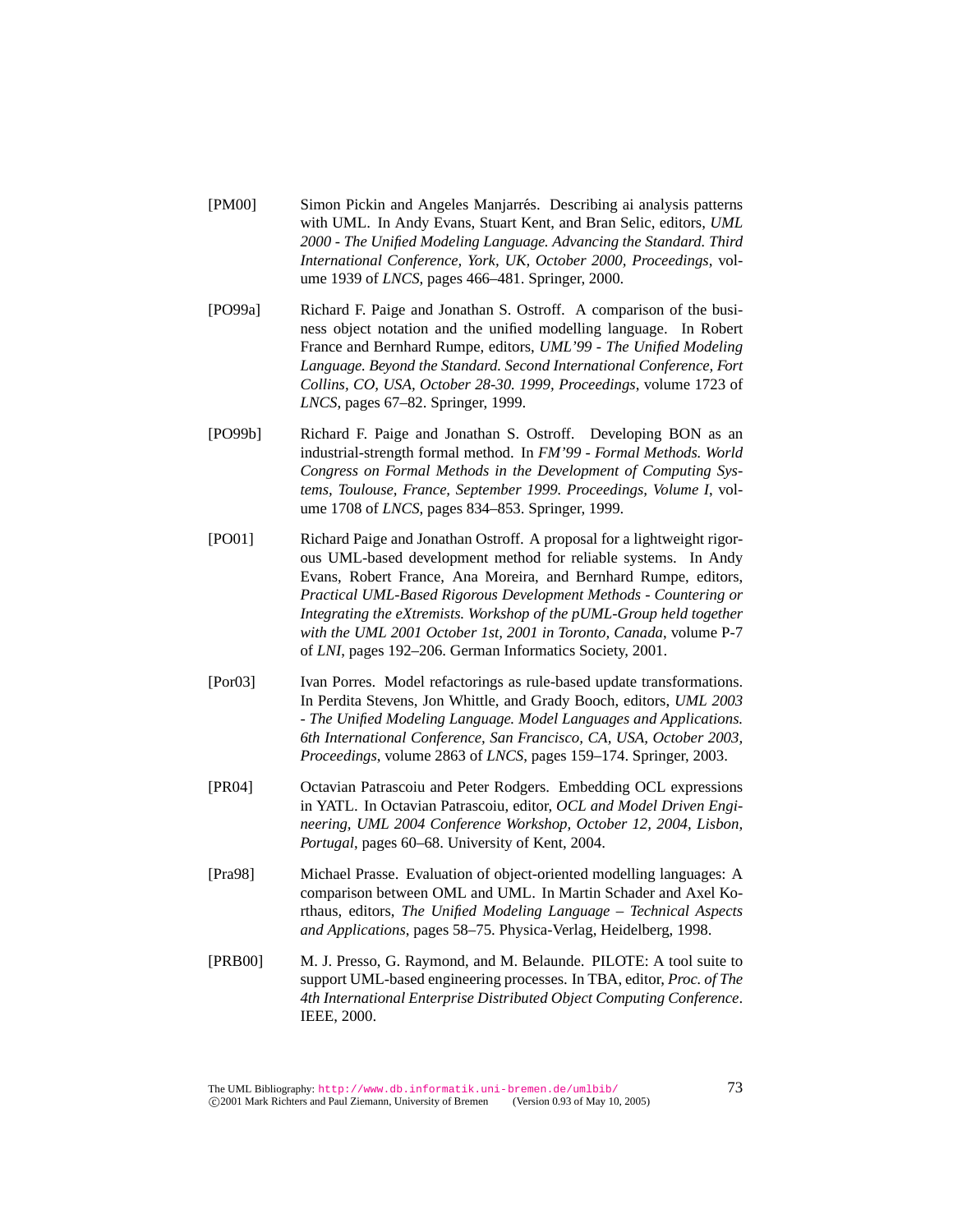- [PM00] Simon Pickin and Angeles Manjarres. Describing ai analysis patterns ´ with UML. In Andy Evans, Stuart Kent, and Bran Selic, editors, *UML 2000 - The Unified Modeling Language. Advancing the Standard. Third International Conference, York, UK, October 2000, Proceedings*, volume 1939 of *LNCS*, pages 466–481. Springer, 2000.
- [PO99a] Richard F. Paige and Jonathan S. Ostroff. A comparison of the business object notation and the unified modelling language. In Robert France and Bernhard Rumpe, editors, *UML'99 - The Unified Modeling Language. Beyond the Standard. Second International Conference, Fort Collins, CO, USA, October 28-30. 1999, Proceedings*, volume 1723 of *LNCS*, pages 67–82. Springer, 1999.
- [PO99b] Richard F. Paige and Jonathan S. Ostroff. Developing BON as an industrial-strength formal method. In *FM'99 - Formal Methods. World Congress on Formal Methods in the Development of Computing Systems, Toulouse, France, September 1999. Proceedings, Volume I*, volume 1708 of *LNCS*, pages 834–853. Springer, 1999.
- [PO01] Richard Paige and Jonathan Ostroff. A proposal for a lightweight rigorous UML-based development method for reliable systems. In Andy Evans, Robert France, Ana Moreira, and Bernhard Rumpe, editors, *Practical UML-Based Rigorous Development Methods - Countering or Integrating the eXtremists. Workshop of the pUML-Group held together with the UML 2001 October 1st, 2001 in Toronto, Canada*, volume P-7 of *LNI*, pages 192–206. German Informatics Society, 2001.
- [Por03] Ivan Porres. Model refactorings as rule-based update transformations. In Perdita Stevens, Jon Whittle, and Grady Booch, editors, *UML 2003 - The Unified Modeling Language. Model Languages and Applications. 6th International Conference, San Francisco, CA, USA, October 2003, Proceedings*, volume 2863 of *LNCS*, pages 159–174. Springer, 2003.
- [PR04] Octavian Patrascoiu and Peter Rodgers. Embedding OCL expressions in YATL. In Octavian Patrascoiu, editor, *OCL and Model Driven Engineering, UML 2004 Conference Workshop, October 12, 2004, Lisbon, Portugal*, pages 60–68. University of Kent, 2004.
- [Pra98] Michael Prasse. Evaluation of object-oriented modelling languages: A comparison between OML and UML. In Martin Schader and Axel Korthaus, editors, *The Unified Modeling Language – Technical Aspects and Applications*, pages 58–75. Physica-Verlag, Heidelberg, 1998.
- [PRB00] M. J. Presso, G. Raymond, and M. Belaunde. PILOTE: A tool suite to support UML-based engineering processes. In TBA, editor, *Proc. of The 4th International Enterprise Distributed Object Computing Conference*. IEEE, 2000.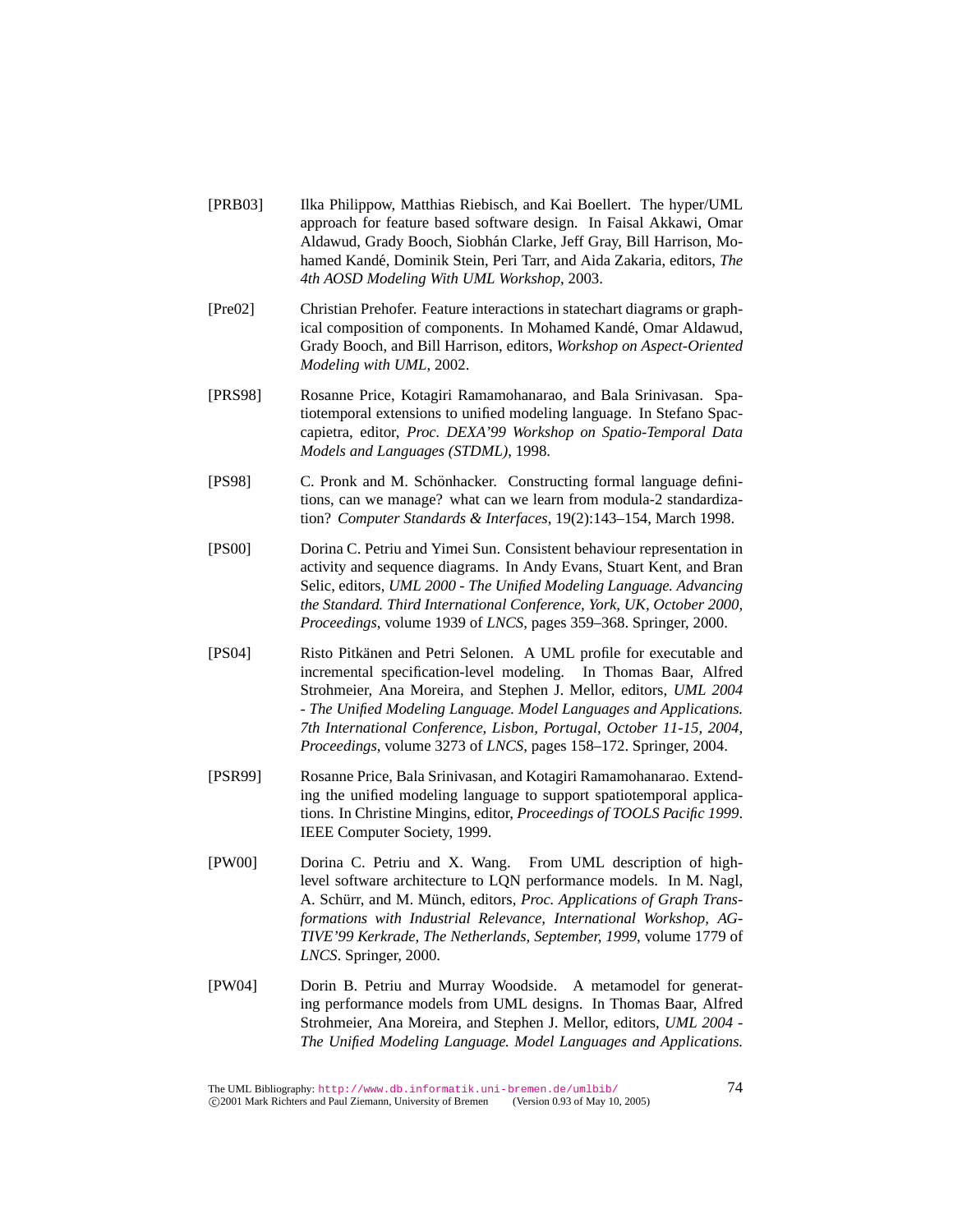- [PRB03] Ilka Philippow, Matthias Riebisch, and Kai Boellert. The hyper/UML approach for feature based software design. In Faisal Akkawi, Omar Aldawud, Grady Booch, Siobhán Clarke, Jeff Gray, Bill Harrison, Mohamed Kandé, Dominik Stein, Peri Tarr, and Aida Zakaria, editors, The *4th AOSD Modeling With UML Workshop*, 2003.
- [Pre02] Christian Prehofer. Feature interactions in statechart diagrams or graphical composition of components. In Mohamed Kandé, Omar Aldawud, Grady Booch, and Bill Harrison, editors, *Workshop on Aspect-Oriented Modeling with UML*, 2002.
- [PRS98] Rosanne Price, Kotagiri Ramamohanarao, and Bala Srinivasan. Spatiotemporal extensions to unified modeling language. In Stefano Spaccapietra, editor, *Proc. DEXA'99 Workshop on Spatio-Temporal Data Models and Languages (STDML)*, 1998.
- [PS98] C. Pronk and M. Schönhacker. Constructing formal language definitions, can we manage? what can we learn from modula-2 standardization? *Computer Standards & Interfaces*, 19(2):143–154, March 1998.
- [PS00] Dorina C. Petriu and Yimei Sun. Consistent behaviour representation in activity and sequence diagrams. In Andy Evans, Stuart Kent, and Bran Selic, editors, *UML 2000 - The Unified Modeling Language. Advancing the Standard. Third International Conference, York, UK, October 2000, Proceedings*, volume 1939 of *LNCS*, pages 359–368. Springer, 2000.
- [PS04] Risto Pitkänen and Petri Selonen. A UML profile for executable and incremental specification-level modeling. In Thomas Baar, Alfred Strohmeier, Ana Moreira, and Stephen J. Mellor, editors, *UML 2004 - The Unified Modeling Language. Model Languages and Applications. 7th International Conference, Lisbon, Portugal, October 11-15, 2004, Proceedings*, volume 3273 of *LNCS*, pages 158–172. Springer, 2004.
- [PSR99] Rosanne Price, Bala Srinivasan, and Kotagiri Ramamohanarao. Extending the unified modeling language to support spatiotemporal applications. In Christine Mingins, editor, *Proceedings of TOOLS Pacific 1999*. IEEE Computer Society, 1999.
- [PW00] Dorina C. Petriu and X. Wang. From UML description of highlevel software architecture to LQN performance models. In M. Nagl, A. Schürr, and M. Münch, editors, Proc. Applications of Graph Trans*formations with Industrial Relevance, International Workshop, AG-TIVE'99 Kerkrade, The Netherlands, September, 1999*, volume 1779 of *LNCS*. Springer, 2000.
- [PW04] Dorin B. Petriu and Murray Woodside. A metamodel for generating performance models from UML designs. In Thomas Baar, Alfred Strohmeier, Ana Moreira, and Stephen J. Mellor, editors, *UML 2004 - The Unified Modeling Language. Model Languages and Applications.*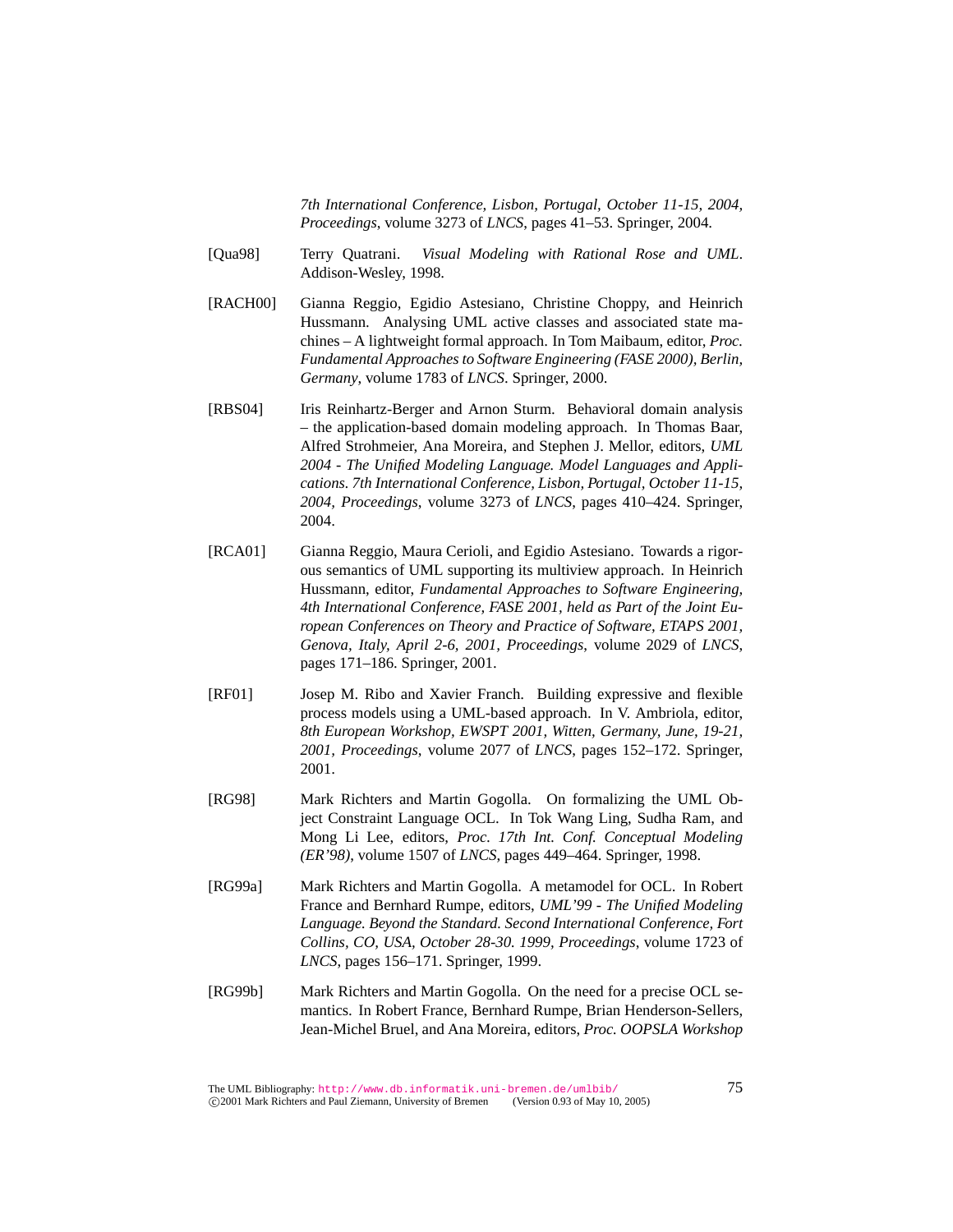*7th International Conference, Lisbon, Portugal, October 11-15, 2004, Proceedings*, volume 3273 of *LNCS*, pages 41–53. Springer, 2004.

- [Qua98] Terry Quatrani. *Visual Modeling with Rational Rose and UML*. Addison-Wesley, 1998.
- [RACH00] Gianna Reggio, Egidio Astesiano, Christine Choppy, and Heinrich Hussmann. Analysing UML active classes and associated state machines – A lightweight formal approach. In Tom Maibaum, editor, *Proc. Fundamental Approaches to Software Engineering (FASE 2000), Berlin, Germany*, volume 1783 of *LNCS*. Springer, 2000.
- [RBS04] Iris Reinhartz-Berger and Arnon Sturm. Behavioral domain analysis – the application-based domain modeling approach. In Thomas Baar, Alfred Strohmeier, Ana Moreira, and Stephen J. Mellor, editors, *UML 2004 - The Unified Modeling Language. Model Languages and Applications. 7th International Conference, Lisbon, Portugal, October 11-15, 2004, Proceedings*, volume 3273 of *LNCS*, pages 410–424. Springer, 2004.
- [RCA01] Gianna Reggio, Maura Cerioli, and Egidio Astesiano. Towards a rigorous semantics of UML supporting its multiview approach. In Heinrich Hussmann, editor, *Fundamental Approaches to Software Engineering, 4th International Conference, FASE 2001, held as Part of the Joint European Conferences on Theory and Practice of Software, ETAPS 2001, Genova, Italy, April 2-6, 2001, Proceedings*, volume 2029 of *LNCS*, pages 171–186. Springer, 2001.
- [RF01] Josep M. Ribo and Xavier Franch. Building expressive and flexible process models using a UML-based approach. In V. Ambriola, editor, *8th European Workshop, EWSPT 2001, Witten, Germany, June, 19-21, 2001, Proceedings*, volume 2077 of *LNCS*, pages 152–172. Springer, 2001.
- [RG98] Mark Richters and Martin Gogolla. On formalizing the UML Object Constraint Language OCL. In Tok Wang Ling, Sudha Ram, and Mong Li Lee, editors, *Proc. 17th Int. Conf. Conceptual Modeling (ER'98)*, volume 1507 of *LNCS*, pages 449–464. Springer, 1998.
- [RG99a] Mark Richters and Martin Gogolla. A metamodel for OCL. In Robert France and Bernhard Rumpe, editors, *UML'99 - The Unified Modeling Language. Beyond the Standard. Second International Conference, Fort Collins, CO, USA, October 28-30. 1999, Proceedings*, volume 1723 of *LNCS*, pages 156–171. Springer, 1999.
- [RG99b] Mark Richters and Martin Gogolla. On the need for a precise OCL semantics. In Robert France, Bernhard Rumpe, Brian Henderson-Sellers, Jean-Michel Bruel, and Ana Moreira, editors, *Proc. OOPSLA Workshop*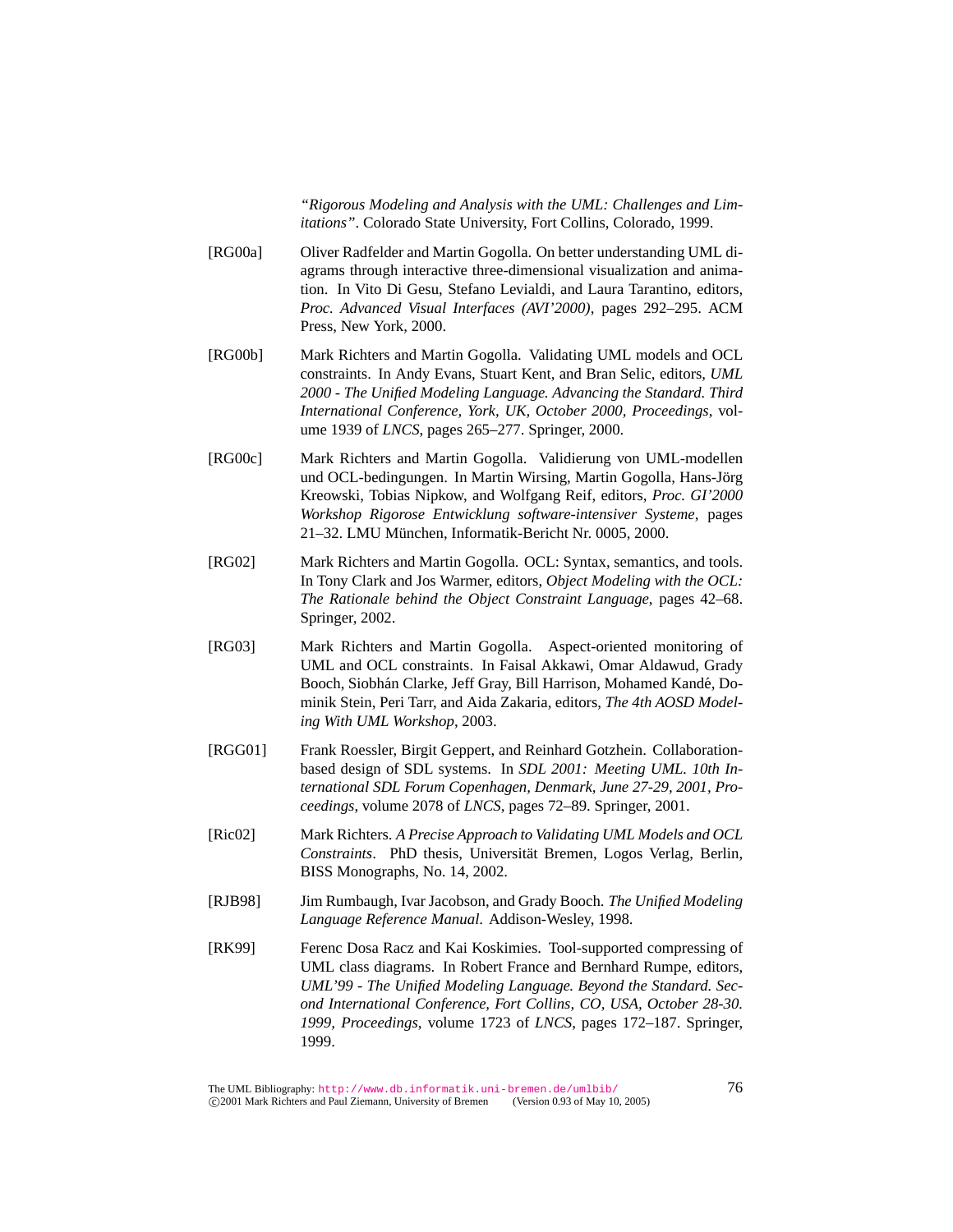*"Rigorous Modeling and Analysis with the UML: Challenges and Limitations"*. Colorado State University, Fort Collins, Colorado, 1999.

- [RG00a] Oliver Radfelder and Martin Gogolla. On better understanding UML diagrams through interactive three-dimensional visualization and animation. In Vito Di Gesu, Stefano Levialdi, and Laura Tarantino, editors, *Proc. Advanced Visual Interfaces (AVI'2000)*, pages 292–295. ACM Press, New York, 2000.
- [RG00b] Mark Richters and Martin Gogolla. Validating UML models and OCL constraints. In Andy Evans, Stuart Kent, and Bran Selic, editors, *UML 2000 - The Unified Modeling Language. Advancing the Standard. Third International Conference, York, UK, October 2000, Proceedings*, volume 1939 of *LNCS*, pages 265–277. Springer, 2000.
- [RG00c] Mark Richters and Martin Gogolla. Validierung von UML-modellen und OCL-bedingungen. In Martin Wirsing, Martin Gogolla, Hans-Jörg Kreowski, Tobias Nipkow, and Wolfgang Reif, editors, *Proc. GI'2000 Workshop Rigorose Entwicklung software-intensiver Systeme*, pages 21–32. LMU Munchen, Informatik-Bericht Nr. 0005, 2000. ¨
- [RG02] Mark Richters and Martin Gogolla. OCL: Syntax, semantics, and tools. In Tony Clark and Jos Warmer, editors, *Object Modeling with the OCL: The Rationale behind the Object Constraint Language*, pages 42–68. Springer, 2002.
- [RG03] Mark Richters and Martin Gogolla. Aspect-oriented monitoring of UML and OCL constraints. In Faisal Akkawi, Omar Aldawud, Grady Booch, Siobhán Clarke, Jeff Gray, Bill Harrison, Mohamed Kandé, Dominik Stein, Peri Tarr, and Aida Zakaria, editors, *The 4th AOSD Modeling With UML Workshop*, 2003.
- [RGG01] Frank Roessler, Birgit Geppert, and Reinhard Gotzhein. Collaborationbased design of SDL systems. In *SDL 2001: Meeting UML. 10th International SDL Forum Copenhagen, Denmark, June 27-29, 2001, Proceedings*, volume 2078 of *LNCS*, pages 72–89. Springer, 2001.
- [Ric02] Mark Richters. *A Precise Approach to Validating UML Models and OCL Constraints*. PhD thesis, Universität Bremen, Logos Verlag, Berlin, BISS Monographs, No. 14, 2002.
- [RJB98] Jim Rumbaugh, Ivar Jacobson, and Grady Booch. *The Unified Modeling Language Reference Manual*. Addison-Wesley, 1998.
- [RK99] Ferenc Dosa Racz and Kai Koskimies. Tool-supported compressing of UML class diagrams. In Robert France and Bernhard Rumpe, editors, *UML'99 - The Unified Modeling Language. Beyond the Standard. Second International Conference, Fort Collins, CO, USA, October 28-30. 1999, Proceedings*, volume 1723 of *LNCS*, pages 172–187. Springer, 1999.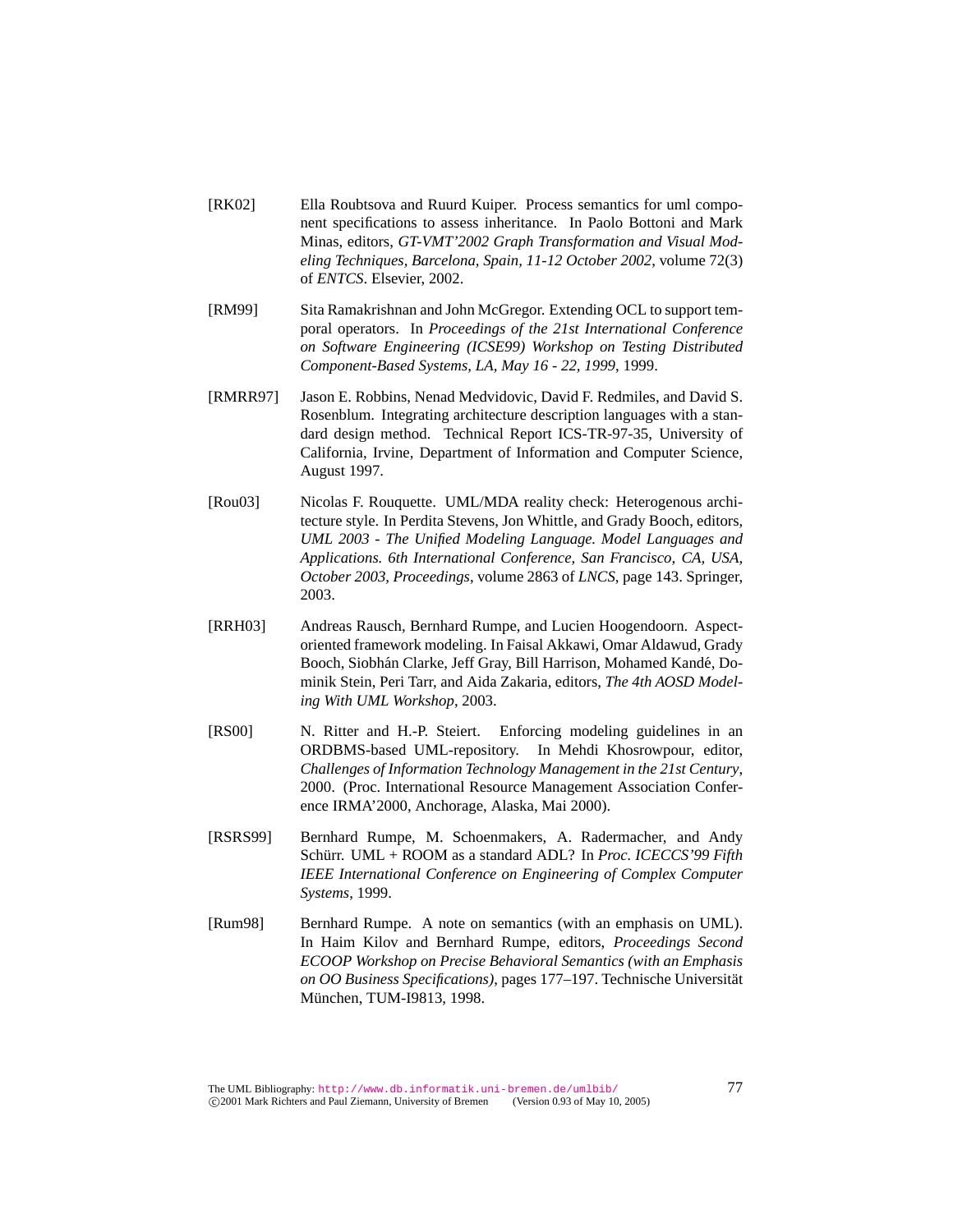- [RK02] Ella Roubtsova and Ruurd Kuiper. Process semantics for uml component specifications to assess inheritance. In Paolo Bottoni and Mark Minas, editors, *GT-VMT'2002 Graph Transformation and Visual Modeling Techniques, Barcelona, Spain, 11-12 October 2002*, volume 72(3) of *ENTCS*. Elsevier, 2002.
- [RM99] Sita Ramakrishnan and John McGregor. Extending OCL to support temporal operators. In *Proceedings of the 21st International Conference on Software Engineering (ICSE99) Workshop on Testing Distributed Component-Based Systems, LA, May 16 - 22, 1999*, 1999.
- [RMRR97] Jason E. Robbins, Nenad Medvidovic, David F. Redmiles, and David S. Rosenblum. Integrating architecture description languages with a standard design method. Technical Report ICS-TR-97-35, University of California, Irvine, Department of Information and Computer Science, August 1997.
- [Rou03] Nicolas F. Rouquette. UML/MDA reality check: Heterogenous architecture style. In Perdita Stevens, Jon Whittle, and Grady Booch, editors, *UML 2003 - The Unified Modeling Language. Model Languages and Applications. 6th International Conference, San Francisco, CA, USA, October 2003, Proceedings*, volume 2863 of *LNCS*, page 143. Springer, 2003.
- [RRH03] Andreas Rausch, Bernhard Rumpe, and Lucien Hoogendoorn. Aspectoriented framework modeling. In Faisal Akkawi, Omar Aldawud, Grady Booch, Siobhán Clarke, Jeff Gray, Bill Harrison, Mohamed Kandé, Dominik Stein, Peri Tarr, and Aida Zakaria, editors, *The 4th AOSD Modeling With UML Workshop*, 2003.
- [RS00] N. Ritter and H.-P. Steiert. Enforcing modeling guidelines in an ORDBMS-based UML-repository. In Mehdi Khosrowpour, editor, *Challenges of Information Technology Management in the 21st Century*, 2000. (Proc. International Resource Management Association Conference IRMA'2000, Anchorage, Alaska, Mai 2000).
- [RSRS99] Bernhard Rumpe, M. Schoenmakers, A. Radermacher, and Andy Schürr. UML + ROOM as a standard ADL? In Proc. ICECCS'99 Fifth *IEEE International Conference on Engineering of Complex Computer Systems*, 1999.
- [Rum98] Bernhard Rumpe. A note on semantics (with an emphasis on UML). In Haim Kilov and Bernhard Rumpe, editors, *Proceedings Second ECOOP Workshop on Precise Behavioral Semantics (with an Emphasis on OO Business Specifications)*, pages 177–197. Technische Universitat¨ München, TUM-I9813, 1998.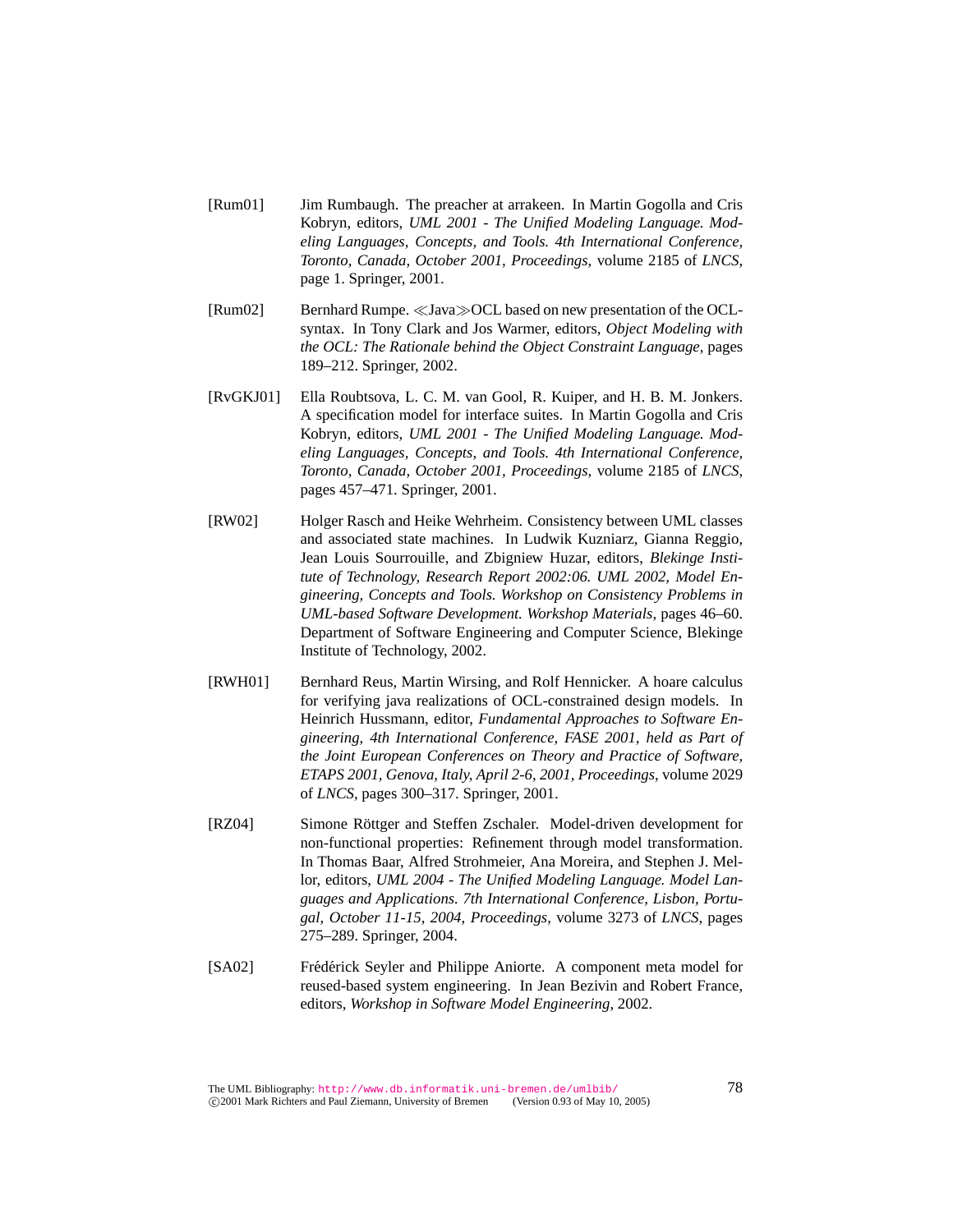- [Rum01] Jim Rumbaugh. The preacher at arrakeen. In Martin Gogolla and Cris Kobryn, editors, *UML 2001 - The Unified Modeling Language. Modeling Languages, Concepts, and Tools. 4th International Conference, Toronto, Canada, October 2001, Proceedings*, volume 2185 of *LNCS*, page 1. Springer, 2001.
- [Rum02] Bernhard Rumpe.  $\ll$  Java $\gg$ OCL based on new presentation of the OCLsyntax. In Tony Clark and Jos Warmer, editors, *Object Modeling with the OCL: The Rationale behind the Object Constraint Language*, pages 189–212. Springer, 2002.
- [RvGKJ01] Ella Roubtsova, L. C. M. van Gool, R. Kuiper, and H. B. M. Jonkers. A specification model for interface suites. In Martin Gogolla and Cris Kobryn, editors, *UML 2001 - The Unified Modeling Language. Modeling Languages, Concepts, and Tools. 4th International Conference, Toronto, Canada, October 2001, Proceedings*, volume 2185 of *LNCS*, pages 457–471. Springer, 2001.
- [RW02] Holger Rasch and Heike Wehrheim. Consistency between UML classes and associated state machines. In Ludwik Kuzniarz, Gianna Reggio, Jean Louis Sourrouille, and Zbigniew Huzar, editors, *Blekinge Institute of Technology, Research Report 2002:06. UML 2002, Model Engineering, Concepts and Tools. Workshop on Consistency Problems in UML-based Software Development. Workshop Materials*, pages 46–60. Department of Software Engineering and Computer Science, Blekinge Institute of Technology, 2002.
- [RWH01] Bernhard Reus, Martin Wirsing, and Rolf Hennicker. A hoare calculus for verifying java realizations of OCL-constrained design models. In Heinrich Hussmann, editor, *Fundamental Approaches to Software Engineering, 4th International Conference, FASE 2001, held as Part of the Joint European Conferences on Theory and Practice of Software, ETAPS 2001, Genova, Italy, April 2-6, 2001, Proceedings*, volume 2029 of *LNCS*, pages 300–317. Springer, 2001.
- [RZ04] Simone Röttger and Steffen Zschaler. Model-driven development for non-functional properties: Refinement through model transformation. In Thomas Baar, Alfred Strohmeier, Ana Moreira, and Stephen J. Mellor, editors, *UML 2004 - The Unified Modeling Language. Model Languages and Applications. 7th International Conference, Lisbon, Portugal, October 11-15, 2004, Proceedings*, volume 3273 of *LNCS*, pages 275–289. Springer, 2004.
- [SA02] Frédérick Seyler and Philippe Aniorte. A component meta model for reused-based system engineering. In Jean Bezivin and Robert France, editors, *Workshop in Software Model Engineering*, 2002.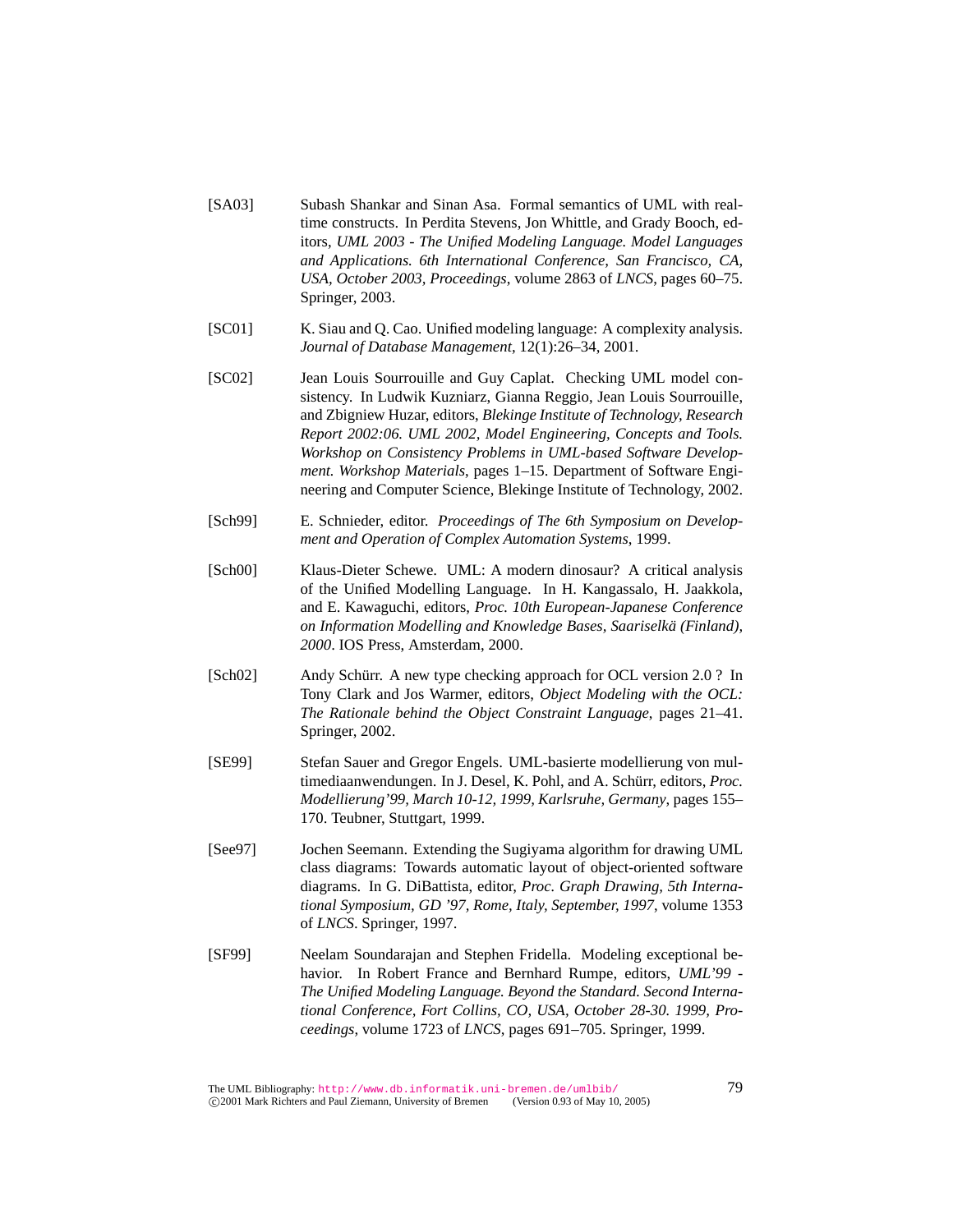- [SA03] Subash Shankar and Sinan Asa. Formal semantics of UML with realtime constructs. In Perdita Stevens, Jon Whittle, and Grady Booch, editors, *UML 2003 - The Unified Modeling Language. Model Languages and Applications. 6th International Conference, San Francisco, CA, USA, October 2003, Proceedings*, volume 2863 of *LNCS*, pages 60–75. Springer, 2003.
- [SC01] K. Siau and Q. Cao. Unified modeling language: A complexity analysis. *Journal of Database Management*, 12(1):26–34, 2001.
- [SC02] Jean Louis Sourrouille and Guy Caplat. Checking UML model consistency. In Ludwik Kuzniarz, Gianna Reggio, Jean Louis Sourrouille, and Zbigniew Huzar, editors, *Blekinge Institute of Technology, Research Report 2002:06. UML 2002, Model Engineering, Concepts and Tools. Workshop on Consistency Problems in UML-based Software Development. Workshop Materials*, pages 1–15. Department of Software Engineering and Computer Science, Blekinge Institute of Technology, 2002.
- [Sch99] E. Schnieder, editor. *Proceedings of The 6th Symposium on Development and Operation of Complex Automation Systems*, 1999.
- [Sch00] Klaus-Dieter Schewe. UML: A modern dinosaur? A critical analysis of the Unified Modelling Language. In H. Kangassalo, H. Jaakkola, and E. Kawaguchi, editors, *Proc. 10th European-Japanese Conference on Information Modelling and Knowledge Bases, Saariselka (Finland), ¨ 2000*. IOS Press, Amsterdam, 2000.
- [Sch02] Andy Schürr. A new type checking approach for OCL version 2.0 ? In Tony Clark and Jos Warmer, editors, *Object Modeling with the OCL: The Rationale behind the Object Constraint Language*, pages 21–41. Springer, 2002.
- [SE99] Stefan Sauer and Gregor Engels. UML-basierte modellierung von multimediaanwendungen. In J. Desel, K. Pohl, and A. Schürr, editors, *Proc. Modellierung'99, March 10-12, 1999, Karlsruhe, Germany*, pages 155– 170. Teubner, Stuttgart, 1999.
- [See97] Jochen Seemann. Extending the Sugiyama algorithm for drawing UML class diagrams: Towards automatic layout of object-oriented software diagrams. In G. DiBattista, editor, *Proc. Graph Drawing, 5th International Symposium, GD '97, Rome, Italy, September, 1997*, volume 1353 of *LNCS*. Springer, 1997.
- [SF99] Neelam Soundarajan and Stephen Fridella. Modeling exceptional behavior. In Robert France and Bernhard Rumpe, editors, *UML'99 - The Unified Modeling Language. Beyond the Standard. Second International Conference, Fort Collins, CO, USA, October 28-30. 1999, Proceedings*, volume 1723 of *LNCS*, pages 691–705. Springer, 1999.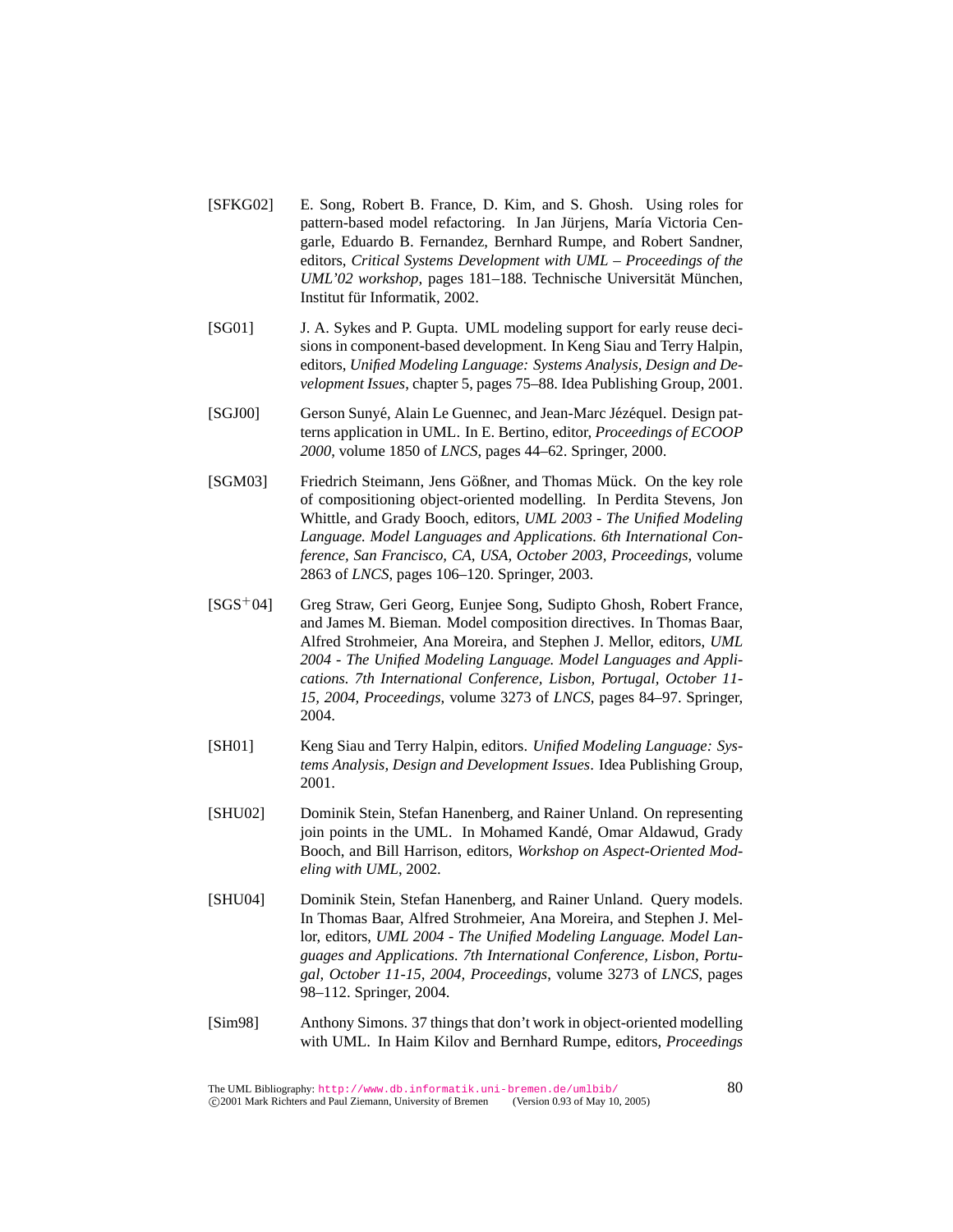- [SFKG02] E. Song, Robert B. France, D. Kim, and S. Ghosh. Using roles for pattern-based model refactoring. In Jan Jürjens, María Victoria Cengarle, Eduardo B. Fernandez, Bernhard Rumpe, and Robert Sandner, editors, *Critical Systems Development with UML – Proceedings of the UML'02 workshop*, pages 181–188. Technische Universität München, Institut für Informatik, 2002.
- [SG01] J. A. Sykes and P. Gupta. UML modeling support for early reuse decisions in component-based development. In Keng Siau and Terry Halpin, editors, *Unified Modeling Language: Systems Analysis, Design and Development Issues*, chapter 5, pages 75–88. Idea Publishing Group, 2001.
- [SGJ00] Gerson Sunyé, Alain Le Guennec, and Jean-Marc Jézéquel. Design patterns application in UML. In E. Bertino, editor, *Proceedings of ECOOP 2000*, volume 1850 of *LNCS*, pages 44–62. Springer, 2000.
- [SGM03] Friedrich Steimann, Jens Gößner, and Thomas Mück. On the key role of compositioning object-oriented modelling. In Perdita Stevens, Jon Whittle, and Grady Booch, editors, *UML 2003 - The Unified Modeling Language. Model Languages and Applications. 6th International Conference, San Francisco, CA, USA, October 2003, Proceedings*, volume 2863 of *LNCS*, pages 106–120. Springer, 2003.
- [SGS<sup>+</sup>04] Greg Straw, Geri Georg, Eunjee Song, Sudipto Ghosh, Robert France, and James M. Bieman. Model composition directives. In Thomas Baar, Alfred Strohmeier, Ana Moreira, and Stephen J. Mellor, editors, *UML 2004 - The Unified Modeling Language. Model Languages and Applications. 7th International Conference, Lisbon, Portugal, October 11- 15, 2004, Proceedings*, volume 3273 of *LNCS*, pages 84–97. Springer, 2004.
- [SH01] Keng Siau and Terry Halpin, editors. *Unified Modeling Language: Systems Analysis, Design and Development Issues*. Idea Publishing Group, 2001.
- [SHU02] Dominik Stein, Stefan Hanenberg, and Rainer Unland. On representing join points in the UML. In Mohamed Kandé, Omar Aldawud, Grady Booch, and Bill Harrison, editors, *Workshop on Aspect-Oriented Modeling with UML*, 2002.
- [SHU04] Dominik Stein, Stefan Hanenberg, and Rainer Unland. Query models. In Thomas Baar, Alfred Strohmeier, Ana Moreira, and Stephen J. Mellor, editors, *UML 2004 - The Unified Modeling Language. Model Languages and Applications. 7th International Conference, Lisbon, Portugal, October 11-15, 2004, Proceedings*, volume 3273 of *LNCS*, pages 98–112. Springer, 2004.
- [Sim98] Anthony Simons. 37 things that don't work in object-oriented modelling with UML. In Haim Kilov and Bernhard Rumpe, editors, *Proceedings*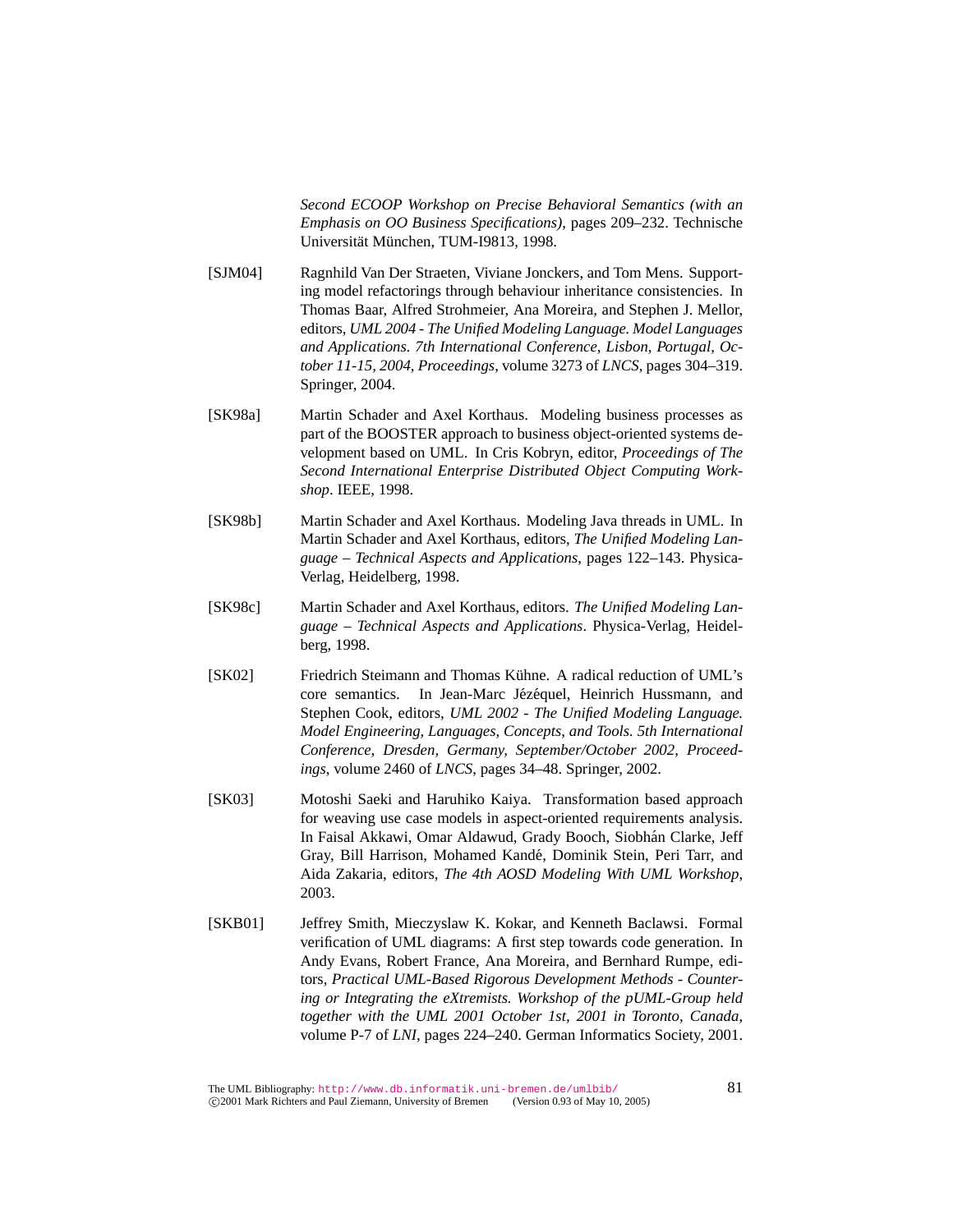*Second ECOOP Workshop on Precise Behavioral Semantics (with an Emphasis on OO Business Specifications)*, pages 209–232. Technische Universität München, TUM-I9813, 1998.

- [SJM04] Ragnhild Van Der Straeten, Viviane Jonckers, and Tom Mens. Supporting model refactorings through behaviour inheritance consistencies. In Thomas Baar, Alfred Strohmeier, Ana Moreira, and Stephen J. Mellor, editors, *UML 2004 - The Unified Modeling Language. Model Languages and Applications. 7th International Conference, Lisbon, Portugal, October 11-15, 2004, Proceedings*, volume 3273 of *LNCS*, pages 304–319. Springer, 2004.
- [SK98a] Martin Schader and Axel Korthaus. Modeling business processes as part of the BOOSTER approach to business object-oriented systems development based on UML. In Cris Kobryn, editor, *Proceedings of The Second International Enterprise Distributed Object Computing Workshop*. IEEE, 1998.
- [SK98b] Martin Schader and Axel Korthaus. Modeling Java threads in UML. In Martin Schader and Axel Korthaus, editors, *The Unified Modeling Language – Technical Aspects and Applications*, pages 122–143. Physica-Verlag, Heidelberg, 1998.
- [SK98c] Martin Schader and Axel Korthaus, editors. *The Unified Modeling Language – Technical Aspects and Applications*. Physica-Verlag, Heidelberg, 1998.
- [SK02] Friedrich Steimann and Thomas Kühne. A radical reduction of UML's core semantics. In Jean-Marc Jézéquel, Heinrich Hussmann, and Stephen Cook, editors, *UML 2002 - The Unified Modeling Language. Model Engineering, Languages, Concepts, and Tools. 5th International Conference, Dresden, Germany, September/October 2002, Proceedings*, volume 2460 of *LNCS*, pages 34–48. Springer, 2002.
- [SK03] Motoshi Saeki and Haruhiko Kaiya. Transformation based approach for weaving use case models in aspect-oriented requirements analysis. In Faisal Akkawi, Omar Aldawud, Grady Booch, Siobhán Clarke, Jeff Gray, Bill Harrison, Mohamed Kande, Dominik Stein, Peri Tarr, and ´ Aida Zakaria, editors, *The 4th AOSD Modeling With UML Workshop*, 2003.
- [SKB01] Jeffrey Smith, Mieczyslaw K. Kokar, and Kenneth Baclawsi. Formal verification of UML diagrams: A first step towards code generation. In Andy Evans, Robert France, Ana Moreira, and Bernhard Rumpe, editors, *Practical UML-Based Rigorous Development Methods - Countering or Integrating the eXtremists. Workshop of the pUML-Group held together with the UML 2001 October 1st, 2001 in Toronto, Canada*, volume P-7 of *LNI*, pages 224–240. German Informatics Society, 2001.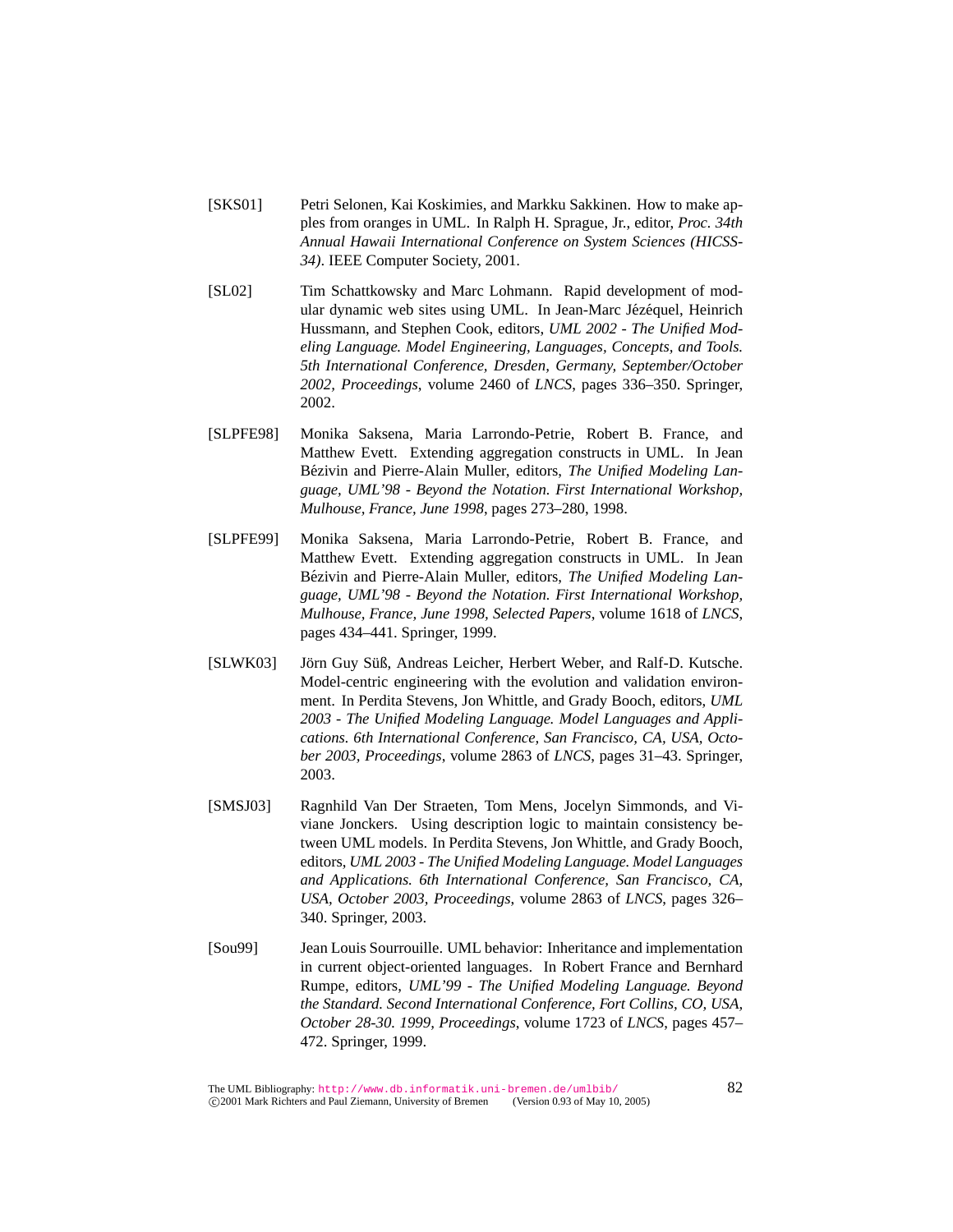- [SKS01] Petri Selonen, Kai Koskimies, and Markku Sakkinen. How to make apples from oranges in UML. In Ralph H. Sprague, Jr., editor, *Proc. 34th Annual Hawaii International Conference on System Sciences (HICSS-34)*. IEEE Computer Society, 2001.
- [SL02] Tim Schattkowsky and Marc Lohmann. Rapid development of modular dynamic web sites using UML. In Jean-Marc Jézéquel, Heinrich Hussmann, and Stephen Cook, editors, *UML 2002 - The Unified Modeling Language. Model Engineering, Languages, Concepts, and Tools. 5th International Conference, Dresden, Germany, September/October 2002, Proceedings*, volume 2460 of *LNCS*, pages 336–350. Springer, 2002.
- [SLPFE98] Monika Saksena, Maria Larrondo-Petrie, Robert B. France, and Matthew Evett. Extending aggregation constructs in UML. In Jean Bézivin and Pierre-Alain Muller, editors, *The Unified Modeling Language, UML'98 - Beyond the Notation. First International Workshop, Mulhouse, France, June 1998*, pages 273–280, 1998.
- [SLPFE99] Monika Saksena, Maria Larrondo-Petrie, Robert B. France, and Matthew Evett. Extending aggregation constructs in UML. In Jean Bézivin and Pierre-Alain Muller, editors, *The Unified Modeling Language, UML'98 - Beyond the Notation. First International Workshop, Mulhouse, France, June 1998, Selected Papers*, volume 1618 of *LNCS*, pages 434–441. Springer, 1999.
- [SLWK03] Jörn Guy Süß, Andreas Leicher, Herbert Weber, and Ralf-D. Kutsche. Model-centric engineering with the evolution and validation environment. In Perdita Stevens, Jon Whittle, and Grady Booch, editors, *UML 2003 - The Unified Modeling Language. Model Languages and Applications. 6th International Conference, San Francisco, CA, USA, October 2003, Proceedings*, volume 2863 of *LNCS*, pages 31–43. Springer, 2003.
- [SMSJ03] Ragnhild Van Der Straeten, Tom Mens, Jocelyn Simmonds, and Viviane Jonckers. Using description logic to maintain consistency between UML models. In Perdita Stevens, Jon Whittle, and Grady Booch, editors, *UML 2003 - The Unified Modeling Language. Model Languages and Applications. 6th International Conference, San Francisco, CA, USA, October 2003, Proceedings*, volume 2863 of *LNCS*, pages 326– 340. Springer, 2003.
- [Sou99] Jean Louis Sourrouille. UML behavior: Inheritance and implementation in current object-oriented languages. In Robert France and Bernhard Rumpe, editors, *UML'99 - The Unified Modeling Language. Beyond the Standard. Second International Conference, Fort Collins, CO, USA, October 28-30. 1999, Proceedings*, volume 1723 of *LNCS*, pages 457– 472. Springer, 1999.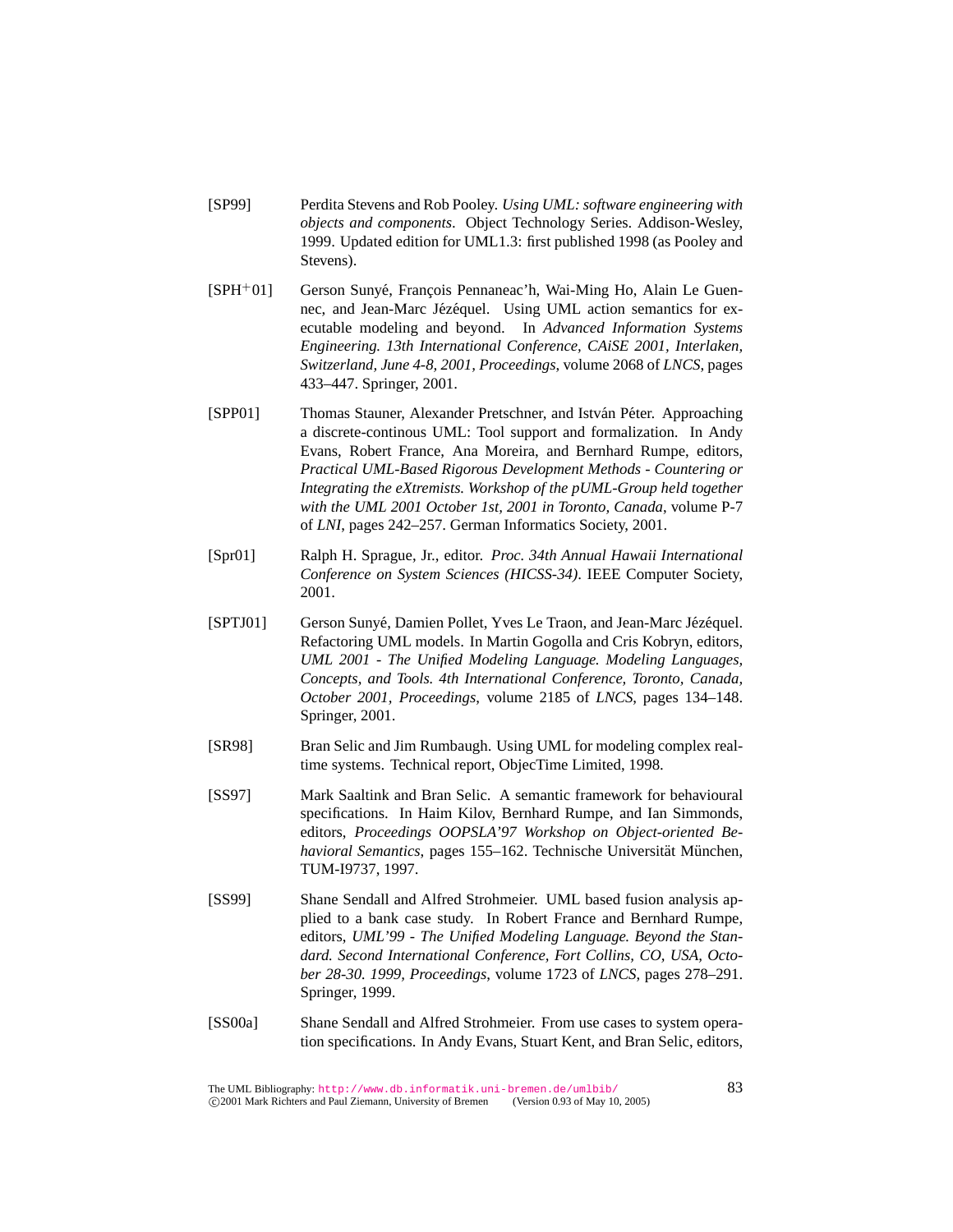- [SP99] Perdita Stevens and Rob Pooley. *Using UML: software engineering with objects and components*. Object Technology Series. Addison-Wesley, 1999. Updated edition for UML1.3: first published 1998 (as Pooley and Stevens).
- [SPH<sup>+</sup>01] Gerson Sunyé, François Pennaneac'h, Wai-Ming Ho, Alain Le Guennec, and Jean-Marc Jézéquel. Using UML action semantics for executable modeling and beyond. In *Advanced Information Systems Engineering. 13th International Conference, CAiSE 2001, Interlaken, Switzerland, June 4-8, 2001, Proceedings*, volume 2068 of *LNCS*, pages 433–447. Springer, 2001.
- [SPP01] Thomas Stauner, Alexander Pretschner, and István Péter. Approaching a discrete-continous UML: Tool support and formalization. In Andy Evans, Robert France, Ana Moreira, and Bernhard Rumpe, editors, *Practical UML-Based Rigorous Development Methods - Countering or Integrating the eXtremists. Workshop of the pUML-Group held together with the UML 2001 October 1st, 2001 in Toronto, Canada*, volume P-7 of *LNI*, pages 242–257. German Informatics Society, 2001.
- [Spr01] Ralph H. Sprague, Jr., editor. *Proc. 34th Annual Hawaii International Conference on System Sciences (HICSS-34)*. IEEE Computer Society, 2001.
- [SPTJ01] Gerson Sunyé, Damien Pollet, Yves Le Traon, and Jean-Marc Jézéquel. Refactoring UML models. In Martin Gogolla and Cris Kobryn, editors, *UML 2001 - The Unified Modeling Language. Modeling Languages, Concepts, and Tools. 4th International Conference, Toronto, Canada, October 2001, Proceedings*, volume 2185 of *LNCS*, pages 134–148. Springer, 2001.
- [SR98] Bran Selic and Jim Rumbaugh. Using UML for modeling complex realtime systems. Technical report, ObjecTime Limited, 1998.
- [SS97] Mark Saaltink and Bran Selic. A semantic framework for behavioural specifications. In Haim Kilov, Bernhard Rumpe, and Ian Simmonds, editors, *Proceedings OOPSLA'97 Workshop on Object-oriented Behavioral Semantics*, pages 155–162. Technische Universität München, TUM-I9737, 1997.
- [SS99] Shane Sendall and Alfred Strohmeier. UML based fusion analysis applied to a bank case study. In Robert France and Bernhard Rumpe, editors, *UML'99 - The Unified Modeling Language. Beyond the Standard. Second International Conference, Fort Collins, CO, USA, October 28-30. 1999, Proceedings*, volume 1723 of *LNCS*, pages 278–291. Springer, 1999.
- [SS00a] Shane Sendall and Alfred Strohmeier. From use cases to system operation specifications. In Andy Evans, Stuart Kent, and Bran Selic, editors,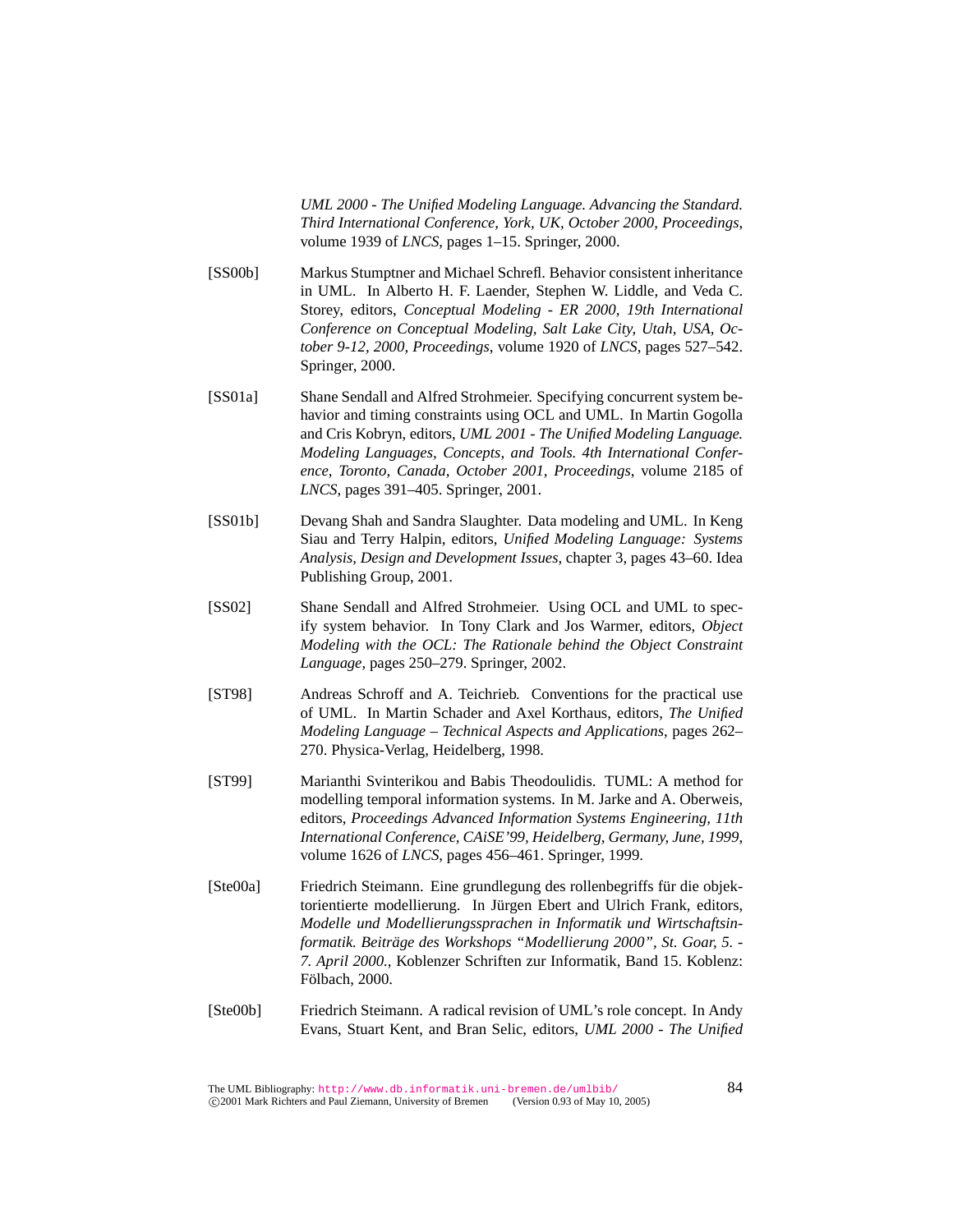*UML 2000 - The Unified Modeling Language. Advancing the Standard. Third International Conference, York, UK, October 2000, Proceedings*, volume 1939 of *LNCS*, pages 1–15. Springer, 2000.

- [SS00b] Markus Stumptner and Michael Schrefl. Behavior consistent inheritance in UML. In Alberto H. F. Laender, Stephen W. Liddle, and Veda C. Storey, editors, *Conceptual Modeling - ER 2000, 19th International Conference on Conceptual Modeling, Salt Lake City, Utah, USA, October 9-12, 2000, Proceedings*, volume 1920 of *LNCS*, pages 527–542. Springer, 2000.
- [SS01a] Shane Sendall and Alfred Strohmeier. Specifying concurrent system behavior and timing constraints using OCL and UML. In Martin Gogolla and Cris Kobryn, editors, *UML 2001 - The Unified Modeling Language. Modeling Languages, Concepts, and Tools. 4th International Conference, Toronto, Canada, October 2001, Proceedings*, volume 2185 of *LNCS*, pages 391–405. Springer, 2001.
- [SS01b] Devang Shah and Sandra Slaughter. Data modeling and UML. In Keng Siau and Terry Halpin, editors, *Unified Modeling Language: Systems Analysis, Design and Development Issues*, chapter 3, pages 43–60. Idea Publishing Group, 2001.
- [SS02] Shane Sendall and Alfred Strohmeier. Using OCL and UML to specify system behavior. In Tony Clark and Jos Warmer, editors, *Object Modeling with the OCL: The Rationale behind the Object Constraint Language*, pages 250–279. Springer, 2002.
- [ST98] Andreas Schroff and A. Teichrieb. Conventions for the practical use of UML. In Martin Schader and Axel Korthaus, editors, *The Unified Modeling Language – Technical Aspects and Applications*, pages 262– 270. Physica-Verlag, Heidelberg, 1998.
- [ST99] Marianthi Svinterikou and Babis Theodoulidis. TUML: A method for modelling temporal information systems. In M. Jarke and A. Oberweis, editors, *Proceedings Advanced Information Systems Engineering, 11th International Conference, CAiSE'99, Heidelberg, Germany, June, 1999*, volume 1626 of *LNCS*, pages 456–461. Springer, 1999.
- [Ste00a] Friedrich Steimann. Eine grundlegung des rollenbegriffs fur die objek- ¨ torientierte modellierung. In Jürgen Ebert and Ulrich Frank, editors, *Modelle und Modellierungssprachen in Informatik und Wirtschaftsinformatik. Beitrage des Workshops "Modellierung 2000", St. Goar, 5. - ¨ 7. April 2000.*, Koblenzer Schriften zur Informatik, Band 15. Koblenz: Fölbach, 2000.
- [Ste00b] Friedrich Steimann. A radical revision of UML's role concept. In Andy Evans, Stuart Kent, and Bran Selic, editors, *UML 2000 - The Unified*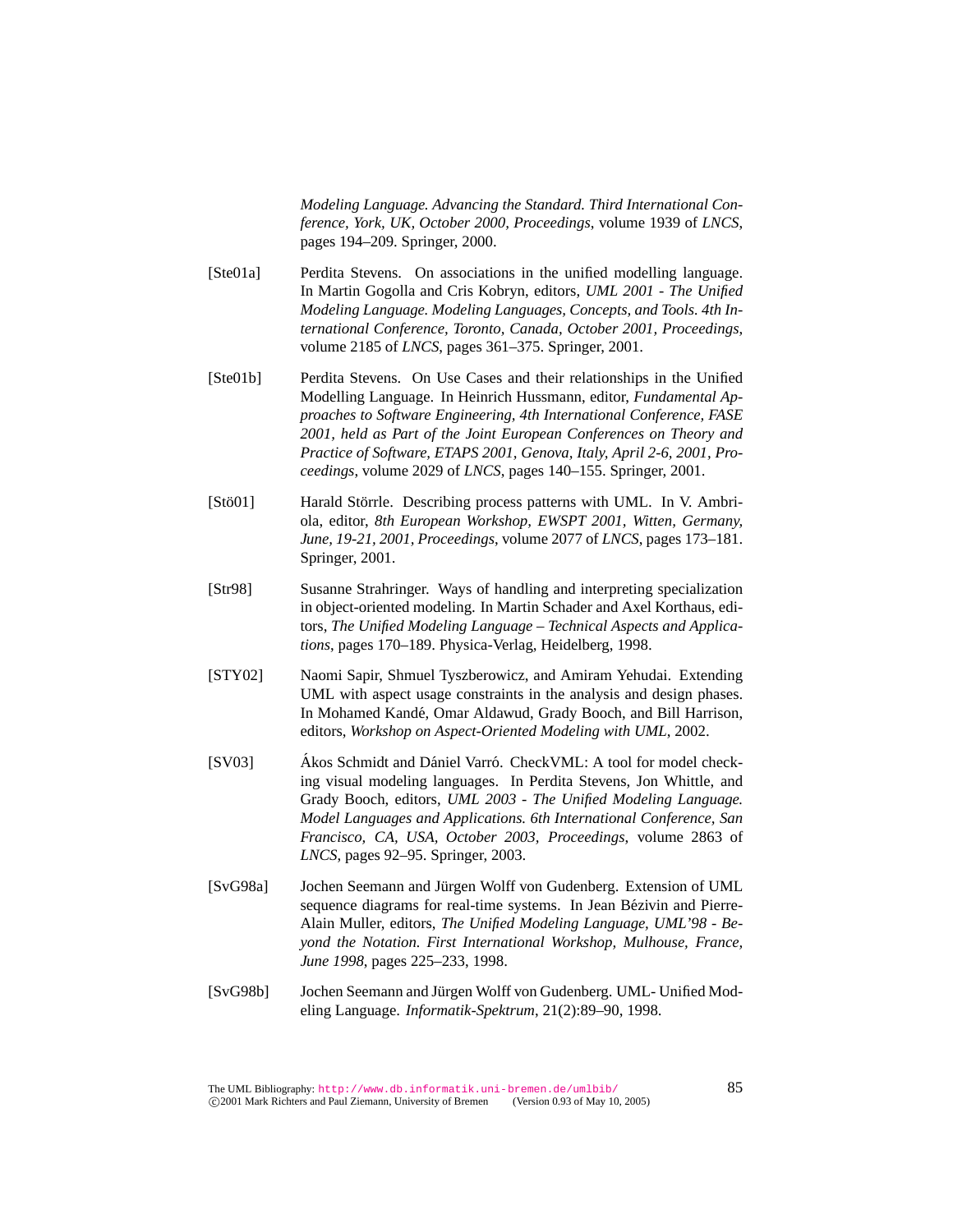*Modeling Language. Advancing the Standard. Third International Conference, York, UK, October 2000, Proceedings*, volume 1939 of *LNCS*, pages 194–209. Springer, 2000.

- [Ste01a] Perdita Stevens. On associations in the unified modelling language. In Martin Gogolla and Cris Kobryn, editors, *UML 2001 - The Unified Modeling Language. Modeling Languages, Concepts, and Tools. 4th International Conference, Toronto, Canada, October 2001, Proceedings*, volume 2185 of *LNCS*, pages 361–375. Springer, 2001.
- [Ste01b] Perdita Stevens. On Use Cases and their relationships in the Unified Modelling Language. In Heinrich Hussmann, editor, *Fundamental Approaches to Software Engineering, 4th International Conference, FASE 2001, held as Part of the Joint European Conferences on Theory and Practice of Software, ETAPS 2001, Genova, Italy, April 2-6, 2001, Proceedings*, volume 2029 of *LNCS*, pages 140–155. Springer, 2001.
- [Stö01] Tharald Störrle. Describing process patterns with UML. In V. Ambriola, editor, *8th European Workshop, EWSPT 2001, Witten, Germany, June, 19-21, 2001, Proceedings*, volume 2077 of *LNCS*, pages 173–181. Springer, 2001.
- [Str98] Susanne Strahringer. Ways of handling and interpreting specialization in object-oriented modeling. In Martin Schader and Axel Korthaus, editors, *The Unified Modeling Language – Technical Aspects and Applications*, pages 170–189. Physica-Verlag, Heidelberg, 1998.
- [STY02] Naomi Sapir, Shmuel Tyszberowicz, and Amiram Yehudai. Extending UML with aspect usage constraints in the analysis and design phases. In Mohamed Kande, Omar Aldawud, Grady Booch, and Bill Harrison, ´ editors, *Workshop on Aspect-Oriented Modeling with UML*, 2002.
- [SV03] Ákos Schmidt and Dániel Varró. CheckVML: A tool for model checking visual modeling languages. In Perdita Stevens, Jon Whittle, and Grady Booch, editors, *UML 2003 - The Unified Modeling Language. Model Languages and Applications. 6th International Conference, San Francisco, CA, USA, October 2003, Proceedings*, volume 2863 of *LNCS*, pages 92–95. Springer, 2003.
- [SvG98a] Jochen Seemann and Jürgen Wolff von Gudenberg. Extension of UML sequence diagrams for real-time systems. In Jean Bézivin and Pierre-Alain Muller, editors, *The Unified Modeling Language, UML'98 - Beyond the Notation. First International Workshop, Mulhouse, France, June 1998*, pages 225–233, 1998.
- [SvG98b] Jochen Seemann and Jürgen Wolff von Gudenberg. UML- Unified Modeling Language. *Informatik-Spektrum*, 21(2):89–90, 1998.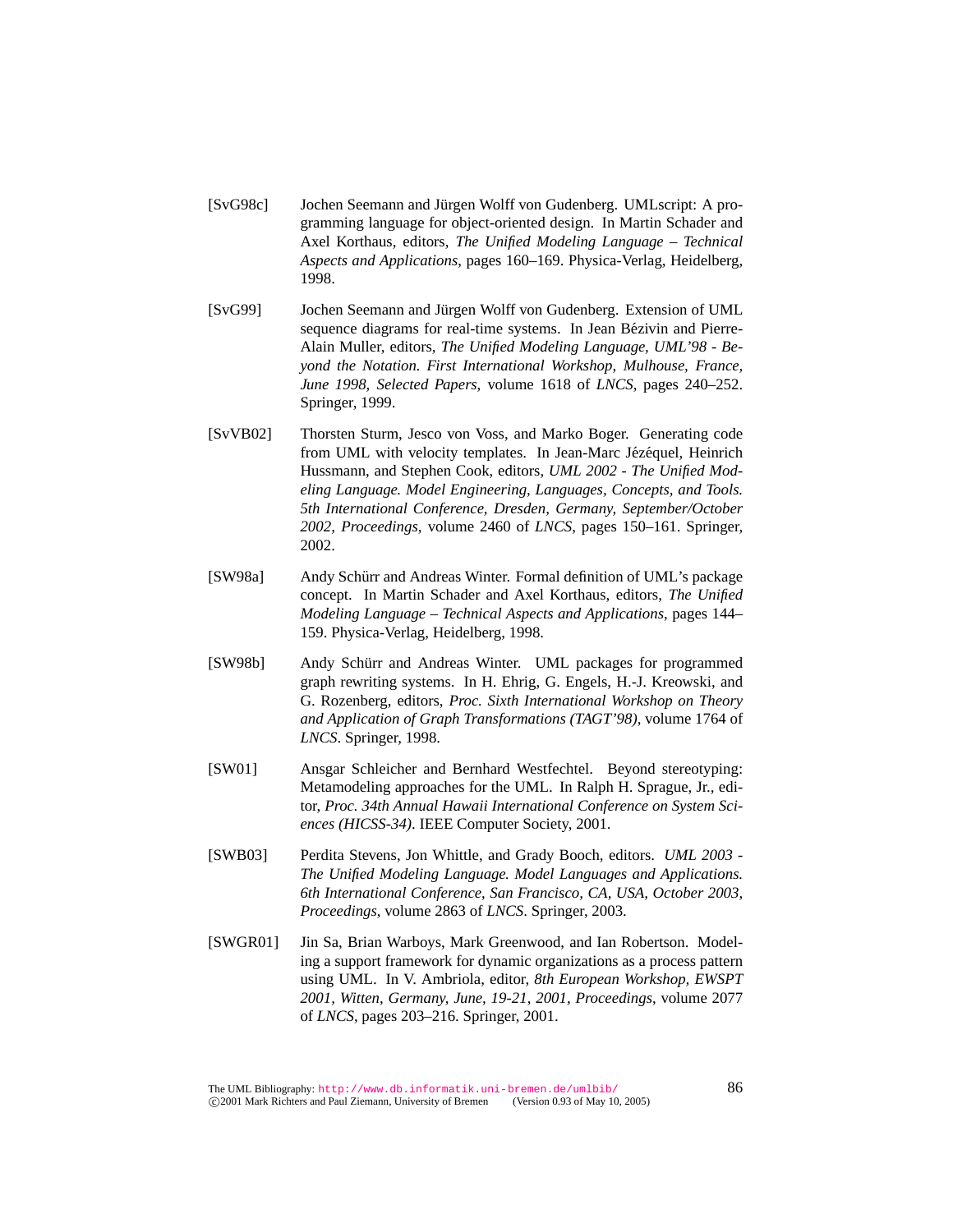- [SvG98c] Jochen Seemann and Jürgen Wolff von Gudenberg. UMLscript: A programming language for object-oriented design. In Martin Schader and Axel Korthaus, editors, *The Unified Modeling Language – Technical Aspects and Applications*, pages 160–169. Physica-Verlag, Heidelberg, 1998.
- [SvG99] Jochen Seemann and Jürgen Wolff von Gudenberg. Extension of UML sequence diagrams for real-time systems. In Jean Bézivin and Pierre-Alain Muller, editors, *The Unified Modeling Language, UML'98 - Beyond the Notation. First International Workshop, Mulhouse, France, June 1998, Selected Papers*, volume 1618 of *LNCS*, pages 240–252. Springer, 1999.
- [SvVB02] Thorsten Sturm, Jesco von Voss, and Marko Boger. Generating code from UML with velocity templates. In Jean-Marc Jézéquel, Heinrich Hussmann, and Stephen Cook, editors, *UML 2002 - The Unified Modeling Language. Model Engineering, Languages, Concepts, and Tools. 5th International Conference, Dresden, Germany, September/October 2002, Proceedings*, volume 2460 of *LNCS*, pages 150–161. Springer, 2002.
- [SW98a] Andy Schürr and Andreas Winter. Formal definition of UML's package concept. In Martin Schader and Axel Korthaus, editors, *The Unified Modeling Language – Technical Aspects and Applications*, pages 144– 159. Physica-Verlag, Heidelberg, 1998.
- [SW98b] Andy Schürr and Andreas Winter. UML packages for programmed graph rewriting systems. In H. Ehrig, G. Engels, H.-J. Kreowski, and G. Rozenberg, editors, *Proc. Sixth International Workshop on Theory and Application of Graph Transformations (TAGT'98)*, volume 1764 of *LNCS*. Springer, 1998.
- [SW01] Ansgar Schleicher and Bernhard Westfechtel. Beyond stereotyping: Metamodeling approaches for the UML. In Ralph H. Sprague, Jr., editor, *Proc. 34th Annual Hawaii International Conference on System Sciences (HICSS-34)*. IEEE Computer Society, 2001.
- [SWB03] Perdita Stevens, Jon Whittle, and Grady Booch, editors. *UML 2003 - The Unified Modeling Language. Model Languages and Applications. 6th International Conference, San Francisco, CA, USA, October 2003, Proceedings*, volume 2863 of *LNCS*. Springer, 2003.
- [SWGR01] Jin Sa, Brian Warboys, Mark Greenwood, and Ian Robertson. Modeling a support framework for dynamic organizations as a process pattern using UML. In V. Ambriola, editor, *8th European Workshop, EWSPT 2001, Witten, Germany, June, 19-21, 2001, Proceedings*, volume 2077 of *LNCS*, pages 203–216. Springer, 2001.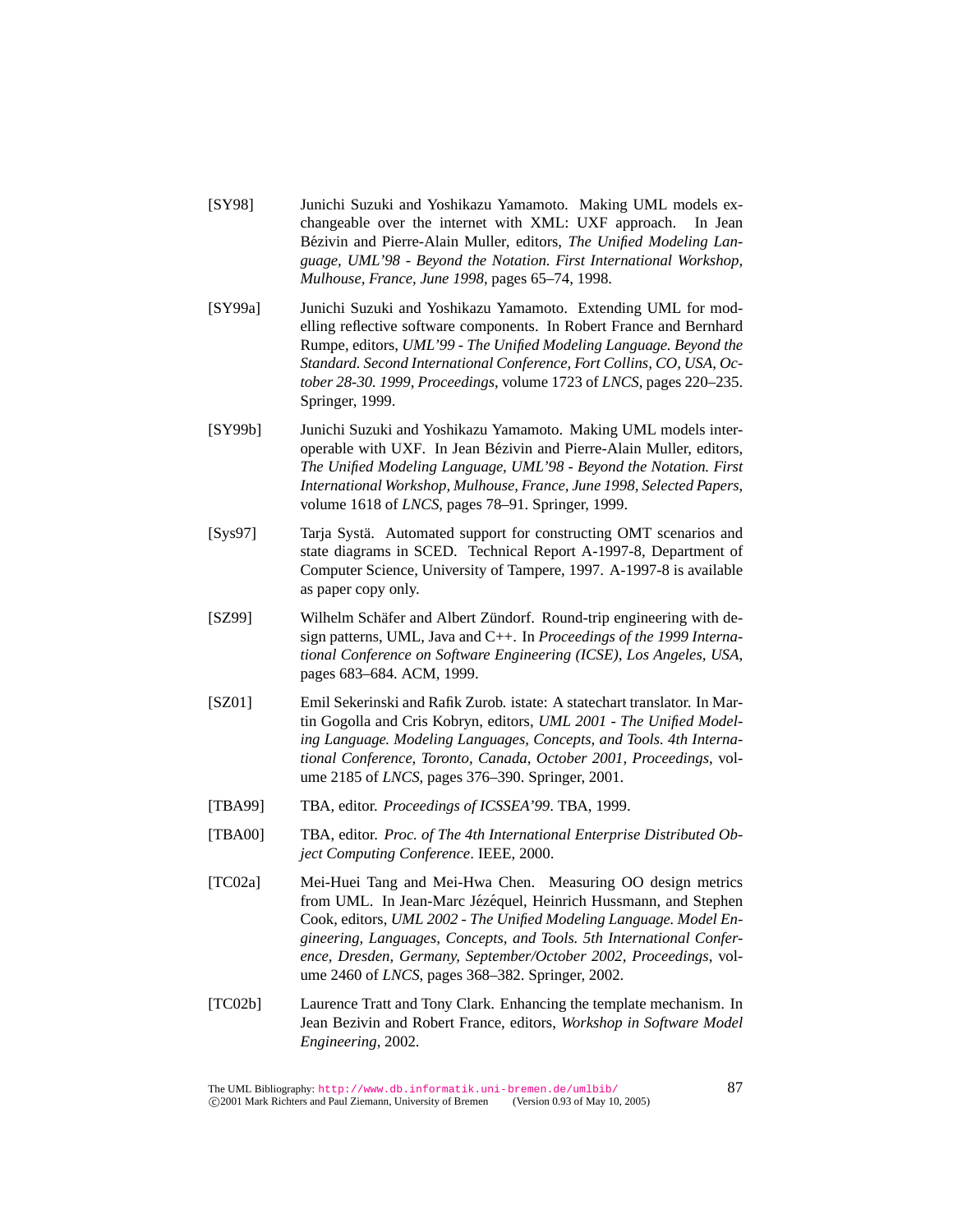- [SY98] Junichi Suzuki and Yoshikazu Yamamoto. Making UML models exchangeable over the internet with XML: UXF approach. In Jean Bézivin and Pierre-Alain Muller, editors, *The Unified Modeling Language, UML'98 - Beyond the Notation. First International Workshop, Mulhouse, France, June 1998*, pages 65–74, 1998.
- [SY99a] Junichi Suzuki and Yoshikazu Yamamoto. Extending UML for modelling reflective software components. In Robert France and Bernhard Rumpe, editors, *UML'99 - The Unified Modeling Language. Beyond the Standard. Second International Conference, Fort Collins, CO, USA, October 28-30. 1999, Proceedings*, volume 1723 of *LNCS*, pages 220–235. Springer, 1999.
- [SY99b] Junichi Suzuki and Yoshikazu Yamamoto. Making UML models interoperable with UXF. In Jean Bézivin and Pierre-Alain Muller, editors, *The Unified Modeling Language, UML'98 - Beyond the Notation. First International Workshop, Mulhouse, France, June 1998, Selected Papers*, volume 1618 of *LNCS*, pages 78–91. Springer, 1999.
- [Sys97] Tarja Systä. Automated support for constructing OMT scenarios and state diagrams in SCED. Technical Report A-1997-8, Department of Computer Science, University of Tampere, 1997. A-1997-8 is available as paper copy only.
- [SZ99] Wilhelm Schäfer and Albert Zündorf. Round-trip engineering with design patterns, UML, Java and C++. In *Proceedings of the 1999 International Conference on Software Engineering (ICSE), Los Angeles, USA*, pages 683–684. ACM, 1999.
- [SZ01] Emil Sekerinski and Rafik Zurob. istate: A statechart translator. In Martin Gogolla and Cris Kobryn, editors, *UML 2001 - The Unified Modeling Language. Modeling Languages, Concepts, and Tools. 4th International Conference, Toronto, Canada, October 2001, Proceedings*, volume 2185 of *LNCS*, pages 376–390. Springer, 2001.
- [TBA99] TBA, editor. *Proceedings of ICSSEA'99*. TBA, 1999.
- [TBA00] TBA, editor. *Proc. of The 4th International Enterprise Distributed Object Computing Conference*. IEEE, 2000.
- [TC02a] Mei-Huei Tang and Mei-Hwa Chen. Measuring OO design metrics from UML. In Jean-Marc Jézéquel, Heinrich Hussmann, and Stephen Cook, editors, *UML 2002 - The Unified Modeling Language. Model Engineering, Languages, Concepts, and Tools. 5th International Conference, Dresden, Germany, September/October 2002, Proceedings*, volume 2460 of *LNCS*, pages 368–382. Springer, 2002.
- [TC02b] Laurence Tratt and Tony Clark. Enhancing the template mechanism. In Jean Bezivin and Robert France, editors, *Workshop in Software Model Engineering*, 2002.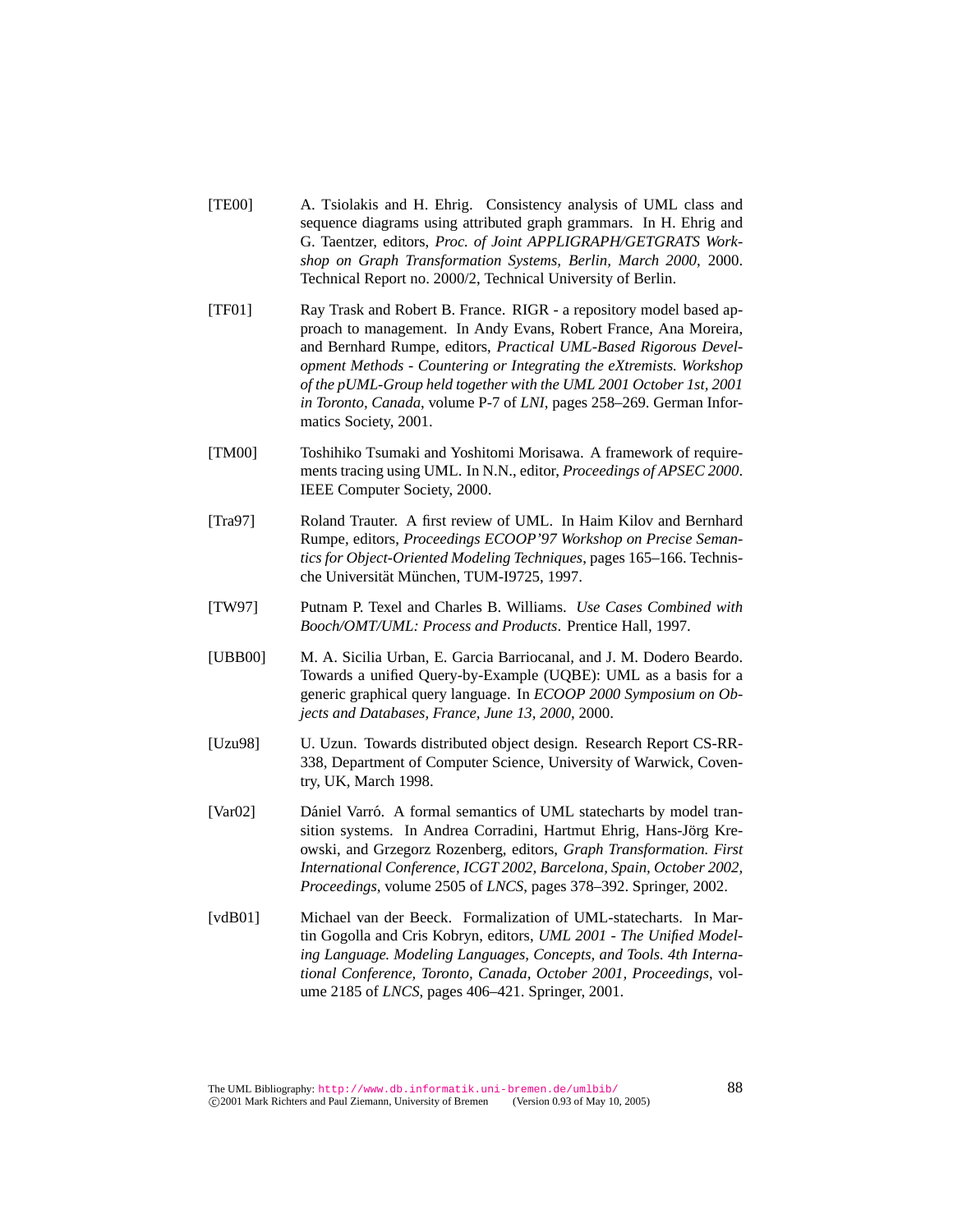- [TE00] A. Tsiolakis and H. Ehrig. Consistency analysis of UML class and sequence diagrams using attributed graph grammars. In H. Ehrig and G. Taentzer, editors, *Proc. of Joint APPLIGRAPH/GETGRATS Workshop on Graph Transformation Systems, Berlin, March 2000*, 2000. Technical Report no. 2000/2, Technical University of Berlin.
- [TF01] Ray Trask and Robert B. France. RIGR a repository model based approach to management. In Andy Evans, Robert France, Ana Moreira, and Bernhard Rumpe, editors, *Practical UML-Based Rigorous Development Methods - Countering or Integrating the eXtremists. Workshop of the pUML-Group held together with the UML 2001 October 1st, 2001 in Toronto, Canada*, volume P-7 of *LNI*, pages 258–269. German Informatics Society, 2001.
- [TM00] Toshihiko Tsumaki and Yoshitomi Morisawa. A framework of requirements tracing using UML. In N.N., editor, *Proceedings of APSEC 2000*. IEEE Computer Society, 2000.
- [Tra97] Roland Trauter. A first review of UML. In Haim Kilov and Bernhard Rumpe, editors, *Proceedings ECOOP'97 Workshop on Precise Semantics for Object-Oriented Modeling Techniques*, pages 165–166. Technische Universität München, TUM-I9725, 1997.
- [TW97] Putnam P. Texel and Charles B. Williams. *Use Cases Combined with Booch/OMT/UML: Process and Products*. Prentice Hall, 1997.
- [UBB00] M. A. Sicilia Urban, E. Garcia Barriocanal, and J. M. Dodero Beardo. Towards a unified Query-by-Example (UQBE): UML as a basis for a generic graphical query language. In *ECOOP 2000 Symposium on Objects and Databases, France, June 13, 2000*, 2000.
- [Uzu98] U. Uzun. Towards distributed object design. Research Report CS-RR-338, Department of Computer Science, University of Warwick, Coventry, UK, March 1998.
- [Var02] Dániel Varró. A formal semantics of UML statecharts by model transition systems. In Andrea Corradini, Hartmut Ehrig, Hans-Jörg Kreowski, and Grzegorz Rozenberg, editors, *Graph Transformation. First International Conference, ICGT 2002, Barcelona, Spain, October 2002, Proceedings*, volume 2505 of *LNCS*, pages 378–392. Springer, 2002.
- [vdB01] Michael van der Beeck. Formalization of UML-statecharts. In Martin Gogolla and Cris Kobryn, editors, *UML 2001 - The Unified Modeling Language. Modeling Languages, Concepts, and Tools. 4th International Conference, Toronto, Canada, October 2001, Proceedings*, volume 2185 of *LNCS*, pages 406–421. Springer, 2001.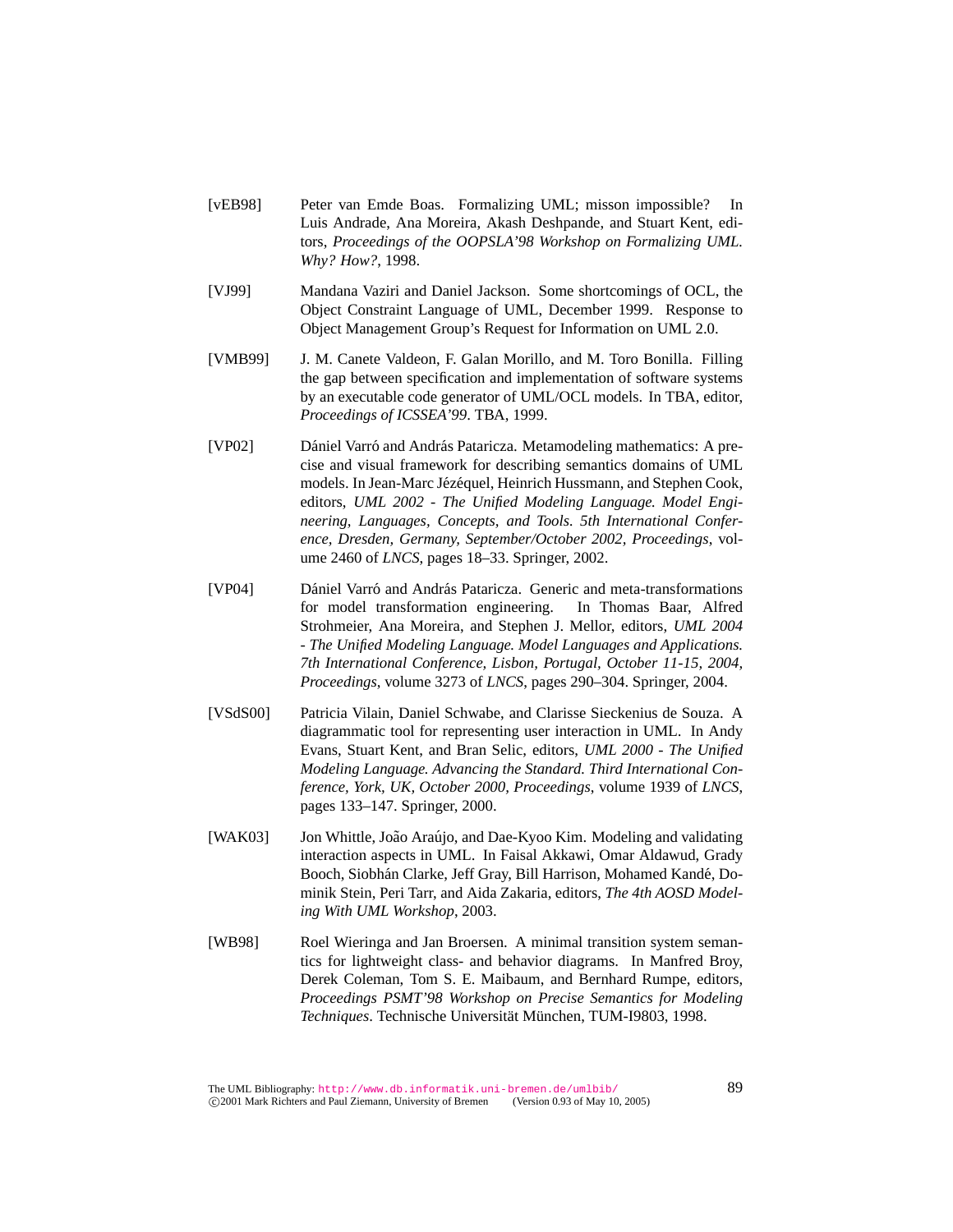- [vEB98] Peter van Emde Boas. Formalizing UML; misson impossible? In Luis Andrade, Ana Moreira, Akash Deshpande, and Stuart Kent, editors, *Proceedings of the OOPSLA'98 Workshop on Formalizing UML. Why? How?*, 1998.
- [VJ99] Mandana Vaziri and Daniel Jackson. Some shortcomings of OCL, the Object Constraint Language of UML, December 1999. Response to Object Management Group's Request for Information on UML 2.0.
- [VMB99] J. M. Canete Valdeon, F. Galan Morillo, and M. Toro Bonilla. Filling the gap between specification and implementation of software systems by an executable code generator of UML/OCL models. In TBA, editor, *Proceedings of ICSSEA'99*. TBA, 1999.
- [VP02] Dániel Varró and András Pataricza. Metamodeling mathematics: A precise and visual framework for describing semantics domains of UML models. In Jean-Marc Jézéquel, Heinrich Hussmann, and Stephen Cook, editors, *UML 2002 - The Unified Modeling Language. Model Engineering, Languages, Concepts, and Tools. 5th International Conference, Dresden, Germany, September/October 2002, Proceedings*, volume 2460 of *LNCS*, pages 18–33. Springer, 2002.
- [VP04] Dániel Varró and András Pataricza. Generic and meta-transformations for model transformation engineering. In Thomas Baar, Alfred Strohmeier, Ana Moreira, and Stephen J. Mellor, editors, *UML 2004 - The Unified Modeling Language. Model Languages and Applications. 7th International Conference, Lisbon, Portugal, October 11-15, 2004, Proceedings*, volume 3273 of *LNCS*, pages 290–304. Springer, 2004.
- [VSdS00] Patricia Vilain, Daniel Schwabe, and Clarisse Sieckenius de Souza. A diagrammatic tool for representing user interaction in UML. In Andy Evans, Stuart Kent, and Bran Selic, editors, *UML 2000 - The Unified Modeling Language. Advancing the Standard. Third International Conference, York, UK, October 2000, Proceedings*, volume 1939 of *LNCS*, pages 133–147. Springer, 2000.
- [WAK03] Jon Whittle, João Araújo, and Dae-Kyoo Kim. Modeling and validating interaction aspects in UML. In Faisal Akkawi, Omar Aldawud, Grady Booch, Siobhán Clarke, Jeff Gray, Bill Harrison, Mohamed Kandé, Dominik Stein, Peri Tarr, and Aida Zakaria, editors, *The 4th AOSD Modeling With UML Workshop*, 2003.
- [WB98] Roel Wieringa and Jan Broersen. A minimal transition system semantics for lightweight class- and behavior diagrams. In Manfred Broy, Derek Coleman, Tom S. E. Maibaum, and Bernhard Rumpe, editors, *Proceedings PSMT'98 Workshop on Precise Semantics for Modeling* Techniques. Technische Universität München, TUM-I9803, 1998.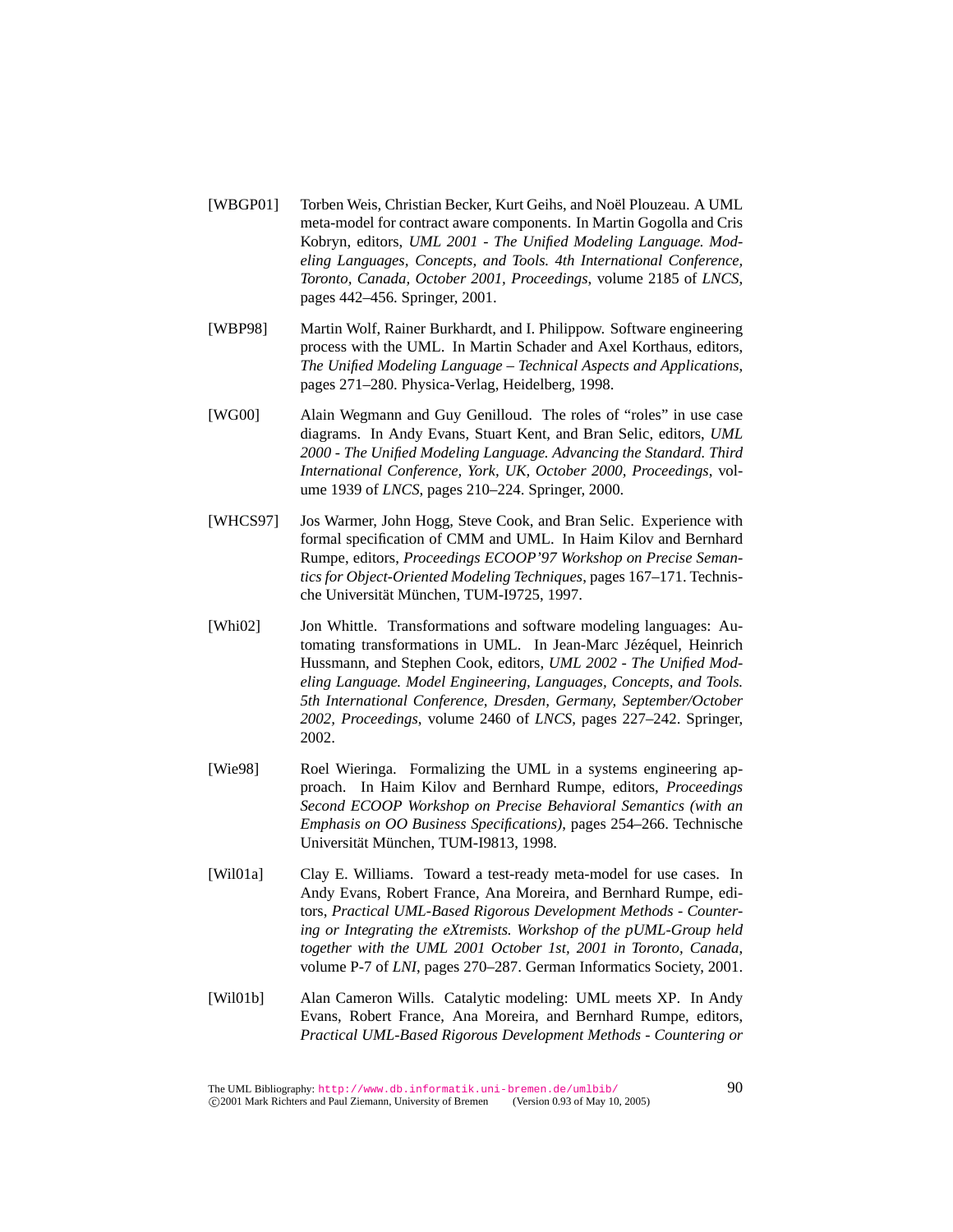- [WBGP01] Torben Weis, Christian Becker, Kurt Geihs, and Noël Plouzeau. A UML meta-model for contract aware components. In Martin Gogolla and Cris Kobryn, editors, *UML 2001 - The Unified Modeling Language. Modeling Languages, Concepts, and Tools. 4th International Conference, Toronto, Canada, October 2001, Proceedings*, volume 2185 of *LNCS*, pages 442–456. Springer, 2001.
- [WBP98] Martin Wolf, Rainer Burkhardt, and I. Philippow. Software engineering process with the UML. In Martin Schader and Axel Korthaus, editors, *The Unified Modeling Language – Technical Aspects and Applications*, pages 271–280. Physica-Verlag, Heidelberg, 1998.
- [WG00] Alain Wegmann and Guy Genilloud. The roles of "roles" in use case diagrams. In Andy Evans, Stuart Kent, and Bran Selic, editors, *UML 2000 - The Unified Modeling Language. Advancing the Standard. Third International Conference, York, UK, October 2000, Proceedings*, volume 1939 of *LNCS*, pages 210–224. Springer, 2000.
- [WHCS97] Jos Warmer, John Hogg, Steve Cook, and Bran Selic. Experience with formal specification of CMM and UML. In Haim Kilov and Bernhard Rumpe, editors, *Proceedings ECOOP'97 Workshop on Precise Semantics for Object-Oriented Modeling Techniques*, pages 167–171. Technische Universität München, TUM-I9725, 1997.
- [Whi02] Jon Whittle. Transformations and software modeling languages: Automating transformations in UML. In Jean-Marc Jézéquel, Heinrich Hussmann, and Stephen Cook, editors, *UML 2002 - The Unified Modeling Language. Model Engineering, Languages, Concepts, and Tools. 5th International Conference, Dresden, Germany, September/October 2002, Proceedings*, volume 2460 of *LNCS*, pages 227–242. Springer, 2002.
- [Wie98] Roel Wieringa. Formalizing the UML in a systems engineering approach. In Haim Kilov and Bernhard Rumpe, editors, *Proceedings Second ECOOP Workshop on Precise Behavioral Semantics (with an Emphasis on OO Business Specifications)*, pages 254–266. Technische Universität München, TUM-I9813, 1998.
- [Wil01a] Clay E. Williams. Toward a test-ready meta-model for use cases. In Andy Evans, Robert France, Ana Moreira, and Bernhard Rumpe, editors, *Practical UML-Based Rigorous Development Methods - Countering or Integrating the eXtremists. Workshop of the pUML-Group held together with the UML 2001 October 1st, 2001 in Toronto, Canada*, volume P-7 of *LNI*, pages 270–287. German Informatics Society, 2001.
- [Wil01b] Alan Cameron Wills. Catalytic modeling: UML meets XP. In Andy Evans, Robert France, Ana Moreira, and Bernhard Rumpe, editors, *Practical UML-Based Rigorous Development Methods - Countering or*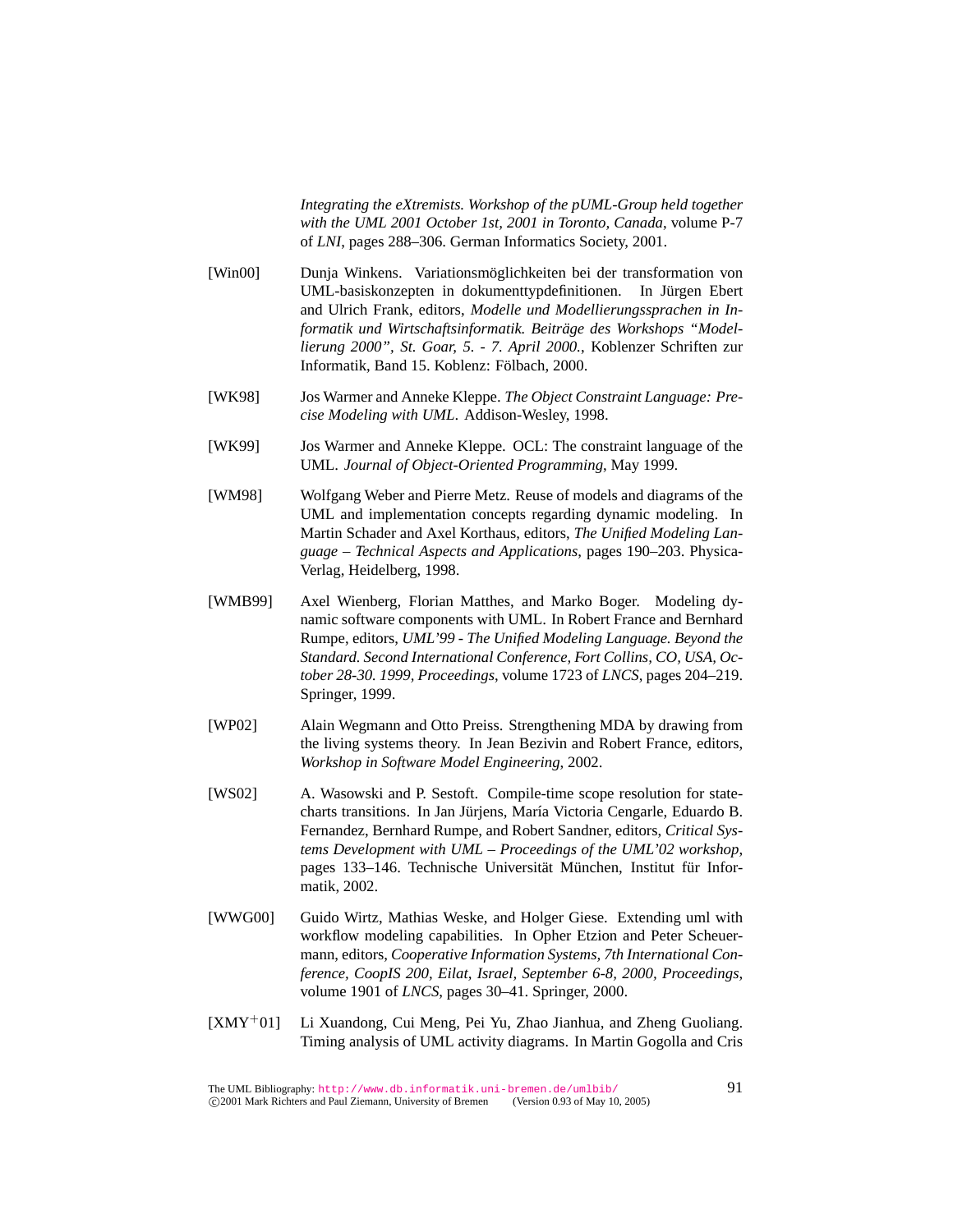*Integrating the eXtremists. Workshop of the pUML-Group held together with the UML 2001 October 1st, 2001 in Toronto, Canada*, volume P-7 of *LNI*, pages 288–306. German Informatics Society, 2001.

- [Win00] Dunja Winkens. Variationsmöglichkeiten bei der transformation von UML-basiskonzepten in dokumenttypdefinitionen. In Jurgen Ebert ¨ and Ulrich Frank, editors, *Modelle und Modellierungssprachen in Informatik und Wirtschaftsinformatik. Beitrage des Workshops "Model- ¨ lierung 2000", St. Goar, 5. - 7. April 2000.*, Koblenzer Schriften zur Informatik, Band 15. Koblenz: Fölbach, 2000.
- [WK98] Jos Warmer and Anneke Kleppe. *The Object Constraint Language: Precise Modeling with UML*. Addison-Wesley, 1998.
- [WK99] Jos Warmer and Anneke Kleppe. OCL: The constraint language of the UML. *Journal of Object-Oriented Programming*, May 1999.
- [WM98] Wolfgang Weber and Pierre Metz. Reuse of models and diagrams of the UML and implementation concepts regarding dynamic modeling. In Martin Schader and Axel Korthaus, editors, *The Unified Modeling Language – Technical Aspects and Applications*, pages 190–203. Physica-Verlag, Heidelberg, 1998.
- [WMB99] Axel Wienberg, Florian Matthes, and Marko Boger. Modeling dynamic software components with UML. In Robert France and Bernhard Rumpe, editors, *UML'99 - The Unified Modeling Language. Beyond the Standard. Second International Conference, Fort Collins, CO, USA, October 28-30. 1999, Proceedings*, volume 1723 of *LNCS*, pages 204–219. Springer, 1999.
- [WP02] Alain Wegmann and Otto Preiss. Strengthening MDA by drawing from the living systems theory. In Jean Bezivin and Robert France, editors, *Workshop in Software Model Engineering*, 2002.
- [WS02] A. Wasowski and P. Sestoft. Compile-time scope resolution for statecharts transitions. In Jan Jürjens, María Victoria Cengarle, Eduardo B. Fernandez, Bernhard Rumpe, and Robert Sandner, editors, *Critical Systems Development with UML – Proceedings of the UML'02 workshop*, pages 133–146. Technische Universität München, Institut für Informatik, 2002.
- [WWG00] Guido Wirtz, Mathias Weske, and Holger Giese. Extending uml with workflow modeling capabilities. In Opher Etzion and Peter Scheuermann, editors, *Cooperative Information Systems, 7th International Conference, CoopIS 200, Eilat, Israel, September 6-8, 2000, Proceedings*, volume 1901 of *LNCS*, pages 30–41. Springer, 2000.
- [XMY<sup>+</sup>01] Li Xuandong, Cui Meng, Pei Yu, Zhao Jianhua, and Zheng Guoliang. Timing analysis of UML activity diagrams. In Martin Gogolla and Cris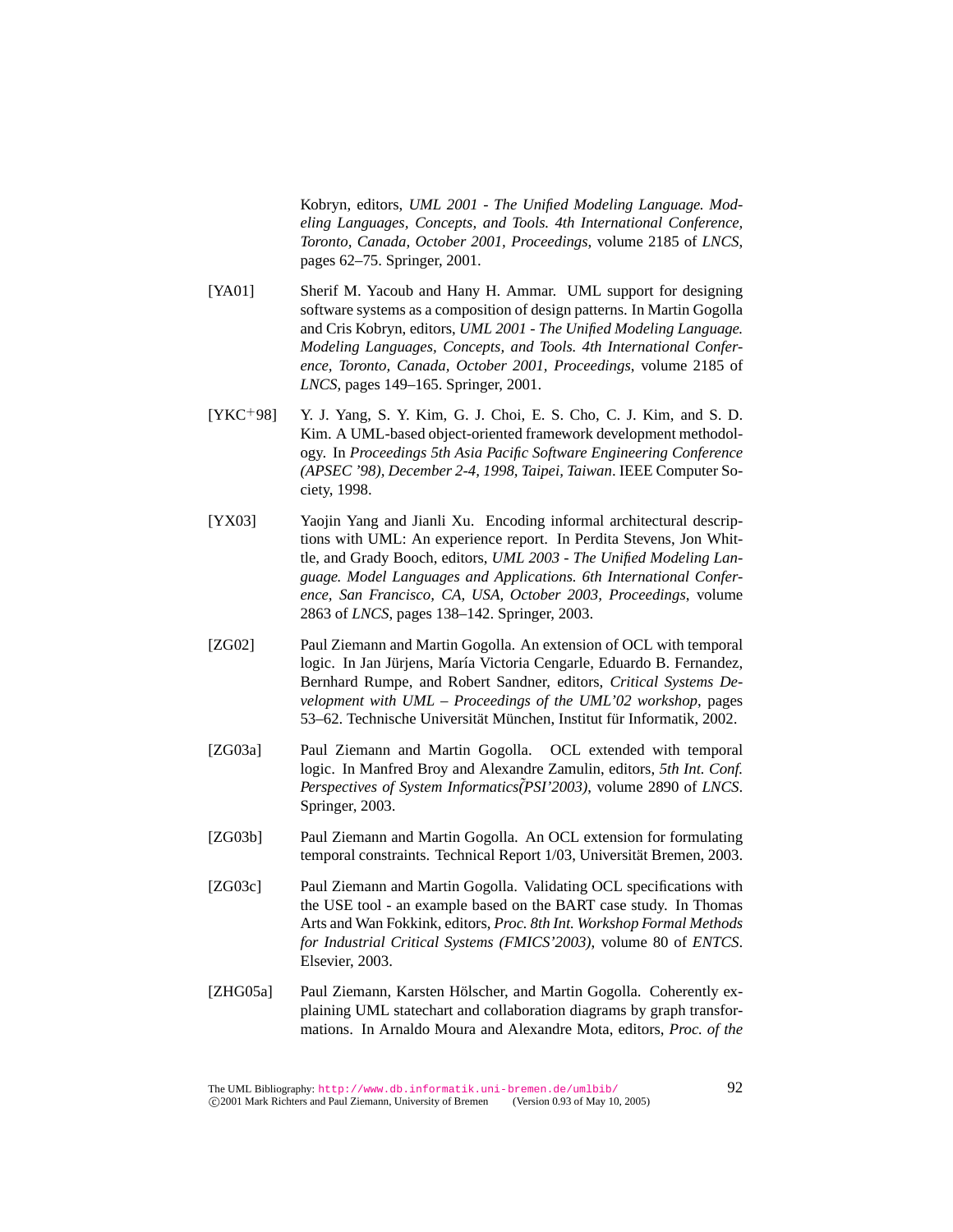Kobryn, editors, *UML 2001 - The Unified Modeling Language. Modeling Languages, Concepts, and Tools. 4th International Conference, Toronto, Canada, October 2001, Proceedings*, volume 2185 of *LNCS*, pages 62–75. Springer, 2001.

- [YA01] Sherif M. Yacoub and Hany H. Ammar. UML support for designing software systems as a composition of design patterns. In Martin Gogolla and Cris Kobryn, editors, *UML 2001 - The Unified Modeling Language. Modeling Languages, Concepts, and Tools. 4th International Conference, Toronto, Canada, October 2001, Proceedings*, volume 2185 of *LNCS*, pages 149–165. Springer, 2001.
- $[YKC+98]$  Y. J. Yang, S. Y. Kim, G. J. Choi, E. S. Cho, C. J. Kim, and S. D. Kim. A UML-based object-oriented framework development methodology. In *Proceedings 5th Asia Pacific Software Engineering Conference (APSEC '98), December 2-4, 1998, Taipei, Taiwan*. IEEE Computer Society, 1998.
- [YX03] Yaojin Yang and Jianli Xu. Encoding informal architectural descriptions with UML: An experience report. In Perdita Stevens, Jon Whittle, and Grady Booch, editors, *UML 2003 - The Unified Modeling Language. Model Languages and Applications. 6th International Conference, San Francisco, CA, USA, October 2003, Proceedings*, volume 2863 of *LNCS*, pages 138–142. Springer, 2003.
- [ZG02] Paul Ziemann and Martin Gogolla. An extension of OCL with temporal logic. In Jan Jürjens, María Victoria Cengarle, Eduardo B. Fernandez, Bernhard Rumpe, and Robert Sandner, editors, *Critical Systems Development with UML – Proceedings of the UML'02 workshop*, pages 53–62. Technische Universität München, Institut für Informatik, 2002.
- [ZG03a] Paul Ziemann and Martin Gogolla. OCL extended with temporal logic. In Manfred Broy and Alexandre Zamulin, editors, *5th Int. Conf. Perspectives of System Informatics˜(PSI'2003)*, volume 2890 of *LNCS*. Springer, 2003.
- [ZG03b] Paul Ziemann and Martin Gogolla. An OCL extension for formulating temporal constraints. Technical Report 1/03, Universität Bremen, 2003.
- [ZG03c] Paul Ziemann and Martin Gogolla. Validating OCL specifications with the USE tool - an example based on the BART case study. In Thomas Arts and Wan Fokkink, editors, *Proc. 8th Int. Workshop Formal Methods for Industrial Critical Systems (FMICS'2003)*, volume 80 of *ENTCS*. Elsevier, 2003.
- [ZHG05a] Paul Ziemann, Karsten Hölscher, and Martin Gogolla. Coherently explaining UML statechart and collaboration diagrams by graph transformations. In Arnaldo Moura and Alexandre Mota, editors, *Proc. of the*